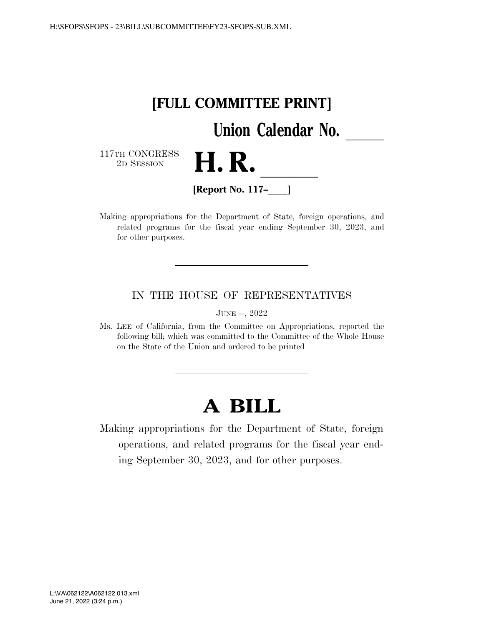

Making appropriations for the Department of State, foreign operations, and related programs for the fiscal year ending September 30, 2023, and for other purposes.

## IN THE HOUSE OF REPRESENTATIVES

JUNE --, 2022

Ms. LEE of California, from the Committee on Appropriations, reported the following bill; which was committed to the Committee of the Whole House on the State of the Union and ordered to be printed

# **A BILL**

Making appropriations for the Department of State, foreign operations, and related programs for the fiscal year ending September 30, 2023, and for other purposes.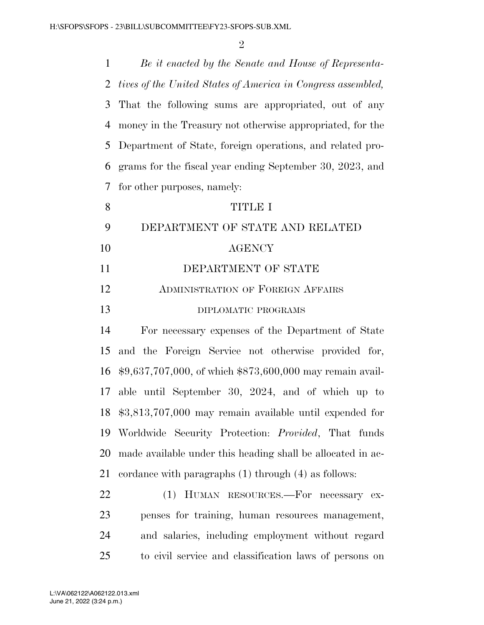| $\mathbf{1}$   | Be it enacted by the Senate and House of Representa-         |
|----------------|--------------------------------------------------------------|
| $\overline{2}$ | tives of the United States of America in Congress assembled, |
| 3              | That the following sums are appropriated, out of any         |
| 4              | money in the Treasury not otherwise appropriated, for the    |
| 5              | Department of State, foreign operations, and related pro-    |
| 6              | grams for the fiscal year ending September 30, 2023, and     |
| 7              | for other purposes, namely:                                  |
| 8              | <b>TITLE I</b>                                               |
| 9              | DEPARTMENT OF STATE AND RELATED                              |
| 10             | <b>AGENCY</b>                                                |
| 11             | DEPARTMENT OF STATE                                          |
| 12             | <b>ADMINISTRATION OF FOREIGN AFFAIRS</b>                     |
| 13             | DIPLOMATIC PROGRAMS                                          |
| 14             | For necessary expenses of the Department of State            |
| 15             | and the Foreign Service not otherwise provided for,          |
| 16             | $$9,637,707,000$ , of which $$873,600,000$ may remain avail- |
| 17             | able until September 30, 2024, and of which up to            |
| 18             | $$3,813,707,000$ may remain available until expended for     |
| 19             | Worldwide Security Protection: <i>Provided</i> , That funds  |
| 20             | made available under this heading shall be allocated in ac-  |
| 21             | cordance with paragraphs (1) through (4) as follows:         |
| 22             | (1) HUMAN RESOURCES.-For necessary ex-                       |
| 23             | penses for training, human resources management,             |
| 24             | and salaries, including employment without regard            |
| 25             | to civil service and classification laws of persons on       |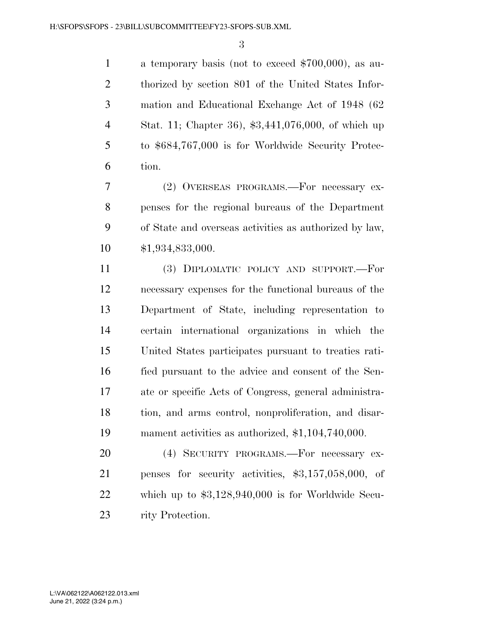a temporary basis (not to exceed \$700,000), as au- thorized by section 801 of the United States Infor- mation and Educational Exchange Act of 1948 (62 Stat. 11; Chapter 36), \$3,441,076,000, of which up to \$684,767,000 is for Worldwide Security Protec-tion.

 (2) OVERSEAS PROGRAMS.—For necessary ex- penses for the regional bureaus of the Department of State and overseas activities as authorized by law, \$1,934,833,000.

 (3) DIPLOMATIC POLICY AND SUPPORT.—For necessary expenses for the functional bureaus of the Department of State, including representation to certain international organizations in which the United States participates pursuant to treaties rati- fied pursuant to the advice and consent of the Sen- ate or specific Acts of Congress, general administra- tion, and arms control, nonproliferation, and disar-mament activities as authorized, \$1,104,740,000.

20 (4) SECURITY PROGRAMS.—For necessary ex- penses for security activities, \$3,157,058,000, of which up to \$3,128,940,000 is for Worldwide Secu-23 rity Protection.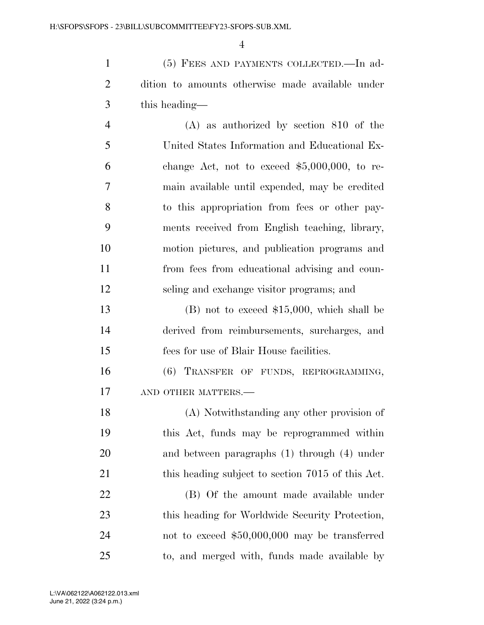(5) FEES AND PAYMENTS COLLECTED.—In ad- dition to amounts otherwise made available under this heading—

 (A) as authorized by section 810 of the United States Information and Educational Ex- change Act, not to exceed \$5,000,000, to re- main available until expended, may be credited to this appropriation from fees or other pay- ments received from English teaching, library, motion pictures, and publication programs and from fees from educational advising and coun-seling and exchange visitor programs; and

 (B) not to exceed \$15,000, which shall be derived from reimbursements, surcharges, and fees for use of Blair House facilities.

 (6) TRANSFER OF FUNDS, REPROGRAMMING, 17 AND OTHER MATTERS.—

 (A) Notwithstanding any other provision of this Act, funds may be reprogrammed within and between paragraphs (1) through (4) under 21 this heading subject to section 7015 of this Act. (B) Of the amount made available under

 this heading for Worldwide Security Protection, not to exceed \$50,000,000 may be transferred to, and merged with, funds made available by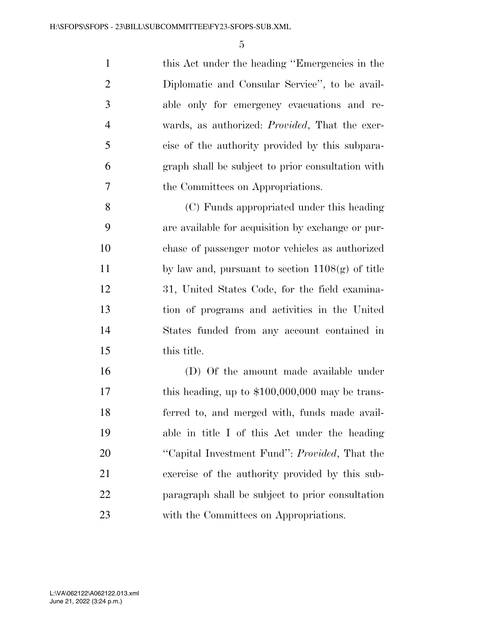this Act under the heading ''Emergencies in the Diplomatic and Consular Service'', to be avail- able only for emergency evacuations and re- wards, as authorized: *Provided*, That the exer- cise of the authority provided by this subpara- graph shall be subject to prior consultation with the Committees on Appropriations.

 (C) Funds appropriated under this heading are available for acquisition by exchange or pur- chase of passenger motor vehicles as authorized 11 by law and, pursuant to section  $1108(g)$  of title 31, United States Code, for the field examina- tion of programs and activities in the United States funded from any account contained in this title.

 (D) Of the amount made available under 17 this heading, up to \$100,000,000 may be trans- ferred to, and merged with, funds made avail- able in title I of this Act under the heading ''Capital Investment Fund'': *Provided*, That the exercise of the authority provided by this sub- paragraph shall be subject to prior consultation with the Committees on Appropriations.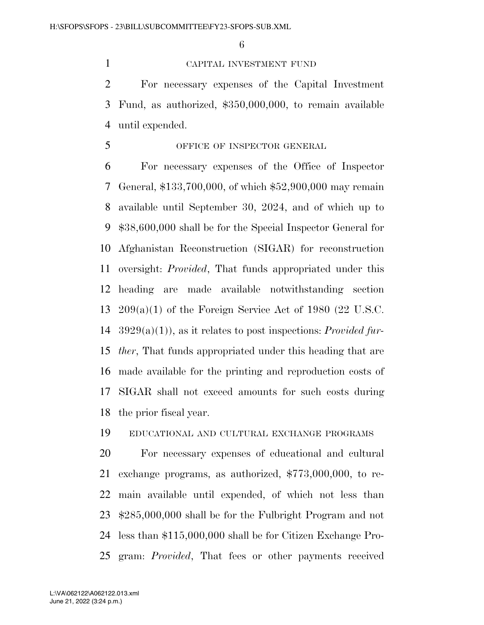CAPITAL INVESTMENT FUND

 For necessary expenses of the Capital Investment Fund, as authorized, \$350,000,000, to remain available until expended.

OFFICE OF INSPECTOR GENERAL

 For necessary expenses of the Office of Inspector General, \$133,700,000, of which \$52,900,000 may remain available until September 30, 2024, and of which up to \$38,600,000 shall be for the Special Inspector General for Afghanistan Reconstruction (SIGAR) for reconstruction oversight: *Provided*, That funds appropriated under this heading are made available notwithstanding section 209(a)(1) of the Foreign Service Act of 1980 (22 U.S.C. 3929(a)(1)), as it relates to post inspections: *Provided fur- ther*, That funds appropriated under this heading that are made available for the printing and reproduction costs of SIGAR shall not exceed amounts for such costs during the prior fiscal year.

### EDUCATIONAL AND CULTURAL EXCHANGE PROGRAMS

 For necessary expenses of educational and cultural exchange programs, as authorized, \$773,000,000, to re- main available until expended, of which not less than \$285,000,000 shall be for the Fulbright Program and not less than \$115,000,000 shall be for Citizen Exchange Pro-gram: *Provided*, That fees or other payments received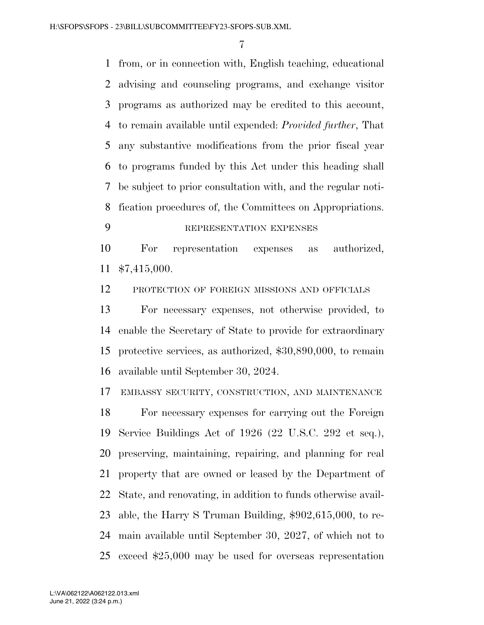from, or in connection with, English teaching, educational advising and counseling programs, and exchange visitor programs as authorized may be credited to this account, to remain available until expended: *Provided further*, That any substantive modifications from the prior fiscal year to programs funded by this Act under this heading shall be subject to prior consultation with, and the regular noti-fication procedures of, the Committees on Appropriations.

REPRESENTATION EXPENSES

 For representation expenses as authorized, \$7,415,000.

PROTECTION OF FOREIGN MISSIONS AND OFFICIALS

 For necessary expenses, not otherwise provided, to enable the Secretary of State to provide for extraordinary protective services, as authorized, \$30,890,000, to remain available until September 30, 2024.

EMBASSY SECURITY, CONSTRUCTION, AND MAINTENANCE

 For necessary expenses for carrying out the Foreign Service Buildings Act of 1926 (22 U.S.C. 292 et seq.), preserving, maintaining, repairing, and planning for real property that are owned or leased by the Department of State, and renovating, in addition to funds otherwise avail- able, the Harry S Truman Building, \$902,615,000, to re- main available until September 30, 2027, of which not to exceed \$25,000 may be used for overseas representation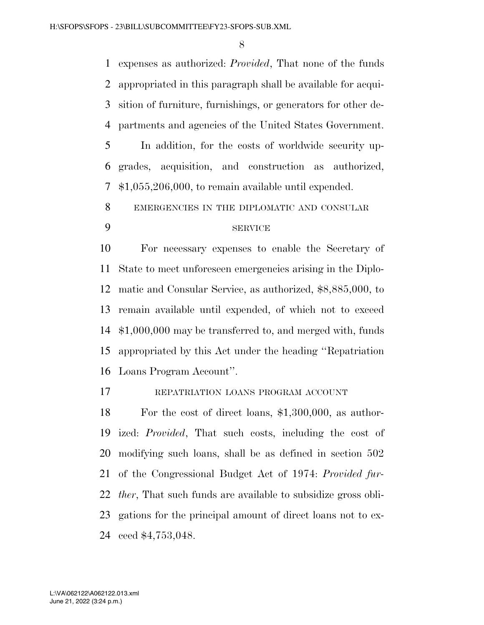expenses as authorized: *Provided*, That none of the funds appropriated in this paragraph shall be available for acqui- sition of furniture, furnishings, or generators for other de- partments and agencies of the United States Government. In addition, for the costs of worldwide security up- grades, acquisition, and construction as authorized, \$1,055,206,000, to remain available until expended. EMERGENCIES IN THE DIPLOMATIC AND CONSULAR

## SERVICE

 For necessary expenses to enable the Secretary of State to meet unforeseen emergencies arising in the Diplo- matic and Consular Service, as authorized, \$8,885,000, to remain available until expended, of which not to exceed \$1,000,000 may be transferred to, and merged with, funds appropriated by this Act under the heading ''Repatriation Loans Program Account''.

REPATRIATION LOANS PROGRAM ACCOUNT

 For the cost of direct loans, \$1,300,000, as author- ized: *Provided*, That such costs, including the cost of modifying such loans, shall be as defined in section 502 of the Congressional Budget Act of 1974: *Provided fur- ther*, That such funds are available to subsidize gross obli- gations for the principal amount of direct loans not to ex-ceed \$4,753,048.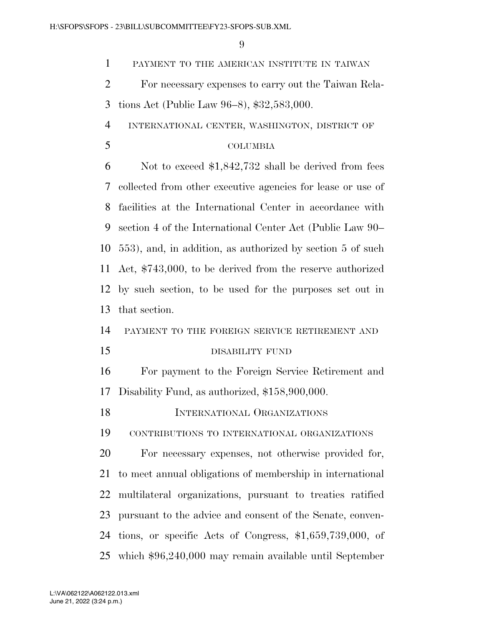PAYMENT TO THE AMERICAN INSTITUTE IN TAIWAN

 For necessary expenses to carry out the Taiwan Rela-tions Act (Public Law 96–8), \$32,583,000.

INTERNATIONAL CENTER, WASHINGTON, DISTRICT OF

## COLUMBIA

 Not to exceed \$1,842,732 shall be derived from fees collected from other executive agencies for lease or use of facilities at the International Center in accordance with section 4 of the International Center Act (Public Law 90– 553), and, in addition, as authorized by section 5 of such Act, \$743,000, to be derived from the reserve authorized by such section, to be used for the purposes set out in that section.

### PAYMENT TO THE FOREIGN SERVICE RETIREMENT AND

DISABILITY FUND

 For payment to the Foreign Service Retirement and Disability Fund, as authorized, \$158,900,000.

INTERNATIONAL ORGANIZATIONS

CONTRIBUTIONS TO INTERNATIONAL ORGANIZATIONS

 For necessary expenses, not otherwise provided for, to meet annual obligations of membership in international multilateral organizations, pursuant to treaties ratified pursuant to the advice and consent of the Senate, conven- tions, or specific Acts of Congress, \$1,659,739,000, of which \$96,240,000 may remain available until September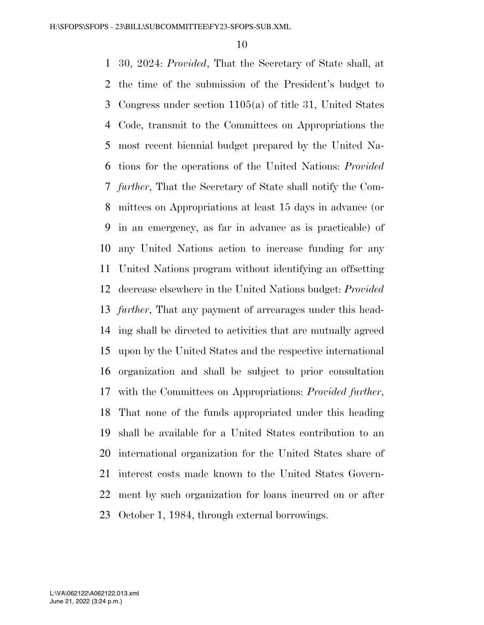30, 2024: *Provided*, That the Secretary of State shall, at the time of the submission of the President's budget to Congress under section 1105(a) of title 31, United States Code, transmit to the Committees on Appropriations the most recent biennial budget prepared by the United Na- tions for the operations of the United Nations: *Provided further*, That the Secretary of State shall notify the Com- mittees on Appropriations at least 15 days in advance (or in an emergency, as far in advance as is practicable) of any United Nations action to increase funding for any United Nations program without identifying an offsetting decrease elsewhere in the United Nations budget: *Provided further*, That any payment of arrearages under this head- ing shall be directed to activities that are mutually agreed upon by the United States and the respective international organization and shall be subject to prior consultation with the Committees on Appropriations: *Provided further*, That none of the funds appropriated under this heading shall be available for a United States contribution to an international organization for the United States share of interest costs made known to the United States Govern- ment by such organization for loans incurred on or after October 1, 1984, through external borrowings.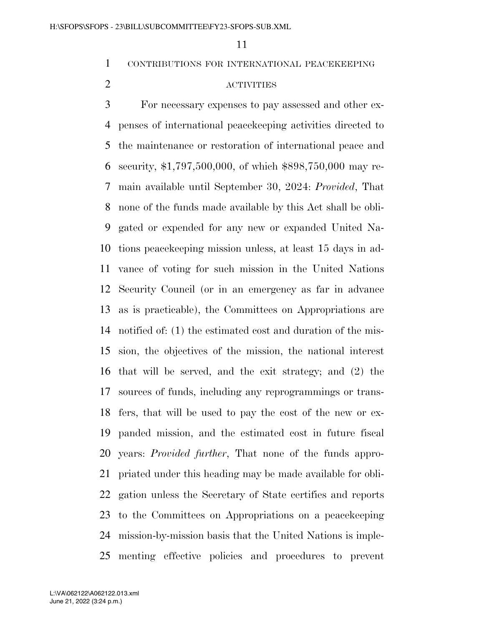CONTRIBUTIONS FOR INTERNATIONAL PEACEKEEPING

## ACTIVITIES

 For necessary expenses to pay assessed and other ex- penses of international peacekeeping activities directed to the maintenance or restoration of international peace and security, \$1,797,500,000, of which \$898,750,000 may re- main available until September 30, 2024: *Provided*, That none of the funds made available by this Act shall be obli- gated or expended for any new or expanded United Na- tions peacekeeping mission unless, at least 15 days in ad- vance of voting for such mission in the United Nations Security Council (or in an emergency as far in advance as is practicable), the Committees on Appropriations are notified of: (1) the estimated cost and duration of the mis- sion, the objectives of the mission, the national interest that will be served, and the exit strategy; and (2) the sources of funds, including any reprogrammings or trans- fers, that will be used to pay the cost of the new or ex- panded mission, and the estimated cost in future fiscal years: *Provided further*, That none of the funds appro- priated under this heading may be made available for obli- gation unless the Secretary of State certifies and reports to the Committees on Appropriations on a peacekeeping mission-by-mission basis that the United Nations is imple-menting effective policies and procedures to prevent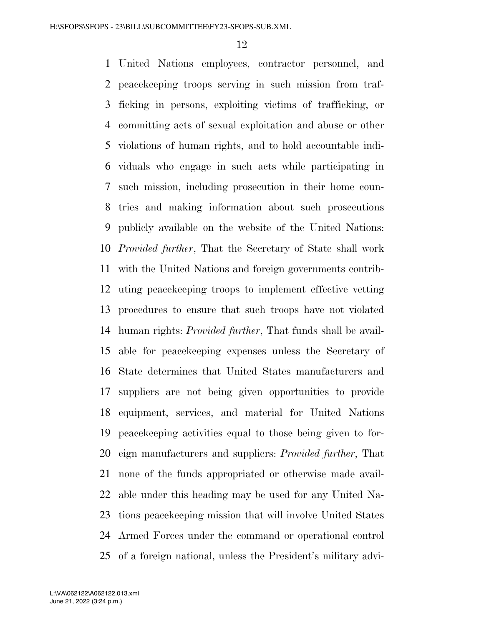United Nations employees, contractor personnel, and peacekeeping troops serving in such mission from traf- ficking in persons, exploiting victims of trafficking, or committing acts of sexual exploitation and abuse or other violations of human rights, and to hold accountable indi- viduals who engage in such acts while participating in such mission, including prosecution in their home coun- tries and making information about such prosecutions publicly available on the website of the United Nations: *Provided further*, That the Secretary of State shall work with the United Nations and foreign governments contrib- uting peacekeeping troops to implement effective vetting procedures to ensure that such troops have not violated human rights: *Provided further*, That funds shall be avail- able for peacekeeping expenses unless the Secretary of State determines that United States manufacturers and suppliers are not being given opportunities to provide equipment, services, and material for United Nations peacekeeping activities equal to those being given to for- eign manufacturers and suppliers: *Provided further*, That none of the funds appropriated or otherwise made avail- able under this heading may be used for any United Na- tions peacekeeping mission that will involve United States Armed Forces under the command or operational control of a foreign national, unless the President's military advi-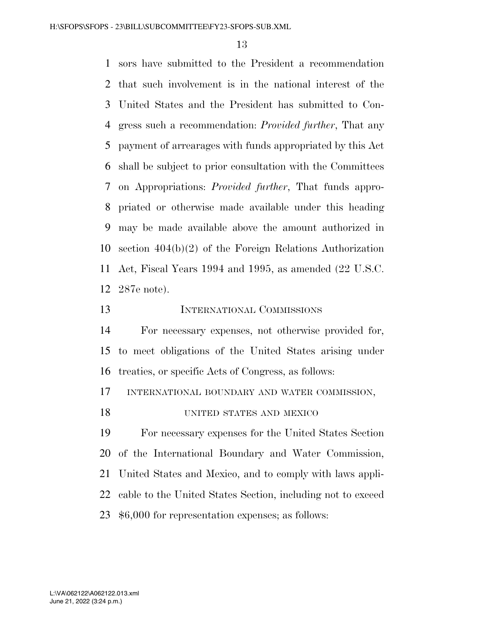sors have submitted to the President a recommendation that such involvement is in the national interest of the United States and the President has submitted to Con- gress such a recommendation: *Provided further*, That any payment of arrearages with funds appropriated by this Act shall be subject to prior consultation with the Committees on Appropriations: *Provided further*, That funds appro- priated or otherwise made available under this heading may be made available above the amount authorized in section 404(b)(2) of the Foreign Relations Authorization Act, Fiscal Years 1994 and 1995, as amended (22 U.S.C. 287e note).

INTERNATIONAL COMMISSIONS

 For necessary expenses, not otherwise provided for, to meet obligations of the United States arising under treaties, or specific Acts of Congress, as follows:

INTERNATIONAL BOUNDARY AND WATER COMMISSION,

18 UNITED STATES AND MEXICO

 For necessary expenses for the United States Section of the International Boundary and Water Commission, United States and Mexico, and to comply with laws appli- cable to the United States Section, including not to exceed \$6,000 for representation expenses; as follows: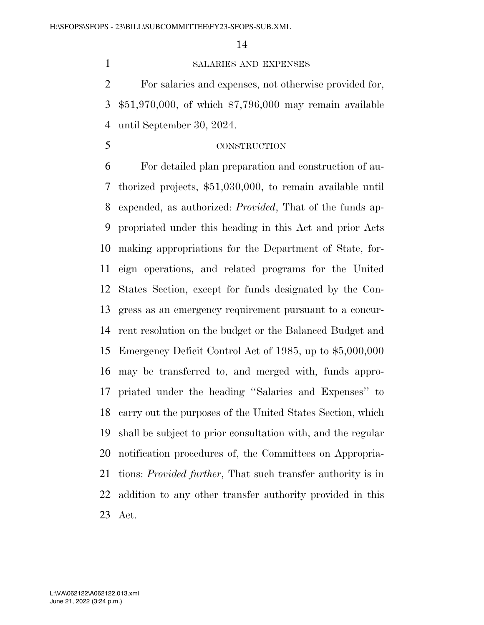SALARIES AND EXPENSES

 For salaries and expenses, not otherwise provided for, \$51,970,000, of which \$7,796,000 may remain available until September 30, 2024.

## CONSTRUCTION

 For detailed plan preparation and construction of au- thorized projects, \$51,030,000, to remain available until expended, as authorized: *Provided*, That of the funds ap- propriated under this heading in this Act and prior Acts making appropriations for the Department of State, for- eign operations, and related programs for the United States Section, except for funds designated by the Con- gress as an emergency requirement pursuant to a concur- rent resolution on the budget or the Balanced Budget and Emergency Deficit Control Act of 1985, up to \$5,000,000 may be transferred to, and merged with, funds appro- priated under the heading ''Salaries and Expenses'' to carry out the purposes of the United States Section, which shall be subject to prior consultation with, and the regular notification procedures of, the Committees on Appropria- tions: *Provided further*, That such transfer authority is in addition to any other transfer authority provided in this Act.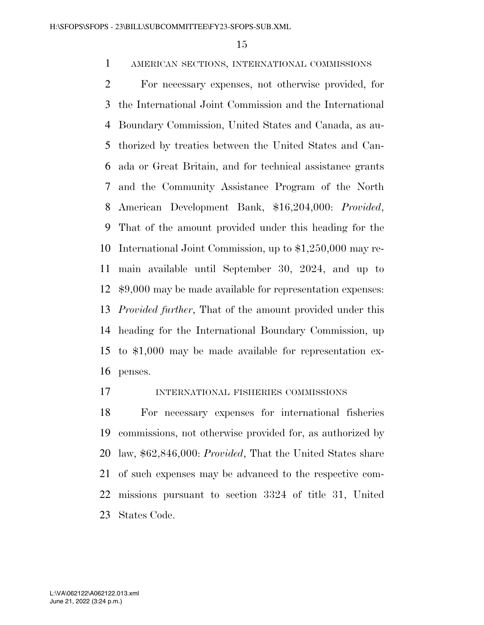AMERICAN SECTIONS, INTERNATIONAL COMMISSIONS

 For necessary expenses, not otherwise provided, for the International Joint Commission and the International Boundary Commission, United States and Canada, as au- thorized by treaties between the United States and Can- ada or Great Britain, and for technical assistance grants and the Community Assistance Program of the North American Development Bank, \$16,204,000: *Provided*, That of the amount provided under this heading for the International Joint Commission, up to \$1,250,000 may re- main available until September 30, 2024, and up to \$9,000 may be made available for representation expenses: *Provided further*, That of the amount provided under this heading for the International Boundary Commission, up to \$1,000 may be made available for representation ex-penses.

## INTERNATIONAL FISHERIES COMMISSIONS

 For necessary expenses for international fisheries commissions, not otherwise provided for, as authorized by law, \$62,846,000: *Provided*, That the United States share of such expenses may be advanced to the respective com- missions pursuant to section 3324 of title 31, United States Code.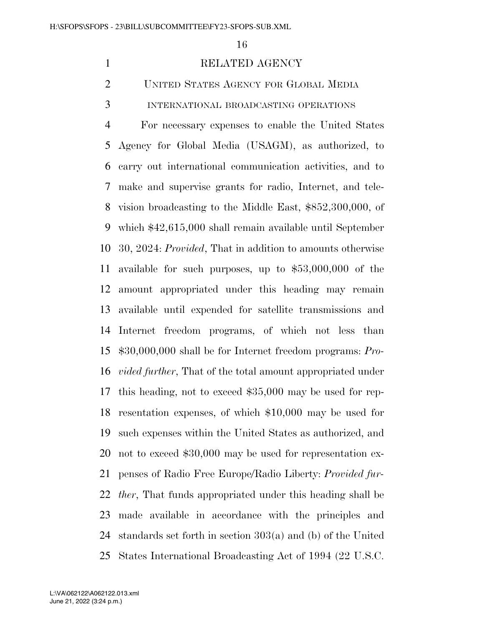### 1 RELATED AGENCY

UNITED STATES AGENCY FOR GLOBAL MEDIA

### INTERNATIONAL BROADCASTING OPERATIONS

 For necessary expenses to enable the United States Agency for Global Media (USAGM), as authorized, to carry out international communication activities, and to make and supervise grants for radio, Internet, and tele- vision broadcasting to the Middle East, \$852,300,000, of which \$42,615,000 shall remain available until September 30, 2024: *Provided*, That in addition to amounts otherwise available for such purposes, up to \$53,000,000 of the amount appropriated under this heading may remain available until expended for satellite transmissions and Internet freedom programs, of which not less than \$30,000,000 shall be for Internet freedom programs: *Pro- vided further*, That of the total amount appropriated under this heading, not to exceed \$35,000 may be used for rep- resentation expenses, of which \$10,000 may be used for such expenses within the United States as authorized, and not to exceed \$30,000 may be used for representation ex- penses of Radio Free Europe/Radio Liberty: *Provided fur- ther*, That funds appropriated under this heading shall be made available in accordance with the principles and standards set forth in section 303(a) and (b) of the United States International Broadcasting Act of 1994 (22 U.S.C.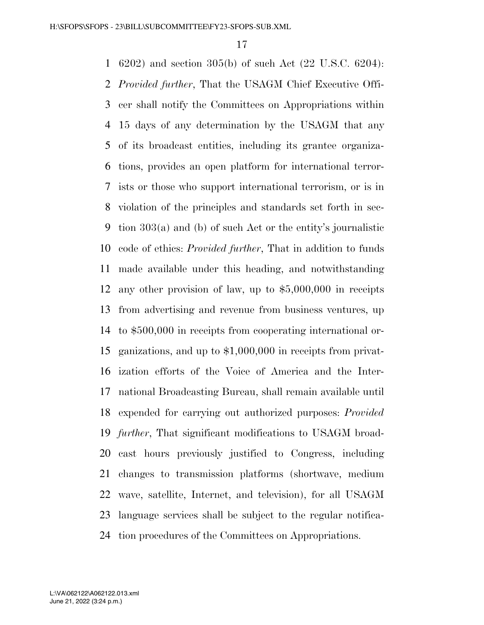6202) and section 305(b) of such Act (22 U.S.C. 6204): *Provided further*, That the USAGM Chief Executive Offi- cer shall notify the Committees on Appropriations within 15 days of any determination by the USAGM that any of its broadcast entities, including its grantee organiza- tions, provides an open platform for international terror- ists or those who support international terrorism, or is in violation of the principles and standards set forth in sec- tion 303(a) and (b) of such Act or the entity's journalistic code of ethics: *Provided further*, That in addition to funds made available under this heading, and notwithstanding any other provision of law, up to \$5,000,000 in receipts from advertising and revenue from business ventures, up to \$500,000 in receipts from cooperating international or- ganizations, and up to \$1,000,000 in receipts from privat- ization efforts of the Voice of America and the Inter- national Broadcasting Bureau, shall remain available until expended for carrying out authorized purposes: *Provided further*, That significant modifications to USAGM broad- cast hours previously justified to Congress, including changes to transmission platforms (shortwave, medium wave, satellite, Internet, and television), for all USAGM language services shall be subject to the regular notifica-tion procedures of the Committees on Appropriations.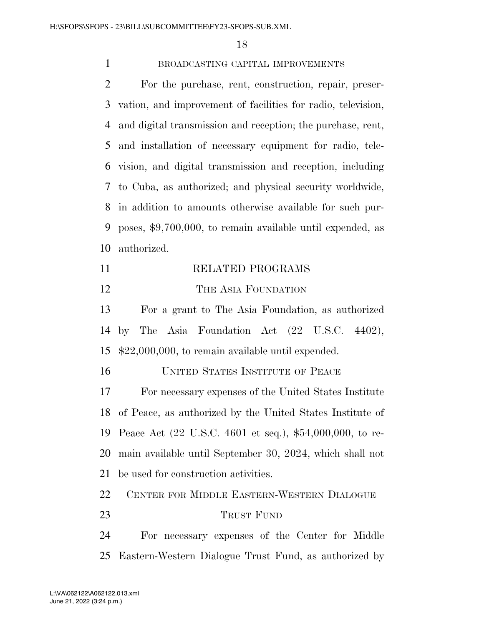### BROADCASTING CAPITAL IMPROVEMENTS

 For the purchase, rent, construction, repair, preser- vation, and improvement of facilities for radio, television, and digital transmission and reception; the purchase, rent, and installation of necessary equipment for radio, tele- vision, and digital transmission and reception, including to Cuba, as authorized; and physical security worldwide, in addition to amounts otherwise available for such pur- poses, \$9,700,000, to remain available until expended, as authorized.

| 11 | RELATED PROGRAMS    |  |
|----|---------------------|--|
| 12 | THE ASIA FOUNDATION |  |
|    |                     |  |

 For a grant to The Asia Foundation, as authorized by The Asia Foundation Act (22 U.S.C. 4402), \$22,000,000, to remain available until expended.

UNITED STATES INSTITUTE OF PEACE

 For necessary expenses of the United States Institute of Peace, as authorized by the United States Institute of Peace Act (22 U.S.C. 4601 et seq.), \$54,000,000, to re- main available until September 30, 2024, which shall not be used for construction activities.

CENTER FOR MIDDLE EASTERN-WESTERN DIALOGUE

TRUST FUND

 For necessary expenses of the Center for Middle Eastern-Western Dialogue Trust Fund, as authorized by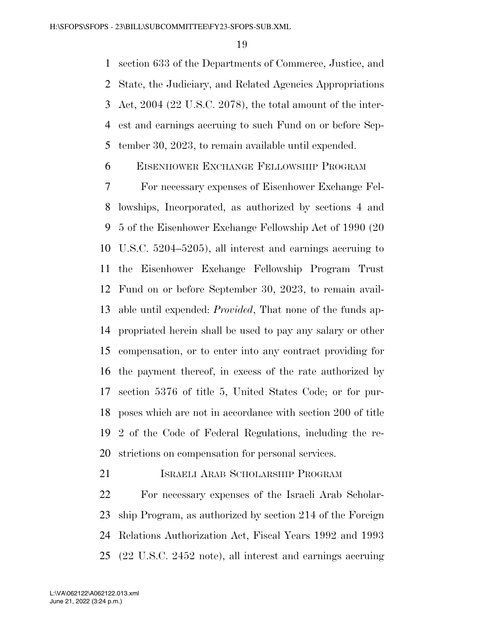section 633 of the Departments of Commerce, Justice, and State, the Judiciary, and Related Agencies Appropriations Act, 2004 (22 U.S.C. 2078), the total amount of the inter- est and earnings accruing to such Fund on or before Sep-tember 30, 2023, to remain available until expended.

EISENHOWER EXCHANGE FELLOWSHIP PROGRAM

 For necessary expenses of Eisenhower Exchange Fel- lowships, Incorporated, as authorized by sections 4 and 5 of the Eisenhower Exchange Fellowship Act of 1990 (20 U.S.C. 5204–5205), all interest and earnings accruing to the Eisenhower Exchange Fellowship Program Trust Fund on or before September 30, 2023, to remain avail- able until expended: *Provided*, That none of the funds ap- propriated herein shall be used to pay any salary or other compensation, or to enter into any contract providing for the payment thereof, in excess of the rate authorized by section 5376 of title 5, United States Code; or for pur- poses which are not in accordance with section 200 of title 2 of the Code of Federal Regulations, including the re-strictions on compensation for personal services.

ISRAELI ARAB SCHOLARSHIP PROGRAM

 For necessary expenses of the Israeli Arab Scholar- ship Program, as authorized by section 214 of the Foreign Relations Authorization Act, Fiscal Years 1992 and 1993 (22 U.S.C. 2452 note), all interest and earnings accruing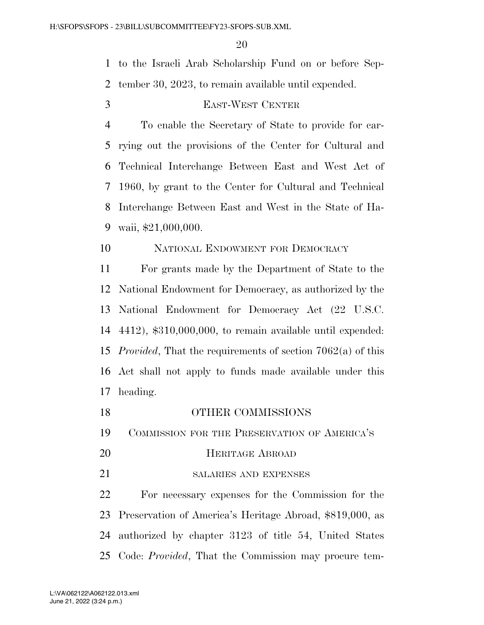to the Israeli Arab Scholarship Fund on or before Sep-tember 30, 2023, to remain available until expended.

EAST-WEST CENTER

 To enable the Secretary of State to provide for car- rying out the provisions of the Center for Cultural and Technical Interchange Between East and West Act of 1960, by grant to the Center for Cultural and Technical Interchange Between East and West in the State of Ha-waii, \$21,000,000.

NATIONAL ENDOWMENT FOR DEMOCRACY

 For grants made by the Department of State to the National Endowment for Democracy, as authorized by the National Endowment for Democracy Act (22 U.S.C. 4412), \$310,000,000, to remain available until expended: *Provided*, That the requirements of section 7062(a) of this Act shall not apply to funds made available under this heading.

| 18 | OTHER COMMISSIONS                                               |
|----|-----------------------------------------------------------------|
| 19 | COMMISSION FOR THE PRESERVATION OF AMERICA'S                    |
| 20 | <b>HERITAGE ABROAD</b>                                          |
| 21 | <b>SALARIES AND EXPENSES</b>                                    |
| 22 | For necessary expenses for the Commission for the               |
|    | 23 Preservation of America's Heritage Abroad, \$819,000, as     |
|    | 24 authorized by chapter 3123 of title 54, United States        |
|    | 25 Code: <i>Provided</i> , That the Commission may procure tem- |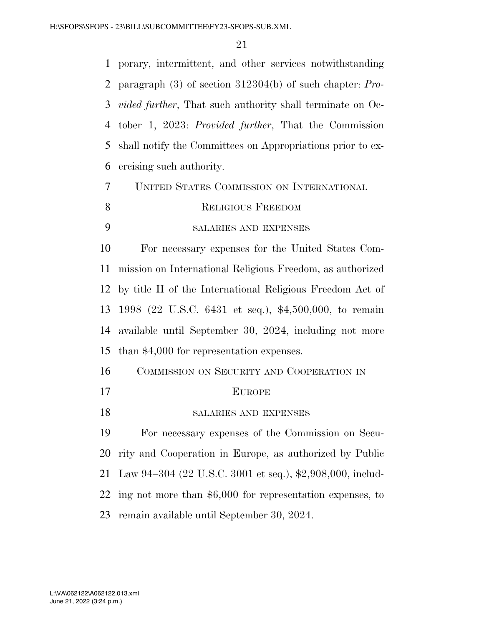porary, intermittent, and other services notwithstanding paragraph (3) of section 312304(b) of such chapter: *Pro- vided further*, That such authority shall terminate on Oc- tober 1, 2023: *Provided further*, That the Commission shall notify the Committees on Appropriations prior to ex-ercising such authority.

| 7  | UNITED STATES COMMISSION ON INTERNATIONAL         |
|----|---------------------------------------------------|
|    | <b>RELIGIOUS FREEDOM</b>                          |
|    | <b>SALARIES AND EXPENSES</b>                      |
| 10 | For necessary expenses for the United States Com- |

 mission on International Religious Freedom, as authorized by title II of the International Religious Freedom Act of 1998 (22 U.S.C. 6431 et seq.), \$4,500,000, to remain available until September 30, 2024, including not more than \$4,000 for representation expenses.

| 16 | COMMISSION ON SECURITY AND COOPERATION IN                     |
|----|---------------------------------------------------------------|
| 17 | <b>EUROPE</b>                                                 |
| 18 | <b>SALARIES AND EXPENSES</b>                                  |
| 19 | For necessary expenses of the Commission on Secu-             |
|    | 20 rity and Cooperation in Europe, as authorized by Public    |
|    | 21 Law 94–304 (22 U.S.C. 3001 et seq.), \$2,908,000, includ-  |
|    | 22 ing not more than $$6,000$ for representation expenses, to |
|    | 23 remain available until September 30, 2024.                 |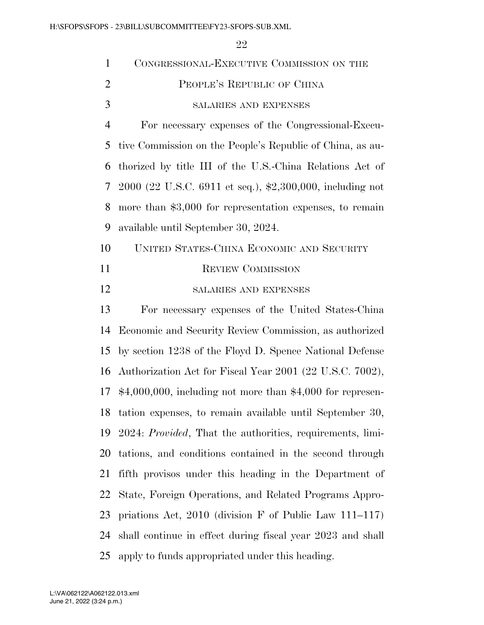| $\mathbf{1}$   | CONGRESSIONAL-EXECUTIVE COMMISSION ON THE                         |
|----------------|-------------------------------------------------------------------|
| $\overline{2}$ | PEOPLE'S REPUBLIC OF CHINA                                        |
| 3              | <b>SALARIES AND EXPENSES</b>                                      |
| $\overline{4}$ | For necessary expenses of the Congressional-Execu-                |
| 5              | tive Commission on the People's Republic of China, as au-         |
| 6              | thorized by title III of the U.S.-China Relations Act of          |
| 7              | 2000 (22 U.S.C. 6911 et seq.), \$2,300,000, including not         |
| 8              | more than \$3,000 for representation expenses, to remain          |
| 9              | available until September 30, 2024.                               |
| 10             | UNITED STATES-CHINA ECONOMIC AND SECURITY                         |
| 11             | <b>REVIEW COMMISSION</b>                                          |
| 12             | <b>SALARIES AND EXPENSES</b>                                      |
| 13             | For necessary expenses of the United States-China                 |
| 14             | Economic and Security Review Commission, as authorized            |
| 15             | by section 1238 of the Floyd D. Spence National Defense           |
| 16             | Authorization Act for Fiscal Year 2001 (22 U.S.C. 7002),          |
| 17             | $$4,000,000$ , including not more than $$4,000$ for represen-     |
| 18             | tation expenses, to remain available until September 30,          |
| 19             | 2024: <i>Provided</i> , That the authorities, requirements, limi- |
| 20             | tations, and conditions contained in the second through           |
| 21             | fifth provisos under this heading in the Department of            |
| 22             | State, Foreign Operations, and Related Programs Appro-            |
| 23             | priations Act, $2010$ (division F of Public Law 111–117)          |
| 24             | shall continue in effect during fiscal year 2023 and shall        |
| 25             | apply to funds appropriated under this heading.                   |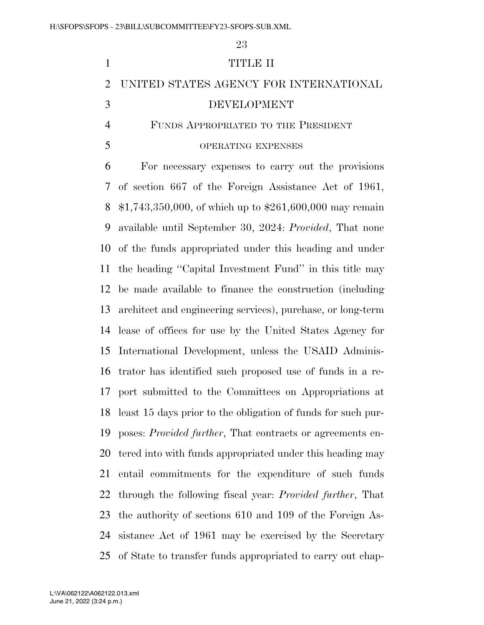# TITLE II UNITED STATES AGENCY FOR INTERNATIONAL DEVELOPMENT FUNDS APPROPRIATED TO THE PRESIDENT OPERATING EXPENSES For necessary expenses to carry out the provisions of section 667 of the Foreign Assistance Act of 1961, \$1,743,350,000, of which up to \$261,600,000 may remain available until September 30, 2024: *Provided*, That none of the funds appropriated under this heading and under the heading ''Capital Investment Fund'' in this title may be made available to finance the construction (including architect and engineering services), purchase, or long-term

 lease of offices for use by the United States Agency for International Development, unless the USAID Adminis- trator has identified such proposed use of funds in a re- port submitted to the Committees on Appropriations at least 15 days prior to the obligation of funds for such pur- poses: *Provided further*, That contracts or agreements en- tered into with funds appropriated under this heading may entail commitments for the expenditure of such funds through the following fiscal year: *Provided further*, That the authority of sections 610 and 109 of the Foreign As- sistance Act of 1961 may be exercised by the Secretary of State to transfer funds appropriated to carry out chap-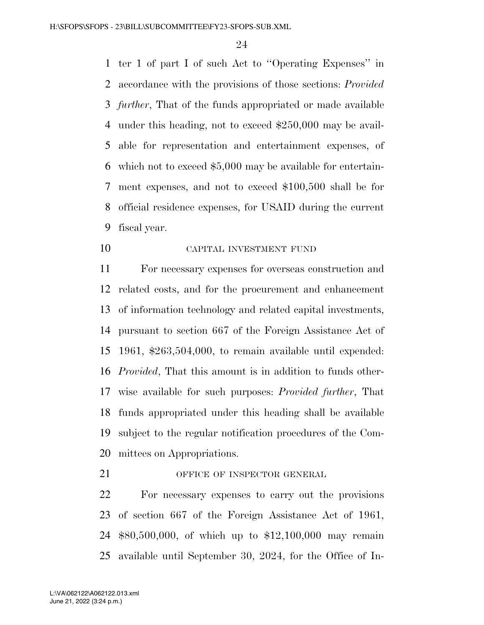ter 1 of part I of such Act to ''Operating Expenses'' in accordance with the provisions of those sections: *Provided further*, That of the funds appropriated or made available under this heading, not to exceed \$250,000 may be avail- able for representation and entertainment expenses, of which not to exceed \$5,000 may be available for entertain- ment expenses, and not to exceed \$100,500 shall be for official residence expenses, for USAID during the current fiscal year.

CAPITAL INVESTMENT FUND

 For necessary expenses for overseas construction and related costs, and for the procurement and enhancement of information technology and related capital investments, pursuant to section 667 of the Foreign Assistance Act of 1961, \$263,504,000, to remain available until expended: *Provided*, That this amount is in addition to funds other- wise available for such purposes: *Provided further*, That funds appropriated under this heading shall be available subject to the regular notification procedures of the Com-mittees on Appropriations.

21 OFFICE OF INSPECTOR GENERAL

 For necessary expenses to carry out the provisions of section 667 of the Foreign Assistance Act of 1961, \$80,500,000, of which up to \$12,100,000 may remain available until September 30, 2024, for the Office of In-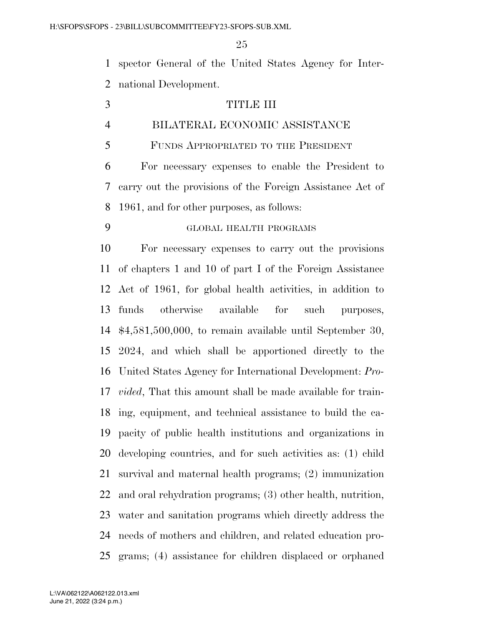spector General of the United States Agency for Inter-national Development.

 TITLE III BILATERAL ECONOMIC ASSISTANCE FUNDS APPROPRIATED TO THE PRESIDENT For necessary expenses to enable the President to carry out the provisions of the Foreign Assistance Act of 1961, and for other purposes, as follows: GLOBAL HEALTH PROGRAMS For necessary expenses to carry out the provisions of chapters 1 and 10 of part I of the Foreign Assistance Act of 1961, for global health activities, in addition to funds otherwise available for such purposes, \$4,581,500,000, to remain available until September 30, 2024, and which shall be apportioned directly to the United States Agency for International Development: *Pro- vided*, That this amount shall be made available for train- ing, equipment, and technical assistance to build the ca- pacity of public health institutions and organizations in developing countries, and for such activities as: (1) child survival and maternal health programs; (2) immunization and oral rehydration programs; (3) other health, nutrition, water and sanitation programs which directly address the needs of mothers and children, and related education pro-

grams; (4) assistance for children displaced or orphaned

June 21, 2022 (3:24 p.m.) L:\VA\062122\A062122.013.xml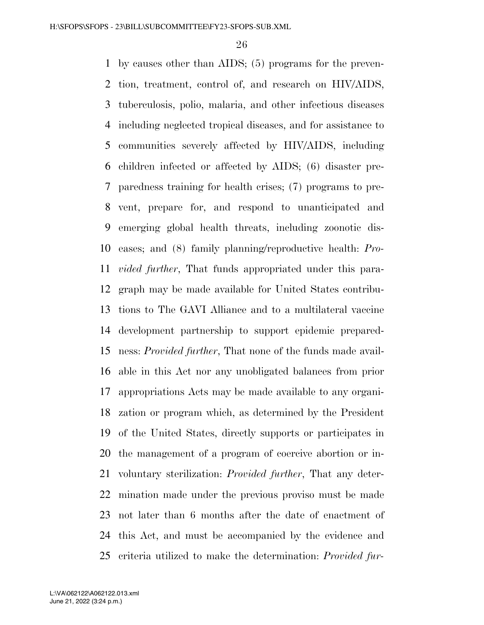by causes other than AIDS; (5) programs for the preven- tion, treatment, control of, and research on HIV/AIDS, tuberculosis, polio, malaria, and other infectious diseases including neglected tropical diseases, and for assistance to communities severely affected by HIV/AIDS, including children infected or affected by AIDS; (6) disaster pre- paredness training for health crises; (7) programs to pre- vent, prepare for, and respond to unanticipated and emerging global health threats, including zoonotic dis- eases; and (8) family planning/reproductive health: *Pro- vided further*, That funds appropriated under this para- graph may be made available for United States contribu- tions to The GAVI Alliance and to a multilateral vaccine development partnership to support epidemic prepared- ness: *Provided further*, That none of the funds made avail- able in this Act nor any unobligated balances from prior appropriations Acts may be made available to any organi- zation or program which, as determined by the President of the United States, directly supports or participates in the management of a program of coercive abortion or in- voluntary sterilization: *Provided further*, That any deter- mination made under the previous proviso must be made not later than 6 months after the date of enactment of this Act, and must be accompanied by the evidence and criteria utilized to make the determination: *Provided fur-*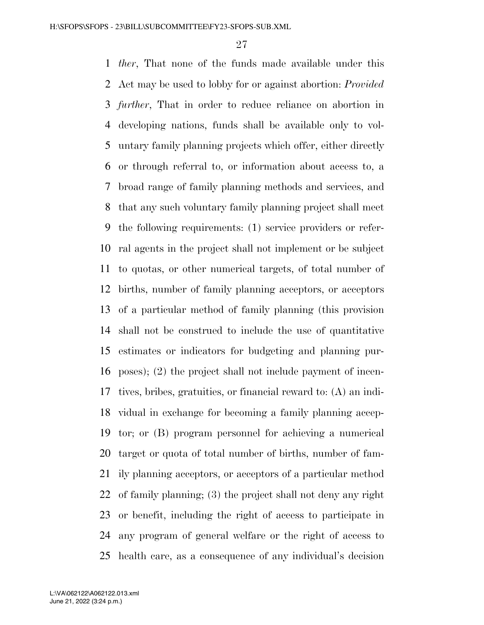*ther*, That none of the funds made available under this Act may be used to lobby for or against abortion: *Provided further*, That in order to reduce reliance on abortion in developing nations, funds shall be available only to vol- untary family planning projects which offer, either directly or through referral to, or information about access to, a broad range of family planning methods and services, and that any such voluntary family planning project shall meet the following requirements: (1) service providers or refer- ral agents in the project shall not implement or be subject to quotas, or other numerical targets, of total number of births, number of family planning acceptors, or acceptors of a particular method of family planning (this provision shall not be construed to include the use of quantitative estimates or indicators for budgeting and planning pur- poses); (2) the project shall not include payment of incen- tives, bribes, gratuities, or financial reward to: (A) an indi- vidual in exchange for becoming a family planning accep- tor; or (B) program personnel for achieving a numerical target or quota of total number of births, number of fam- ily planning acceptors, or acceptors of a particular method of family planning; (3) the project shall not deny any right or benefit, including the right of access to participate in any program of general welfare or the right of access to health care, as a consequence of any individual's decision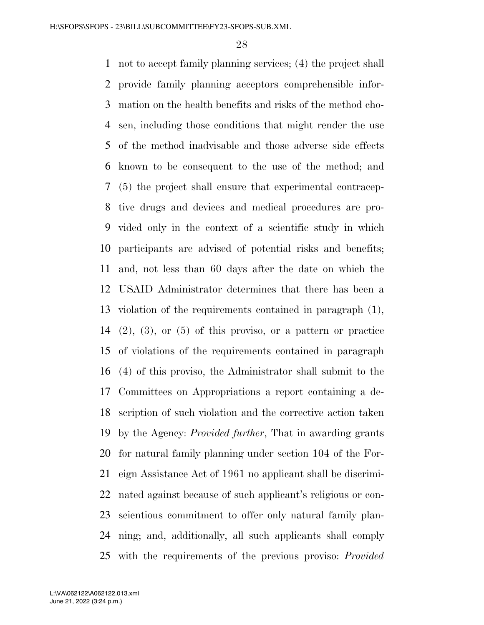not to accept family planning services; (4) the project shall provide family planning acceptors comprehensible infor- mation on the health benefits and risks of the method cho- sen, including those conditions that might render the use of the method inadvisable and those adverse side effects known to be consequent to the use of the method; and (5) the project shall ensure that experimental contracep- tive drugs and devices and medical procedures are pro- vided only in the context of a scientific study in which participants are advised of potential risks and benefits; and, not less than 60 days after the date on which the USAID Administrator determines that there has been a violation of the requirements contained in paragraph (1), (2), (3), or (5) of this proviso, or a pattern or practice of violations of the requirements contained in paragraph (4) of this proviso, the Administrator shall submit to the Committees on Appropriations a report containing a de- scription of such violation and the corrective action taken by the Agency: *Provided further*, That in awarding grants for natural family planning under section 104 of the For- eign Assistance Act of 1961 no applicant shall be discrimi- nated against because of such applicant's religious or con- scientious commitment to offer only natural family plan- ning; and, additionally, all such applicants shall comply with the requirements of the previous proviso: *Provided*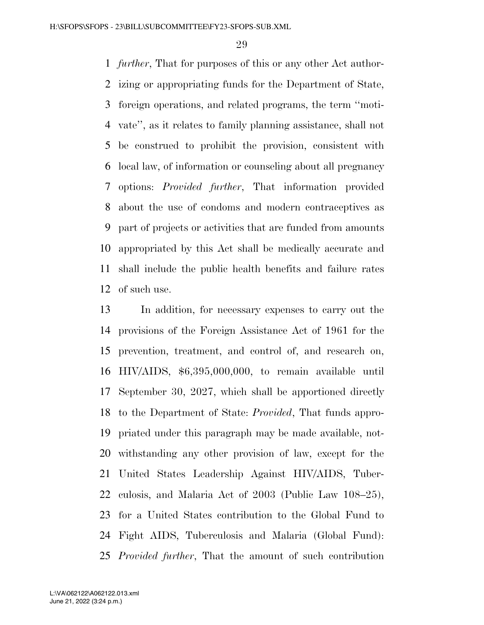*further*, That for purposes of this or any other Act author- izing or appropriating funds for the Department of State, foreign operations, and related programs, the term ''moti- vate'', as it relates to family planning assistance, shall not be construed to prohibit the provision, consistent with local law, of information or counseling about all pregnancy options: *Provided further*, That information provided about the use of condoms and modern contraceptives as part of projects or activities that are funded from amounts appropriated by this Act shall be medically accurate and shall include the public health benefits and failure rates of such use.

 In addition, for necessary expenses to carry out the provisions of the Foreign Assistance Act of 1961 for the prevention, treatment, and control of, and research on, HIV/AIDS, \$6,395,000,000, to remain available until September 30, 2027, which shall be apportioned directly to the Department of State: *Provided*, That funds appro- priated under this paragraph may be made available, not- withstanding any other provision of law, except for the United States Leadership Against HIV/AIDS, Tuber- culosis, and Malaria Act of 2003 (Public Law 108–25), for a United States contribution to the Global Fund to Fight AIDS, Tuberculosis and Malaria (Global Fund): *Provided further*, That the amount of such contribution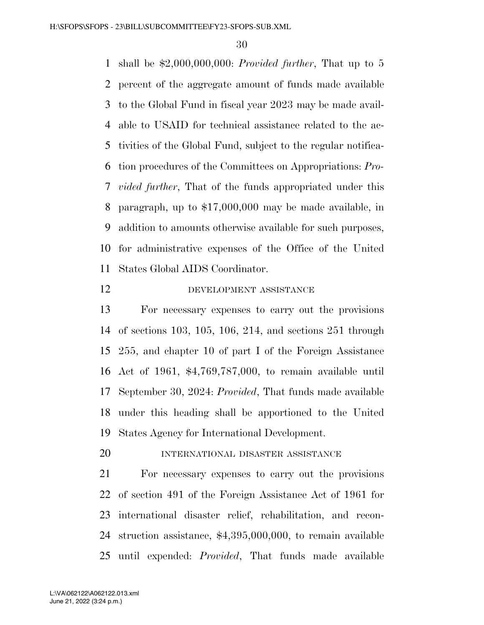shall be \$2,000,000,000: *Provided further*, That up to 5 percent of the aggregate amount of funds made available to the Global Fund in fiscal year 2023 may be made avail- able to USAID for technical assistance related to the ac- tivities of the Global Fund, subject to the regular notifica- tion procedures of the Committees on Appropriations: *Pro- vided further*, That of the funds appropriated under this paragraph, up to \$17,000,000 may be made available, in addition to amounts otherwise available for such purposes, for administrative expenses of the Office of the United States Global AIDS Coordinator.

### 12 DEVELOPMENT ASSISTANCE

 For necessary expenses to carry out the provisions of sections 103, 105, 106, 214, and sections 251 through 255, and chapter 10 of part I of the Foreign Assistance Act of 1961, \$4,769,787,000, to remain available until September 30, 2024: *Provided*, That funds made available under this heading shall be apportioned to the United States Agency for International Development.

## INTERNATIONAL DISASTER ASSISTANCE

 For necessary expenses to carry out the provisions of section 491 of the Foreign Assistance Act of 1961 for international disaster relief, rehabilitation, and recon- struction assistance, \$4,395,000,000, to remain available until expended: *Provided*, That funds made available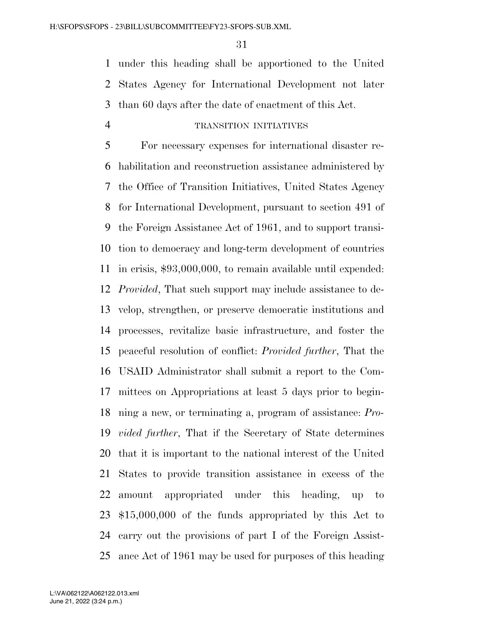under this heading shall be apportioned to the United States Agency for International Development not later than 60 days after the date of enactment of this Act.

### TRANSITION INITIATIVES

 For necessary expenses for international disaster re- habilitation and reconstruction assistance administered by the Office of Transition Initiatives, United States Agency for International Development, pursuant to section 491 of the Foreign Assistance Act of 1961, and to support transi- tion to democracy and long-term development of countries in crisis, \$93,000,000, to remain available until expended: *Provided*, That such support may include assistance to de- velop, strengthen, or preserve democratic institutions and processes, revitalize basic infrastructure, and foster the peaceful resolution of conflict: *Provided further*, That the USAID Administrator shall submit a report to the Com- mittees on Appropriations at least 5 days prior to begin- ning a new, or terminating a, program of assistance: *Pro- vided further*, That if the Secretary of State determines that it is important to the national interest of the United States to provide transition assistance in excess of the amount appropriated under this heading, up to \$15,000,000 of the funds appropriated by this Act to carry out the provisions of part I of the Foreign Assist-ance Act of 1961 may be used for purposes of this heading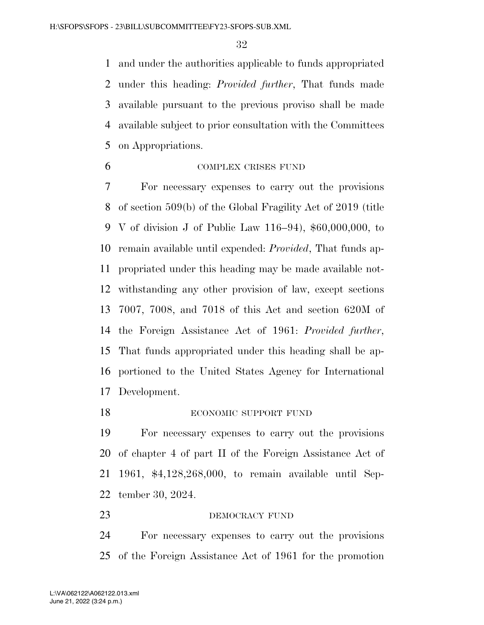and under the authorities applicable to funds appropriated under this heading: *Provided further*, That funds made available pursuant to the previous proviso shall be made available subject to prior consultation with the Committees on Appropriations.

### COMPLEX CRISES FUND

 For necessary expenses to carry out the provisions of section 509(b) of the Global Fragility Act of 2019 (title V of division J of Public Law 116–94), \$60,000,000, to remain available until expended: *Provided*, That funds ap- propriated under this heading may be made available not- withstanding any other provision of law, except sections 7007, 7008, and 7018 of this Act and section 620M of the Foreign Assistance Act of 1961: *Provided further*, That funds appropriated under this heading shall be ap- portioned to the United States Agency for International Development.

#### 18 ECONOMIC SUPPORT FUND

 For necessary expenses to carry out the provisions of chapter 4 of part II of the Foreign Assistance Act of 1961, \$4,128,268,000, to remain available until Sep-tember 30, 2024.

#### 23 DEMOCRACY FUND

 For necessary expenses to carry out the provisions of the Foreign Assistance Act of 1961 for the promotion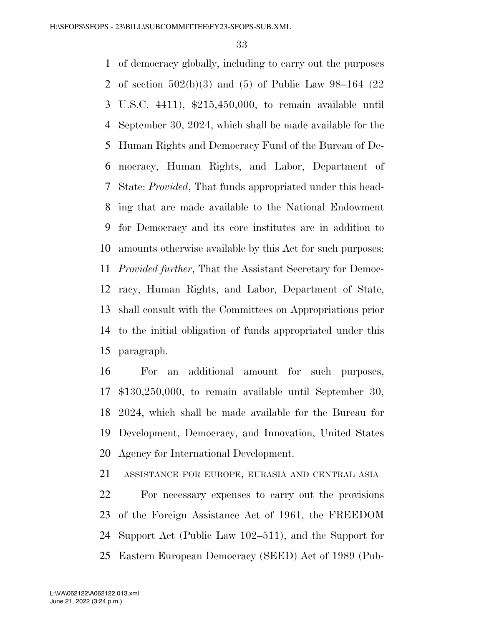of democracy globally, including to carry out the purposes of section 502(b)(3) and (5) of Public Law 98–164 (22 U.S.C. 4411), \$215,450,000, to remain available until September 30, 2024, which shall be made available for the Human Rights and Democracy Fund of the Bureau of De- mocracy, Human Rights, and Labor, Department of State: *Provided*, That funds appropriated under this head- ing that are made available to the National Endowment for Democracy and its core institutes are in addition to amounts otherwise available by this Act for such purposes: *Provided further*, That the Assistant Secretary for Democ- racy, Human Rights, and Labor, Department of State, shall consult with the Committees on Appropriations prior to the initial obligation of funds appropriated under this paragraph.

 For an additional amount for such purposes, \$130,250,000, to remain available until September 30, 2024, which shall be made available for the Bureau for Development, Democracy, and Innovation, United States Agency for International Development.

ASSISTANCE FOR EUROPE, EURASIA AND CENTRAL ASIA

 For necessary expenses to carry out the provisions of the Foreign Assistance Act of 1961, the FREEDOM Support Act (Public Law 102–511), and the Support for Eastern European Democracy (SEED) Act of 1989 (Pub-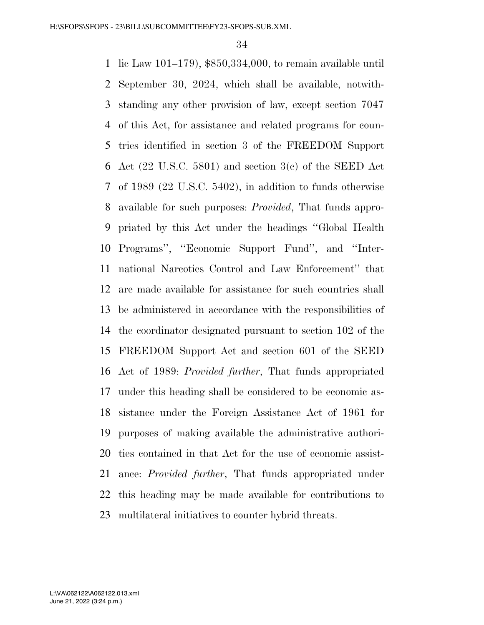lic Law 101–179), \$850,334,000, to remain available until September 30, 2024, which shall be available, notwith- standing any other provision of law, except section 7047 of this Act, for assistance and related programs for coun- tries identified in section 3 of the FREEDOM Support Act (22 U.S.C. 5801) and section 3(c) of the SEED Act of 1989 (22 U.S.C. 5402), in addition to funds otherwise available for such purposes: *Provided*, That funds appro- priated by this Act under the headings ''Global Health Programs'', ''Economic Support Fund'', and ''Inter- national Narcotics Control and Law Enforcement'' that are made available for assistance for such countries shall be administered in accordance with the responsibilities of the coordinator designated pursuant to section 102 of the FREEDOM Support Act and section 601 of the SEED Act of 1989: *Provided further*, That funds appropriated under this heading shall be considered to be economic as- sistance under the Foreign Assistance Act of 1961 for purposes of making available the administrative authori- ties contained in that Act for the use of economic assist- ance: *Provided further*, That funds appropriated under this heading may be made available for contributions to multilateral initiatives to counter hybrid threats.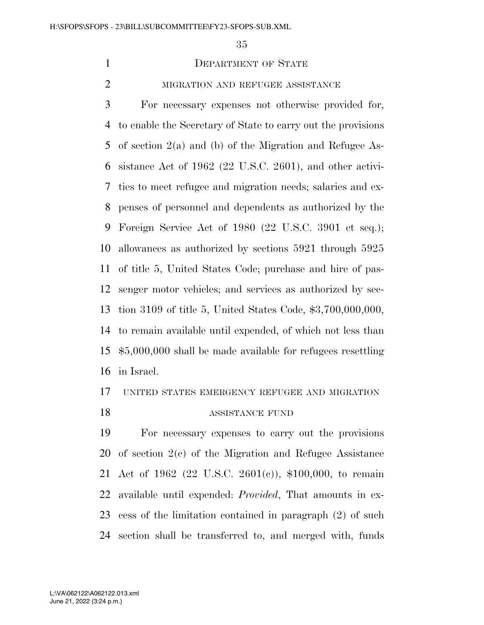### DEPARTMENT OF STATE

## **MIGRATION AND REFUGEE ASSISTANCE**

 For necessary expenses not otherwise provided for, to enable the Secretary of State to carry out the provisions of section 2(a) and (b) of the Migration and Refugee As- sistance Act of 1962 (22 U.S.C. 2601), and other activi- ties to meet refugee and migration needs; salaries and ex- penses of personnel and dependents as authorized by the Foreign Service Act of 1980 (22 U.S.C. 3901 et seq.); allowances as authorized by sections 5921 through 5925 of title 5, United States Code; purchase and hire of pas- senger motor vehicles; and services as authorized by sec- tion 3109 of title 5, United States Code, \$3,700,000,000, to remain available until expended, of which not less than \$5,000,000 shall be made available for refugees resettling in Israel.

# UNITED STATES EMERGENCY REFUGEE AND MIGRATION

### 18 ASSISTANCE FUND

 For necessary expenses to carry out the provisions of section 2(c) of the Migration and Refugee Assistance Act of 1962 (22 U.S.C. 2601(c)), \$100,000, to remain available until expended: *Provided*, That amounts in ex- cess of the limitation contained in paragraph (2) of such section shall be transferred to, and merged with, funds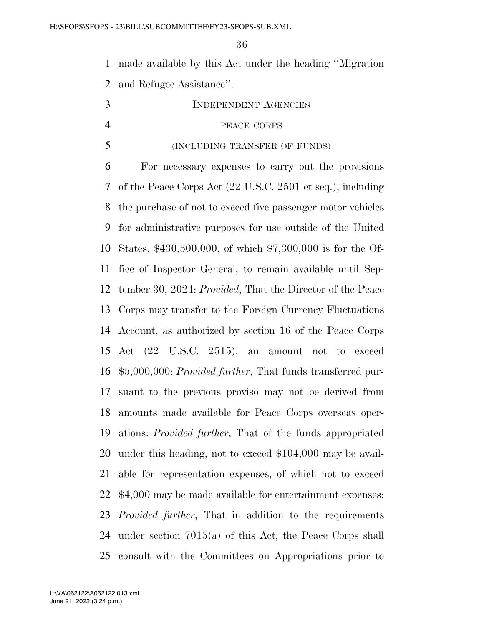made available by this Act under the heading ''Migration and Refugee Assistance''.

- INDEPENDENT AGENCIES PEACE CORPS
- (INCLUDING TRANSFER OF FUNDS)

 For necessary expenses to carry out the provisions of the Peace Corps Act (22 U.S.C. 2501 et seq.), including the purchase of not to exceed five passenger motor vehicles for administrative purposes for use outside of the United States, \$430,500,000, of which \$7,300,000 is for the Of- fice of Inspector General, to remain available until Sep- tember 30, 2024: *Provided*, That the Director of the Peace Corps may transfer to the Foreign Currency Fluctuations Account, as authorized by section 16 of the Peace Corps Act (22 U.S.C. 2515), an amount not to exceed \$5,000,000: *Provided further*, That funds transferred pur- suant to the previous proviso may not be derived from amounts made available for Peace Corps overseas oper- ations: *Provided further*, That of the funds appropriated under this heading, not to exceed \$104,000 may be avail- able for representation expenses, of which not to exceed \$4,000 may be made available for entertainment expenses: *Provided further*, That in addition to the requirements under section 7015(a) of this Act, the Peace Corps shall consult with the Committees on Appropriations prior to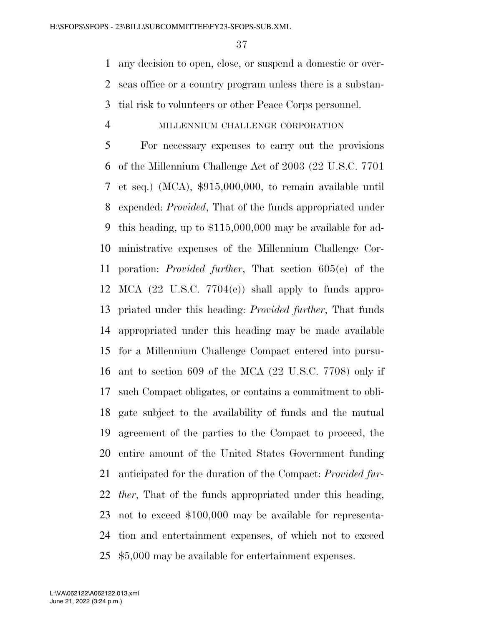any decision to open, close, or suspend a domestic or over- seas office or a country program unless there is a substan-tial risk to volunteers or other Peace Corps personnel.

#### MILLENNIUM CHALLENGE CORPORATION

 For necessary expenses to carry out the provisions of the Millennium Challenge Act of 2003 (22 U.S.C. 7701 et seq.) (MCA), \$915,000,000, to remain available until expended: *Provided*, That of the funds appropriated under this heading, up to \$115,000,000 may be available for ad- ministrative expenses of the Millennium Challenge Cor- poration: *Provided further*, That section 605(e) of the MCA (22 U.S.C. 7704(e)) shall apply to funds appro- priated under this heading: *Provided further*, That funds appropriated under this heading may be made available for a Millennium Challenge Compact entered into pursu- ant to section 609 of the MCA (22 U.S.C. 7708) only if such Compact obligates, or contains a commitment to obli- gate subject to the availability of funds and the mutual agreement of the parties to the Compact to proceed, the entire amount of the United States Government funding anticipated for the duration of the Compact: *Provided fur- ther*, That of the funds appropriated under this heading, not to exceed \$100,000 may be available for representa- tion and entertainment expenses, of which not to exceed \$5,000 may be available for entertainment expenses.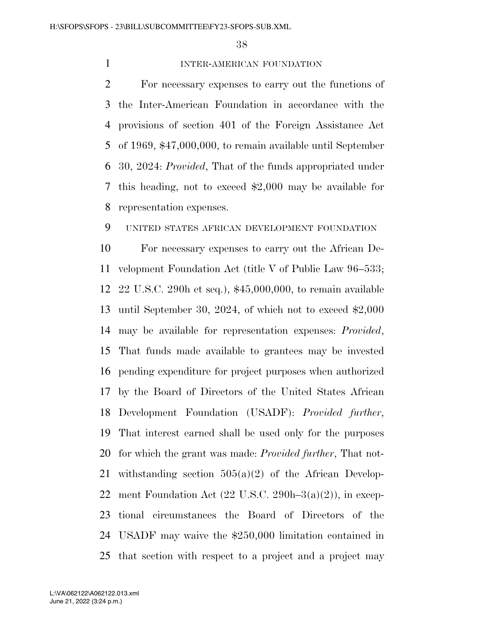#### **INTER-AMERICAN FOUNDATION**

 For necessary expenses to carry out the functions of the Inter-American Foundation in accordance with the provisions of section 401 of the Foreign Assistance Act of 1969, \$47,000,000, to remain available until September 30, 2024: *Provided*, That of the funds appropriated under this heading, not to exceed \$2,000 may be available for representation expenses.

#### UNITED STATES AFRICAN DEVELOPMENT FOUNDATION

 For necessary expenses to carry out the African De- velopment Foundation Act (title V of Public Law 96–533; 22 U.S.C. 290h et seq.), \$45,000,000, to remain available until September 30, 2024, of which not to exceed \$2,000 may be available for representation expenses: *Provided*, That funds made available to grantees may be invested pending expenditure for project purposes when authorized by the Board of Directors of the United States African Development Foundation (USADF): *Provided further*, That interest earned shall be used only for the purposes for which the grant was made: *Provided further*, That not-21 withstanding section  $505(a)(2)$  of the African Develop-22 ment Foundation Act  $(22 \text{ U.S.C. } 290h-3(a)(2))$ , in excep- tional circumstances the Board of Directors of the USADF may waive the \$250,000 limitation contained in that section with respect to a project and a project may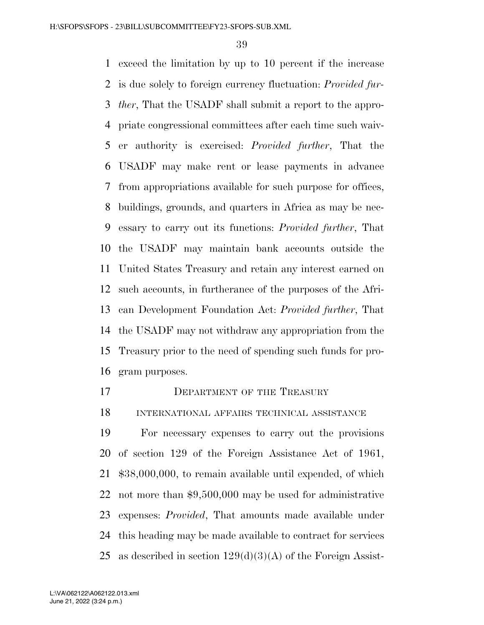exceed the limitation by up to 10 percent if the increase is due solely to foreign currency fluctuation: *Provided fur- ther*, That the USADF shall submit a report to the appro- priate congressional committees after each time such waiv- er authority is exercised: *Provided further*, That the USADF may make rent or lease payments in advance from appropriations available for such purpose for offices, buildings, grounds, and quarters in Africa as may be nec- essary to carry out its functions: *Provided further*, That the USADF may maintain bank accounts outside the United States Treasury and retain any interest earned on such accounts, in furtherance of the purposes of the Afri- can Development Foundation Act: *Provided further*, That the USADF may not withdraw any appropriation from the Treasury prior to the need of spending such funds for pro-gram purposes.

17 DEPARTMENT OF THE TREASURY

INTERNATIONAL AFFAIRS TECHNICAL ASSISTANCE

 For necessary expenses to carry out the provisions of section 129 of the Foreign Assistance Act of 1961, \$38,000,000, to remain available until expended, of which not more than \$9,500,000 may be used for administrative expenses: *Provided*, That amounts made available under this heading may be made available to contract for services 25 as described in section  $129(d)(3)(A)$  of the Foreign Assist-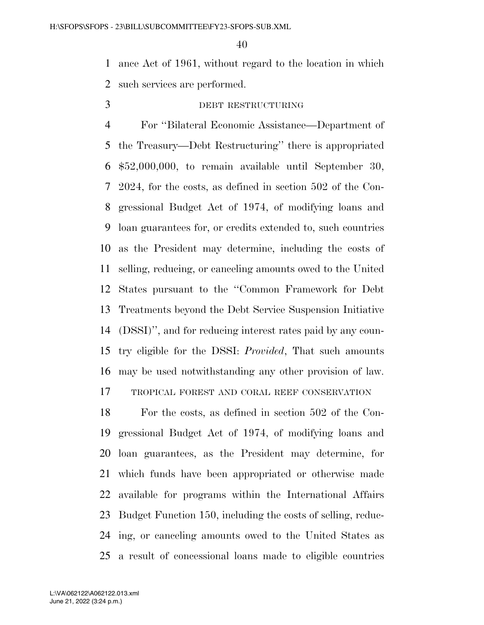ance Act of 1961, without regard to the location in which such services are performed.

#### DEBT RESTRUCTURING

 For ''Bilateral Economic Assistance—Department of the Treasury—Debt Restructuring'' there is appropriated \$52,000,000, to remain available until September 30, 2024, for the costs, as defined in section 502 of the Con- gressional Budget Act of 1974, of modifying loans and loan guarantees for, or credits extended to, such countries as the President may determine, including the costs of selling, reducing, or canceling amounts owed to the United States pursuant to the ''Common Framework for Debt Treatments beyond the Debt Service Suspension Initiative (DSSI)'', and for reducing interest rates paid by any coun- try eligible for the DSSI: *Provided*, That such amounts may be used notwithstanding any other provision of law. TROPICAL FOREST AND CORAL REEF CONSERVATION

 For the costs, as defined in section 502 of the Con- gressional Budget Act of 1974, of modifying loans and loan guarantees, as the President may determine, for which funds have been appropriated or otherwise made available for programs within the International Affairs Budget Function 150, including the costs of selling, reduc- ing, or canceling amounts owed to the United States as a result of concessional loans made to eligible countries

June 21, 2022 (3:24 p.m.) L:\VA\062122\A062122.013.xml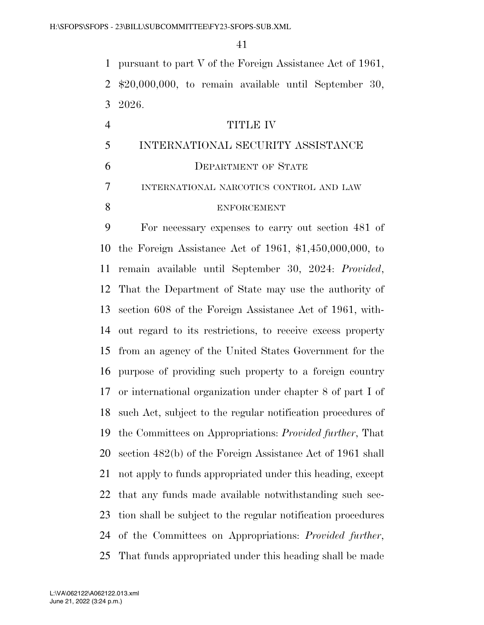pursuant to part V of the Foreign Assistance Act of 1961, \$20,000,000, to remain available until September 30, 2026.

# TITLE IV INTERNATIONAL SECURITY ASSISTANCE DEPARTMENT OF STATE INTERNATIONAL NARCOTICS CONTROL AND LAW ENFORCEMENT

 For necessary expenses to carry out section 481 of the Foreign Assistance Act of 1961, \$1,450,000,000, to remain available until September 30, 2024: *Provided*, That the Department of State may use the authority of section 608 of the Foreign Assistance Act of 1961, with- out regard to its restrictions, to receive excess property from an agency of the United States Government for the purpose of providing such property to a foreign country or international organization under chapter 8 of part I of such Act, subject to the regular notification procedures of the Committees on Appropriations: *Provided further*, That section 482(b) of the Foreign Assistance Act of 1961 shall not apply to funds appropriated under this heading, except that any funds made available notwithstanding such sec- tion shall be subject to the regular notification procedures of the Committees on Appropriations: *Provided further*, That funds appropriated under this heading shall be made

June 21, 2022 (3:24 p.m.) L:\VA\062122\A062122.013.xml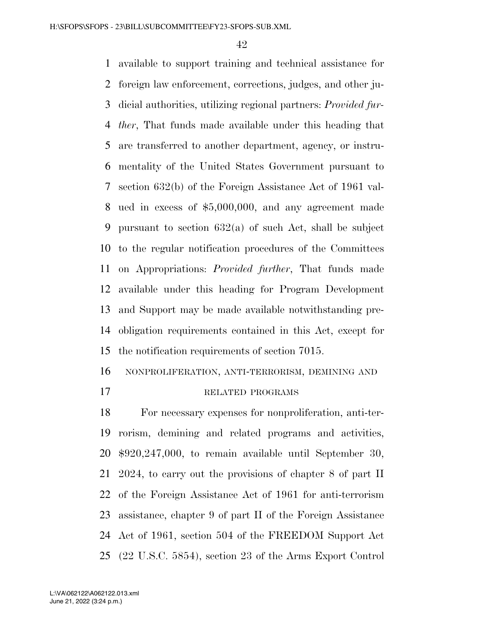available to support training and technical assistance for foreign law enforcement, corrections, judges, and other ju- dicial authorities, utilizing regional partners: *Provided fur- ther*, That funds made available under this heading that are transferred to another department, agency, or instru- mentality of the United States Government pursuant to section 632(b) of the Foreign Assistance Act of 1961 val- ued in excess of \$5,000,000, and any agreement made pursuant to section 632(a) of such Act, shall be subject to the regular notification procedures of the Committees on Appropriations: *Provided further*, That funds made available under this heading for Program Development and Support may be made available notwithstanding pre- obligation requirements contained in this Act, except for the notification requirements of section 7015.

NONPROLIFERATION, ANTI-TERRORISM, DEMINING AND

#### 17 RELATED PROGRAMS

 For necessary expenses for nonproliferation, anti-ter- rorism, demining and related programs and activities, \$920,247,000, to remain available until September 30, 2024, to carry out the provisions of chapter 8 of part II of the Foreign Assistance Act of 1961 for anti-terrorism assistance, chapter 9 of part II of the Foreign Assistance Act of 1961, section 504 of the FREEDOM Support Act (22 U.S.C. 5854), section 23 of the Arms Export Control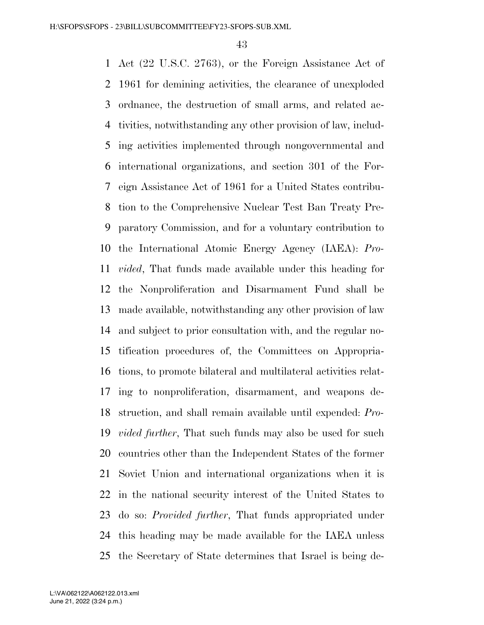Act (22 U.S.C. 2763), or the Foreign Assistance Act of 1961 for demining activities, the clearance of unexploded ordnance, the destruction of small arms, and related ac- tivities, notwithstanding any other provision of law, includ- ing activities implemented through nongovernmental and international organizations, and section 301 of the For- eign Assistance Act of 1961 for a United States contribu- tion to the Comprehensive Nuclear Test Ban Treaty Pre- paratory Commission, and for a voluntary contribution to the International Atomic Energy Agency (IAEA): *Pro- vided*, That funds made available under this heading for the Nonproliferation and Disarmament Fund shall be made available, notwithstanding any other provision of law and subject to prior consultation with, and the regular no- tification procedures of, the Committees on Appropria- tions, to promote bilateral and multilateral activities relat- ing to nonproliferation, disarmament, and weapons de- struction, and shall remain available until expended: *Pro- vided further*, That such funds may also be used for such countries other than the Independent States of the former Soviet Union and international organizations when it is in the national security interest of the United States to do so: *Provided further*, That funds appropriated under this heading may be made available for the IAEA unless the Secretary of State determines that Israel is being de-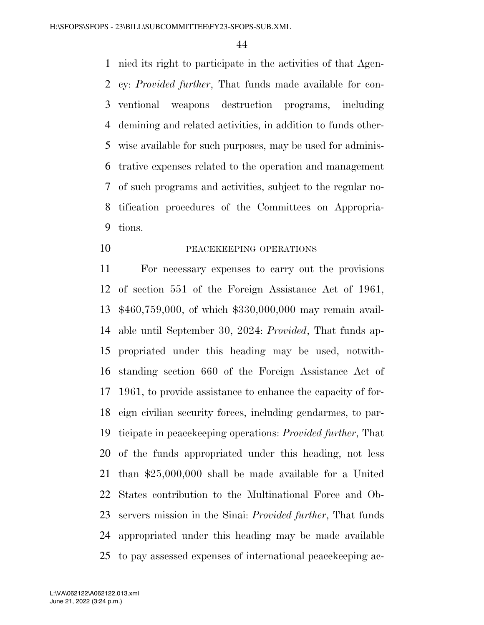nied its right to participate in the activities of that Agen- cy: *Provided further*, That funds made available for con- ventional weapons destruction programs, including demining and related activities, in addition to funds other- wise available for such purposes, may be used for adminis- trative expenses related to the operation and management of such programs and activities, subject to the regular no- tification procedures of the Committees on Appropria-tions.

10 PEACEKEEPING OPERATIONS

 For necessary expenses to carry out the provisions of section 551 of the Foreign Assistance Act of 1961, \$460,759,000, of which \$330,000,000 may remain avail- able until September 30, 2024: *Provided*, That funds ap- propriated under this heading may be used, notwith- standing section 660 of the Foreign Assistance Act of 1961, to provide assistance to enhance the capacity of for- eign civilian security forces, including gendarmes, to par- ticipate in peacekeeping operations: *Provided further*, That of the funds appropriated under this heading, not less than \$25,000,000 shall be made available for a United States contribution to the Multinational Force and Ob- servers mission in the Sinai: *Provided further*, That funds appropriated under this heading may be made available to pay assessed expenses of international peacekeeping ac-

June 21, 2022 (3:24 p.m.) L:\VA\062122\A062122.013.xml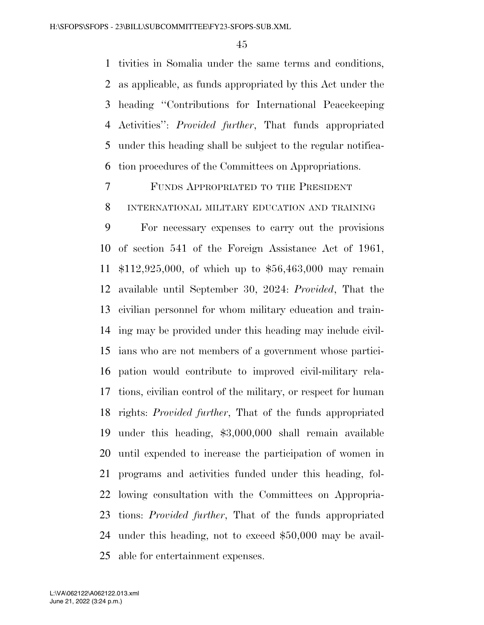tivities in Somalia under the same terms and conditions, as applicable, as funds appropriated by this Act under the heading ''Contributions for International Peacekeeping Activities'': *Provided further*, That funds appropriated under this heading shall be subject to the regular notifica-tion procedures of the Committees on Appropriations.

 FUNDS APPROPRIATED TO THE PRESIDENT INTERNATIONAL MILITARY EDUCATION AND TRAINING

 For necessary expenses to carry out the provisions of section 541 of the Foreign Assistance Act of 1961, \$112,925,000, of which up to \$56,463,000 may remain available until September 30, 2024: *Provided*, That the civilian personnel for whom military education and train- ing may be provided under this heading may include civil- ians who are not members of a government whose partici- pation would contribute to improved civil-military rela- tions, civilian control of the military, or respect for human rights: *Provided further*, That of the funds appropriated under this heading, \$3,000,000 shall remain available until expended to increase the participation of women in programs and activities funded under this heading, fol- lowing consultation with the Committees on Appropria- tions: *Provided further*, That of the funds appropriated under this heading, not to exceed \$50,000 may be avail-able for entertainment expenses.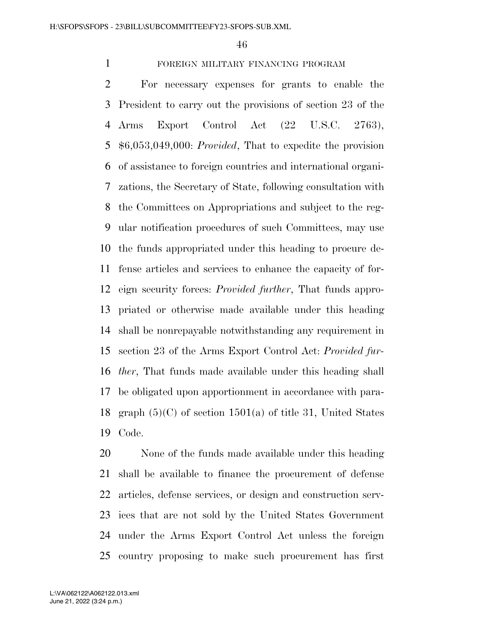#### FOREIGN MILITARY FINANCING PROGRAM

 For necessary expenses for grants to enable the President to carry out the provisions of section 23 of the Arms Export Control Act (22 U.S.C. 2763), \$6,053,049,000: *Provided*, That to expedite the provision of assistance to foreign countries and international organi- zations, the Secretary of State, following consultation with the Committees on Appropriations and subject to the reg- ular notification procedures of such Committees, may use the funds appropriated under this heading to procure de- fense articles and services to enhance the capacity of for- eign security forces: *Provided further*, That funds appro- priated or otherwise made available under this heading shall be nonrepayable notwithstanding any requirement in section 23 of the Arms Export Control Act: *Provided fur- ther*, That funds made available under this heading shall be obligated upon apportionment in accordance with para-18 graph  $(5)(C)$  of section 1501(a) of title 31, United States Code.

 None of the funds made available under this heading shall be available to finance the procurement of defense articles, defense services, or design and construction serv- ices that are not sold by the United States Government under the Arms Export Control Act unless the foreign country proposing to make such procurement has first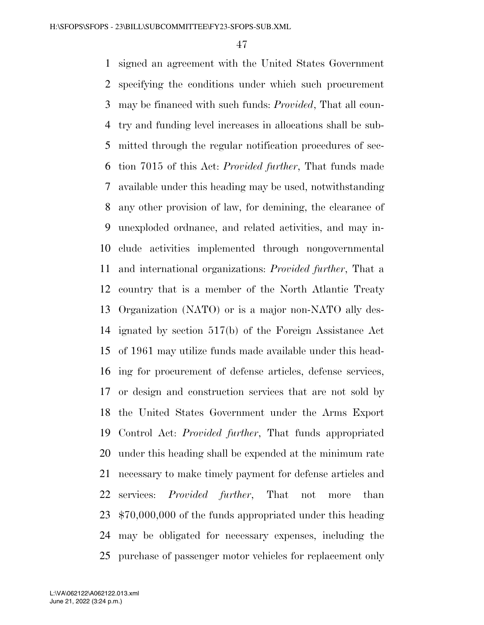signed an agreement with the United States Government specifying the conditions under which such procurement may be financed with such funds: *Provided*, That all coun- try and funding level increases in allocations shall be sub- mitted through the regular notification procedures of sec- tion 7015 of this Act: *Provided further*, That funds made available under this heading may be used, notwithstanding any other provision of law, for demining, the clearance of unexploded ordnance, and related activities, and may in- clude activities implemented through nongovernmental and international organizations: *Provided further*, That a country that is a member of the North Atlantic Treaty Organization (NATO) or is a major non-NATO ally des- ignated by section 517(b) of the Foreign Assistance Act of 1961 may utilize funds made available under this head- ing for procurement of defense articles, defense services, or design and construction services that are not sold by the United States Government under the Arms Export Control Act: *Provided further*, That funds appropriated under this heading shall be expended at the minimum rate necessary to make timely payment for defense articles and services: *Provided further*, That not more than \$70,000,000 of the funds appropriated under this heading may be obligated for necessary expenses, including the purchase of passenger motor vehicles for replacement only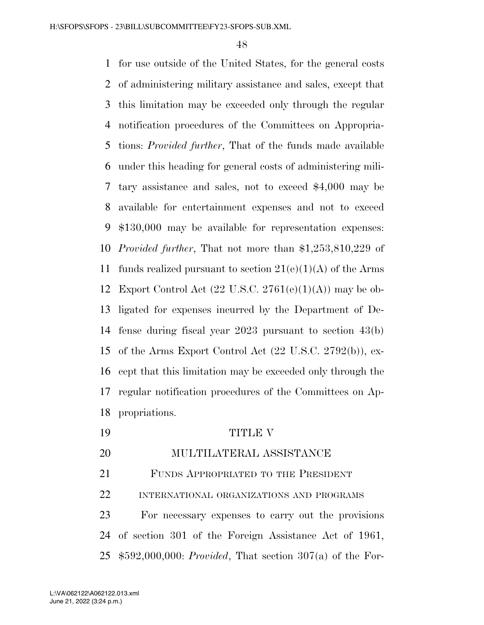for use outside of the United States, for the general costs of administering military assistance and sales, except that this limitation may be exceeded only through the regular notification procedures of the Committees on Appropria- tions: *Provided further*, That of the funds made available under this heading for general costs of administering mili- tary assistance and sales, not to exceed \$4,000 may be available for entertainment expenses and not to exceed \$130,000 may be available for representation expenses: *Provided further*, That not more than \$1,253,810,229 of 11 funds realized pursuant to section  $21(e)(1)(A)$  of the Arms 12 Export Control Act  $(22 \text{ U.S.C. } 2761(e)(1)(\text{A}))$  may be ob- ligated for expenses incurred by the Department of De- fense during fiscal year 2023 pursuant to section 43(b) of the Arms Export Control Act (22 U.S.C. 2792(b)), ex- cept that this limitation may be exceeded only through the regular notification procedures of the Committees on Ap-propriations.

 TITLE V MULTILATERAL ASSISTANCE FUNDS APPROPRIATED TO THE PRESIDENT INTERNATIONAL ORGANIZATIONS AND PROGRAMS For necessary expenses to carry out the provisions of section 301 of the Foreign Assistance Act of 1961, \$592,000,000: *Provided*, That section 307(a) of the For-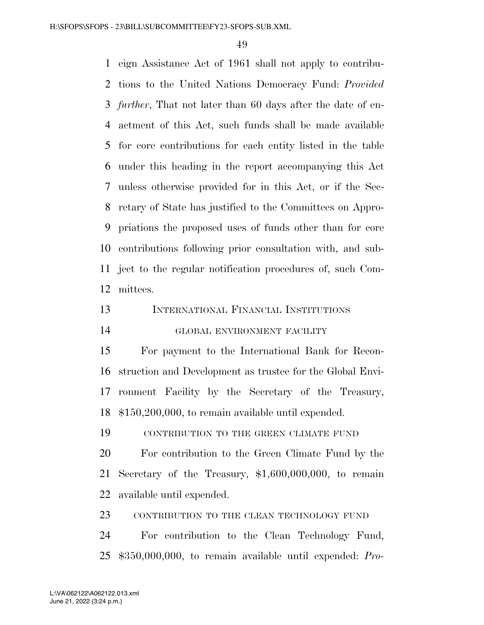eign Assistance Act of 1961 shall not apply to contribu- tions to the United Nations Democracy Fund: *Provided further*, That not later than 60 days after the date of en- actment of this Act, such funds shall be made available for core contributions for each entity listed in the table under this heading in the report accompanying this Act unless otherwise provided for in this Act, or if the Sec- retary of State has justified to the Committees on Appro- priations the proposed uses of funds other than for core contributions following prior consultation with, and sub- ject to the regular notification procedures of, such Com-mittees.

- INTERNATIONAL FINANCIAL INSTITUTIONS
- GLOBAL ENVIRONMENT FACILITY

 For payment to the International Bank for Recon- struction and Development as trustee for the Global Envi- ronment Facility by the Secretary of the Treasury, \$150,200,000, to remain available until expended.

CONTRIBUTION TO THE GREEN CLIMATE FUND

 For contribution to the Green Climate Fund by the Secretary of the Treasury, \$1,600,000,000, to remain available until expended.

23 CONTRIBUTION TO THE CLEAN TECHNOLOGY FUND

 For contribution to the Clean Technology Fund, \$350,000,000, to remain available until expended: *Pro-*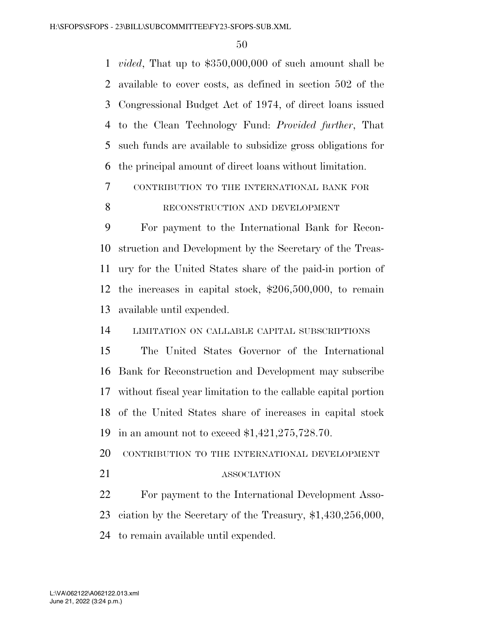*vided*, That up to \$350,000,000 of such amount shall be available to cover costs, as defined in section 502 of the Congressional Budget Act of 1974, of direct loans issued to the Clean Technology Fund: *Provided further*, That such funds are available to subsidize gross obligations for the principal amount of direct loans without limitation.

#### CONTRIBUTION TO THE INTERNATIONAL BANK FOR

#### 8 RECONSTRUCTION AND DEVELOPMENT

 For payment to the International Bank for Recon- struction and Development by the Secretary of the Treas- ury for the United States share of the paid-in portion of the increases in capital stock, \$206,500,000, to remain available until expended.

LIMITATION ON CALLABLE CAPITAL SUBSCRIPTIONS

 The United States Governor of the International Bank for Reconstruction and Development may subscribe without fiscal year limitation to the callable capital portion of the United States share of increases in capital stock in an amount not to exceed \$1,421,275,728.70.

CONTRIBUTION TO THE INTERNATIONAL DEVELOPMENT

ASSOCIATION

 For payment to the International Development Asso- ciation by the Secretary of the Treasury, \$1,430,256,000, to remain available until expended.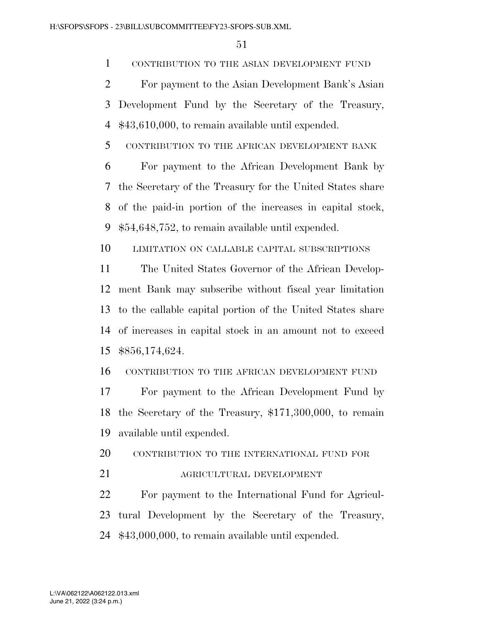CONTRIBUTION TO THE ASIAN DEVELOPMENT FUND

 For payment to the Asian Development Bank's Asian Development Fund by the Secretary of the Treasury, \$43,610,000, to remain available until expended.

CONTRIBUTION TO THE AFRICAN DEVELOPMENT BANK

 For payment to the African Development Bank by the Secretary of the Treasury for the United States share of the paid-in portion of the increases in capital stock, \$54,648,752, to remain available until expended.

LIMITATION ON CALLABLE CAPITAL SUBSCRIPTIONS

 The United States Governor of the African Develop- ment Bank may subscribe without fiscal year limitation to the callable capital portion of the United States share of increases in capital stock in an amount not to exceed \$856,174,624.

CONTRIBUTION TO THE AFRICAN DEVELOPMENT FUND

 For payment to the African Development Fund by the Secretary of the Treasury, \$171,300,000, to remain available until expended.

CONTRIBUTION TO THE INTERNATIONAL FUND FOR

AGRICULTURAL DEVELOPMENT

 For payment to the International Fund for Agricul- tural Development by the Secretary of the Treasury, \$43,000,000, to remain available until expended.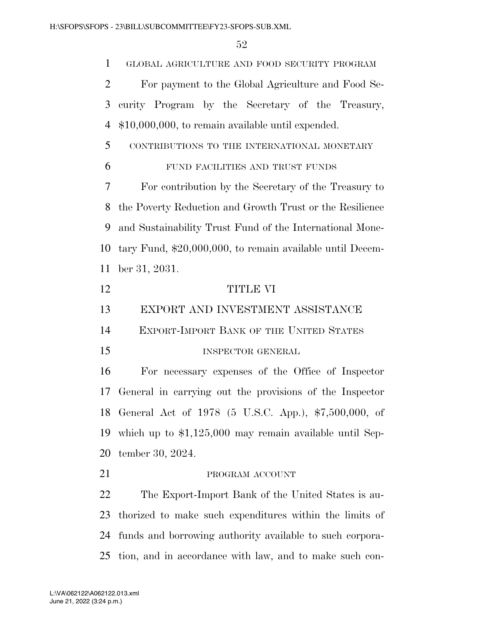| $\mathbf{1}$   | GLOBAL AGRICULTURE AND FOOD SECURITY PROGRAM                |
|----------------|-------------------------------------------------------------|
| $\overline{2}$ | For payment to the Global Agriculture and Food Se-          |
| 3              | curity Program by the Secretary of the Treasury,            |
| $\overline{4}$ | $$10,000,000$ , to remain available until expended.         |
| 5              | CONTRIBUTIONS TO THE INTERNATIONAL MONETARY                 |
| 6              | FUND FACILITIES AND TRUST FUNDS                             |
| 7              | For contribution by the Secretary of the Treasury to        |
| 8              | the Poverty Reduction and Growth Trust or the Resilience    |
| 9              | and Sustainability Trust Fund of the International Mone-    |
| 10             | tary Fund, $$20,000,000$ , to remain available until Decem- |
| 11             | ber 31, 2031.                                               |
| 12             | TITLE VI                                                    |
| 13             | EXPORT AND INVESTMENT ASSISTANCE                            |
| 14             | <b>EXPORT-IMPORT BANK OF THE UNITED STATES</b>              |
| 15             | INSPECTOR GENERAL                                           |
| 16             | For necessary expenses of the Office of Inspector           |
| 17             | General in carrying out the provisions of the Inspector     |
| 18             | General Act of 1978 (5 U.S.C. App.), \$7,500,000, of        |
| 19             | which up to $$1,125,000$ may remain available until Sep-    |
| 20             | tember 30, 2024.                                            |
| 21             | PROGRAM ACCOUNT                                             |
| 22             | The Export-Import Bank of the United States is au-          |
| 23             | thorized to make such expenditures within the limits of     |
| 24             | funds and borrowing authority available to such corpora-    |
| 25             | tion, and in accordance with law, and to make such con-     |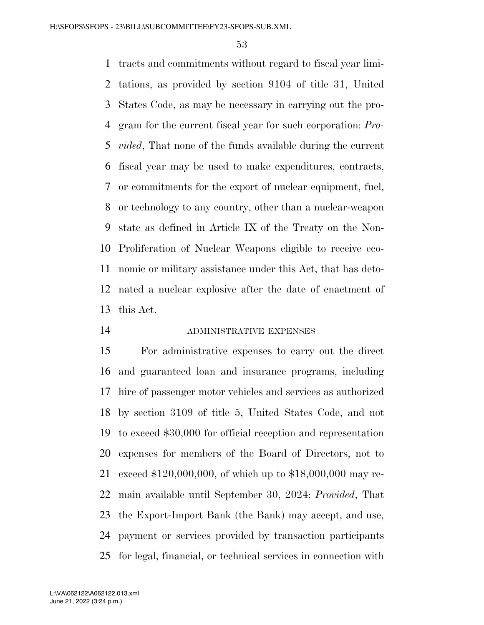tracts and commitments without regard to fiscal year limi- tations, as provided by section 9104 of title 31, United States Code, as may be necessary in carrying out the pro- gram for the current fiscal year for such corporation: *Pro- vided*, That none of the funds available during the current fiscal year may be used to make expenditures, contracts, or commitments for the export of nuclear equipment, fuel, or technology to any country, other than a nuclear-weapon state as defined in Article IX of the Treaty on the Non- Proliferation of Nuclear Weapons eligible to receive eco- nomic or military assistance under this Act, that has deto- nated a nuclear explosive after the date of enactment of this Act.

#### ADMINISTRATIVE EXPENSES

 For administrative expenses to carry out the direct and guaranteed loan and insurance programs, including hire of passenger motor vehicles and services as authorized by section 3109 of title 5, United States Code, and not to exceed \$30,000 for official reception and representation expenses for members of the Board of Directors, not to exceed \$120,000,000, of which up to \$18,000,000 may re- main available until September 30, 2024: *Provided*, That the Export-Import Bank (the Bank) may accept, and use, payment or services provided by transaction participants for legal, financial, or technical services in connection with

June 21, 2022 (3:24 p.m.) L:\VA\062122\A062122.013.xml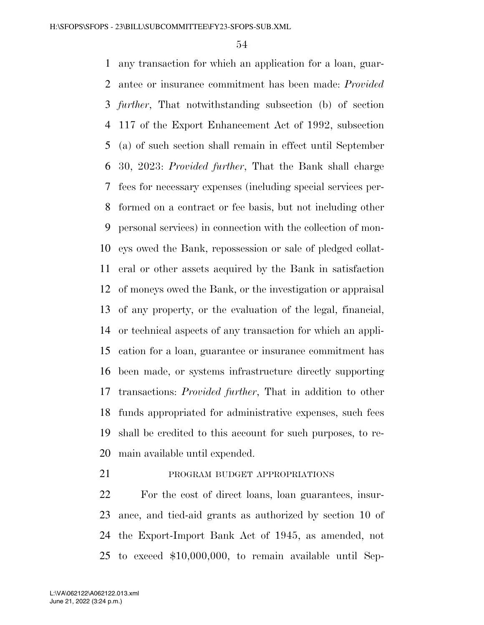any transaction for which an application for a loan, guar- antee or insurance commitment has been made: *Provided further*, That notwithstanding subsection (b) of section 117 of the Export Enhancement Act of 1992, subsection (a) of such section shall remain in effect until September 30, 2023: *Provided further*, That the Bank shall charge fees for necessary expenses (including special services per- formed on a contract or fee basis, but not including other personal services) in connection with the collection of mon- eys owed the Bank, repossession or sale of pledged collat- eral or other assets acquired by the Bank in satisfaction of moneys owed the Bank, or the investigation or appraisal of any property, or the evaluation of the legal, financial, or technical aspects of any transaction for which an appli- cation for a loan, guarantee or insurance commitment has been made, or systems infrastructure directly supporting transactions: *Provided further*, That in addition to other funds appropriated for administrative expenses, such fees shall be credited to this account for such purposes, to re-main available until expended.

#### 21 PROGRAM BUDGET APPROPRIATIONS

 For the cost of direct loans, loan guarantees, insur- ance, and tied-aid grants as authorized by section 10 of the Export-Import Bank Act of 1945, as amended, not to exceed \$10,000,000, to remain available until Sep-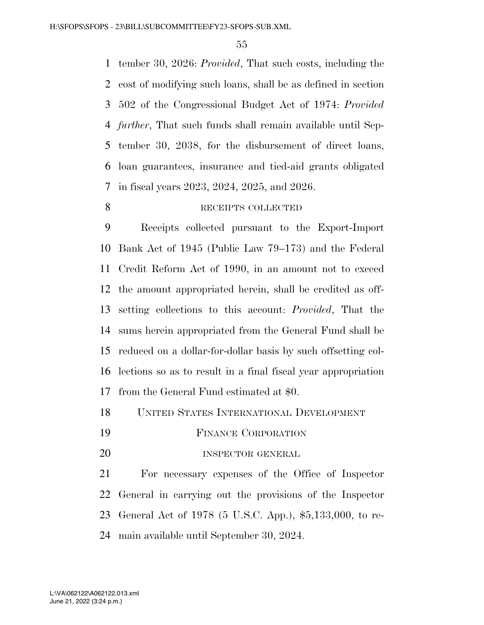tember 30, 2026: *Provided*, That such costs, including the cost of modifying such loans, shall be as defined in section 502 of the Congressional Budget Act of 1974: *Provided further*, That such funds shall remain available until Sep- tember 30, 2038, for the disbursement of direct loans, loan guarantees, insurance and tied-aid grants obligated in fiscal years 2023, 2024, 2025, and 2026.

#### 8 RECEIPTS COLLECTED

 Receipts collected pursuant to the Export-Import Bank Act of 1945 (Public Law 79–173) and the Federal Credit Reform Act of 1990, in an amount not to exceed the amount appropriated herein, shall be credited as off- setting collections to this account: *Provided*, That the sums herein appropriated from the General Fund shall be reduced on a dollar-for-dollar basis by such offsetting col- lections so as to result in a final fiscal year appropriation from the General Fund estimated at \$0.

UNITED STATES INTERNATIONAL DEVELOPMENT

- FINANCE CORPORATION
- INSPECTOR GENERAL

 For necessary expenses of the Office of Inspector General in carrying out the provisions of the Inspector General Act of 1978 (5 U.S.C. App.), \$5,133,000, to re-main available until September 30, 2024.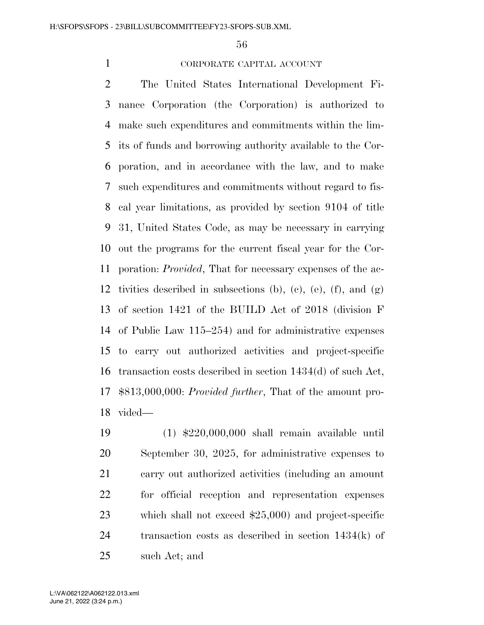#### CORPORATE CAPITAL ACCOUNT

 The United States International Development Fi- nance Corporation (the Corporation) is authorized to make such expenditures and commitments within the lim- its of funds and borrowing authority available to the Cor- poration, and in accordance with the law, and to make such expenditures and commitments without regard to fis- cal year limitations, as provided by section 9104 of title 31, United States Code, as may be necessary in carrying out the programs for the current fiscal year for the Cor- poration: *Provided*, That for necessary expenses of the ac-12 tivities described in subsections (b), (c), (e), (f), and  $(g)$  of section 1421 of the BUILD Act of 2018 (division F of Public Law 115–254) and for administrative expenses to carry out authorized activities and project-specific transaction costs described in section 1434(d) of such Act, \$813,000,000: *Provided further*, That of the amount pro-vided—

 (1) \$220,000,000 shall remain available until September 30, 2025, for administrative expenses to carry out authorized activities (including an amount for official reception and representation expenses which shall not exceed \$25,000) and project-specific transaction costs as described in section 1434(k) of such Act; and

June 21, 2022 (3:24 p.m.) L:\VA\062122\A062122.013.xml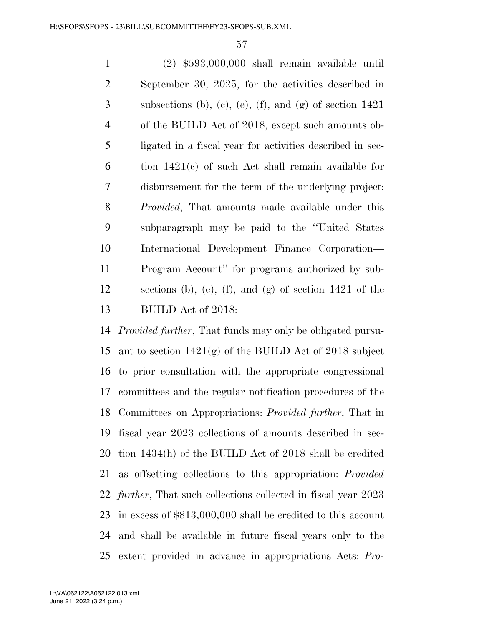(2) \$593,000,000 shall remain available until September 30, 2025, for the activities described in 3 subsections (b), (c), (e), (f), and (g) of section of the BUILD Act of 2018, except such amounts ob- ligated in a fiscal year for activities described in sec- tion 1421(c) of such Act shall remain available for disbursement for the term of the underlying project: *Provided*, That amounts made available under this subparagraph may be paid to the ''United States International Development Finance Corporation— Program Account'' for programs authorized by sub- sections (b), (e), (f), and (g) of section 1421 of the BUILD Act of 2018:

 *Provided further*, That funds may only be obligated pursu-15 ant to section  $1421(g)$  of the BUILD Act of 2018 subject to prior consultation with the appropriate congressional committees and the regular notification procedures of the Committees on Appropriations: *Provided further*, That in fiscal year 2023 collections of amounts described in sec- tion 1434(h) of the BUILD Act of 2018 shall be credited as offsetting collections to this appropriation: *Provided further*, That such collections collected in fiscal year 2023 in excess of \$813,000,000 shall be credited to this account and shall be available in future fiscal years only to the extent provided in advance in appropriations Acts: *Pro-*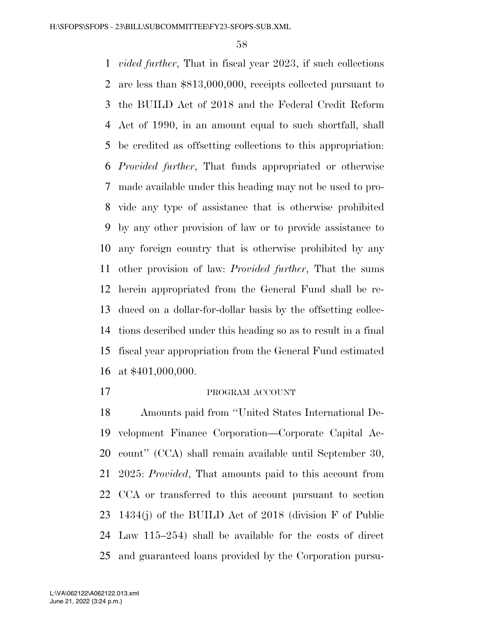*vided further*, That in fiscal year 2023, if such collections are less than \$813,000,000, receipts collected pursuant to the BUILD Act of 2018 and the Federal Credit Reform Act of 1990, in an amount equal to such shortfall, shall be credited as offsetting collections to this appropriation: *Provided further*, That funds appropriated or otherwise made available under this heading may not be used to pro- vide any type of assistance that is otherwise prohibited by any other provision of law or to provide assistance to any foreign country that is otherwise prohibited by any other provision of law: *Provided further*, That the sums herein appropriated from the General Fund shall be re- duced on a dollar-for-dollar basis by the offsetting collec- tions described under this heading so as to result in a final fiscal year appropriation from the General Fund estimated at \$401,000,000.

#### 17 PROGRAM ACCOUNT

 Amounts paid from ''United States International De- velopment Finance Corporation—Corporate Capital Ac- count'' (CCA) shall remain available until September 30, 2025: *Provided*, That amounts paid to this account from CCA or transferred to this account pursuant to section 1434(j) of the BUILD Act of 2018 (division F of Public Law 115–254) shall be available for the costs of direct and guaranteed loans provided by the Corporation pursu-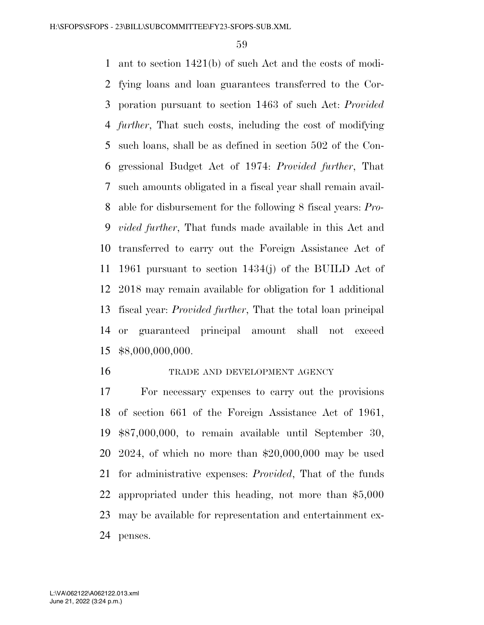ant to section 1421(b) of such Act and the costs of modi- fying loans and loan guarantees transferred to the Cor- poration pursuant to section 1463 of such Act: *Provided further*, That such costs, including the cost of modifying such loans, shall be as defined in section 502 of the Con- gressional Budget Act of 1974: *Provided further*, That such amounts obligated in a fiscal year shall remain avail- able for disbursement for the following 8 fiscal years: *Pro- vided further*, That funds made available in this Act and transferred to carry out the Foreign Assistance Act of 1961 pursuant to section 1434(j) of the BUILD Act of 2018 may remain available for obligation for 1 additional fiscal year: *Provided further*, That the total loan principal or guaranteed principal amount shall not exceed \$8,000,000,000.

#### 16 TRADE AND DEVELOPMENT AGENCY

 For necessary expenses to carry out the provisions of section 661 of the Foreign Assistance Act of 1961, \$87,000,000, to remain available until September 30, 2024, of which no more than \$20,000,000 may be used for administrative expenses: *Provided*, That of the funds appropriated under this heading, not more than \$5,000 may be available for representation and entertainment ex-penses.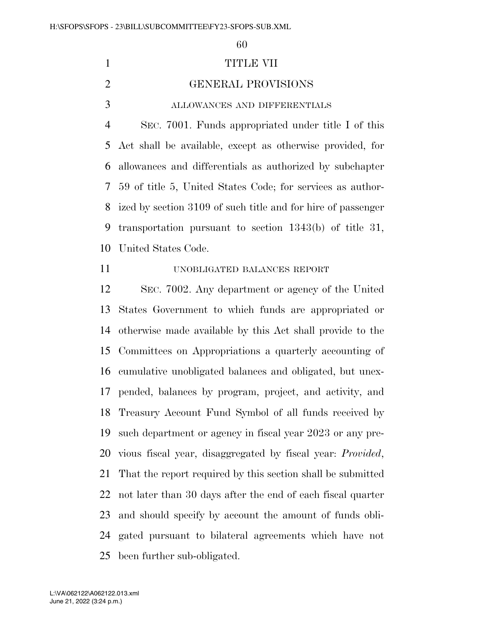## 1 TITLE VII GENERAL PROVISIONS

#### ALLOWANCES AND DIFFERENTIALS

 SEC. 7001. Funds appropriated under title I of this Act shall be available, except as otherwise provided, for allowances and differentials as authorized by subchapter 59 of title 5, United States Code; for services as author- ized by section 3109 of such title and for hire of passenger transportation pursuant to section 1343(b) of title 31, United States Code.

#### UNOBLIGATED BALANCES REPORT

 SEC. 7002. Any department or agency of the United States Government to which funds are appropriated or otherwise made available by this Act shall provide to the Committees on Appropriations a quarterly accounting of cumulative unobligated balances and obligated, but unex- pended, balances by program, project, and activity, and Treasury Account Fund Symbol of all funds received by such department or agency in fiscal year 2023 or any pre- vious fiscal year, disaggregated by fiscal year: *Provided*, That the report required by this section shall be submitted not later than 30 days after the end of each fiscal quarter and should specify by account the amount of funds obli- gated pursuant to bilateral agreements which have not been further sub-obligated.

June 21, 2022 (3:24 p.m.) L:\VA\062122\A062122.013.xml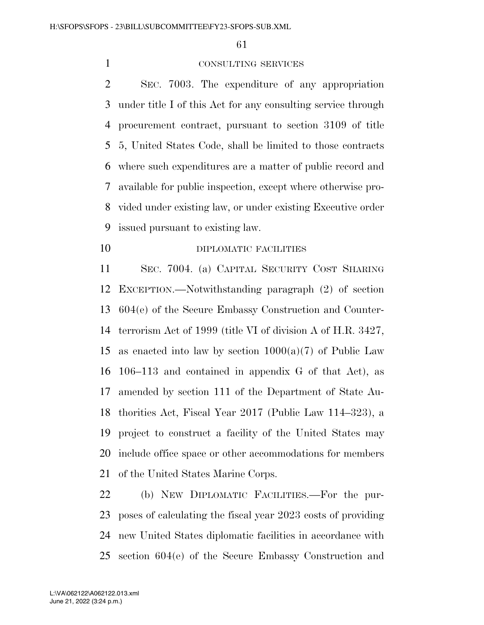#### CONSULTING SERVICES

 SEC. 7003. The expenditure of any appropriation under title I of this Act for any consulting service through procurement contract, pursuant to section 3109 of title 5, United States Code, shall be limited to those contracts where such expenditures are a matter of public record and available for public inspection, except where otherwise pro- vided under existing law, or under existing Executive order issued pursuant to existing law.

10 DIPLOMATIC FACILITIES

 SEC. 7004. (a) CAPITAL SECURITY COST SHARING EXCEPTION.—Notwithstanding paragraph (2) of section 604(e) of the Secure Embassy Construction and Counter- terrorism Act of 1999 (title VI of division A of H.R. 3427, 15 as enacted into law by section  $1000(a)(7)$  of Public Law 106–113 and contained in appendix G of that Act), as amended by section 111 of the Department of State Au- thorities Act, Fiscal Year 2017 (Public Law 114–323), a project to construct a facility of the United States may include office space or other accommodations for members of the United States Marine Corps.

 (b) NEW DIPLOMATIC FACILITIES.—For the pur- poses of calculating the fiscal year 2023 costs of providing new United States diplomatic facilities in accordance with section 604(e) of the Secure Embassy Construction and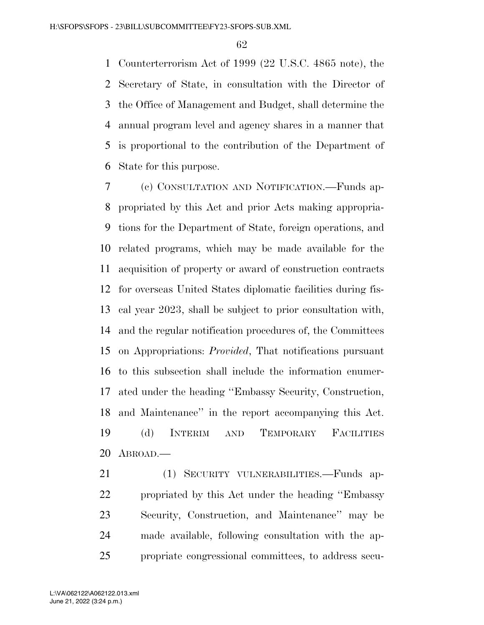Counterterrorism Act of 1999 (22 U.S.C. 4865 note), the Secretary of State, in consultation with the Director of the Office of Management and Budget, shall determine the annual program level and agency shares in a manner that is proportional to the contribution of the Department of State for this purpose.

 (c) CONSULTATION AND NOTIFICATION.—Funds ap- propriated by this Act and prior Acts making appropria- tions for the Department of State, foreign operations, and related programs, which may be made available for the acquisition of property or award of construction contracts for overseas United States diplomatic facilities during fis- cal year 2023, shall be subject to prior consultation with, and the regular notification procedures of, the Committees on Appropriations: *Provided*, That notifications pursuant to this subsection shall include the information enumer- ated under the heading ''Embassy Security, Construction, and Maintenance'' in the report accompanying this Act. (d) INTERIM AND TEMPORARY FACILITIES ABROAD.—

 (1) SECURITY VULNERABILITIES.—Funds ap- propriated by this Act under the heading ''Embassy Security, Construction, and Maintenance'' may be made available, following consultation with the ap-propriate congressional committees, to address secu-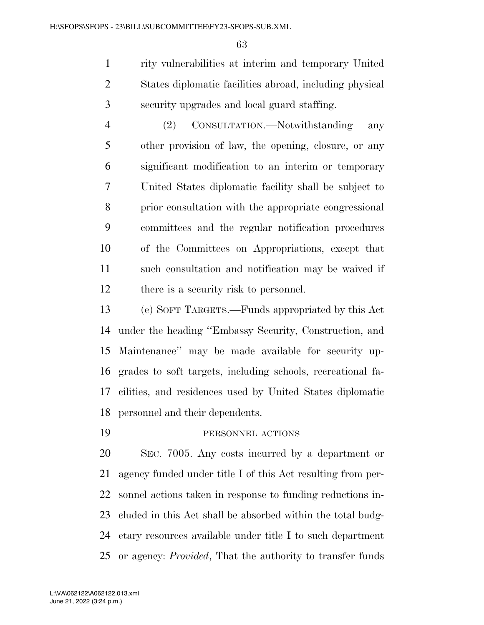rity vulnerabilities at interim and temporary United States diplomatic facilities abroad, including physical security upgrades and local guard staffing.

 (2) CONSULTATION.—Notwithstanding any other provision of law, the opening, closure, or any significant modification to an interim or temporary United States diplomatic facility shall be subject to prior consultation with the appropriate congressional committees and the regular notification procedures of the Committees on Appropriations, except that such consultation and notification may be waived if there is a security risk to personnel.

 (e) SOFT TARGETS.—Funds appropriated by this Act under the heading ''Embassy Security, Construction, and Maintenance'' may be made available for security up- grades to soft targets, including schools, recreational fa- cilities, and residences used by United States diplomatic personnel and their dependents.

PERSONNEL ACTIONS

 SEC. 7005. Any costs incurred by a department or agency funded under title I of this Act resulting from per- sonnel actions taken in response to funding reductions in- cluded in this Act shall be absorbed within the total budg- etary resources available under title I to such department or agency: *Provided*, That the authority to transfer funds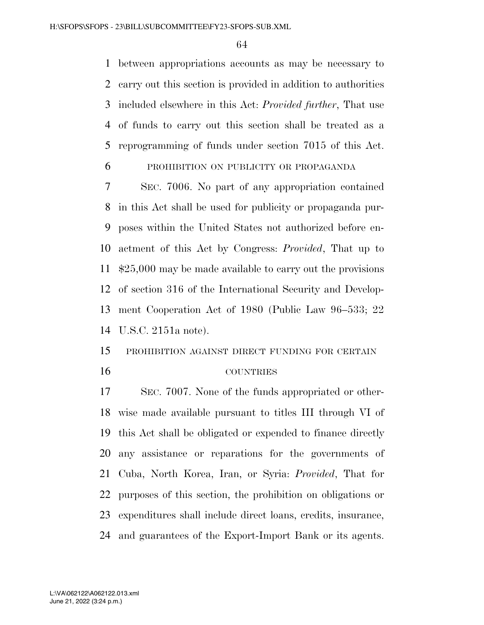between appropriations accounts as may be necessary to carry out this section is provided in addition to authorities included elsewhere in this Act: *Provided further*, That use of funds to carry out this section shall be treated as a reprogramming of funds under section 7015 of this Act.

#### PROHIBITION ON PUBLICITY OR PROPAGANDA

 SEC. 7006. No part of any appropriation contained in this Act shall be used for publicity or propaganda pur- poses within the United States not authorized before en- actment of this Act by Congress: *Provided*, That up to \$25,000 may be made available to carry out the provisions of section 316 of the International Security and Develop- ment Cooperation Act of 1980 (Public Law 96–533; 22 U.S.C. 2151a note).

### PROHIBITION AGAINST DIRECT FUNDING FOR CERTAIN COUNTRIES

 SEC. 7007. None of the funds appropriated or other- wise made available pursuant to titles III through VI of this Act shall be obligated or expended to finance directly any assistance or reparations for the governments of Cuba, North Korea, Iran, or Syria: *Provided*, That for purposes of this section, the prohibition on obligations or expenditures shall include direct loans, credits, insurance, and guarantees of the Export-Import Bank or its agents.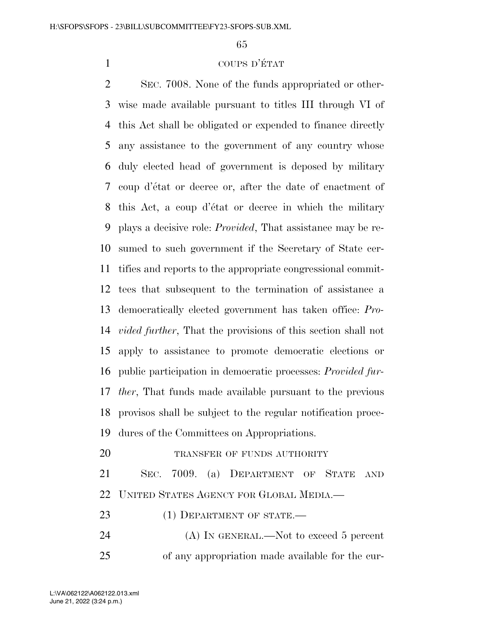#### 1 COUPS D'ÉTAT

 SEC. 7008. None of the funds appropriated or other- wise made available pursuant to titles III through VI of this Act shall be obligated or expended to finance directly any assistance to the government of any country whose duly elected head of government is deposed by military coup d'e´tat or decree or, after the date of enactment of 8 this Act, a coup d'état or decree in which the military plays a decisive role: *Provided*, That assistance may be re- sumed to such government if the Secretary of State cer- tifies and reports to the appropriate congressional commit- tees that subsequent to the termination of assistance a democratically elected government has taken office: *Pro- vided further*, That the provisions of this section shall not apply to assistance to promote democratic elections or public participation in democratic processes: *Provided fur- ther*, That funds made available pursuant to the previous provisos shall be subject to the regular notification proce-dures of the Committees on Appropriations.

20 TRANSFER OF FUNDS AUTHORITY

 SEC. 7009. (a) DEPARTMENT OF STATE AND UNITED STATES AGENCY FOR GLOBAL MEDIA.—

- 23 (1) DEPARTMENT OF STATE.
- 24 (A) IN GENERAL.—Not to exceed 5 percent of any appropriation made available for the cur-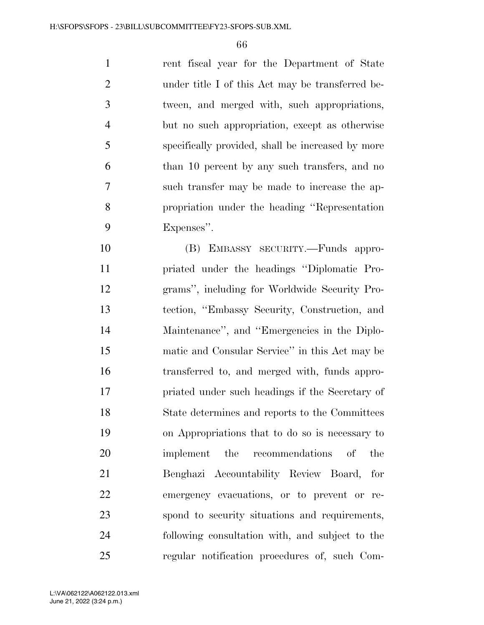rent fiscal year for the Department of State under title I of this Act may be transferred be- tween, and merged with, such appropriations, but no such appropriation, except as otherwise specifically provided, shall be increased by more than 10 percent by any such transfers, and no such transfer may be made to increase the ap- propriation under the heading ''Representation Expenses''.

 (B) EMBASSY SECURITY.—Funds appro- priated under the headings ''Diplomatic Pro- grams'', including for Worldwide Security Pro- tection, ''Embassy Security, Construction, and Maintenance'', and ''Emergencies in the Diplo- matic and Consular Service'' in this Act may be transferred to, and merged with, funds appro- priated under such headings if the Secretary of State determines and reports to the Committees on Appropriations that to do so is necessary to implement the recommendations of the Benghazi Accountability Review Board, for emergency evacuations, or to prevent or re- spond to security situations and requirements, following consultation with, and subject to the regular notification procedures of, such Com-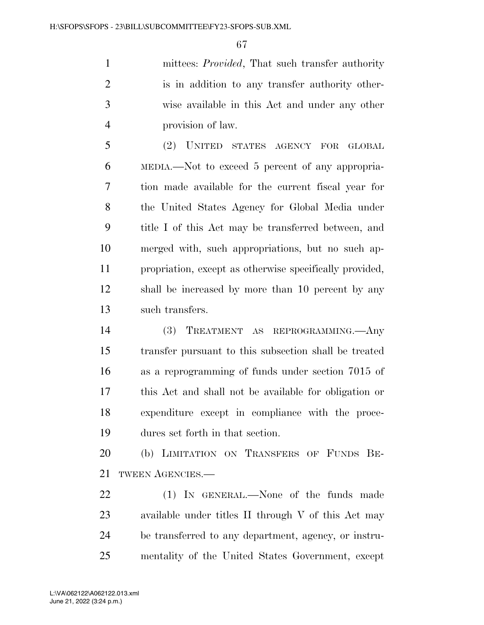mittees: *Provided*, That such transfer authority is in addition to any transfer authority other- wise available in this Act and under any other provision of law.

 (2) UNITED STATES AGENCY FOR GLOBAL MEDIA.—Not to exceed 5 percent of any appropria- tion made available for the current fiscal year for the United States Agency for Global Media under title I of this Act may be transferred between, and merged with, such appropriations, but no such ap- propriation, except as otherwise specifically provided, shall be increased by more than 10 percent by any such transfers.

 (3) TREATMENT AS REPROGRAMMING.—Any transfer pursuant to this subsection shall be treated as a reprogramming of funds under section 7015 of this Act and shall not be available for obligation or expenditure except in compliance with the proce-dures set forth in that section.

 (b) LIMITATION ON TRANSFERS OF FUNDS BE-TWEEN AGENCIES.—

 (1) IN GENERAL.—None of the funds made available under titles II through V of this Act may be transferred to any department, agency, or instru-mentality of the United States Government, except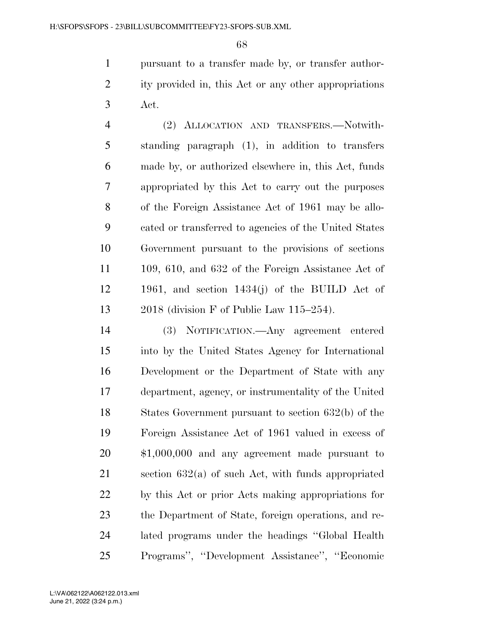pursuant to a transfer made by, or transfer author- ity provided in, this Act or any other appropriations Act.

 (2) ALLOCATION AND TRANSFERS.—Notwith- standing paragraph (1), in addition to transfers made by, or authorized elsewhere in, this Act, funds appropriated by this Act to carry out the purposes of the Foreign Assistance Act of 1961 may be allo- cated or transferred to agencies of the United States Government pursuant to the provisions of sections 109, 610, and 632 of the Foreign Assistance Act of 1961, and section 1434(j) of the BUILD Act of 2018 (division F of Public Law 115–254).

 (3) NOTIFICATION.—Any agreement entered into by the United States Agency for International Development or the Department of State with any department, agency, or instrumentality of the United States Government pursuant to section 632(b) of the Foreign Assistance Act of 1961 valued in excess of \$1,000,000 and any agreement made pursuant to section 632(a) of such Act, with funds appropriated by this Act or prior Acts making appropriations for the Department of State, foreign operations, and re- lated programs under the headings ''Global Health Programs'', ''Development Assistance'', ''Economic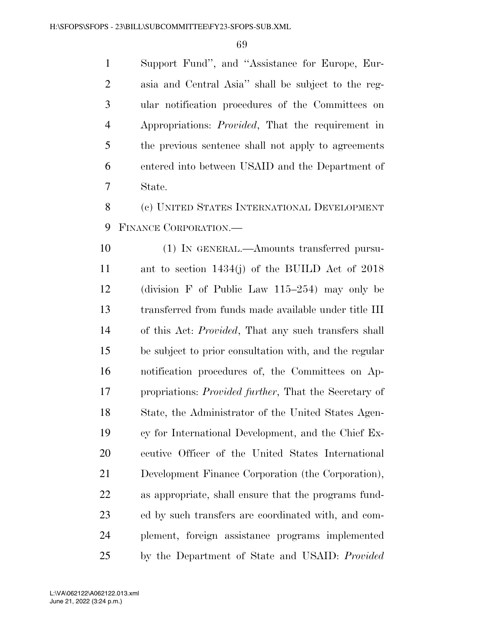Support Fund'', and ''Assistance for Europe, Eur- asia and Central Asia'' shall be subject to the reg- ular notification procedures of the Committees on Appropriations: *Provided*, That the requirement in the previous sentence shall not apply to agreements entered into between USAID and the Department of State.

 (c) UNITED STATES INTERNATIONAL DEVELOPMENT FINANCE CORPORATION.—

 (1) IN GENERAL.—Amounts transferred pursu- ant to section 1434(j) of the BUILD Act of 2018 (division F of Public Law 115–254) may only be transferred from funds made available under title III of this Act: *Provided*, That any such transfers shall be subject to prior consultation with, and the regular notification procedures of, the Committees on Ap- propriations: *Provided further*, That the Secretary of State, the Administrator of the United States Agen- cy for International Development, and the Chief Ex- ecutive Officer of the United States International Development Finance Corporation (the Corporation), as appropriate, shall ensure that the programs fund- ed by such transfers are coordinated with, and com- plement, foreign assistance programs implemented by the Department of State and USAID: *Provided*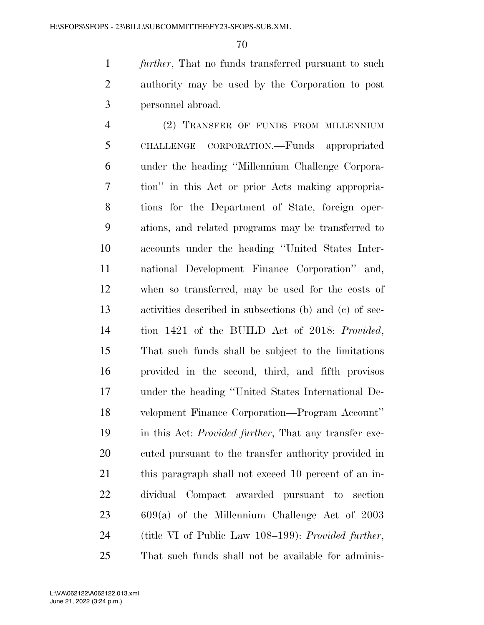*further*, That no funds transferred pursuant to such authority may be used by the Corporation to post personnel abroad.

 (2) TRANSFER OF FUNDS FROM MILLENNIUM CHALLENGE CORPORATION.—Funds appropriated under the heading ''Millennium Challenge Corpora- tion'' in this Act or prior Acts making appropria- tions for the Department of State, foreign oper- ations, and related programs may be transferred to accounts under the heading ''United States Inter- national Development Finance Corporation'' and, when so transferred, may be used for the costs of activities described in subsections (b) and (c) of sec- tion 1421 of the BUILD Act of 2018: *Provided*, That such funds shall be subject to the limitations provided in the second, third, and fifth provisos under the heading ''United States International De- velopment Finance Corporation—Program Account'' in this Act: *Provided further*, That any transfer exe- cuted pursuant to the transfer authority provided in 21 this paragraph shall not exceed 10 percent of an in- dividual Compact awarded pursuant to section 609(a) of the Millennium Challenge Act of 2003 (title VI of Public Law 108–199): *Provided further*, That such funds shall not be available for adminis-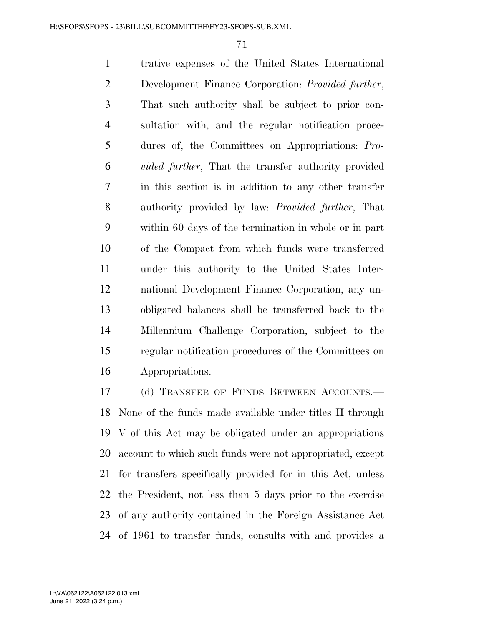trative expenses of the United States International Development Finance Corporation: *Provided further*, That such authority shall be subject to prior con- sultation with, and the regular notification proce- dures of, the Committees on Appropriations: *Pro- vided further*, That the transfer authority provided in this section is in addition to any other transfer authority provided by law: *Provided further*, That within 60 days of the termination in whole or in part of the Compact from which funds were transferred under this authority to the United States Inter- national Development Finance Corporation, any un- obligated balances shall be transferred back to the Millennium Challenge Corporation, subject to the regular notification procedures of the Committees on Appropriations.

17 (d) TRANSFER OF FUNDS BETWEEN ACCOUNTS. None of the funds made available under titles II through V of this Act may be obligated under an appropriations account to which such funds were not appropriated, except for transfers specifically provided for in this Act, unless the President, not less than 5 days prior to the exercise of any authority contained in the Foreign Assistance Act of 1961 to transfer funds, consults with and provides a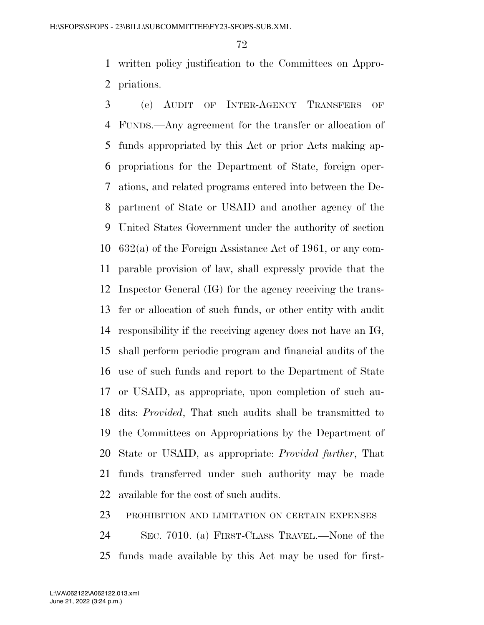written policy justification to the Committees on Appro-priations.

 (e) AUDIT OF INTER-AGENCY TRANSFERS OF FUNDS.—Any agreement for the transfer or allocation of funds appropriated by this Act or prior Acts making ap- propriations for the Department of State, foreign oper- ations, and related programs entered into between the De- partment of State or USAID and another agency of the United States Government under the authority of section 632(a) of the Foreign Assistance Act of 1961, or any com- parable provision of law, shall expressly provide that the Inspector General (IG) for the agency receiving the trans- fer or allocation of such funds, or other entity with audit responsibility if the receiving agency does not have an IG, shall perform periodic program and financial audits of the use of such funds and report to the Department of State or USAID, as appropriate, upon completion of such au- dits: *Provided*, That such audits shall be transmitted to the Committees on Appropriations by the Department of State or USAID, as appropriate: *Provided further*, That funds transferred under such authority may be made available for the cost of such audits.

23 PROHIBITION AND LIMITATION ON CERTAIN EXPENSES

 SEC. 7010. (a) FIRST-CLASS TRAVEL.—None of the funds made available by this Act may be used for first-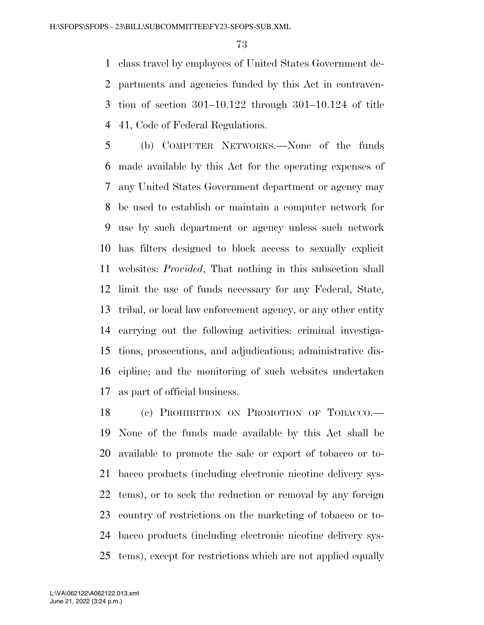class travel by employees of United States Government de- partments and agencies funded by this Act in contraven- tion of section 301–10.122 through 301–10.124 of title 41, Code of Federal Regulations.

 (b) COMPUTER NETWORKS.—None of the funds made available by this Act for the operating expenses of any United States Government department or agency may be used to establish or maintain a computer network for use by such department or agency unless such network has filters designed to block access to sexually explicit websites: *Provided*, That nothing in this subsection shall limit the use of funds necessary for any Federal, State, tribal, or local law enforcement agency, or any other entity carrying out the following activities: criminal investiga- tions, prosecutions, and adjudications; administrative dis- cipline; and the monitoring of such websites undertaken as part of official business.

 (c) PROHIBITION ON PROMOTION OF TOBACCO.— None of the funds made available by this Act shall be available to promote the sale or export of tobacco or to- bacco products (including electronic nicotine delivery sys- tems), or to seek the reduction or removal by any foreign country of restrictions on the marketing of tobacco or to- bacco products (including electronic nicotine delivery sys-tems), except for restrictions which are not applied equally

June 21, 2022 (3:24 p.m.) L:\VA\062122\A062122.013.xml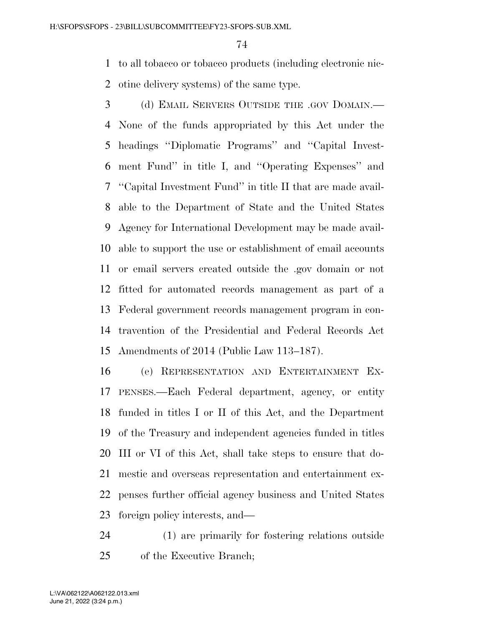to all tobacco or tobacco products (including electronic nic-otine delivery systems) of the same type.

 (d) EMAIL SERVERS OUTSIDE THE .GOV DOMAIN.— None of the funds appropriated by this Act under the headings ''Diplomatic Programs'' and ''Capital Invest- ment Fund'' in title I, and ''Operating Expenses'' and ''Capital Investment Fund'' in title II that are made avail- able to the Department of State and the United States Agency for International Development may be made avail- able to support the use or establishment of email accounts or email servers created outside the .gov domain or not fitted for automated records management as part of a Federal government records management program in con- travention of the Presidential and Federal Records Act Amendments of 2014 (Public Law 113–187).

 (e) REPRESENTATION AND ENTERTAINMENT EX- PENSES.—Each Federal department, agency, or entity funded in titles I or II of this Act, and the Department of the Treasury and independent agencies funded in titles III or VI of this Act, shall take steps to ensure that do- mestic and overseas representation and entertainment ex- penses further official agency business and United States foreign policy interests, and—

 (1) are primarily for fostering relations outside of the Executive Branch;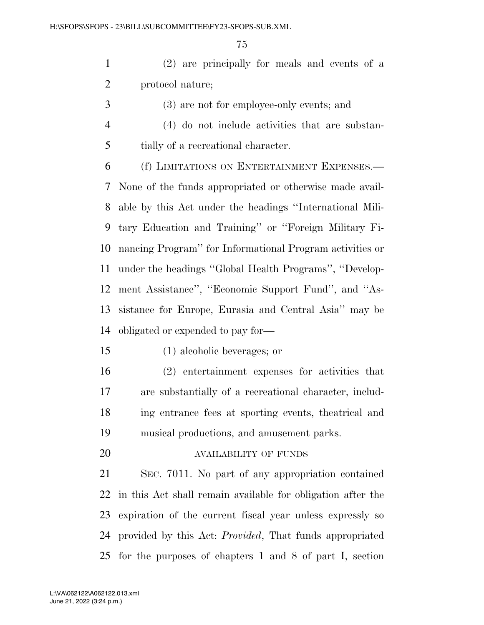(2) are principally for meals and events of a protocol nature;

- (3) are not for employee-only events; and
- (4) do not include activities that are substan-tially of a recreational character.

 (f) LIMITATIONS ON ENTERTAINMENT EXPENSES.— None of the funds appropriated or otherwise made avail- able by this Act under the headings ''International Mili- tary Education and Training'' or ''Foreign Military Fi- nancing Program'' for Informational Program activities or under the headings ''Global Health Programs'', ''Develop- ment Assistance'', ''Economic Support Fund'', and ''As- sistance for Europe, Eurasia and Central Asia'' may be obligated or expended to pay for—

(1) alcoholic beverages; or

 (2) entertainment expenses for activities that are substantially of a recreational character, includ- ing entrance fees at sporting events, theatrical and musical productions, and amusement parks.

 AVAILABILITY OF FUNDS SEC. 7011. No part of any appropriation contained in this Act shall remain available for obligation after the expiration of the current fiscal year unless expressly so provided by this Act: *Provided*, That funds appropriated

for the purposes of chapters 1 and 8 of part I, section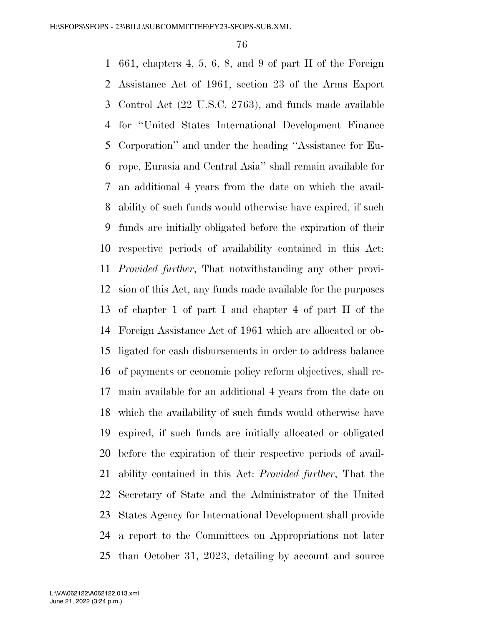661, chapters 4, 5, 6, 8, and 9 of part II of the Foreign Assistance Act of 1961, section 23 of the Arms Export Control Act (22 U.S.C. 2763), and funds made available for ''United States International Development Finance Corporation'' and under the heading ''Assistance for Eu- rope, Eurasia and Central Asia'' shall remain available for an additional 4 years from the date on which the avail- ability of such funds would otherwise have expired, if such funds are initially obligated before the expiration of their respective periods of availability contained in this Act: *Provided further*, That notwithstanding any other provi- sion of this Act, any funds made available for the purposes of chapter 1 of part I and chapter 4 of part II of the Foreign Assistance Act of 1961 which are allocated or ob- ligated for cash disbursements in order to address balance of payments or economic policy reform objectives, shall re- main available for an additional 4 years from the date on which the availability of such funds would otherwise have expired, if such funds are initially allocated or obligated before the expiration of their respective periods of avail- ability contained in this Act: *Provided further*, That the Secretary of State and the Administrator of the United States Agency for International Development shall provide a report to the Committees on Appropriations not later than October 31, 2023, detailing by account and source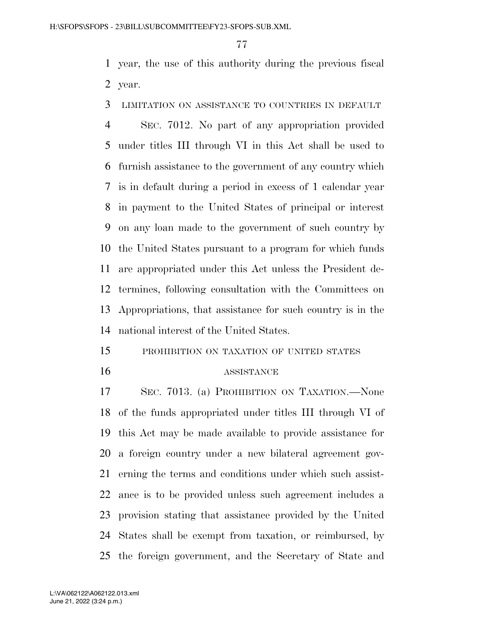year, the use of this authority during the previous fiscal year.

LIMITATION ON ASSISTANCE TO COUNTRIES IN DEFAULT

 SEC. 7012. No part of any appropriation provided under titles III through VI in this Act shall be used to furnish assistance to the government of any country which is in default during a period in excess of 1 calendar year in payment to the United States of principal or interest on any loan made to the government of such country by the United States pursuant to a program for which funds are appropriated under this Act unless the President de- termines, following consultation with the Committees on Appropriations, that assistance for such country is in the national interest of the United States.

- PROHIBITION ON TAXATION OF UNITED STATES
- ASSISTANCE

 SEC. 7013. (a) PROHIBITION ON TAXATION.—None of the funds appropriated under titles III through VI of this Act may be made available to provide assistance for a foreign country under a new bilateral agreement gov- erning the terms and conditions under which such assist- ance is to be provided unless such agreement includes a provision stating that assistance provided by the United States shall be exempt from taxation, or reimbursed, by the foreign government, and the Secretary of State and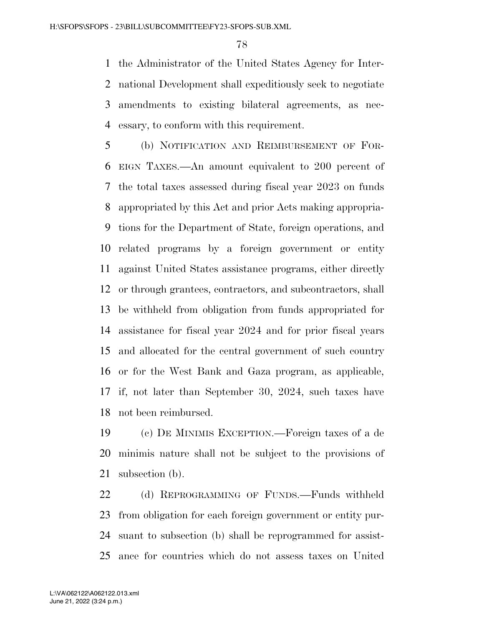the Administrator of the United States Agency for Inter- national Development shall expeditiously seek to negotiate amendments to existing bilateral agreements, as nec-essary, to conform with this requirement.

 (b) NOTIFICATION AND REIMBURSEMENT OF FOR- EIGN TAXES.—An amount equivalent to 200 percent of the total taxes assessed during fiscal year 2023 on funds appropriated by this Act and prior Acts making appropria- tions for the Department of State, foreign operations, and related programs by a foreign government or entity against United States assistance programs, either directly or through grantees, contractors, and subcontractors, shall be withheld from obligation from funds appropriated for assistance for fiscal year 2024 and for prior fiscal years and allocated for the central government of such country or for the West Bank and Gaza program, as applicable, if, not later than September 30, 2024, such taxes have not been reimbursed.

 (c) DE MINIMIS EXCEPTION.—Foreign taxes of a de minimis nature shall not be subject to the provisions of subsection (b).

 (d) REPROGRAMMING OF FUNDS.—Funds withheld from obligation for each foreign government or entity pur- suant to subsection (b) shall be reprogrammed for assist-ance for countries which do not assess taxes on United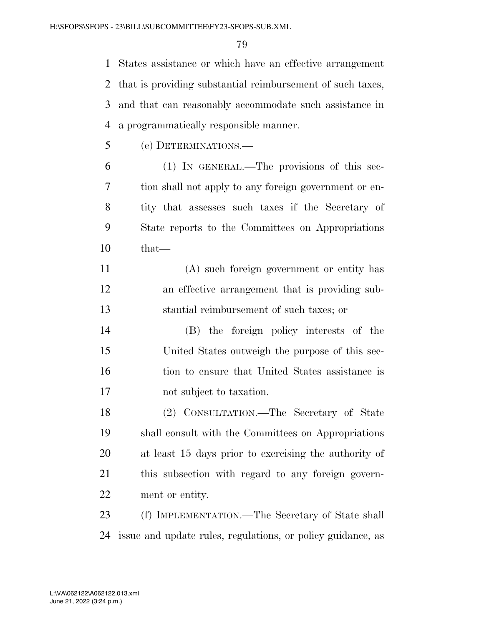States assistance or which have an effective arrangement that is providing substantial reimbursement of such taxes, and that can reasonably accommodate such assistance in a programmatically responsible manner.

- (e) DETERMINATIONS.—
- (1) IN GENERAL.—The provisions of this sec- tion shall not apply to any foreign government or en- tity that assesses such taxes if the Secretary of State reports to the Committees on Appropriations that—
- (A) such foreign government or entity has an effective arrangement that is providing sub-stantial reimbursement of such taxes; or
- (B) the foreign policy interests of the United States outweigh the purpose of this sec-16 tion to ensure that United States assistance is not subject to taxation.
- (2) CONSULTATION.—The Secretary of State shall consult with the Committees on Appropriations at least 15 days prior to exercising the authority of this subsection with regard to any foreign govern-ment or entity.
- (f) IMPLEMENTATION.—The Secretary of State shall issue and update rules, regulations, or policy guidance, as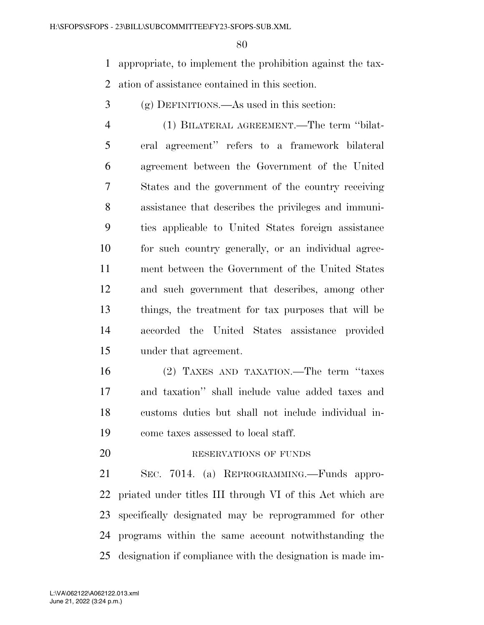appropriate, to implement the prohibition against the tax-ation of assistance contained in this section.

(g) DEFINITIONS.—As used in this section:

 (1) BILATERAL AGREEMENT.—The term ''bilat- eral agreement'' refers to a framework bilateral agreement between the Government of the United States and the government of the country receiving assistance that describes the privileges and immuni- ties applicable to United States foreign assistance for such country generally, or an individual agree- ment between the Government of the United States and such government that describes, among other things, the treatment for tax purposes that will be accorded the United States assistance provided under that agreement.

 (2) TAXES AND TAXATION.—The term ''taxes and taxation'' shall include value added taxes and customs duties but shall not include individual in-come taxes assessed to local staff.

## 20 RESERVATIONS OF FUNDS

 SEC. 7014. (a) REPROGRAMMING.—Funds appro- priated under titles III through VI of this Act which are specifically designated may be reprogrammed for other programs within the same account notwithstanding the designation if compliance with the designation is made im-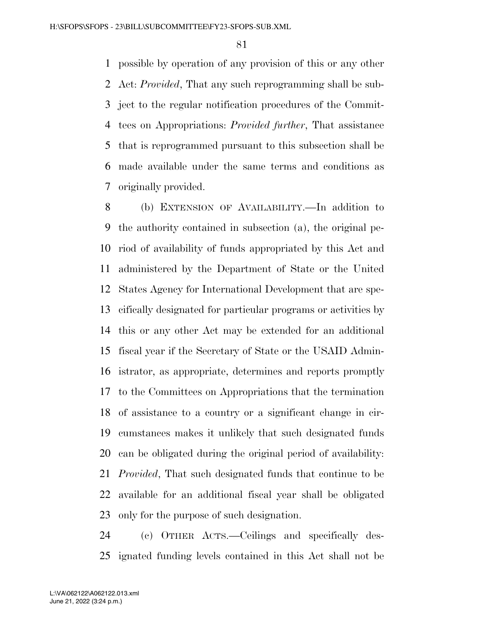possible by operation of any provision of this or any other Act: *Provided*, That any such reprogramming shall be sub- ject to the regular notification procedures of the Commit- tees on Appropriations: *Provided further*, That assistance that is reprogrammed pursuant to this subsection shall be made available under the same terms and conditions as originally provided.

 (b) EXTENSION OF AVAILABILITY.—In addition to the authority contained in subsection (a), the original pe- riod of availability of funds appropriated by this Act and administered by the Department of State or the United States Agency for International Development that are spe- cifically designated for particular programs or activities by this or any other Act may be extended for an additional fiscal year if the Secretary of State or the USAID Admin- istrator, as appropriate, determines and reports promptly to the Committees on Appropriations that the termination of assistance to a country or a significant change in cir- cumstances makes it unlikely that such designated funds can be obligated during the original period of availability: *Provided*, That such designated funds that continue to be available for an additional fiscal year shall be obligated only for the purpose of such designation.

 (c) OTHER ACTS.—Ceilings and specifically des-ignated funding levels contained in this Act shall not be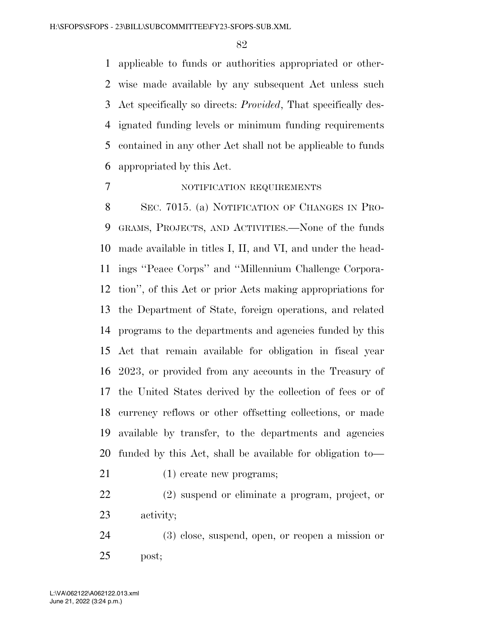applicable to funds or authorities appropriated or other- wise made available by any subsequent Act unless such Act specifically so directs: *Provided*, That specifically des- ignated funding levels or minimum funding requirements contained in any other Act shall not be applicable to funds appropriated by this Act.

## NOTIFICATION REQUIREMENTS

 SEC. 7015. (a) NOTIFICATION OF CHANGES IN PRO- GRAMS, PROJECTS, AND ACTIVITIES.—None of the funds made available in titles I, II, and VI, and under the head- ings ''Peace Corps'' and ''Millennium Challenge Corpora- tion'', of this Act or prior Acts making appropriations for the Department of State, foreign operations, and related programs to the departments and agencies funded by this Act that remain available for obligation in fiscal year 2023, or provided from any accounts in the Treasury of the United States derived by the collection of fees or of currency reflows or other offsetting collections, or made available by transfer, to the departments and agencies funded by this Act, shall be available for obligation to—

- (1) create new programs;
- (2) suspend or eliminate a program, project, or activity;

 (3) close, suspend, open, or reopen a mission or post;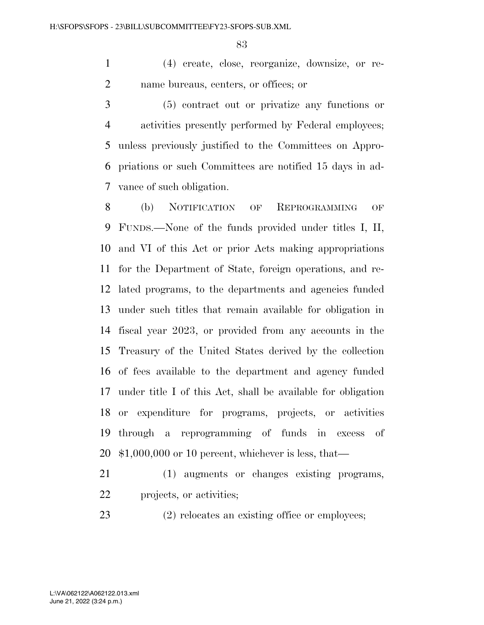(4) create, close, reorganize, downsize, or re-name bureaus, centers, or offices; or

 (5) contract out or privatize any functions or activities presently performed by Federal employees; unless previously justified to the Committees on Appro- priations or such Committees are notified 15 days in ad-vance of such obligation.

 (b) NOTIFICATION OF REPROGRAMMING OF FUNDS.—None of the funds provided under titles I, II, and VI of this Act or prior Acts making appropriations for the Department of State, foreign operations, and re- lated programs, to the departments and agencies funded under such titles that remain available for obligation in fiscal year 2023, or provided from any accounts in the Treasury of the United States derived by the collection of fees available to the department and agency funded under title I of this Act, shall be available for obligation or expenditure for programs, projects, or activities through a reprogramming of funds in excess of \$1,000,000 or 10 percent, whichever is less, that—

- (1) augments or changes existing programs, projects, or activities;
- (2) relocates an existing office or employees;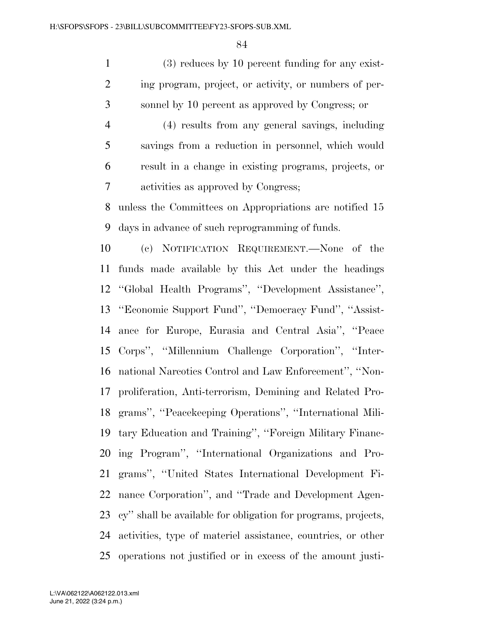(3) reduces by 10 percent funding for any exist- ing program, project, or activity, or numbers of per-sonnel by 10 percent as approved by Congress; or

 (4) results from any general savings, including savings from a reduction in personnel, which would result in a change in existing programs, projects, or activities as approved by Congress;

 unless the Committees on Appropriations are notified 15 days in advance of such reprogramming of funds.

 (c) NOTIFICATION REQUIREMENT.—None of the funds made available by this Act under the headings ''Global Health Programs'', ''Development Assistance'', ''Economic Support Fund'', ''Democracy Fund'', ''Assist- ance for Europe, Eurasia and Central Asia'', ''Peace Corps'', ''Millennium Challenge Corporation'', ''Inter- national Narcotics Control and Law Enforcement'', ''Non- proliferation, Anti-terrorism, Demining and Related Pro- grams'', ''Peacekeeping Operations'', ''International Mili- tary Education and Training'', ''Foreign Military Financ- ing Program'', ''International Organizations and Pro- grams'', ''United States International Development Fi- nance Corporation'', and ''Trade and Development Agen- cy'' shall be available for obligation for programs, projects, activities, type of materiel assistance, countries, or other operations not justified or in excess of the amount justi-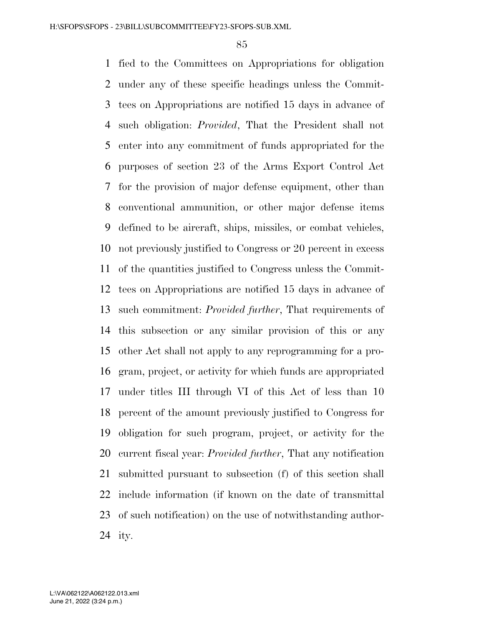fied to the Committees on Appropriations for obligation under any of these specific headings unless the Commit- tees on Appropriations are notified 15 days in advance of such obligation: *Provided*, That the President shall not enter into any commitment of funds appropriated for the purposes of section 23 of the Arms Export Control Act for the provision of major defense equipment, other than conventional ammunition, or other major defense items defined to be aircraft, ships, missiles, or combat vehicles, not previously justified to Congress or 20 percent in excess of the quantities justified to Congress unless the Commit- tees on Appropriations are notified 15 days in advance of such commitment: *Provided further*, That requirements of this subsection or any similar provision of this or any other Act shall not apply to any reprogramming for a pro- gram, project, or activity for which funds are appropriated under titles III through VI of this Act of less than 10 percent of the amount previously justified to Congress for obligation for such program, project, or activity for the current fiscal year: *Provided further*, That any notification submitted pursuant to subsection (f) of this section shall include information (if known on the date of transmittal of such notification) on the use of notwithstanding author-ity.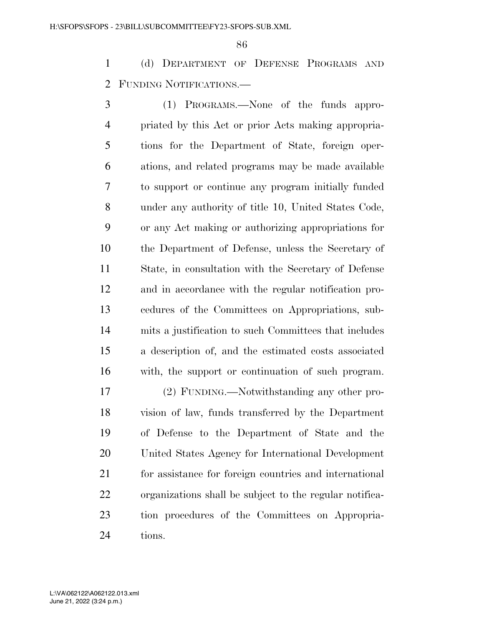(d) DEPARTMENT OF DEFENSE PROGRAMS AND FUNDING NOTIFICATIONS.—

 (1) PROGRAMS.—None of the funds appro- priated by this Act or prior Acts making appropria- tions for the Department of State, foreign oper- ations, and related programs may be made available to support or continue any program initially funded under any authority of title 10, United States Code, or any Act making or authorizing appropriations for the Department of Defense, unless the Secretary of State, in consultation with the Secretary of Defense and in accordance with the regular notification pro- cedures of the Committees on Appropriations, sub- mits a justification to such Committees that includes a description of, and the estimated costs associated with, the support or continuation of such program.

 (2) FUNDING.—Notwithstanding any other pro- vision of law, funds transferred by the Department of Defense to the Department of State and the United States Agency for International Development for assistance for foreign countries and international organizations shall be subject to the regular notifica- tion procedures of the Committees on Appropria-tions.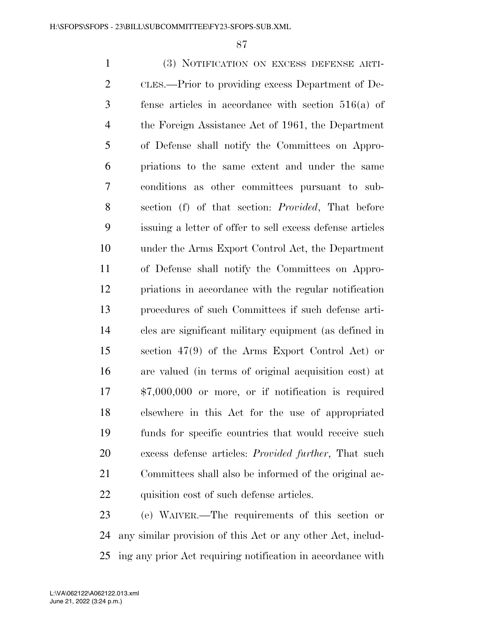(3) NOTIFICATION ON EXCESS DEFENSE ARTI- CLES.—Prior to providing excess Department of De- fense articles in accordance with section 516(a) of the Foreign Assistance Act of 1961, the Department of Defense shall notify the Committees on Appro- priations to the same extent and under the same conditions as other committees pursuant to sub- section (f) of that section: *Provided*, That before issuing a letter of offer to sell excess defense articles under the Arms Export Control Act, the Department of Defense shall notify the Committees on Appro- priations in accordance with the regular notification procedures of such Committees if such defense arti- cles are significant military equipment (as defined in section 47(9) of the Arms Export Control Act) or are valued (in terms of original acquisition cost) at \$7,000,000 or more, or if notification is required elsewhere in this Act for the use of appropriated funds for specific countries that would receive such excess defense articles: *Provided further*, That such Committees shall also be informed of the original ac-22 quisition cost of such defense articles.

 (e) WAIVER.—The requirements of this section or any similar provision of this Act or any other Act, includ-ing any prior Act requiring notification in accordance with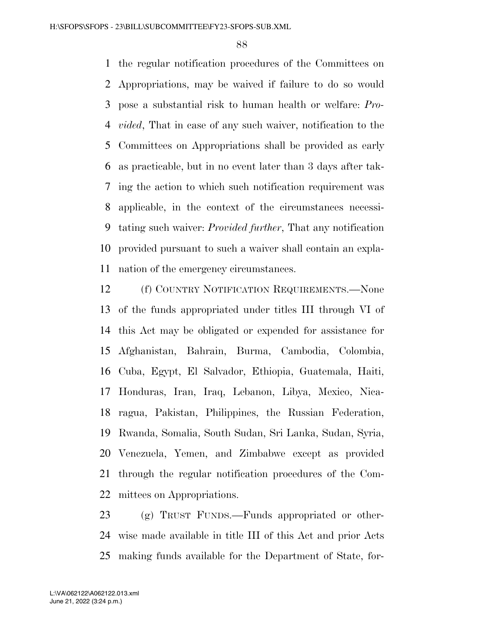the regular notification procedures of the Committees on Appropriations, may be waived if failure to do so would pose a substantial risk to human health or welfare: *Pro- vided*, That in case of any such waiver, notification to the Committees on Appropriations shall be provided as early as practicable, but in no event later than 3 days after tak- ing the action to which such notification requirement was applicable, in the context of the circumstances necessi- tating such waiver: *Provided further*, That any notification provided pursuant to such a waiver shall contain an expla-nation of the emergency circumstances.

 (f) COUNTRY NOTIFICATION REQUIREMENTS.—None of the funds appropriated under titles III through VI of this Act may be obligated or expended for assistance for Afghanistan, Bahrain, Burma, Cambodia, Colombia, Cuba, Egypt, El Salvador, Ethiopia, Guatemala, Haiti, Honduras, Iran, Iraq, Lebanon, Libya, Mexico, Nica- ragua, Pakistan, Philippines, the Russian Federation, Rwanda, Somalia, South Sudan, Sri Lanka, Sudan, Syria, Venezuela, Yemen, and Zimbabwe except as provided through the regular notification procedures of the Com-mittees on Appropriations.

 (g) TRUST FUNDS.—Funds appropriated or other- wise made available in title III of this Act and prior Acts making funds available for the Department of State, for-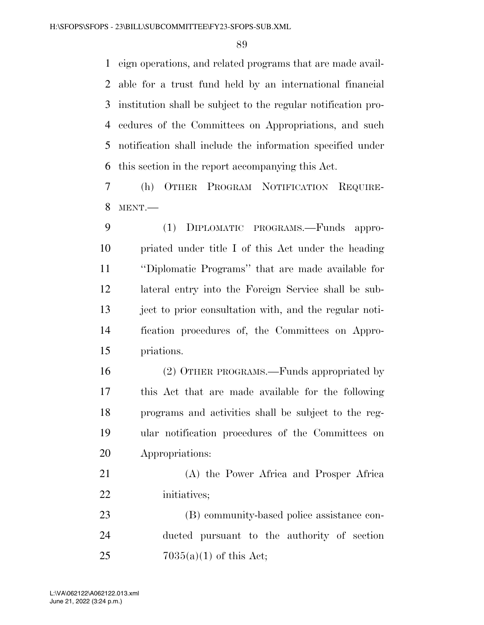eign operations, and related programs that are made avail- able for a trust fund held by an international financial institution shall be subject to the regular notification pro- cedures of the Committees on Appropriations, and such notification shall include the information specified under this section in the report accompanying this Act.

 (h) OTHER PROGRAM NOTIFICATION REQUIRE-MENT.—

 (1) DIPLOMATIC PROGRAMS.—Funds appro- priated under title I of this Act under the heading ''Diplomatic Programs'' that are made available for lateral entry into the Foreign Service shall be sub-13 ject to prior consultation with, and the regular noti- fication procedures of, the Committees on Appro-priations.

 (2) OTHER PROGRAMS.—Funds appropriated by this Act that are made available for the following programs and activities shall be subject to the reg- ular notification procedures of the Committees on Appropriations:

 (A) the Power Africa and Prosper Africa initiatives;

 (B) community-based police assistance con- ducted pursuant to the authority of section 25  $7035(a)(1)$  of this Act;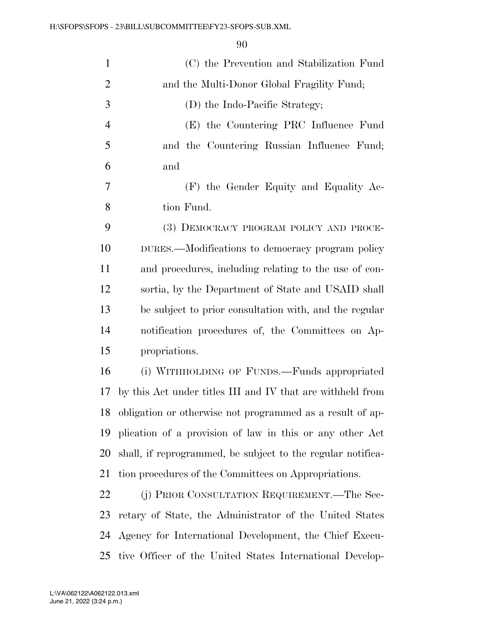| $\mathbf{1}$   | (C) the Prevention and Stabilization Fund                   |
|----------------|-------------------------------------------------------------|
| $\overline{2}$ | and the Multi-Donor Global Fragility Fund;                  |
| 3              | (D) the Indo-Pacific Strategy;                              |
| $\overline{4}$ | (E) the Countering PRC Influence Fund                       |
| 5              | and the Countering Russian Influence Fund;                  |
| 6              | and                                                         |
| 7              | (F) the Gender Equity and Equality Ac-                      |
| 8              | tion Fund.                                                  |
| 9              | (3) DEMOCRACY PROGRAM POLICY AND PROCE-                     |
| 10             | DURES.—Modifications to democracy program policy            |
| 11             | and procedures, including relating to the use of con-       |
| 12             | sortia, by the Department of State and USAID shall          |
| 13             | be subject to prior consultation with, and the regular      |
| 14             | notification procedures of, the Committees on Ap-           |
| 15             | propriations.                                               |
| 16             | (i) WITHHOLDING OF FUNDS.—Funds appropriated                |
| 17             | by this Act under titles III and IV that are withheld from  |
| 18             | obligation or otherwise not programmed as a result of ap-   |
| 19             | plication of a provision of law in this or any other Act    |
| 20             | shall, if reprogrammed, be subject to the regular notifica- |
| 21             | tion procedures of the Committees on Appropriations.        |
| 22             | (j) PRIOR CONSULTATION REQUIREMENT.—The Sec-                |
| 23             | retary of State, the Administrator of the United States     |
| 24             | Agency for International Development, the Chief Execu-      |
| 25             | tive Officer of the United States International Develop-    |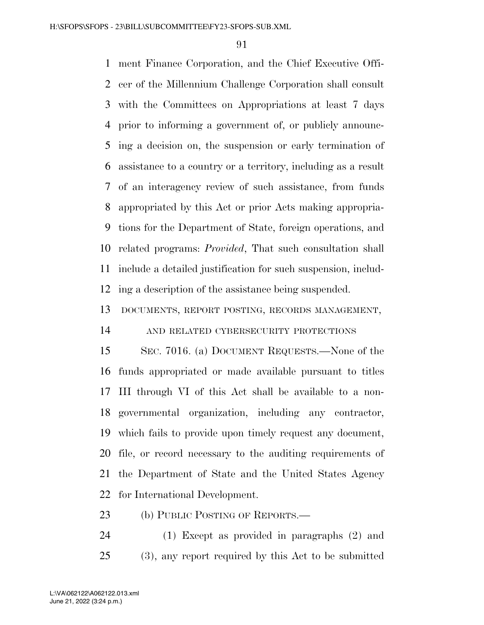ment Finance Corporation, and the Chief Executive Offi- cer of the Millennium Challenge Corporation shall consult with the Committees on Appropriations at least 7 days prior to informing a government of, or publicly announc- ing a decision on, the suspension or early termination of assistance to a country or a territory, including as a result of an interagency review of such assistance, from funds appropriated by this Act or prior Acts making appropria- tions for the Department of State, foreign operations, and related programs: *Provided*, That such consultation shall include a detailed justification for such suspension, includ-ing a description of the assistance being suspended.

DOCUMENTS, REPORT POSTING, RECORDS MANAGEMENT,

## AND RELATED CYBERSECURITY PROTECTIONS

 SEC. 7016. (a) DOCUMENT REQUESTS.—None of the funds appropriated or made available pursuant to titles III through VI of this Act shall be available to a non- governmental organization, including any contractor, which fails to provide upon timely request any document, file, or record necessary to the auditing requirements of the Department of State and the United States Agency for International Development.

23 (b) PUBLIC POSTING OF REPORTS.—

 (1) Except as provided in paragraphs (2) and (3), any report required by this Act to be submitted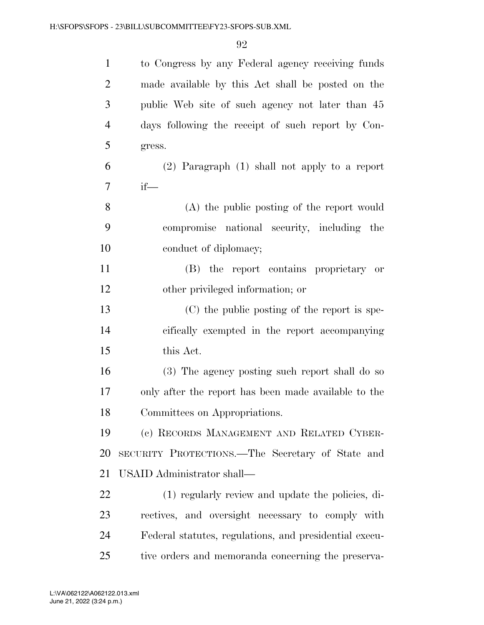| $\mathbf{1}$   | to Congress by any Federal agency receiving funds      |
|----------------|--------------------------------------------------------|
| $\overline{2}$ | made available by this Act shall be posted on the      |
| 3              | public Web site of such agency not later than 45       |
| 4              | days following the receipt of such report by Con-      |
| 5              | gress.                                                 |
| 6              | $(2)$ Paragraph $(1)$ shall not apply to a report      |
| 7              | $if$ —                                                 |
| 8              | (A) the public posting of the report would             |
| 9              | compromise national security, including the            |
| 10             | conduct of diplomacy;                                  |
| 11             | (B) the report contains proprietary or                 |
| 12             | other privileged information; or                       |
| 13             | (C) the public posting of the report is spe-           |
| 14             | cifically exempted in the report accompanying          |
| 15             | this Act.                                              |
| 16             | (3) The agency posting such report shall do so         |
| 17             | only after the report has been made available to the   |
| 18             | Committees on Appropriations.                          |
| 19             | (c) RECORDS MANAGEMENT AND RELATED CYBER-              |
| 20             | SECURITY PROTECTIONS.—The Secretary of State and       |
| 21             | USAID Administrator shall—                             |
| 22             | (1) regularly review and update the policies, di-      |
| 23             | rectives, and oversight necessary to comply with       |
| 24             | Federal statutes, regulations, and presidential execu- |
| 25             | tive orders and memoranda concerning the preserva-     |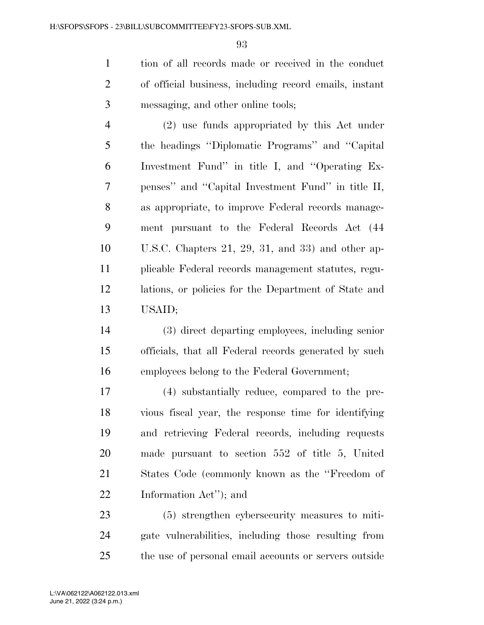tion of all records made or received in the conduct of official business, including record emails, instant messaging, and other online tools;

 (2) use funds appropriated by this Act under the headings ''Diplomatic Programs'' and ''Capital Investment Fund'' in title I, and ''Operating Ex- penses'' and ''Capital Investment Fund'' in title II, as appropriate, to improve Federal records manage- ment pursuant to the Federal Records Act (44 U.S.C. Chapters 21, 29, 31, and 33) and other ap- plicable Federal records management statutes, regu- lations, or policies for the Department of State and USAID;

 (3) direct departing employees, including senior officials, that all Federal records generated by such employees belong to the Federal Government;

 (4) substantially reduce, compared to the pre- vious fiscal year, the response time for identifying and retrieving Federal records, including requests made pursuant to section 552 of title 5, United States Code (commonly known as the ''Freedom of Information Act''); and

 (5) strengthen cybersecurity measures to miti- gate vulnerabilities, including those resulting from the use of personal email accounts or servers outside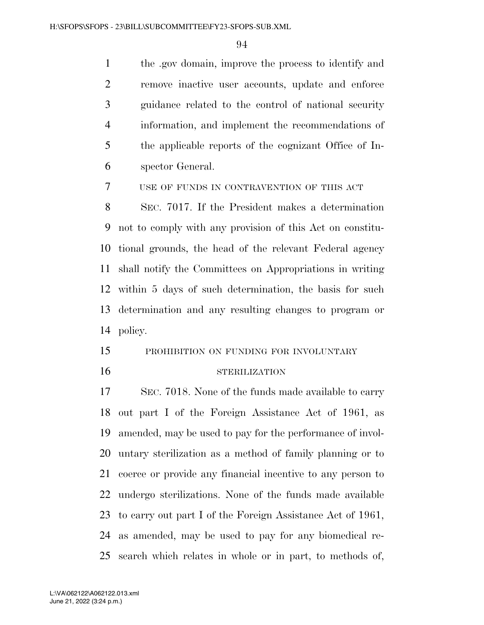the .gov domain, improve the process to identify and remove inactive user accounts, update and enforce guidance related to the control of national security information, and implement the recommendations of the applicable reports of the cognizant Office of In-spector General.

USE OF FUNDS IN CONTRAVENTION OF THIS ACT

 SEC. 7017. If the President makes a determination not to comply with any provision of this Act on constitu- tional grounds, the head of the relevant Federal agency shall notify the Committees on Appropriations in writing within 5 days of such determination, the basis for such determination and any resulting changes to program or policy.

- PROHIBITION ON FUNDING FOR INVOLUNTARY
- 

#### STERILIZATION

 SEC. 7018. None of the funds made available to carry out part I of the Foreign Assistance Act of 1961, as amended, may be used to pay for the performance of invol- untary sterilization as a method of family planning or to coerce or provide any financial incentive to any person to undergo sterilizations. None of the funds made available to carry out part I of the Foreign Assistance Act of 1961, as amended, may be used to pay for any biomedical re-search which relates in whole or in part, to methods of,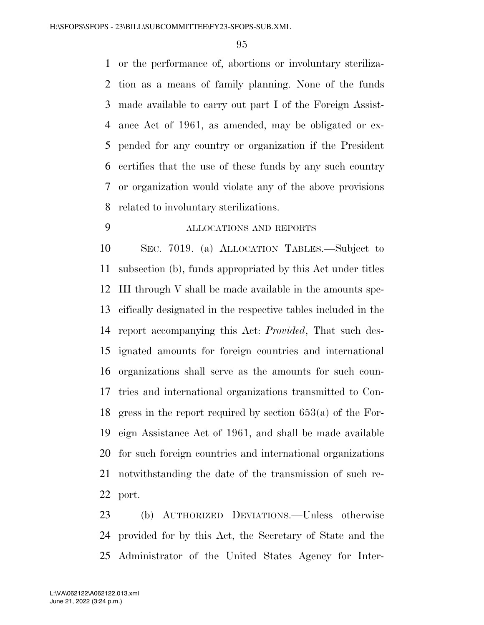or the performance of, abortions or involuntary steriliza- tion as a means of family planning. None of the funds made available to carry out part I of the Foreign Assist- ance Act of 1961, as amended, may be obligated or ex- pended for any country or organization if the President certifies that the use of these funds by any such country or organization would violate any of the above provisions related to involuntary sterilizations.

# ALLOCATIONS AND REPORTS

 SEC. 7019. (a) ALLOCATION TABLES.—Subject to subsection (b), funds appropriated by this Act under titles III through V shall be made available in the amounts spe- cifically designated in the respective tables included in the report accompanying this Act: *Provided*, That such des- ignated amounts for foreign countries and international organizations shall serve as the amounts for such coun- tries and international organizations transmitted to Con- gress in the report required by section 653(a) of the For- eign Assistance Act of 1961, and shall be made available for such foreign countries and international organizations notwithstanding the date of the transmission of such re-port.

 (b) AUTHORIZED DEVIATIONS.—Unless otherwise provided for by this Act, the Secretary of State and the Administrator of the United States Agency for Inter-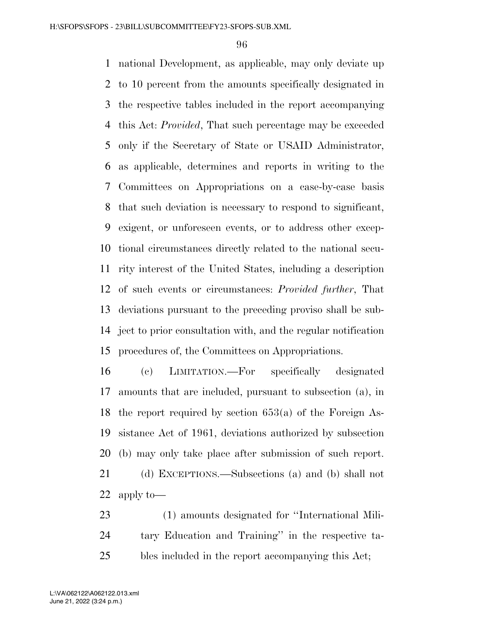national Development, as applicable, may only deviate up to 10 percent from the amounts specifically designated in the respective tables included in the report accompanying this Act: *Provided*, That such percentage may be exceeded only if the Secretary of State or USAID Administrator, as applicable, determines and reports in writing to the Committees on Appropriations on a case-by-case basis that such deviation is necessary to respond to significant, exigent, or unforeseen events, or to address other excep- tional circumstances directly related to the national secu- rity interest of the United States, including a description of such events or circumstances: *Provided further*, That deviations pursuant to the preceding proviso shall be sub- ject to prior consultation with, and the regular notification procedures of, the Committees on Appropriations.

 (c) LIMITATION.—For specifically designated amounts that are included, pursuant to subsection (a), in the report required by section 653(a) of the Foreign As- sistance Act of 1961, deviations authorized by subsection (b) may only take place after submission of such report. (d) EXCEPTIONS.—Subsections (a) and (b) shall not apply to—

 (1) amounts designated for ''International Mili- tary Education and Training'' in the respective ta-bles included in the report accompanying this Act;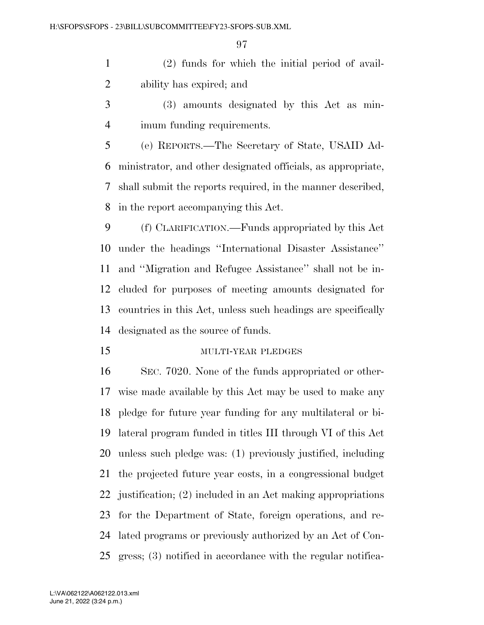(2) funds for which the initial period of avail-ability has expired; and

 (3) amounts designated by this Act as min-imum funding requirements.

 (e) REPORTS.—The Secretary of State, USAID Ad- ministrator, and other designated officials, as appropriate, shall submit the reports required, in the manner described, in the report accompanying this Act.

 (f) CLARIFICATION.—Funds appropriated by this Act under the headings ''International Disaster Assistance'' and ''Migration and Refugee Assistance'' shall not be in- cluded for purposes of meeting amounts designated for countries in this Act, unless such headings are specifically designated as the source of funds.

15 MULTI-YEAR PLEDGES

 SEC. 7020. None of the funds appropriated or other- wise made available by this Act may be used to make any pledge for future year funding for any multilateral or bi- lateral program funded in titles III through VI of this Act unless such pledge was: (1) previously justified, including the projected future year costs, in a congressional budget justification; (2) included in an Act making appropriations for the Department of State, foreign operations, and re- lated programs or previously authorized by an Act of Con-gress; (3) notified in accordance with the regular notifica-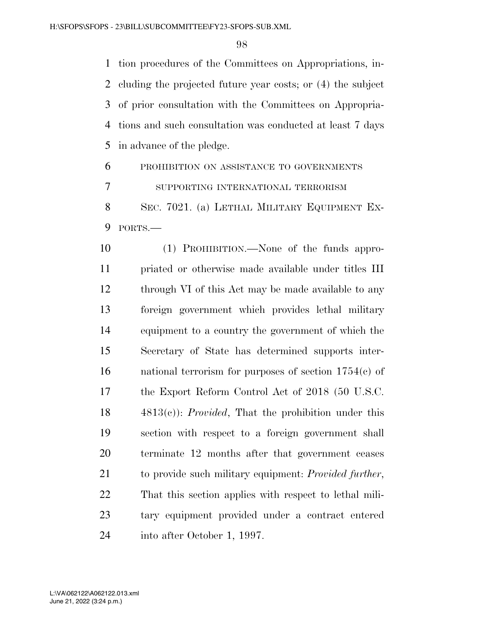tion procedures of the Committees on Appropriations, in- cluding the projected future year costs; or (4) the subject of prior consultation with the Committees on Appropria- tions and such consultation was conducted at least 7 days in advance of the pledge.

 PROHIBITION ON ASSISTANCE TO GOVERNMENTS SUPPORTING INTERNATIONAL TERRORISM

 SEC. 7021. (a) LETHAL MILITARY EQUIPMENT EX-PORTS.—

 (1) PROHIBITION.—None of the funds appro- priated or otherwise made available under titles III 12 through VI of this Act may be made available to any foreign government which provides lethal military equipment to a country the government of which the Secretary of State has determined supports inter- national terrorism for purposes of section 1754(c) of the Export Reform Control Act of 2018 (50 U.S.C. 4813(c)): *Provided*, That the prohibition under this section with respect to a foreign government shall terminate 12 months after that government ceases to provide such military equipment: *Provided further*, That this section applies with respect to lethal mili- tary equipment provided under a contract entered into after October 1, 1997.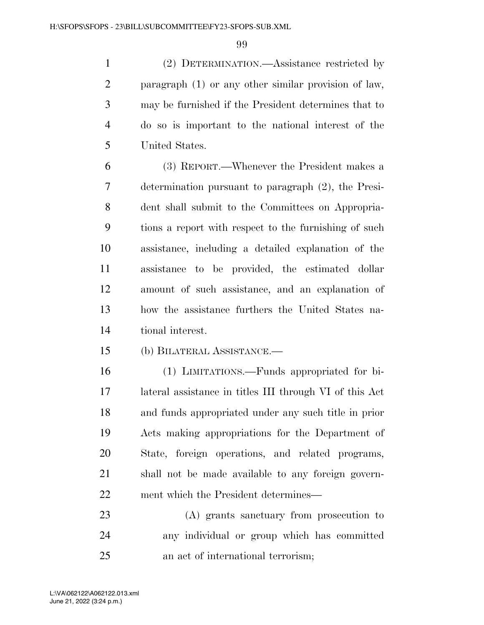(2) DETERMINATION.—Assistance restricted by paragraph (1) or any other similar provision of law, may be furnished if the President determines that to do so is important to the national interest of the United States.

 (3) REPORT.—Whenever the President makes a determination pursuant to paragraph (2), the Presi- dent shall submit to the Committees on Appropria- tions a report with respect to the furnishing of such assistance, including a detailed explanation of the assistance to be provided, the estimated dollar amount of such assistance, and an explanation of how the assistance furthers the United States na-tional interest.

(b) BILATERAL ASSISTANCE.—

 (1) LIMITATIONS.—Funds appropriated for bi- lateral assistance in titles III through VI of this Act and funds appropriated under any such title in prior Acts making appropriations for the Department of State, foreign operations, and related programs, shall not be made available to any foreign govern-ment which the President determines—

 (A) grants sanctuary from prosecution to any individual or group which has committed an act of international terrorism;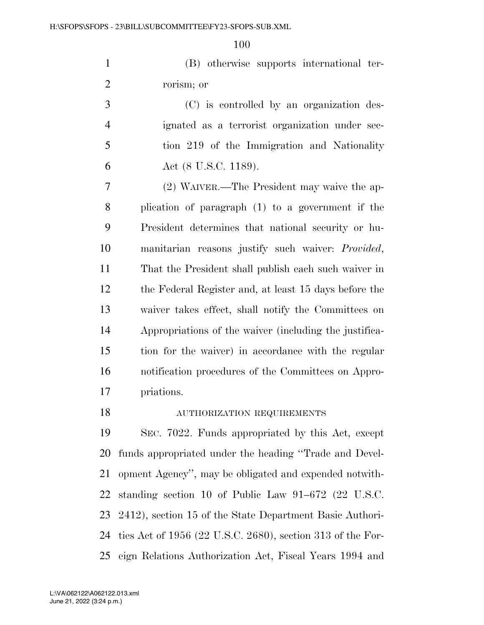(B) otherwise supports international ter-rorism; or

 (C) is controlled by an organization des- ignated as a terrorist organization under sec- tion 219 of the Immigration and Nationality Act (8 U.S.C. 1189).

 (2) WAIVER.—The President may waive the ap- plication of paragraph (1) to a government if the President determines that national security or hu- manitarian reasons justify such waiver: *Provided*, That the President shall publish each such waiver in the Federal Register and, at least 15 days before the waiver takes effect, shall notify the Committees on Appropriations of the waiver (including the justifica- tion for the waiver) in accordance with the regular notification procedures of the Committees on Appro-priations.

# AUTHORIZATION REQUIREMENTS

 SEC. 7022. Funds appropriated by this Act, except funds appropriated under the heading ''Trade and Devel- opment Agency'', may be obligated and expended notwith- standing section 10 of Public Law 91–672 (22 U.S.C. 2412), section 15 of the State Department Basic Authori- ties Act of 1956 (22 U.S.C. 2680), section 313 of the For-eign Relations Authorization Act, Fiscal Years 1994 and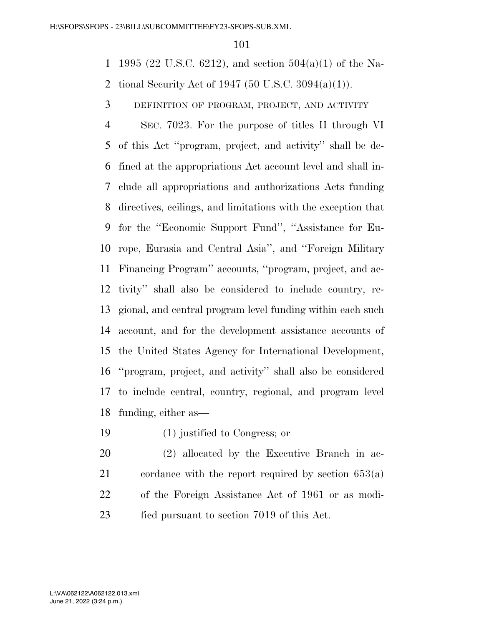1995 (22 U.S.C. 6212), and section 504(a)(1) of the Na-

2 tional Security Act of 1947 (50 U.S.C. 3094(a)(1)).

DEFINITION OF PROGRAM, PROJECT, AND ACTIVITY

 SEC. 7023. For the purpose of titles II through VI of this Act ''program, project, and activity'' shall be de- fined at the appropriations Act account level and shall in- clude all appropriations and authorizations Acts funding directives, ceilings, and limitations with the exception that for the ''Economic Support Fund'', ''Assistance for Eu- rope, Eurasia and Central Asia'', and ''Foreign Military Financing Program'' accounts, ''program, project, and ac- tivity'' shall also be considered to include country, re- gional, and central program level funding within each such account, and for the development assistance accounts of the United States Agency for International Development, ''program, project, and activity'' shall also be considered to include central, country, regional, and program level funding, either as—

(1) justified to Congress; or

 (2) allocated by the Executive Branch in ac- cordance with the report required by section 653(a) of the Foreign Assistance Act of 1961 or as modi-fied pursuant to section 7019 of this Act.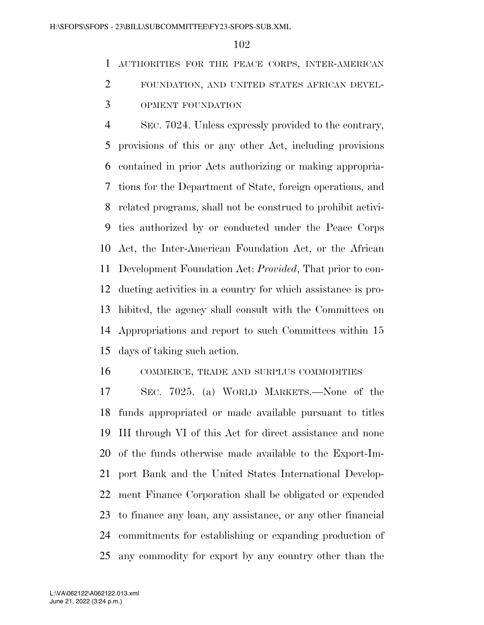AUTHORITIES FOR THE PEACE CORPS, INTER-AMERICAN

FOUNDATION, AND UNITED STATES AFRICAN DEVEL-

OPMENT FOUNDATION

 SEC. 7024. Unless expressly provided to the contrary, provisions of this or any other Act, including provisions contained in prior Acts authorizing or making appropria- tions for the Department of State, foreign operations, and related programs, shall not be construed to prohibit activi- ties authorized by or conducted under the Peace Corps Act, the Inter-American Foundation Act, or the African Development Foundation Act: *Provided*, That prior to con- ducting activities in a country for which assistance is pro- hibited, the agency shall consult with the Committees on Appropriations and report to such Committees within 15 days of taking such action.

COMMERCE, TRADE AND SURPLUS COMMODITIES

 SEC. 7025. (a) WORLD MARKETS.—None of the funds appropriated or made available pursuant to titles III through VI of this Act for direct assistance and none of the funds otherwise made available to the Export-Im- port Bank and the United States International Develop- ment Finance Corporation shall be obligated or expended to finance any loan, any assistance, or any other financial commitments for establishing or expanding production of any commodity for export by any country other than the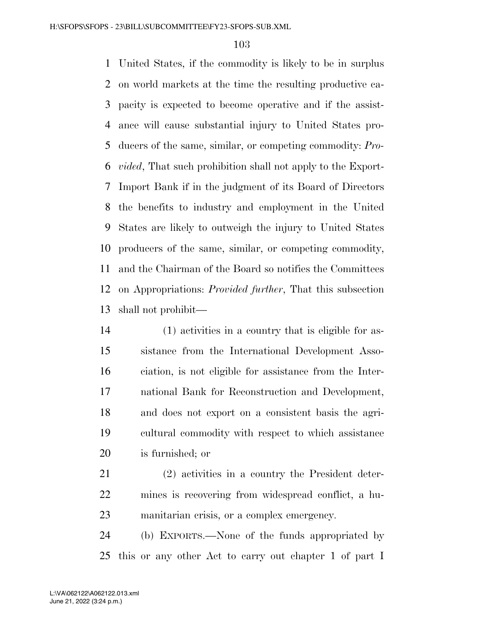United States, if the commodity is likely to be in surplus on world markets at the time the resulting productive ca- pacity is expected to become operative and if the assist- ance will cause substantial injury to United States pro- ducers of the same, similar, or competing commodity: *Pro- vided*, That such prohibition shall not apply to the Export- Import Bank if in the judgment of its Board of Directors the benefits to industry and employment in the United States are likely to outweigh the injury to United States producers of the same, similar, or competing commodity, and the Chairman of the Board so notifies the Committees on Appropriations: *Provided further*, That this subsection shall not prohibit—

 (1) activities in a country that is eligible for as- sistance from the International Development Asso- ciation, is not eligible for assistance from the Inter- national Bank for Reconstruction and Development, and does not export on a consistent basis the agri- cultural commodity with respect to which assistance is furnished; or

 (2) activities in a country the President deter- mines is recovering from widespread conflict, a hu-manitarian crisis, or a complex emergency.

 (b) EXPORTS.—None of the funds appropriated by this or any other Act to carry out chapter 1 of part I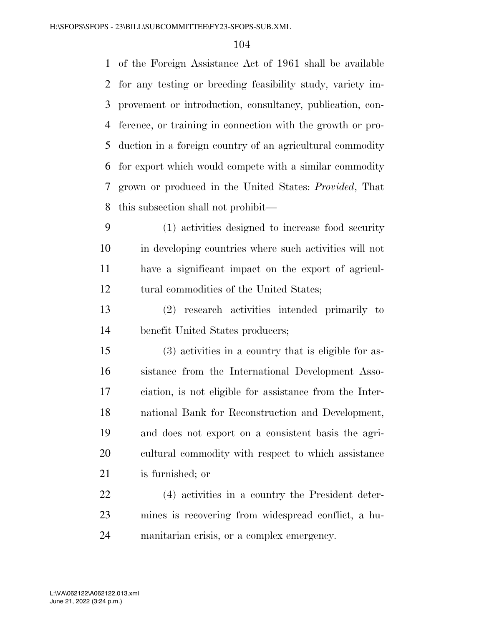of the Foreign Assistance Act of 1961 shall be available for any testing or breeding feasibility study, variety im- provement or introduction, consultancy, publication, con- ference, or training in connection with the growth or pro- duction in a foreign country of an agricultural commodity for export which would compete with a similar commodity grown or produced in the United States: *Provided*, That this subsection shall not prohibit—

 (1) activities designed to increase food security in developing countries where such activities will not have a significant impact on the export of agricul-12 tural commodities of the United States;

 (2) research activities intended primarily to benefit United States producers;

 (3) activities in a country that is eligible for as- sistance from the International Development Asso- ciation, is not eligible for assistance from the Inter- national Bank for Reconstruction and Development, and does not export on a consistent basis the agri- cultural commodity with respect to which assistance is furnished; or

 (4) activities in a country the President deter- mines is recovering from widespread conflict, a hu-manitarian crisis, or a complex emergency.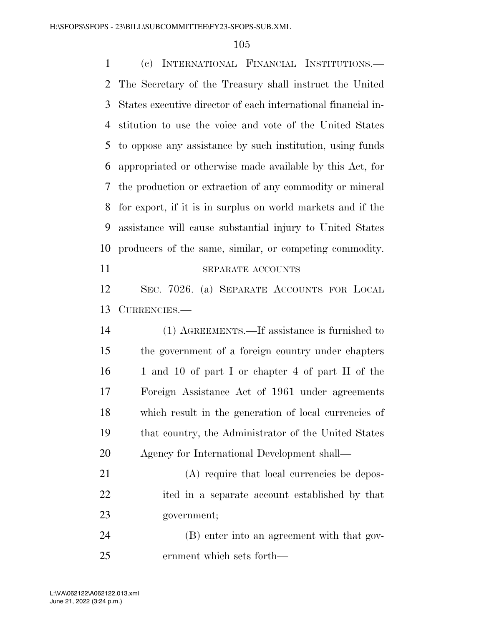(c) INTERNATIONAL FINANCIAL INSTITUTIONS.— The Secretary of the Treasury shall instruct the United States executive director of each international financial in- stitution to use the voice and vote of the United States to oppose any assistance by such institution, using funds appropriated or otherwise made available by this Act, for the production or extraction of any commodity or mineral for export, if it is in surplus on world markets and if the assistance will cause substantial injury to United States producers of the same, similar, or competing commodity. 11 SEPARATE ACCOUNTS SEC. 7026. (a) SEPARATE ACCOUNTS FOR LOCAL CURRENCIES.— (1) AGREEMENTS.—If assistance is furnished to the government of a foreign country under chapters 1 and 10 of part I or chapter 4 of part II of the Foreign Assistance Act of 1961 under agreements which result in the generation of local currencies of that country, the Administrator of the United States Agency for International Development shall—

 (A) require that local currencies be depos- ited in a separate account established by that government;

 (B) enter into an agreement with that gov-ernment which sets forth—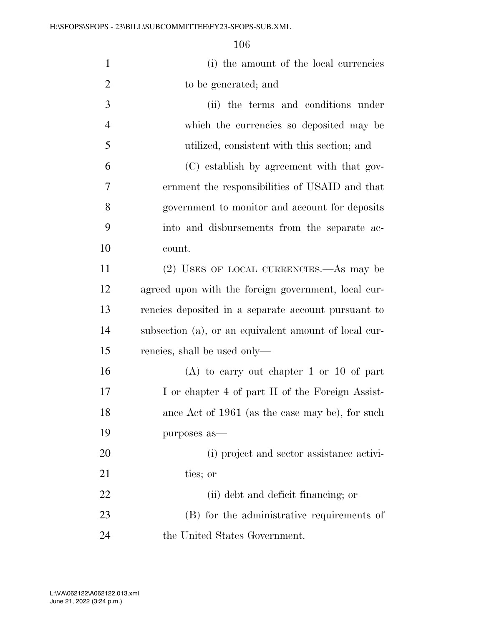| $\mathbf{1}$   | (i) the amount of the local currencies                |
|----------------|-------------------------------------------------------|
| $\overline{2}$ | to be generated; and                                  |
| 3              | (ii) the terms and conditions under                   |
| $\overline{4}$ | which the currencies so deposited may be              |
| 5              | utilized, consistent with this section; and           |
| 6              | (C) establish by agreement with that gov-             |
| 7              | ernment the responsibilities of USAID and that        |
| 8              | government to monitor and account for deposits        |
| 9              | into and disbursements from the separate ac-          |
| 10             | count.                                                |
| 11             | (2) USES OF LOCAL CURRENCIES.—As may be               |
| 12             | agreed upon with the foreign government, local cur-   |
| 13             | rencies deposited in a separate account pursuant to   |
| 14             | subsection (a), or an equivalent amount of local cur- |
| 15             | rencies, shall be used only—                          |
| 16             | $(A)$ to carry out chapter 1 or 10 of part            |
| 17             | I or chapter 4 of part II of the Foreign Assist-      |
| 18             | ance Act of 1961 (as the case may be), for such       |
| 19             | purposes as-                                          |
| 20             | (i) project and sector assistance activi-             |
| 21             | ties; or                                              |
| 22             | (ii) debt and deficit financing; or                   |
| 23             | (B) for the administrative requirements of            |
| 24             | the United States Government.                         |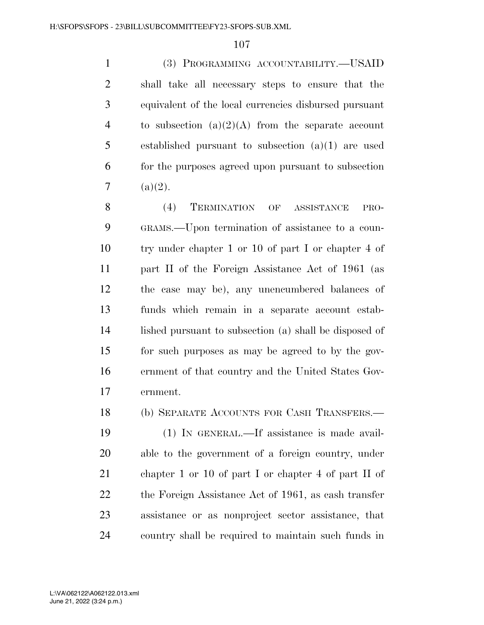(3) PROGRAMMING ACCOUNTABILITY.—USAID shall take all necessary steps to ensure that the equivalent of the local currencies disbursed pursuant 4 to subsection  $(a)(2)(A)$  from the separate account established pursuant to subsection (a)(1) are used for the purposes agreed upon pursuant to subsection 7 (a)(2).

8 (4) TERMINATION OF ASSISTANCE PRO- GRAMS.—Upon termination of assistance to a coun- try under chapter 1 or 10 of part I or chapter 4 of part II of the Foreign Assistance Act of 1961 (as the case may be), any unencumbered balances of funds which remain in a separate account estab- lished pursuant to subsection (a) shall be disposed of for such purposes as may be agreed to by the gov- ernment of that country and the United States Gov-ernment.

 (b) SEPARATE ACCOUNTS FOR CASH TRANSFERS.— (1) IN GENERAL.—If assistance is made avail- able to the government of a foreign country, under chapter 1 or 10 of part I or chapter 4 of part II of 22 the Foreign Assistance Act of 1961, as eash transfer assistance or as nonproject sector assistance, that country shall be required to maintain such funds in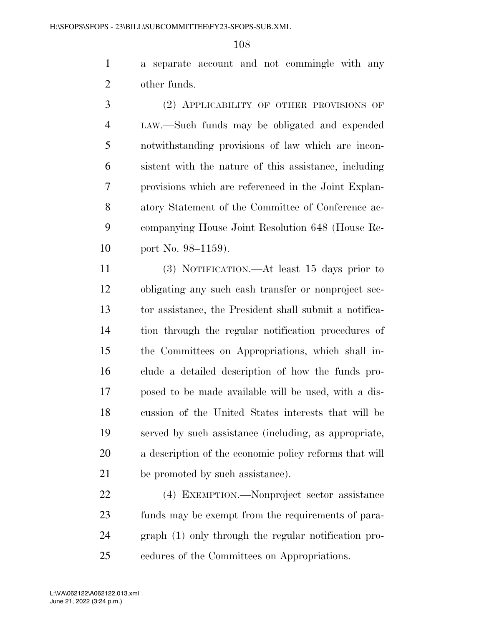a separate account and not commingle with any other funds.

 (2) APPLICABILITY OF OTHER PROVISIONS OF LAW.—Such funds may be obligated and expended notwithstanding provisions of law which are incon- sistent with the nature of this assistance, including provisions which are referenced in the Joint Explan- atory Statement of the Committee of Conference ac- companying House Joint Resolution 648 (House Re-10 port No. 98–1159).

 (3) NOTIFICATION.—At least 15 days prior to obligating any such cash transfer or nonproject sec- tor assistance, the President shall submit a notifica- tion through the regular notification procedures of the Committees on Appropriations, which shall in- clude a detailed description of how the funds pro- posed to be made available will be used, with a dis- cussion of the United States interests that will be served by such assistance (including, as appropriate, a description of the economic policy reforms that will 21 be promoted by such assistance).

 (4) EXEMPTION.—Nonproject sector assistance funds may be exempt from the requirements of para- graph (1) only through the regular notification pro-cedures of the Committees on Appropriations.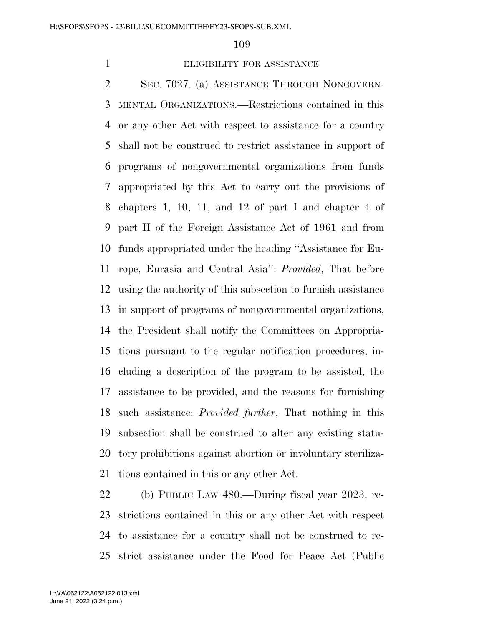### ELIGIBILITY FOR ASSISTANCE

 SEC. 7027. (a) ASSISTANCE THROUGH NONGOVERN- MENTAL ORGANIZATIONS.—Restrictions contained in this or any other Act with respect to assistance for a country shall not be construed to restrict assistance in support of programs of nongovernmental organizations from funds appropriated by this Act to carry out the provisions of chapters 1, 10, 11, and 12 of part I and chapter 4 of part II of the Foreign Assistance Act of 1961 and from funds appropriated under the heading ''Assistance for Eu- rope, Eurasia and Central Asia'': *Provided*, That before using the authority of this subsection to furnish assistance in support of programs of nongovernmental organizations, the President shall notify the Committees on Appropria- tions pursuant to the regular notification procedures, in- cluding a description of the program to be assisted, the assistance to be provided, and the reasons for furnishing such assistance: *Provided further*, That nothing in this subsection shall be construed to alter any existing statu- tory prohibitions against abortion or involuntary steriliza-tions contained in this or any other Act.

 (b) PUBLIC LAW 480.—During fiscal year 2023, re- strictions contained in this or any other Act with respect to assistance for a country shall not be construed to re-strict assistance under the Food for Peace Act (Public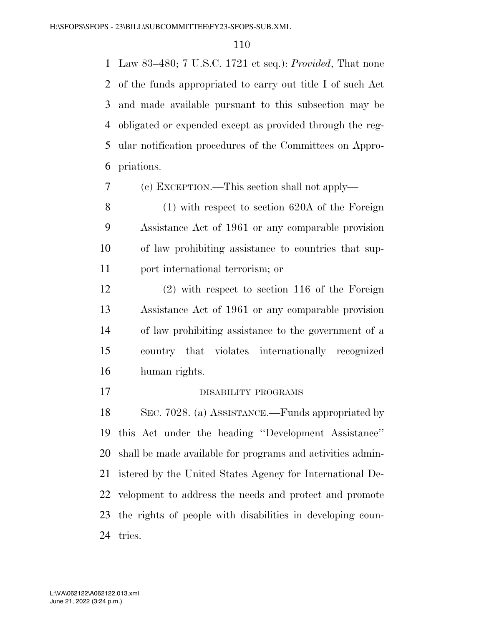Law 83–480; 7 U.S.C. 1721 et seq.): *Provided*, That none of the funds appropriated to carry out title I of such Act and made available pursuant to this subsection may be obligated or expended except as provided through the reg- ular notification procedures of the Committees on Appro-priations.

(c) EXCEPTION.—This section shall not apply—

 (1) with respect to section 620A of the Foreign Assistance Act of 1961 or any comparable provision of law prohibiting assistance to countries that sup-port international terrorism; or

 (2) with respect to section 116 of the Foreign Assistance Act of 1961 or any comparable provision of law prohibiting assistance to the government of a country that violates internationally recognized human rights.

### DISABILITY PROGRAMS

 SEC. 7028. (a) ASSISTANCE.—Funds appropriated by this Act under the heading ''Development Assistance'' shall be made available for programs and activities admin- istered by the United States Agency for International De- velopment to address the needs and protect and promote the rights of people with disabilities in developing coun-tries.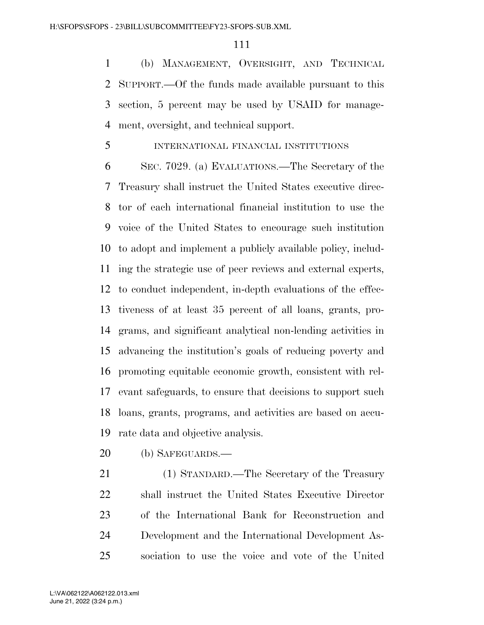(b) MANAGEMENT, OVERSIGHT, AND TECHNICAL SUPPORT.—Of the funds made available pursuant to this section, 5 percent may be used by USAID for manage-ment, oversight, and technical support.

## INTERNATIONAL FINANCIAL INSTITUTIONS

 SEC. 7029. (a) EVALUATIONS.—The Secretary of the Treasury shall instruct the United States executive direc- tor of each international financial institution to use the voice of the United States to encourage such institution to adopt and implement a publicly available policy, includ- ing the strategic use of peer reviews and external experts, to conduct independent, in-depth evaluations of the effec- tiveness of at least 35 percent of all loans, grants, pro- grams, and significant analytical non-lending activities in advancing the institution's goals of reducing poverty and promoting equitable economic growth, consistent with rel- evant safeguards, to ensure that decisions to support such loans, grants, programs, and activities are based on accu-rate data and objective analysis.

- 20 (b) SAFEGUARDS.—
- (1) STANDARD.—The Secretary of the Treasury shall instruct the United States Executive Director of the International Bank for Reconstruction and Development and the International Development As-sociation to use the voice and vote of the United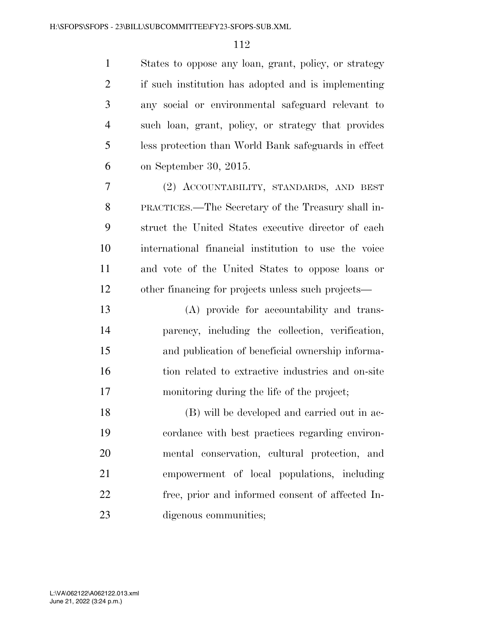| $\mathbf{1}$   | States to oppose any loan, grant, policy, or strategy |
|----------------|-------------------------------------------------------|
| $\overline{2}$ | if such institution has adopted and is implementing   |
| $\mathfrak{Z}$ | any social or environmental safeguard relevant to     |
| 4              | such loan, grant, policy, or strategy that provides   |
| 5              | less protection than World Bank safeguards in effect  |
| 6              | on September 30, 2015.                                |
| 7              | (2) ACCOUNTABILITY, STANDARDS, AND BEST               |
| 8              | PRACTICES.—The Secretary of the Treasury shall in-    |
| 9              | struct the United States executive director of each   |
| 10             | international financial institution to use the voice  |
| 11             | and vote of the United States to oppose loans or      |
| 12             | other financing for projects unless such projects—    |
| 13             | (A) provide for accountability and trans-             |
| 14             | parency, including the collection, verification,      |
| 15             | and publication of beneficial ownership informa-      |
| 16             | tion related to extractive industries and on-site     |
| 17             | monitoring during the life of the project;            |
| 18             | (B) will be developed and carried out in ac-          |
| 19             | cordance with best practices regarding environ-       |
| 20             | mental conservation, cultural protection, and         |
| 21             | empowerment of local populations, including           |
| 22             | free, prior and informed consent of affected In-      |
| 23             | digenous communities;                                 |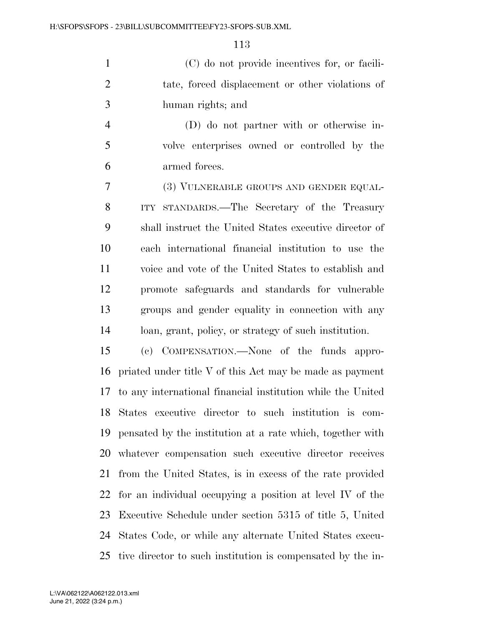(C) do not provide incentives for, or facili- tate, forced displacement or other violations of human rights; and

 (D) do not partner with or otherwise in- volve enterprises owned or controlled by the armed forces.

 (3) VULNERABLE GROUPS AND GENDER EQUAL- ITY STANDARDS.—The Secretary of the Treasury shall instruct the United States executive director of each international financial institution to use the voice and vote of the United States to establish and promote safeguards and standards for vulnerable groups and gender equality in connection with any loan, grant, policy, or strategy of such institution.

 (c) COMPENSATION.—None of the funds appro- priated under title V of this Act may be made as payment to any international financial institution while the United States executive director to such institution is com- pensated by the institution at a rate which, together with whatever compensation such executive director receives from the United States, is in excess of the rate provided for an individual occupying a position at level IV of the Executive Schedule under section 5315 of title 5, United States Code, or while any alternate United States execu-tive director to such institution is compensated by the in-

June 21, 2022 (3:24 p.m.) L:\VA\062122\A062122.013.xml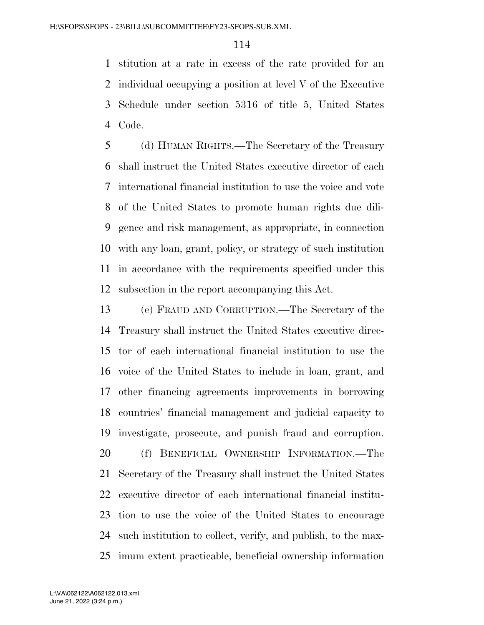stitution at a rate in excess of the rate provided for an individual occupying a position at level V of the Executive Schedule under section 5316 of title 5, United States Code.

 (d) HUMAN RIGHTS.—The Secretary of the Treasury shall instruct the United States executive director of each international financial institution to use the voice and vote of the United States to promote human rights due dili- gence and risk management, as appropriate, in connection with any loan, grant, policy, or strategy of such institution in accordance with the requirements specified under this subsection in the report accompanying this Act.

 (e) FRAUD AND CORRUPTION.—The Secretary of the Treasury shall instruct the United States executive direc- tor of each international financial institution to use the voice of the United States to include in loan, grant, and other financing agreements improvements in borrowing countries' financial management and judicial capacity to investigate, prosecute, and punish fraud and corruption. (f) BENEFICIAL OWNERSHIP INFORMATION.—The Secretary of the Treasury shall instruct the United States executive director of each international financial institu- tion to use the voice of the United States to encourage such institution to collect, verify, and publish, to the max-imum extent practicable, beneficial ownership information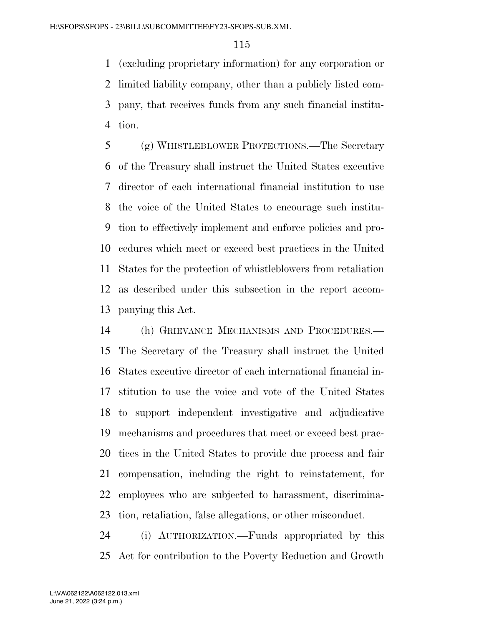(excluding proprietary information) for any corporation or limited liability company, other than a publicly listed com- pany, that receives funds from any such financial institu-tion.

 (g) WHISTLEBLOWER PROTECTIONS.—The Secretary of the Treasury shall instruct the United States executive director of each international financial institution to use the voice of the United States to encourage such institu- tion to effectively implement and enforce policies and pro- cedures which meet or exceed best practices in the United States for the protection of whistleblowers from retaliation as described under this subsection in the report accom-panying this Act.

 (h) GRIEVANCE MECHANISMS AND PROCEDURES.— The Secretary of the Treasury shall instruct the United States executive director of each international financial in- stitution to use the voice and vote of the United States to support independent investigative and adjudicative mechanisms and procedures that meet or exceed best prac- tices in the United States to provide due process and fair compensation, including the right to reinstatement, for employees who are subjected to harassment, discrimina-tion, retaliation, false allegations, or other misconduct.

 (i) AUTHORIZATION.—Funds appropriated by this Act for contribution to the Poverty Reduction and Growth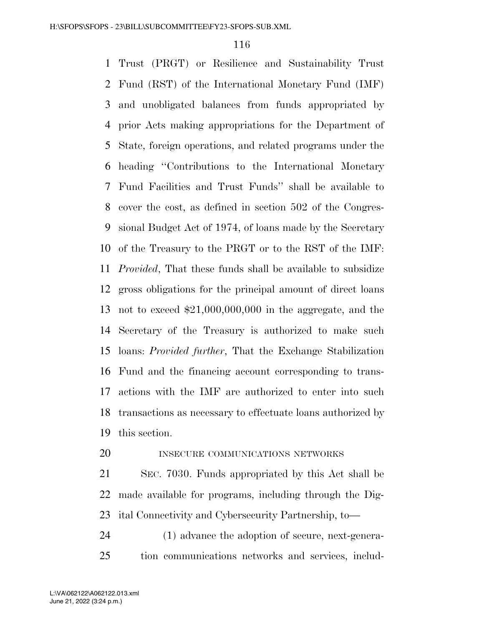Trust (PRGT) or Resilience and Sustainability Trust Fund (RST) of the International Monetary Fund (IMF) and unobligated balances from funds appropriated by prior Acts making appropriations for the Department of State, foreign operations, and related programs under the heading ''Contributions to the International Monetary Fund Facilities and Trust Funds'' shall be available to cover the cost, as defined in section 502 of the Congres- sional Budget Act of 1974, of loans made by the Secretary of the Treasury to the PRGT or to the RST of the IMF: *Provided*, That these funds shall be available to subsidize gross obligations for the principal amount of direct loans not to exceed \$21,000,000,000 in the aggregate, and the Secretary of the Treasury is authorized to make such loans: *Provided further*, That the Exchange Stabilization Fund and the financing account corresponding to trans- actions with the IMF are authorized to enter into such transactions as necessary to effectuate loans authorized by this section.

## INSECURE COMMUNICATIONS NETWORKS

 SEC. 7030. Funds appropriated by this Act shall be made available for programs, including through the Dig-ital Connectivity and Cybersecurity Partnership, to—

 (1) advance the adoption of secure, next-genera-tion communications networks and services, includ-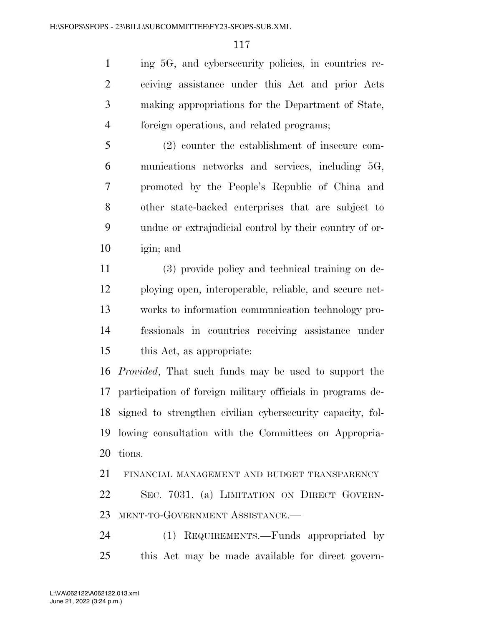ing 5G, and cybersecurity policies, in countries re- ceiving assistance under this Act and prior Acts making appropriations for the Department of State, foreign operations, and related programs;

 (2) counter the establishment of insecure com- munications networks and services, including 5G, promoted by the People's Republic of China and other state-backed enterprises that are subject to undue or extrajudicial control by their country of or-igin; and

 (3) provide policy and technical training on de- ploying open, interoperable, reliable, and secure net- works to information communication technology pro- fessionals in countries receiving assistance under this Act, as appropriate:

 *Provided*, That such funds may be used to support the participation of foreign military officials in programs de- signed to strengthen civilian cybersecurity capacity, fol- lowing consultation with the Committees on Appropria-tions.

 FINANCIAL MANAGEMENT AND BUDGET TRANSPARENCY SEC. 7031. (a) LIMITATION ON DIRECT GOVERN-MENT-TO-GOVERNMENT ASSISTANCE.—

 (1) REQUIREMENTS.—Funds appropriated by this Act may be made available for direct govern-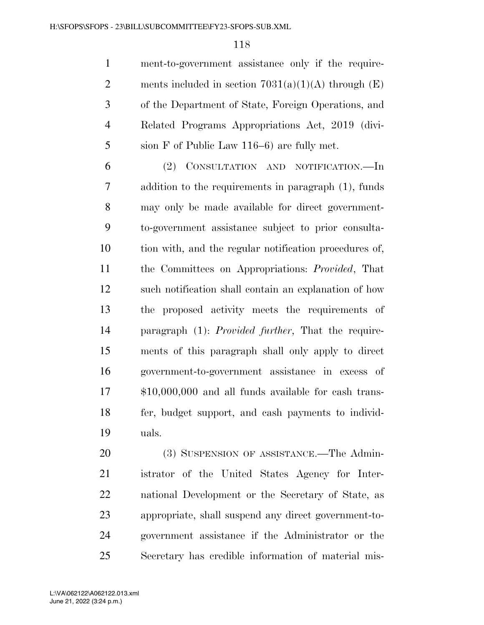ment-to-government assistance only if the require-2 ments included in section  $7031(a)(1)(A)$  through  $(E)$  of the Department of State, Foreign Operations, and Related Programs Appropriations Act, 2019 (divi-sion F of Public Law 116–6) are fully met.

 (2) CONSULTATION AND NOTIFICATION.—In addition to the requirements in paragraph (1), funds may only be made available for direct government- to-government assistance subject to prior consulta- tion with, and the regular notification procedures of, the Committees on Appropriations: *Provided*, That such notification shall contain an explanation of how the proposed activity meets the requirements of paragraph (1): *Provided further*, That the require- ments of this paragraph shall only apply to direct government-to-government assistance in excess of \$10,000,000 and all funds available for cash trans- fer, budget support, and cash payments to individ-uals.

20 (3) SUSPENSION OF ASSISTANCE.—The Admin- istrator of the United States Agency for Inter- national Development or the Secretary of State, as appropriate, shall suspend any direct government-to- government assistance if the Administrator or the Secretary has credible information of material mis-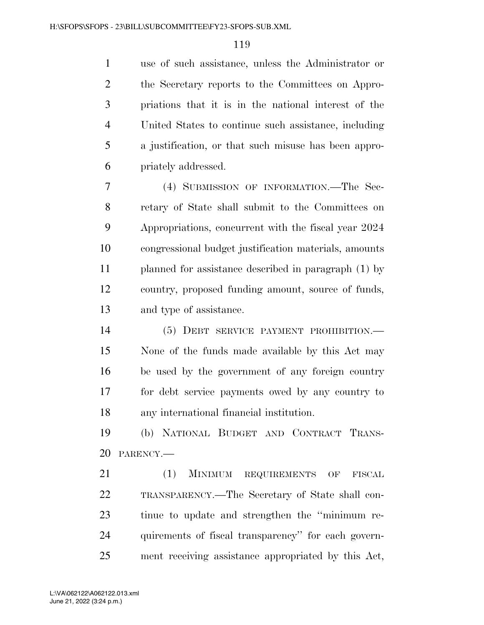use of such assistance, unless the Administrator or the Secretary reports to the Committees on Appro- priations that it is in the national interest of the United States to continue such assistance, including a justification, or that such misuse has been appro-priately addressed.

 (4) SUBMISSION OF INFORMATION.—The Sec- retary of State shall submit to the Committees on Appropriations, concurrent with the fiscal year 2024 congressional budget justification materials, amounts planned for assistance described in paragraph (1) by country, proposed funding amount, source of funds, and type of assistance.

 (5) DEBT SERVICE PAYMENT PROHIBITION.— None of the funds made available by this Act may be used by the government of any foreign country for debt service payments owed by any country to any international financial institution.

 (b) NATIONAL BUDGET AND CONTRACT TRANS-PARENCY.—

21 (1) MINIMUM REQUIREMENTS OF FISCAL TRANSPARENCY.—The Secretary of State shall con- tinue to update and strengthen the ''minimum re- quirements of fiscal transparency'' for each govern-ment receiving assistance appropriated by this Act,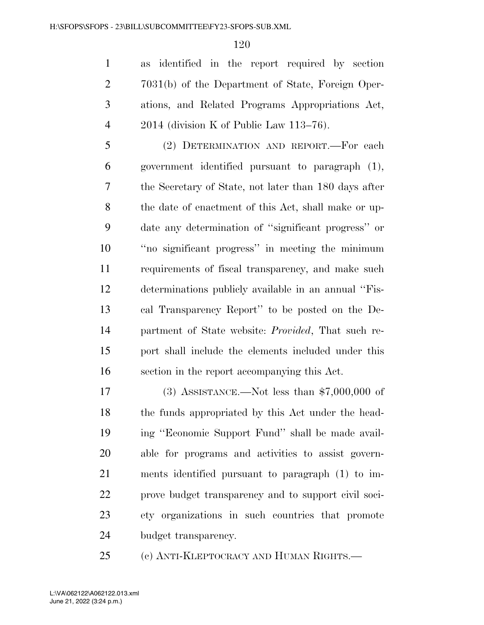as identified in the report required by section 7031(b) of the Department of State, Foreign Oper- ations, and Related Programs Appropriations Act, 2014 (division K of Public Law 113–76).

 (2) DETERMINATION AND REPORT.—For each government identified pursuant to paragraph (1), the Secretary of State, not later than 180 days after the date of enactment of this Act, shall make or up- date any determination of ''significant progress'' or ''no significant progress'' in meeting the minimum requirements of fiscal transparency, and make such determinations publicly available in an annual ''Fis- cal Transparency Report'' to be posted on the De- partment of State website: *Provided*, That such re- port shall include the elements included under this section in the report accompanying this Act.

 (3) ASSISTANCE.—Not less than \$7,000,000 of the funds appropriated by this Act under the head- ing ''Economic Support Fund'' shall be made avail- able for programs and activities to assist govern- ments identified pursuant to paragraph (1) to im- prove budget transparency and to support civil soci- ety organizations in such countries that promote budget transparency.

(c) ANTI-KLEPTOCRACY AND HUMAN RIGHTS.—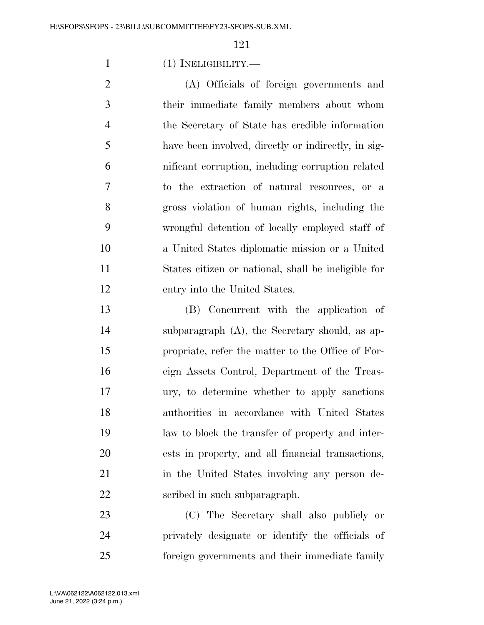(1) INELIGIBILITY.—

 (A) Officials of foreign governments and their immediate family members about whom the Secretary of State has credible information have been involved, directly or indirectly, in sig- nificant corruption, including corruption related to the extraction of natural resources, or a gross violation of human rights, including the wrongful detention of locally employed staff of a United States diplomatic mission or a United States citizen or national, shall be ineligible for entry into the United States.

 (B) Concurrent with the application of subparagraph (A), the Secretary should, as ap- propriate, refer the matter to the Office of For- eign Assets Control, Department of the Treas- ury, to determine whether to apply sanctions authorities in accordance with United States law to block the transfer of property and inter- ests in property, and all financial transactions, in the United States involving any person de-scribed in such subparagraph.

 (C) The Secretary shall also publicly or privately designate or identify the officials of foreign governments and their immediate family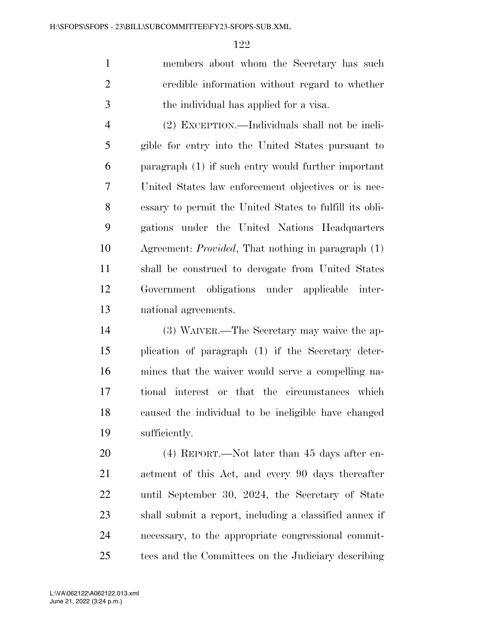|               | members about whom the Secretary has such      |
|---------------|------------------------------------------------|
| $\mathcal{D}$ | credible information without regard to whether |
| $\mathcal{R}$ | the individual has applied for a visa.         |

 (2) EXCEPTION.—Individuals shall not be ineli- gible for entry into the United States pursuant to paragraph (1) if such entry would further important United States law enforcement objectives or is nec- essary to permit the United States to fulfill its obli- gations under the United Nations Headquarters Agreement: *Provided*, That nothing in paragraph (1) shall be construed to derogate from United States Government obligations under applicable inter-national agreements.

 (3) WAIVER.—The Secretary may waive the ap- plication of paragraph (1) if the Secretary deter- mines that the waiver would serve a compelling na- tional interest or that the circumstances which caused the individual to be ineligible have changed sufficiently.

 (4) REPORT.—Not later than 45 days after en- actment of this Act, and every 90 days thereafter until September 30, 2024, the Secretary of State shall submit a report, including a classified annex if necessary, to the appropriate congressional commit-tees and the Committees on the Judiciary describing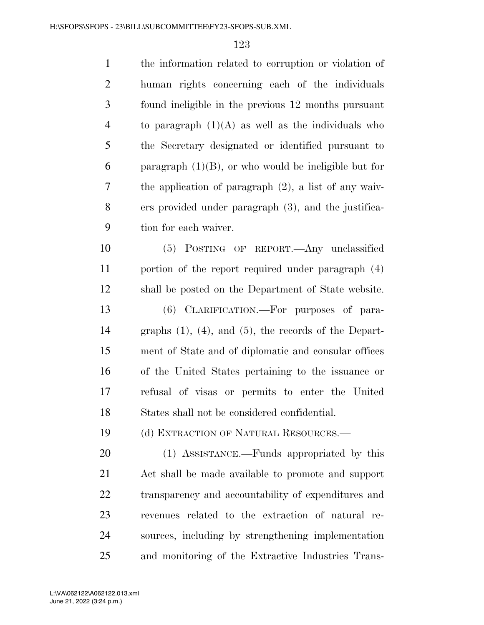| $\mathbf{1}$   | the information related to corruption or violation of         |
|----------------|---------------------------------------------------------------|
| $\overline{2}$ | human rights concerning each of the individuals               |
| 3              | found ineligible in the previous 12 months pursuant           |
| $\overline{4}$ | to paragraph $(1)(A)$ as well as the individuals who          |
| 5              | the Secretary designated or identified pursuant to            |
| 6              | paragraph $(1)(B)$ , or who would be ineligible but for       |
| $\overline{7}$ | the application of paragraph $(2)$ , a list of any waiv-      |
| 8              | ers provided under paragraph (3), and the justifica-          |
| 9              | tion for each waiver.                                         |
| 10             | (5) POSTING OF REPORT.—Any unclassified                       |
| 11             | portion of the report required under paragraph (4)            |
| 12             | shall be posted on the Department of State website.           |
| 13             | (6) CLARIFICATION.—For purposes of para-                      |
| 14             | graphs $(1)$ , $(4)$ , and $(5)$ , the records of the Depart- |
| 15             | ment of State and of diplomatic and consular offices          |
| 16             | of the United States pertaining to the issuance or            |
| 17             | refusal of visas or permits to enter the United               |
| 18             | States shall not be considered confidential.                  |
| 19             | (d) EXTRACTION OF NATURAL RESOURCES.—                         |
| 20             | (1) ASSISTANCE.—Funds appropriated by this                    |
| 21             | Act shall be made available to promote and support            |
| 22             | transparency and accountability of expenditures and           |
| 23             | revenues related to the extraction of natural re-             |
| 24             | sources, including by strengthening implementation            |
| 25             | and monitoring of the Extractive Industries Trans-            |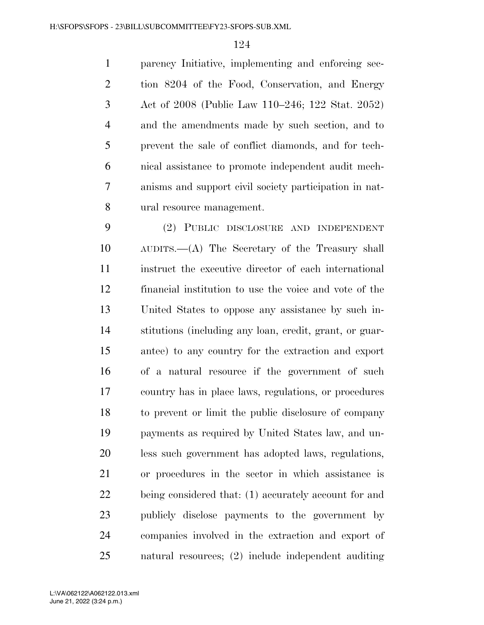parency Initiative, implementing and enforcing sec- tion 8204 of the Food, Conservation, and Energy Act of 2008 (Public Law 110–246; 122 Stat. 2052) and the amendments made by such section, and to prevent the sale of conflict diamonds, and for tech- nical assistance to promote independent audit mech- anisms and support civil society participation in nat-ural resource management.

 (2) PUBLIC DISCLOSURE AND INDEPENDENT AUDITS.—(A) The Secretary of the Treasury shall instruct the executive director of each international financial institution to use the voice and vote of the United States to oppose any assistance by such in- stitutions (including any loan, credit, grant, or guar- antee) to any country for the extraction and export of a natural resource if the government of such country has in place laws, regulations, or procedures to prevent or limit the public disclosure of company payments as required by United States law, and un- less such government has adopted laws, regulations, or procedures in the sector in which assistance is being considered that: (1) accurately account for and publicly disclose payments to the government by companies involved in the extraction and export of natural resources; (2) include independent auditing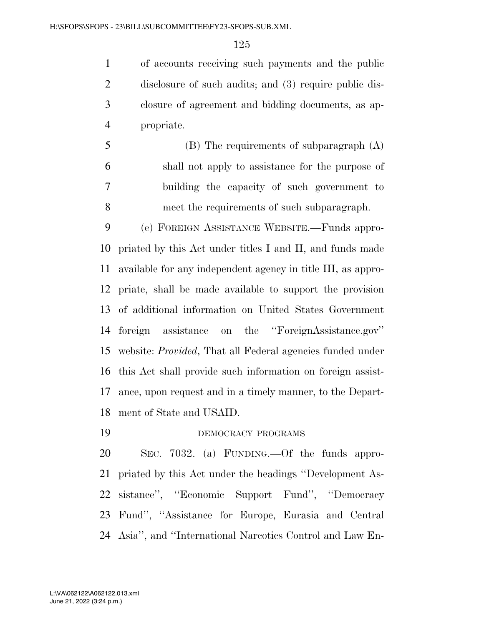of accounts receiving such payments and the public disclosure of such audits; and (3) require public dis- closure of agreement and bidding documents, as ap-propriate.

 (B) The requirements of subparagraph (A) shall not apply to assistance for the purpose of building the capacity of such government to meet the requirements of such subparagraph.

 (e) FOREIGN ASSISTANCE WEBSITE.—Funds appro- priated by this Act under titles I and II, and funds made available for any independent agency in title III, as appro- priate, shall be made available to support the provision of additional information on United States Government foreign assistance on the ''ForeignAssistance.gov'' website: *Provided*, That all Federal agencies funded under this Act shall provide such information on foreign assist- ance, upon request and in a timely manner, to the Depart-ment of State and USAID.

DEMOCRACY PROGRAMS

 SEC. 7032. (a) FUNDING.—Of the funds appro- priated by this Act under the headings ''Development As- sistance'', ''Economic Support Fund'', ''Democracy Fund'', ''Assistance for Europe, Eurasia and Central Asia'', and ''International Narcotics Control and Law En-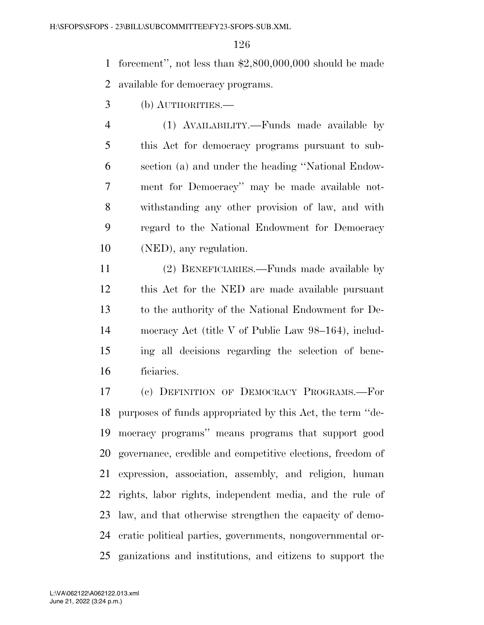forcement'', not less than \$2,800,000,000 should be made available for democracy programs.

- (b) AUTHORITIES.—
- (1) AVAILABILITY.—Funds made available by this Act for democracy programs pursuant to sub- section (a) and under the heading ''National Endow- ment for Democracy'' may be made available not- withstanding any other provision of law, and with regard to the National Endowment for Democracy (NED), any regulation.

 (2) BENEFICIARIES.—Funds made available by this Act for the NED are made available pursuant to the authority of the National Endowment for De- mocracy Act (title V of Public Law 98–164), includ- ing all decisions regarding the selection of bene-ficiaries.

 (c) DEFINITION OF DEMOCRACY PROGRAMS.—For purposes of funds appropriated by this Act, the term ''de- mocracy programs'' means programs that support good governance, credible and competitive elections, freedom of expression, association, assembly, and religion, human rights, labor rights, independent media, and the rule of law, and that otherwise strengthen the capacity of demo- cratic political parties, governments, nongovernmental or-ganizations and institutions, and citizens to support the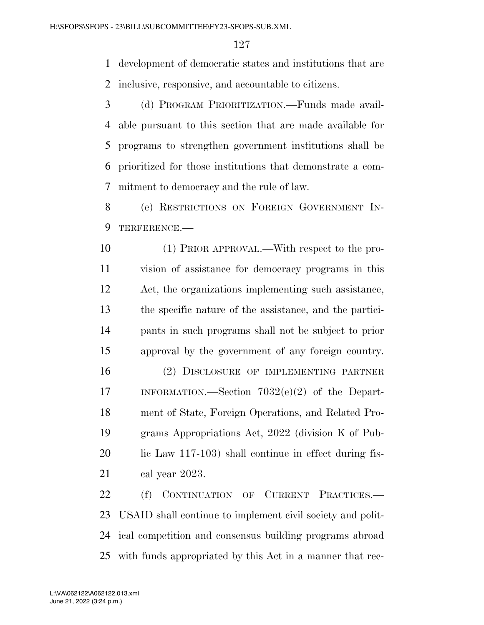development of democratic states and institutions that are inclusive, responsive, and accountable to citizens.

 (d) PROGRAM PRIORITIZATION.—Funds made avail- able pursuant to this section that are made available for programs to strengthen government institutions shall be prioritized for those institutions that demonstrate a com-mitment to democracy and the rule of law.

 (e) RESTRICTIONS ON FOREIGN GOVERNMENT IN-TERFERENCE.—

 (1) PRIOR APPROVAL.—With respect to the pro- vision of assistance for democracy programs in this Act, the organizations implementing such assistance, the specific nature of the assistance, and the partici- pants in such programs shall not be subject to prior approval by the government of any foreign country.

 (2) DISCLOSURE OF IMPLEMENTING PARTNER INFORMATION.—Section 7032(e)(2) of the Depart- ment of State, Foreign Operations, and Related Pro- grams Appropriations Act, 2022 (division K of Pub-20 lic Law 117-103) shall continue in effect during fis-cal year 2023.

 (f) CONTINUATION OF CURRENT PRACTICES.— USAID shall continue to implement civil society and polit- ical competition and consensus building programs abroad with funds appropriated by this Act in a manner that rec-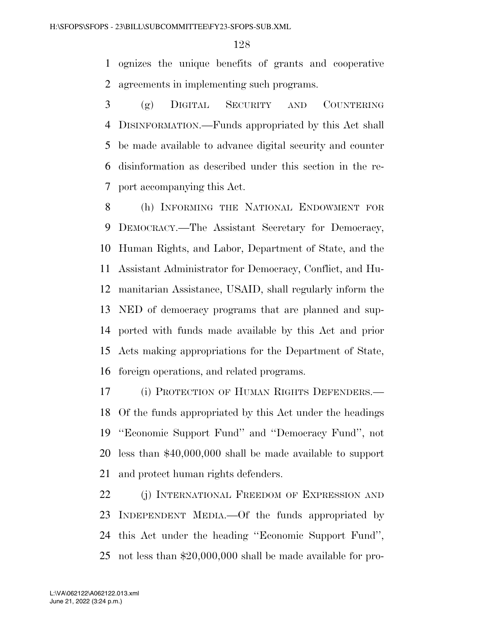ognizes the unique benefits of grants and cooperative agreements in implementing such programs.

 (g) DIGITAL SECURITY AND COUNTERING DISINFORMATION.—Funds appropriated by this Act shall be made available to advance digital security and counter disinformation as described under this section in the re-port accompanying this Act.

 (h) INFORMING THE NATIONAL ENDOWMENT FOR DEMOCRACY.—The Assistant Secretary for Democracy, Human Rights, and Labor, Department of State, and the Assistant Administrator for Democracy, Conflict, and Hu- manitarian Assistance, USAID, shall regularly inform the NED of democracy programs that are planned and sup- ported with funds made available by this Act and prior Acts making appropriations for the Department of State, foreign operations, and related programs.

 (i) PROTECTION OF HUMAN RIGHTS DEFENDERS.— Of the funds appropriated by this Act under the headings ''Economic Support Fund'' and ''Democracy Fund'', not less than \$40,000,000 shall be made available to support and protect human rights defenders.

 (j) INTERNATIONAL FREEDOM OF EXPRESSION AND INDEPENDENT MEDIA.—Of the funds appropriated by this Act under the heading ''Economic Support Fund'', not less than \$20,000,000 shall be made available for pro-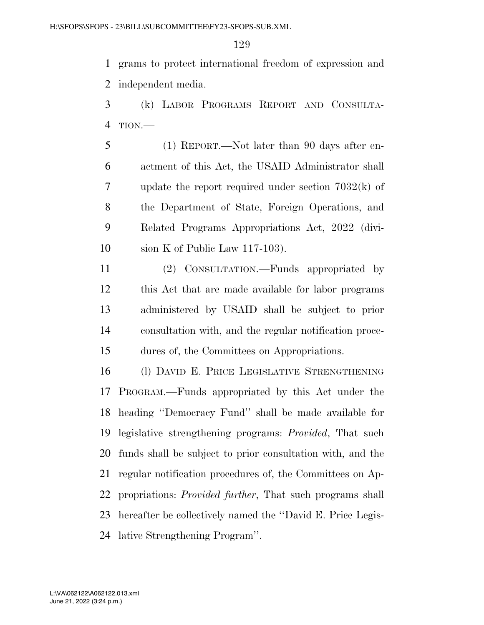grams to protect international freedom of expression and independent media.

 (k) LABOR PROGRAMS REPORT AND CONSULTA-TION.—

 (1) REPORT.—Not later than 90 days after en- actment of this Act, the USAID Administrator shall update the report required under section 7032(k) of the Department of State, Foreign Operations, and Related Programs Appropriations Act, 2022 (divi-sion K of Public Law 117-103).

 (2) CONSULTATION.—Funds appropriated by this Act that are made available for labor programs administered by USAID shall be subject to prior consultation with, and the regular notification proce-dures of, the Committees on Appropriations.

 (l) DAVID E. PRICE LEGISLATIVE STRENGTHENING PROGRAM.—Funds appropriated by this Act under the heading ''Democracy Fund'' shall be made available for legislative strengthening programs: *Provided*, That such funds shall be subject to prior consultation with, and the regular notification procedures of, the Committees on Ap- propriations: *Provided further*, That such programs shall hereafter be collectively named the ''David E. Price Legis-lative Strengthening Program''.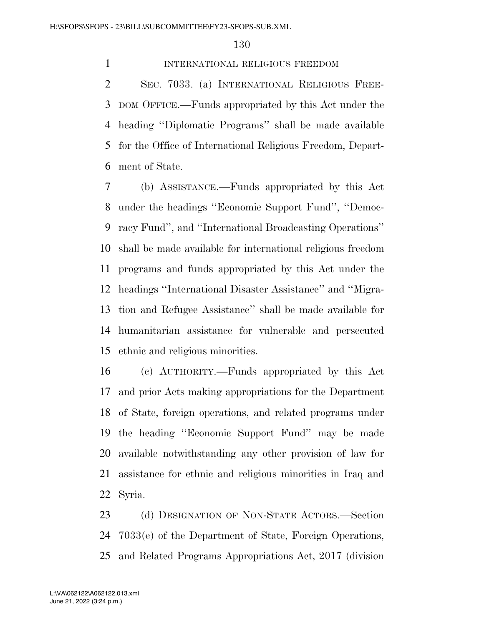INTERNATIONAL RELIGIOUS FREEDOM

 SEC. 7033. (a) INTERNATIONAL RELIGIOUS FREE- DOM OFFICE.—Funds appropriated by this Act under the heading ''Diplomatic Programs'' shall be made available for the Office of International Religious Freedom, Depart-ment of State.

 (b) ASSISTANCE.—Funds appropriated by this Act under the headings ''Economic Support Fund'', ''Democ- racy Fund'', and ''International Broadcasting Operations'' shall be made available for international religious freedom programs and funds appropriated by this Act under the headings ''International Disaster Assistance'' and ''Migra- tion and Refugee Assistance'' shall be made available for humanitarian assistance for vulnerable and persecuted ethnic and religious minorities.

 (c) AUTHORITY.—Funds appropriated by this Act and prior Acts making appropriations for the Department of State, foreign operations, and related programs under the heading ''Economic Support Fund'' may be made available notwithstanding any other provision of law for assistance for ethnic and religious minorities in Iraq and Syria.

 (d) DESIGNATION OF NON-STATE ACTORS.—Section 7033(e) of the Department of State, Foreign Operations, and Related Programs Appropriations Act, 2017 (division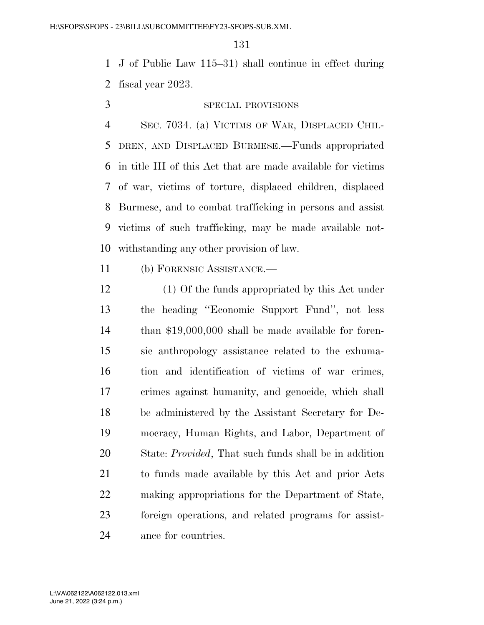J of Public Law 115–31) shall continue in effect during fiscal year 2023.

# SPECIAL PROVISIONS

 SEC. 7034. (a) VICTIMS OF WAR, DISPLACED CHIL- DREN, AND DISPLACED BURMESE.—Funds appropriated in title III of this Act that are made available for victims of war, victims of torture, displaced children, displaced Burmese, and to combat trafficking in persons and assist victims of such trafficking, may be made available not-withstanding any other provision of law.

(b) FORENSIC ASSISTANCE.—

 (1) Of the funds appropriated by this Act under the heading ''Economic Support Fund'', not less than \$19,000,000 shall be made available for foren- sic anthropology assistance related to the exhuma- tion and identification of victims of war crimes, crimes against humanity, and genocide, which shall be administered by the Assistant Secretary for De- mocracy, Human Rights, and Labor, Department of State: *Provided*, That such funds shall be in addition to funds made available by this Act and prior Acts making appropriations for the Department of State, foreign operations, and related programs for assist-ance for countries.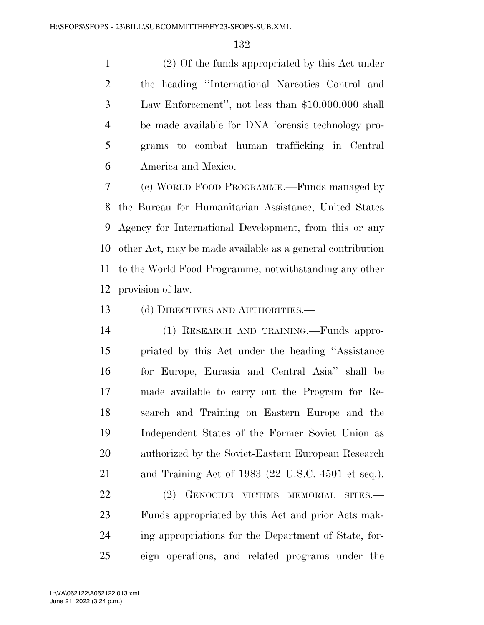(2) Of the funds appropriated by this Act under the heading ''International Narcotics Control and Law Enforcement'', not less than \$10,000,000 shall be made available for DNA forensic technology pro- grams to combat human trafficking in Central America and Mexico.

 (c) WORLD FOOD PROGRAMME.—Funds managed by the Bureau for Humanitarian Assistance, United States Agency for International Development, from this or any other Act, may be made available as a general contribution to the World Food Programme, notwithstanding any other provision of law.

(d) DIRECTIVES AND AUTHORITIES.—

 (1) RESEARCH AND TRAINING.—Funds appro- priated by this Act under the heading ''Assistance for Europe, Eurasia and Central Asia'' shall be made available to carry out the Program for Re- search and Training on Eastern Europe and the Independent States of the Former Soviet Union as authorized by the Soviet-Eastern European Research and Training Act of 1983 (22 U.S.C. 4501 et seq.).

 (2) GENOCIDE VICTIMS MEMORIAL SITES.— Funds appropriated by this Act and prior Acts mak- ing appropriations for the Department of State, for-eign operations, and related programs under the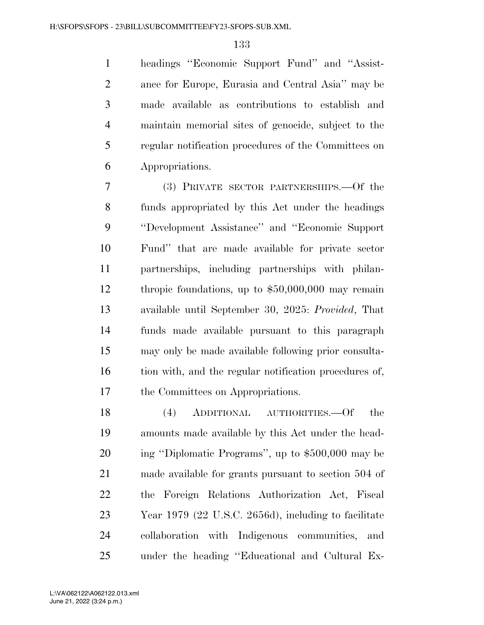headings ''Economic Support Fund'' and ''Assist- ance for Europe, Eurasia and Central Asia'' may be made available as contributions to establish and maintain memorial sites of genocide, subject to the regular notification procedures of the Committees on Appropriations.

 (3) PRIVATE SECTOR PARTNERSHIPS.—Of the funds appropriated by this Act under the headings ''Development Assistance'' and ''Economic Support Fund'' that are made available for private sector partnerships, including partnerships with philan- thropic foundations, up to \$50,000,000 may remain available until September 30, 2025: *Provided*, That funds made available pursuant to this paragraph may only be made available following prior consulta-16 tion with, and the regular notification procedures of, the Committees on Appropriations.

 (4) ADDITIONAL AUTHORITIES.—Of the amounts made available by this Act under the head- ing ''Diplomatic Programs'', up to \$500,000 may be made available for grants pursuant to section 504 of the Foreign Relations Authorization Act, Fiscal Year 1979 (22 U.S.C. 2656d), including to facilitate collaboration with Indigenous communities, and under the heading ''Educational and Cultural Ex-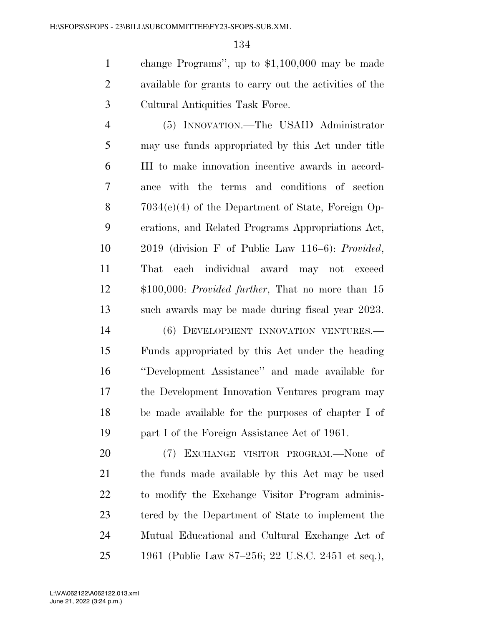change Programs'', up to \$1,100,000 may be made available for grants to carry out the activities of the Cultural Antiquities Task Force.

 (5) INNOVATION.—The USAID Administrator may use funds appropriated by this Act under title III to make innovation incentive awards in accord- ance with the terms and conditions of section 7034(e)(4) of the Department of State, Foreign Op- erations, and Related Programs Appropriations Act, 2019 (division F of Public Law 116–6): *Provided*, That each individual award may not exceed \$100,000: *Provided further*, That no more than 15 such awards may be made during fiscal year 2023.

 (6) DEVELOPMENT INNOVATION VENTURES.— Funds appropriated by this Act under the heading ''Development Assistance'' and made available for the Development Innovation Ventures program may be made available for the purposes of chapter I of 19 part I of the Foreign Assistance Act of 1961.

 (7) EXCHANGE VISITOR PROGRAM.—None of the funds made available by this Act may be used to modify the Exchange Visitor Program adminis- tered by the Department of State to implement the Mutual Educational and Cultural Exchange Act of 1961 (Public Law 87–256; 22 U.S.C. 2451 et seq.),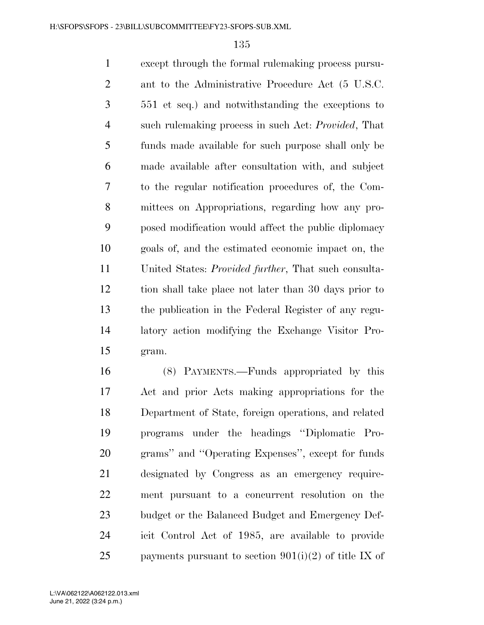except through the formal rulemaking process pursu- ant to the Administrative Procedure Act (5 U.S.C. 551 et seq.) and notwithstanding the exceptions to such rulemaking process in such Act: *Provided*, That funds made available for such purpose shall only be made available after consultation with, and subject to the regular notification procedures of, the Com- mittees on Appropriations, regarding how any pro- posed modification would affect the public diplomacy goals of, and the estimated economic impact on, the United States: *Provided further*, That such consulta- tion shall take place not later than 30 days prior to the publication in the Federal Register of any regu- latory action modifying the Exchange Visitor Pro-gram.

 (8) PAYMENTS.—Funds appropriated by this Act and prior Acts making appropriations for the Department of State, foreign operations, and related programs under the headings ''Diplomatic Pro- grams'' and ''Operating Expenses'', except for funds designated by Congress as an emergency require- ment pursuant to a concurrent resolution on the budget or the Balanced Budget and Emergency Def- icit Control Act of 1985, are available to provide 25 payments pursuant to section  $901(i)(2)$  of title IX of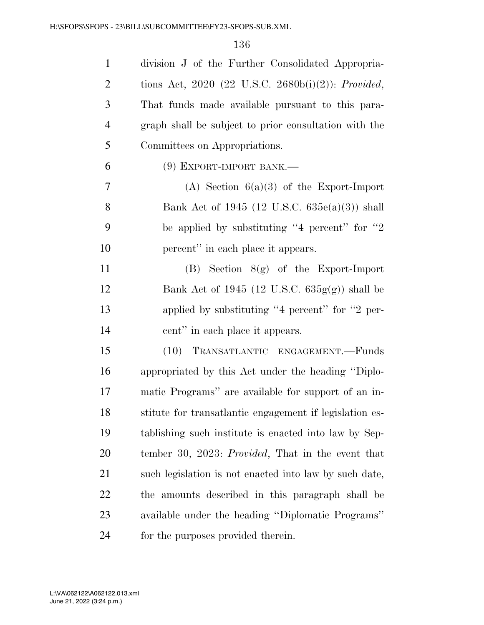| $\mathbf{1}$   | division J of the Further Consolidated Appropria-         |
|----------------|-----------------------------------------------------------|
| $\overline{2}$ | tions Act, 2020 (22 U.S.C. 2680b(i)(2)): Provided,        |
| 3              | That funds made available pursuant to this para-          |
| $\overline{4}$ | graph shall be subject to prior consultation with the     |
| 5              | Committees on Appropriations.                             |
| 6              | $(9)$ EXPORT-IMPORT BANK.—                                |
| 7              | (A) Section $6(a)(3)$ of the Export-Import                |
| 8              | Bank Act of 1945 (12 U.S.C. $635e(a)(3)$ ) shall          |
| 9              | be applied by substituting "4 percent" for "2             |
| 10             | percent" in each place it appears.                        |
| 11             | $(B)$ Section $8(g)$ of the Export-Import                 |
| 12             | Bank Act of 1945 (12 U.S.C. $635g(g)$ ) shall be          |
| 13             | applied by substituting "4 percent" for "2 per-           |
| 14             | cent" in each place it appears.                           |
| 15             | (10) TRANSATLANTIC ENGAGEMENT.-Funds                      |
| 16             | appropriated by this Act under the heading "Diplo-        |
| 17             | matic Programs" are available for support of an in-       |
| 18             | stitute for transatlantic engagement if legislation es-   |
| 19             | tablishing such institute is enacted into law by Sep-     |
| 20             | tember 30, 2023: <i>Provided</i> , That in the event that |
| 21             | such legislation is not enacted into law by such date,    |
| 22             | the amounts described in this paragraph shall be          |
| 23             | available under the heading "Diplomatic Programs"         |
| 24             | for the purposes provided therein.                        |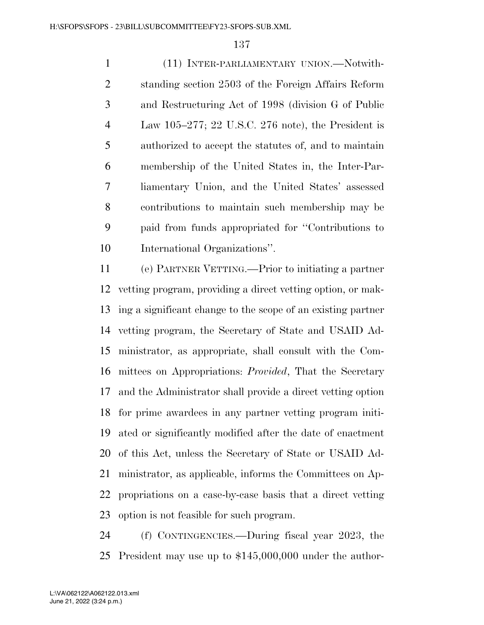(11) INTER-PARLIAMENTARY UNION.—Notwith- standing section 2503 of the Foreign Affairs Reform and Restructuring Act of 1998 (division G of Public Law 105–277; 22 U.S.C. 276 note), the President is authorized to accept the statutes of, and to maintain membership of the United States in, the Inter-Par- liamentary Union, and the United States' assessed contributions to maintain such membership may be paid from funds appropriated for ''Contributions to International Organizations''.

 (e) PARTNER VETTING.—Prior to initiating a partner vetting program, providing a direct vetting option, or mak- ing a significant change to the scope of an existing partner vetting program, the Secretary of State and USAID Ad- ministrator, as appropriate, shall consult with the Com- mittees on Appropriations: *Provided*, That the Secretary and the Administrator shall provide a direct vetting option for prime awardees in any partner vetting program initi- ated or significantly modified after the date of enactment of this Act, unless the Secretary of State or USAID Ad- ministrator, as applicable, informs the Committees on Ap- propriations on a case-by-case basis that a direct vetting option is not feasible for such program.

 (f) CONTINGENCIES.—During fiscal year 2023, the President may use up to \$145,000,000 under the author-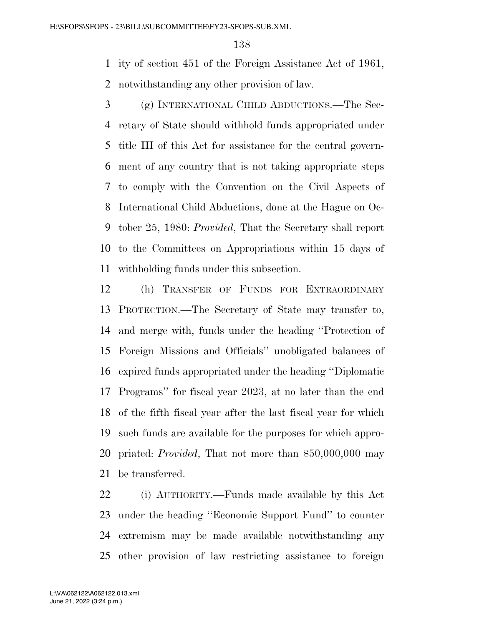ity of section 451 of the Foreign Assistance Act of 1961,

notwithstanding any other provision of law.

 (g) INTERNATIONAL CHILD ABDUCTIONS.—The Sec- retary of State should withhold funds appropriated under title III of this Act for assistance for the central govern- ment of any country that is not taking appropriate steps to comply with the Convention on the Civil Aspects of International Child Abductions, done at the Hague on Oc- tober 25, 1980: *Provided*, That the Secretary shall report to the Committees on Appropriations within 15 days of withholding funds under this subsection.

 (h) TRANSFER OF FUNDS FOR EXTRAORDINARY PROTECTION.—The Secretary of State may transfer to, and merge with, funds under the heading ''Protection of Foreign Missions and Officials'' unobligated balances of expired funds appropriated under the heading ''Diplomatic Programs'' for fiscal year 2023, at no later than the end of the fifth fiscal year after the last fiscal year for which such funds are available for the purposes for which appro- priated: *Provided*, That not more than \$50,000,000 may be transferred.

 (i) AUTHORITY.—Funds made available by this Act under the heading ''Economic Support Fund'' to counter extremism may be made available notwithstanding any other provision of law restricting assistance to foreign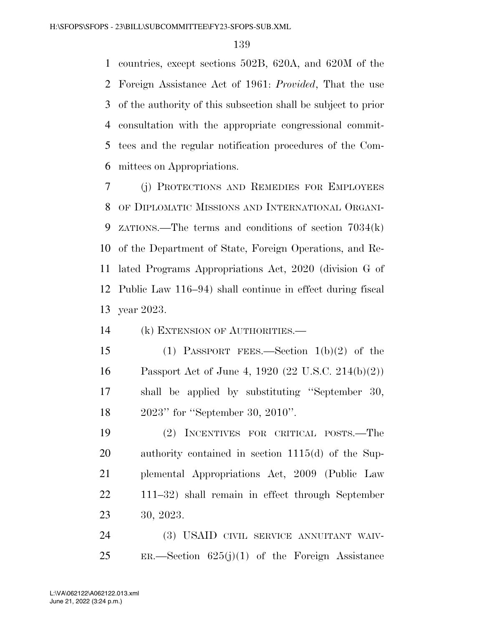countries, except sections 502B, 620A, and 620M of the Foreign Assistance Act of 1961: *Provided*, That the use of the authority of this subsection shall be subject to prior consultation with the appropriate congressional commit- tees and the regular notification procedures of the Com-mittees on Appropriations.

 (j) PROTECTIONS AND REMEDIES FOR EMPLOYEES OF DIPLOMATIC MISSIONS AND INTERNATIONAL ORGANI- ZATIONS.—The terms and conditions of section 7034(k) of the Department of State, Foreign Operations, and Re- lated Programs Appropriations Act, 2020 (division G of Public Law 116–94) shall continue in effect during fiscal year 2023.

(k) EXTENSION OF AUTHORITIES.—

 (1) PASSPORT FEES.—Section 1(b)(2) of the Passport Act of June 4, 1920 (22 U.S.C. 214(b)(2)) shall be applied by substituting ''September 30, 2023'' for ''September 30, 2010''.

 (2) INCENTIVES FOR CRITICAL POSTS.—The authority contained in section 1115(d) of the Sup- plemental Appropriations Act, 2009 (Public Law 111–32) shall remain in effect through September 30, 2023.

 (3) USAID CIVIL SERVICE ANNUITANT WAIV-25 ER.—Section  $625(j)(1)$  of the Foreign Assistance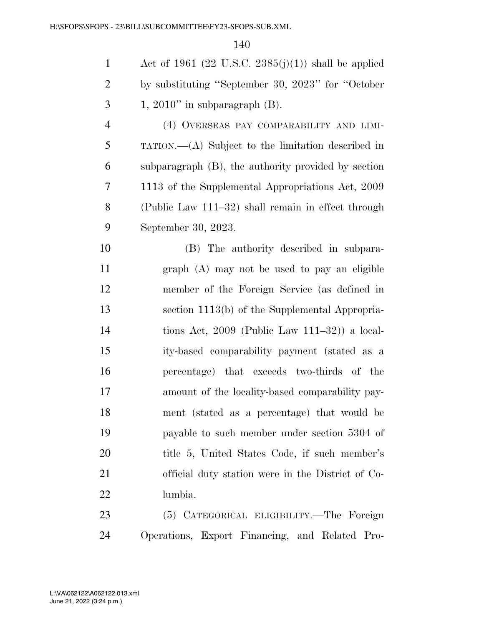| $\mathbf{1}$   | Act of 1961 (22 U.S.C. 2385(j)(1)) shall be applied    |
|----------------|--------------------------------------------------------|
| $\overline{2}$ | by substituting "September 30, 2023" for "October      |
| 3              | 1, 2010" in subparagraph $(B)$ .                       |
| $\overline{4}$ | (4) OVERSEAS PAY COMPARABILITY AND LIMI-               |
| 5              | $TATION. — (A) Subject to the limitation described in$ |
| 6              | subparagraph (B), the authority provided by section    |
| $\tau$         | 1113 of the Supplemental Appropriations Act, 2009      |
| 8              | (Public Law 111-32) shall remain in effect through     |
| 9              | September 30, 2023.                                    |
| 10             | (B) The authority described in subpara-                |
| 11             | graph (A) may not be used to pay an eligible           |
| 12             | member of the Foreign Service (as defined in           |
| 13             | section 1113(b) of the Supplemental Appropria-         |
| 14             | tions Act, $2009$ (Public Law 111–32)) a local-        |
| 15             | ity-based comparability payment (stated as a           |
| 16             | percentage) that exceeds two-thirds of the             |
| 17             | amount of the locality-based comparability pay-        |
| 18             | ment (stated as a percentage) that would be            |
| 19             | payable to such member under section 5304 of           |
| 20             | title 5, United States Code, if such member's          |
| 21             | official duty station were in the District of Co-      |
| 22             | lumbia.                                                |
| 23             | (5) CATEGORICAL ELIGIBILITY.-The Foreign               |
| 24             | Operations, Export Financing, and Related Pro-         |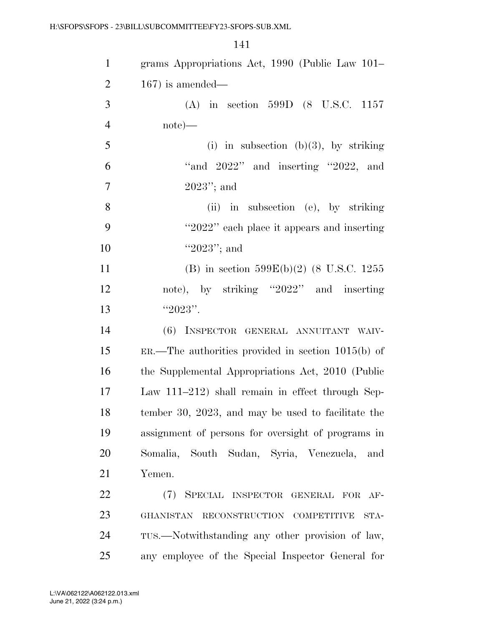| $\mathbf{1}$   | grams Appropriations Act, 1990 (Public Law 101–      |
|----------------|------------------------------------------------------|
| $\overline{2}$ | $167$ ) is amended—                                  |
| 3              | (A) in section $599D$ (8 U.S.C. 1157                 |
| $\overline{4}$ | $note)$ —                                            |
| 5              | (i) in subsection (b)(3), by striking                |
| 6              | "and $2022$ " and inserting "2022, and               |
| $\overline{7}$ | $2023$ "; and                                        |
| 8              | (ii) in subsection (e), by striking                  |
| 9              | "2022" each place it appears and inserting           |
| 10             | "2023"; and                                          |
| 11             | (B) in section $599E(b)(2)$ (8 U.S.C. 1255           |
| 12             | note), by striking "2022" and inserting              |
| 13             | "2023".                                              |
| 14             | (6) INSPECTOR GENERAL ANNUITANT WAIV-                |
| 15             | $ER$ —The authorities provided in section 1015(b) of |
| 16             | the Supplemental Appropriations Act, 2010 (Public    |
| 17             | Law $111-212$ ) shall remain in effect through Sep-  |
| 18             | tember 30, 2023, and may be used to facilitate the   |
| 19             | assignment of persons for oversight of programs in   |
| 20             | Somalia, South Sudan, Syria, Venezuela,<br>and       |
| 21             | Yemen.                                               |
| 22             | (7) SPECIAL INSPECTOR GENERAL FOR AF-                |
| 23             | GHANISTAN RECONSTRUCTION COMPETITIVE<br>STA-         |
| 24             | TUS.—Notwithstanding any other provision of law,     |
| 25             | any employee of the Special Inspector General for    |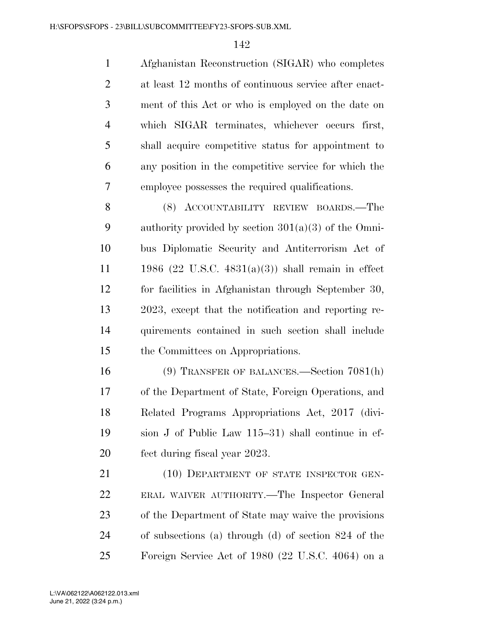Afghanistan Reconstruction (SIGAR) who completes 2 at least 12 months of continuous service after enact- ment of this Act or who is employed on the date on which SIGAR terminates, whichever occurs first, shall acquire competitive status for appointment to any position in the competitive service for which the employee possesses the required qualifications.

 (8) ACCOUNTABILITY REVIEW BOARDS.—The authority provided by section 301(a)(3) of the Omni- bus Diplomatic Security and Antiterrorism Act of 11 1986 (22 U.S.C.  $4831(a)(3)$ ) shall remain in effect for facilities in Afghanistan through September 30, 2023, except that the notification and reporting re- quirements contained in such section shall include the Committees on Appropriations.

 (9) TRANSFER OF BALANCES.—Section 7081(h) of the Department of State, Foreign Operations, and Related Programs Appropriations Act, 2017 (divi- sion J of Public Law 115–31) shall continue in ef-fect during fiscal year 2023.

21 (10) DEPARTMENT OF STATE INSPECTOR GEN- ERAL WAIVER AUTHORITY.—The Inspector General of the Department of State may waive the provisions of subsections (a) through (d) of section 824 of the Foreign Service Act of 1980 (22 U.S.C. 4064) on a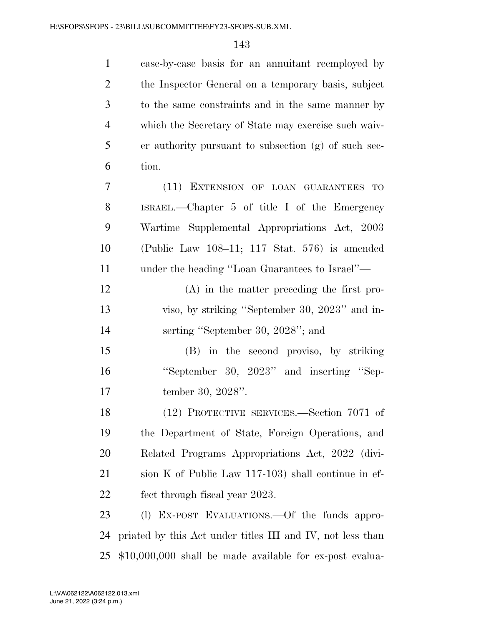| $\mathbf{1}$   | case-by-case basis for an annuitant reemployed by          |
|----------------|------------------------------------------------------------|
| $\overline{2}$ | the Inspector General on a temporary basis, subject        |
| 3              | to the same constraints and in the same manner by          |
| $\overline{4}$ | which the Secretary of State may exercise such waiv-       |
| 5              | er authority pursuant to subsection (g) of such sec-       |
| 6              | tion.                                                      |
| 7              | (11) EXTENSION OF LOAN GUARANTEES TO                       |
| 8              | ISRAEL.—Chapter 5 of title I of the Emergency              |
| 9              | Wartime Supplemental Appropriations Act, 2003              |
| 10             | (Public Law 108-11; 117 Stat. 576) is amended              |
| 11             | under the heading "Loan Guarantees to Israel"—             |
| 12             | $(A)$ in the matter preceding the first pro-               |
| 13             | viso, by striking "September 30, 2023" and in-             |
| 14             | serting "September 30, 2028"; and                          |
| 15             | (B) in the second proviso, by striking                     |
| 16             | "September 30, 2023" and inserting "Sep-                   |
| 17             | tember 30, 2028".                                          |
| 18             | (12) PROTECTIVE SERVICES.—Section 7071 of                  |
| 19             | the Department of State, Foreign Operations, and           |
| 20             | Related Programs Appropriations Act, 2022 (divi-           |
| 21             | sion K of Public Law 117-103) shall continue in ef-        |
| 22             | fect through fiscal year 2023.                             |
| 23             | (1) EX-POST EVALUATIONS.—Of the funds appro-               |
| 24             | priated by this Act under titles III and IV, not less than |
| 25             | $$10,000,000$ shall be made available for ex-post evalua-  |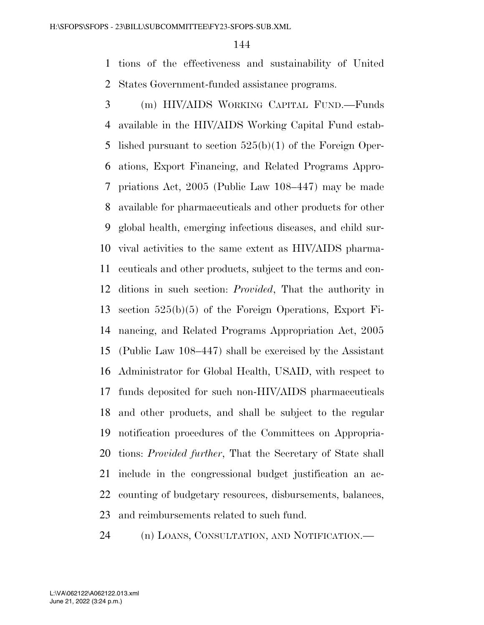tions of the effectiveness and sustainability of United States Government-funded assistance programs.

 (m) HIV/AIDS WORKING CAPITAL FUND.—Funds available in the HIV/AIDS Working Capital Fund estab- lished pursuant to section 525(b)(1) of the Foreign Oper- ations, Export Financing, and Related Programs Appro- priations Act, 2005 (Public Law 108–447) may be made available for pharmaceuticals and other products for other global health, emerging infectious diseases, and child sur- vival activities to the same extent as HIV/AIDS pharma- ceuticals and other products, subject to the terms and con- ditions in such section: *Provided*, That the authority in section 525(b)(5) of the Foreign Operations, Export Fi- nancing, and Related Programs Appropriation Act, 2005 (Public Law 108–447) shall be exercised by the Assistant Administrator for Global Health, USAID, with respect to funds deposited for such non-HIV/AIDS pharmaceuticals and other products, and shall be subject to the regular notification procedures of the Committees on Appropria- tions: *Provided further*, That the Secretary of State shall include in the congressional budget justification an ac- counting of budgetary resources, disbursements, balances, and reimbursements related to such fund.

(n) LOANS, CONSULTATION, AND NOTIFICATION.—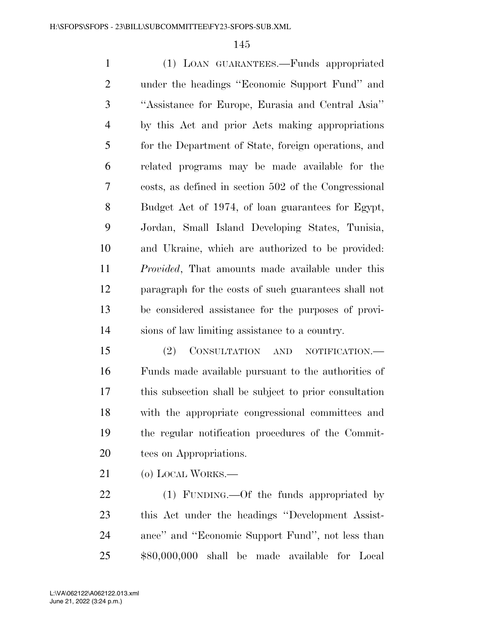(1) LOAN GUARANTEES.—Funds appropriated under the headings ''Economic Support Fund'' and ''Assistance for Europe, Eurasia and Central Asia'' by this Act and prior Acts making appropriations for the Department of State, foreign operations, and related programs may be made available for the costs, as defined in section 502 of the Congressional Budget Act of 1974, of loan guarantees for Egypt, Jordan, Small Island Developing States, Tunisia, and Ukraine, which are authorized to be provided: *Provided*, That amounts made available under this paragraph for the costs of such guarantees shall not be considered assistance for the purposes of provi-sions of law limiting assistance to a country.

 (2) CONSULTATION AND NOTIFICATION.— Funds made available pursuant to the authorities of this subsection shall be subject to prior consultation with the appropriate congressional committees and the regular notification procedures of the Commit-tees on Appropriations.

21 (o) LOCAL WORKS.—

22 (1) FUNDING.—Of the funds appropriated by this Act under the headings ''Development Assist- ance'' and ''Economic Support Fund'', not less than \$80,000,000 shall be made available for Local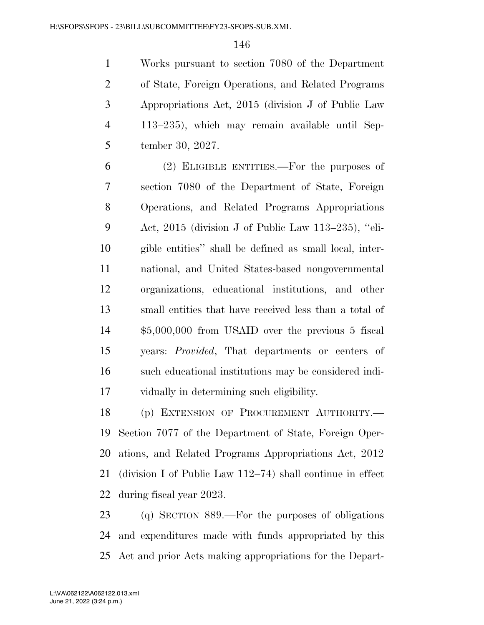Works pursuant to section 7080 of the Department of State, Foreign Operations, and Related Programs Appropriations Act, 2015 (division J of Public Law 113–235), which may remain available until Sep-tember 30, 2027.

 (2) ELIGIBLE ENTITIES.—For the purposes of section 7080 of the Department of State, Foreign Operations, and Related Programs Appropriations Act, 2015 (division J of Public Law 113–235), ''eli- gible entities'' shall be defined as small local, inter- national, and United States-based nongovernmental organizations, educational institutions, and other small entities that have received less than a total of \$5,000,000 from USAID over the previous 5 fiscal years: *Provided*, That departments or centers of such educational institutions may be considered indi-vidually in determining such eligibility.

 (p) EXTENSION OF PROCUREMENT AUTHORITY.— Section 7077 of the Department of State, Foreign Oper- ations, and Related Programs Appropriations Act, 2012 (division I of Public Law 112–74) shall continue in effect during fiscal year 2023.

 (q) SECTION 889.—For the purposes of obligations and expenditures made with funds appropriated by this Act and prior Acts making appropriations for the Depart-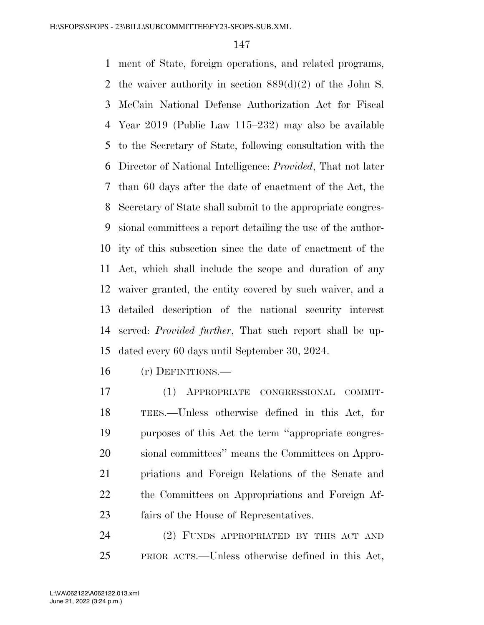ment of State, foreign operations, and related programs, the waiver authority in section 889(d)(2) of the John S. McCain National Defense Authorization Act for Fiscal Year 2019 (Public Law 115–232) may also be available to the Secretary of State, following consultation with the Director of National Intelligence: *Provided*, That not later than 60 days after the date of enactment of the Act, the Secretary of State shall submit to the appropriate congres- sional committees a report detailing the use of the author- ity of this subsection since the date of enactment of the Act, which shall include the scope and duration of any waiver granted, the entity covered by such waiver, and a detailed description of the national security interest served: *Provided further*, That such report shall be up-dated every 60 days until September 30, 2024.

(r) DEFINITIONS.—

 (1) APPROPRIATE CONGRESSIONAL COMMIT- TEES.—Unless otherwise defined in this Act, for purposes of this Act the term ''appropriate congres- sional committees'' means the Committees on Appro- priations and Foreign Relations of the Senate and the Committees on Appropriations and Foreign Af-fairs of the House of Representatives.

 (2) FUNDS APPROPRIATED BY THIS ACT AND PRIOR ACTS.—Unless otherwise defined in this Act,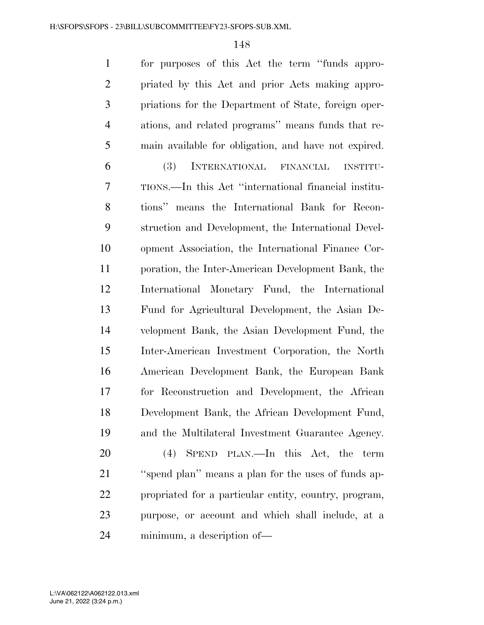| $\mathbf{1}$   | for purposes of this Act the term "funds appro-       |
|----------------|-------------------------------------------------------|
| $\overline{2}$ | priated by this Act and prior Acts making appro-      |
| 3              | priations for the Department of State, foreign oper-  |
| $\overline{4}$ | ations, and related programs" means funds that re-    |
| 5              | main available for obligation, and have not expired.  |
| 6              | INTERNATIONAL FINANCIAL<br>(3)<br><b>INSTITU-</b>     |
| 7              | TIONS.—In this Act "international financial institu-  |
| 8              | tions" means the International Bank for Recon-        |
| 9              | struction and Development, the International Devel-   |
| 10             | opment Association, the International Finance Cor-    |
| 11             | poration, the Inter-American Development Bank, the    |
| 12             | International Monetary Fund, the International        |
| 13             | Fund for Agricultural Development, the Asian De-      |
| 14             | velopment Bank, the Asian Development Fund, the       |
| 15             | Inter-American Investment Corporation, the North      |
| 16             | American Development Bank, the European Bank          |
| 17             | for Reconstruction and Development, the African       |
| 18             | Development Bank, the African Development Fund,       |
| 19             | and the Multilateral Investment Guarantee Agency.     |
| 20             | (4) SPEND PLAN.—In this Act, the term                 |
| 21             | "spend plan" means a plan for the uses of funds ap-   |
| 22             | propriated for a particular entity, country, program, |
| 23             | purpose, or account and which shall include, at a     |
| 24             | minimum, a description of-                            |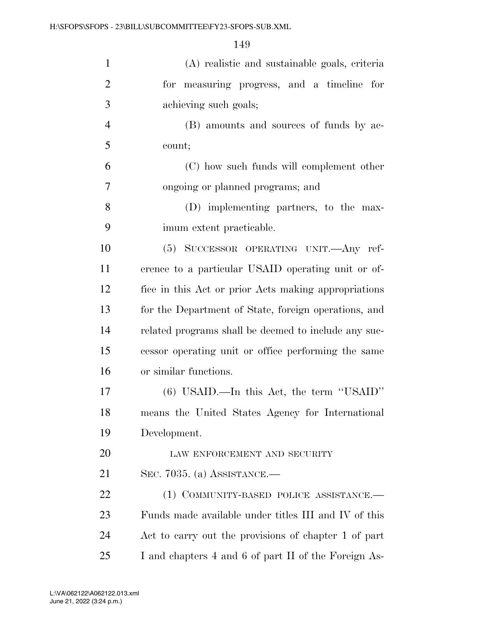| $\mathbf{1}$   | (A) realistic and sustainable goals, criteria        |
|----------------|------------------------------------------------------|
| $\overline{2}$ | for measuring progress, and a timeline for           |
| 3              | achieving such goals;                                |
| $\overline{4}$ | (B) amounts and sources of funds by ac-              |
| 5              | count;                                               |
| 6              | (C) how such funds will complement other             |
| 7              | ongoing or planned programs; and                     |
| 8              | (D) implementing partners, to the max-               |
| 9              | imum extent practicable.                             |
| 10             | (5) SUCCESSOR OPERATING UNIT.—Any ref-               |
| 11             | erence to a particular USAID operating unit or of-   |
| 12             | fice in this Act or prior Acts making appropriations |
| 13             | for the Department of State, foreign operations, and |
| 14             | related programs shall be deemed to include any suc- |
| 15             | cessor operating unit or office performing the same  |
| 16             | or similar functions.                                |
| 17             | $(6)$ USAID.—In this Act, the term "USAID"           |
| 18             | means the United States Agency for International     |
| 19             | Development.                                         |
| 20             | LAW ENFORCEMENT AND SECURITY                         |
| 21             | SEC. 7035. (a) ASSISTANCE.—                          |
| 22             | (1) COMMUNITY-BASED POLICE ASSISTANCE.-              |
| 23             | Funds made available under titles III and IV of this |
| 24             | Act to carry out the provisions of chapter 1 of part |
| 25             | I and chapters 4 and 6 of part II of the Foreign As- |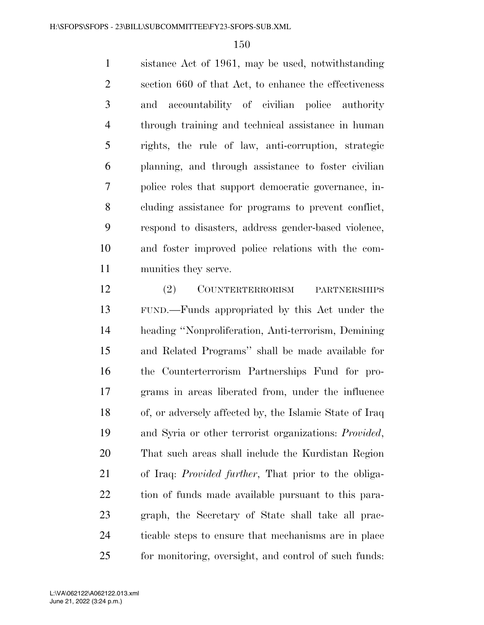sistance Act of 1961, may be used, notwithstanding section 660 of that Act, to enhance the effectiveness and accountability of civilian police authority through training and technical assistance in human rights, the rule of law, anti-corruption, strategic planning, and through assistance to foster civilian police roles that support democratic governance, in- cluding assistance for programs to prevent conflict, respond to disasters, address gender-based violence, and foster improved police relations with the com-munities they serve.

 (2) COUNTERTERRORISM PARTNERSHIPS FUND.—Funds appropriated by this Act under the heading ''Nonproliferation, Anti-terrorism, Demining and Related Programs'' shall be made available for the Counterterrorism Partnerships Fund for pro- grams in areas liberated from, under the influence of, or adversely affected by, the Islamic State of Iraq and Syria or other terrorist organizations: *Provided*, That such areas shall include the Kurdistan Region of Iraq: *Provided further*, That prior to the obliga- tion of funds made available pursuant to this para- graph, the Secretary of State shall take all prac- ticable steps to ensure that mechanisms are in place for monitoring, oversight, and control of such funds: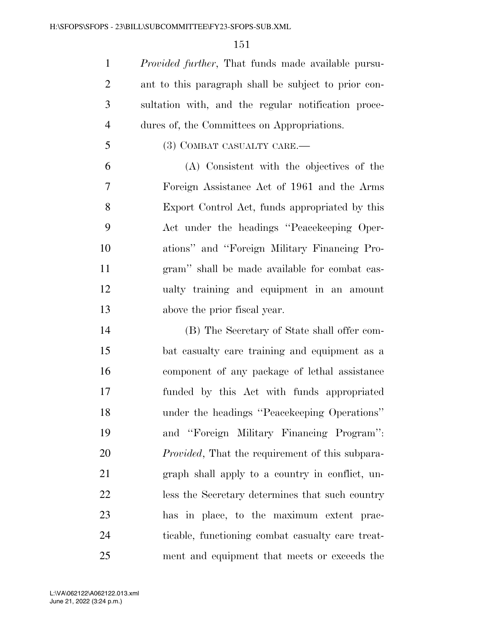*Provided further*, That funds made available pursu- ant to this paragraph shall be subject to prior con- sultation with, and the regular notification proce-dures of, the Committees on Appropriations.

(3) COMBAT CASUALTY CARE.—

 (A) Consistent with the objectives of the Foreign Assistance Act of 1961 and the Arms Export Control Act, funds appropriated by this Act under the headings ''Peacekeeping Oper- ations'' and ''Foreign Military Financing Pro- gram'' shall be made available for combat cas- ualty training and equipment in an amount above the prior fiscal year.

 (B) The Secretary of State shall offer com- bat casualty care training and equipment as a component of any package of lethal assistance funded by this Act with funds appropriated under the headings ''Peacekeeping Operations'' and ''Foreign Military Financing Program'': *Provided*, That the requirement of this subpara- graph shall apply to a country in conflict, un- less the Secretary determines that such country has in place, to the maximum extent prac- ticable, functioning combat casualty care treat-ment and equipment that meets or exceeds the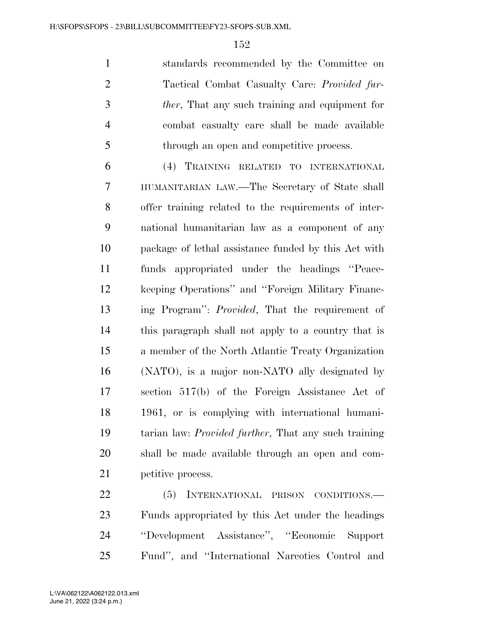standards recommended by the Committee on Tactical Combat Casualty Care: *Provided fur- ther*, That any such training and equipment for combat casualty care shall be made available through an open and competitive process.

 (4) TRAINING RELATED TO INTERNATIONAL HUMANITARIAN LAW.—The Secretary of State shall offer training related to the requirements of inter- national humanitarian law as a component of any package of lethal assistance funded by this Act with funds appropriated under the headings ''Peace- keeping Operations'' and ''Foreign Military Financ- ing Program'': *Provided*, That the requirement of this paragraph shall not apply to a country that is a member of the North Atlantic Treaty Organization (NATO), is a major non-NATO ally designated by section 517(b) of the Foreign Assistance Act of 1961, or is complying with international humani- tarian law: *Provided further*, That any such training shall be made available through an open and com-petitive process.

 (5) INTERNATIONAL PRISON CONDITIONS.— Funds appropriated by this Act under the headings ''Development Assistance'', ''Economic Support Fund'', and ''International Narcotics Control and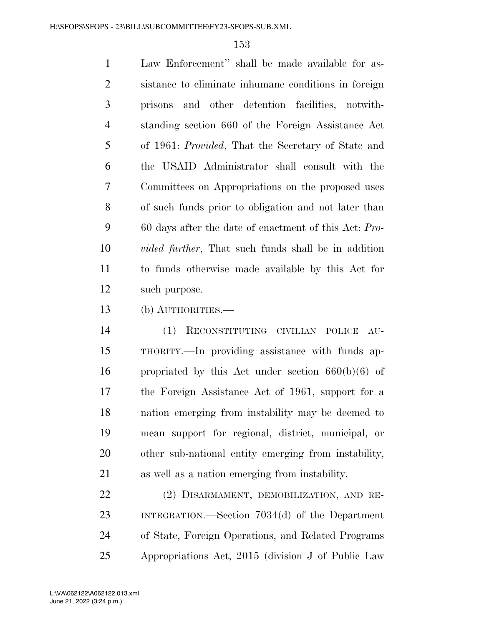Law Enforcement'' shall be made available for as- sistance to eliminate inhumane conditions in foreign prisons and other detention facilities, notwith- standing section 660 of the Foreign Assistance Act of 1961: *Provided*, That the Secretary of State and the USAID Administrator shall consult with the Committees on Appropriations on the proposed uses of such funds prior to obligation and not later than 60 days after the date of enactment of this Act: *Pro- vided further*, That such funds shall be in addition to funds otherwise made available by this Act for such purpose.

(b) AUTHORITIES.—

 (1) RECONSTITUTING CIVILIAN POLICE AU- THORITY.—In providing assistance with funds ap-16 propriated by this Act under section  $660(b)(6)$  of the Foreign Assistance Act of 1961, support for a nation emerging from instability may be deemed to mean support for regional, district, municipal, or other sub-national entity emerging from instability, as well as a nation emerging from instability.

22 (2) DISARMAMENT, DEMOBILIZATION, AND RE- INTEGRATION.—Section 7034(d) of the Department of State, Foreign Operations, and Related Programs Appropriations Act, 2015 (division J of Public Law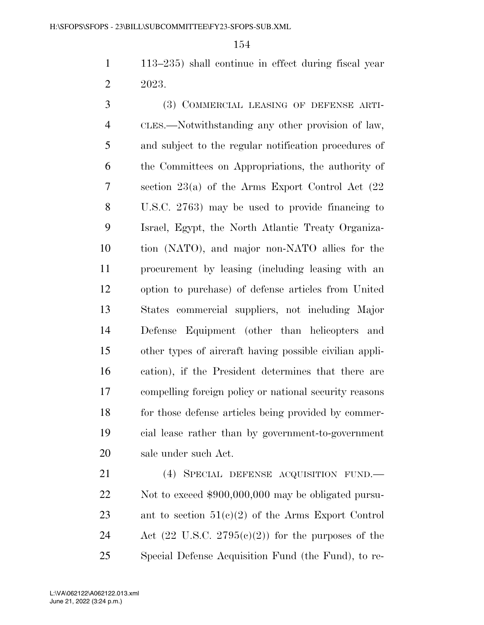113–235) shall continue in effect during fiscal year 2023.

 (3) COMMERCIAL LEASING OF DEFENSE ARTI- CLES.—Notwithstanding any other provision of law, and subject to the regular notification procedures of the Committees on Appropriations, the authority of section 23(a) of the Arms Export Control Act (22 U.S.C. 2763) may be used to provide financing to Israel, Egypt, the North Atlantic Treaty Organiza- tion (NATO), and major non-NATO allies for the procurement by leasing (including leasing with an option to purchase) of defense articles from United States commercial suppliers, not including Major Defense Equipment (other than helicopters and other types of aircraft having possible civilian appli- cation), if the President determines that there are compelling foreign policy or national security reasons for those defense articles being provided by commer- cial lease rather than by government-to-government sale under such Act.

 (4) SPECIAL DEFENSE ACQUISITION FUND.— Not to exceed \$900,000,000 may be obligated pursu-23 ant to section  $51(c)(2)$  of the Arms Export Control 24 Act  $(22 \text{ U.S.C. } 2795(e)(2))$  for the purposes of the Special Defense Acquisition Fund (the Fund), to re-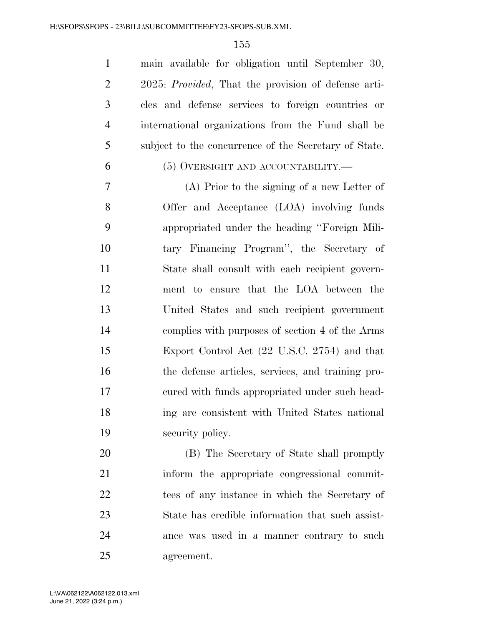main available for obligation until September 30, 2025: *Provided*, That the provision of defense arti- cles and defense services to foreign countries or international organizations from the Fund shall be subject to the concurrence of the Secretary of State.

(5) OVERSIGHT AND ACCOUNTABILITY.—

 (A) Prior to the signing of a new Letter of Offer and Acceptance (LOA) involving funds appropriated under the heading ''Foreign Mili- tary Financing Program'', the Secretary of State shall consult with each recipient govern- ment to ensure that the LOA between the United States and such recipient government complies with purposes of section 4 of the Arms Export Control Act (22 U.S.C. 2754) and that the defense articles, services, and training pro- cured with funds appropriated under such head- ing are consistent with United States national security policy.

 (B) The Secretary of State shall promptly inform the appropriate congressional commit- tees of any instance in which the Secretary of State has credible information that such assist- ance was used in a manner contrary to such agreement.

June 21, 2022 (3:24 p.m.) L:\VA\062122\A062122.013.xml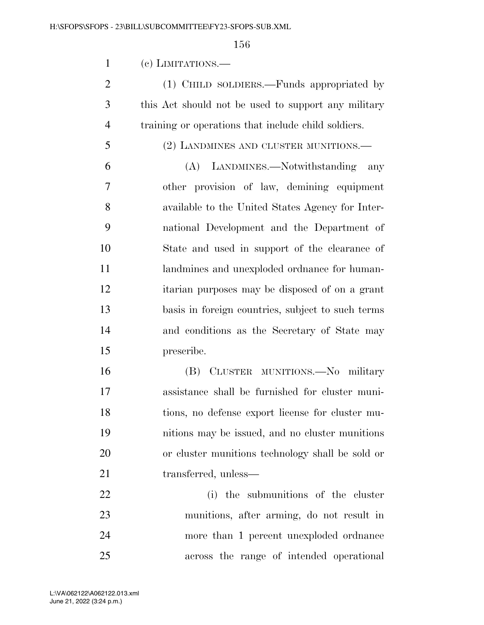(c) LIMITATIONS.—

2 (1) CHILD SOLDIERS.—Funds appropriated by this Act should not be used to support any military training or operations that include child soldiers.

## (2) LANDMINES AND CLUSTER MUNITIONS.—

 (A) LANDMINES.—Notwithstanding any other provision of law, demining equipment available to the United States Agency for Inter- national Development and the Department of State and used in support of the clearance of landmines and unexploded ordnance for human- itarian purposes may be disposed of on a grant basis in foreign countries, subject to such terms and conditions as the Secretary of State may prescribe.

 (B) CLUSTER MUNITIONS.—No military assistance shall be furnished for cluster muni- tions, no defense export license for cluster mu- nitions may be issued, and no cluster munitions or cluster munitions technology shall be sold or 21 transferred, unless—

 (i) the submunitions of the cluster munitions, after arming, do not result in more than 1 percent unexploded ordnance across the range of intended operational

June 21, 2022 (3:24 p.m.) L:\VA\062122\A062122.013.xml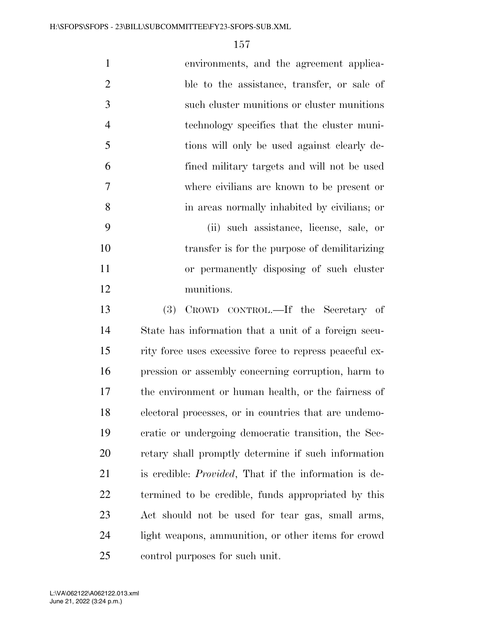| $\mathbf{1}$   | environments, and the agreement applica-                      |
|----------------|---------------------------------------------------------------|
| $\overline{2}$ | ble to the assistance, transfer, or sale of                   |
| 3              | such cluster munitions or cluster munitions                   |
| $\overline{4}$ | technology specifies that the cluster muni-                   |
| 5              | tions will only be used against clearly de-                   |
| 6              | fined military targets and will not be used                   |
| 7              | where civilians are known to be present or                    |
| 8              | in areas normally inhabited by civilians; or                  |
| 9              | (ii) such assistance, license, sale, or                       |
| 10             | transfer is for the purpose of demilitarizing                 |
| 11             | or permanently disposing of such cluster                      |
| 12             | munitions.                                                    |
| 13             | CROWD CONTROL.—If the Secretary of<br>(3)                     |
| 14             | State has information that a unit of a foreign secu-          |
| 15             | rity force uses excessive force to repress peaceful ex-       |
| 16             | pression or assembly concerning corruption, harm to           |
| 17             | the environment or human health, or the fairness of           |
| 18             | electoral processes, or in countries that are undemo-         |
| 19             | eratic or undergoing democratic transition, the Sec-          |
| 20             | retary shall promptly determine if such information           |
| 21             | is credible: <i>Provided</i> , That if the information is de- |
| 22             | termined to be credible, funds appropriated by this           |
| 23             | Act should not be used for tear gas, small arms,              |
| 24             | light weapons, ammunition, or other items for crowd           |
| 25             | control purposes for such unit.                               |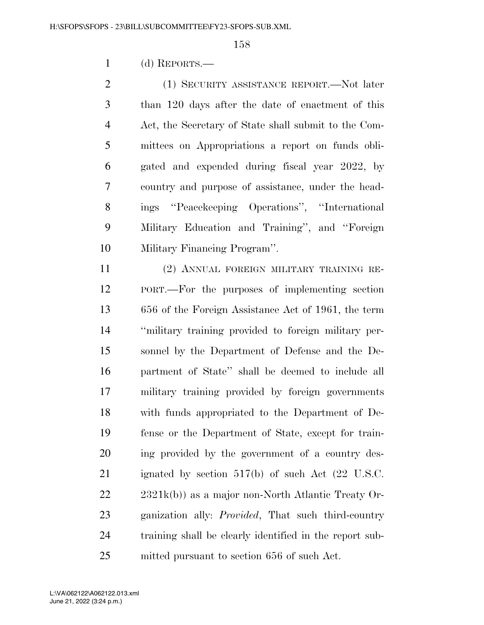(d) REPORTS.—

 (1) SECURITY ASSISTANCE REPORT.—Not later than 120 days after the date of enactment of this Act, the Secretary of State shall submit to the Com- mittees on Appropriations a report on funds obli- gated and expended during fiscal year 2022, by country and purpose of assistance, under the head- ings ''Peacekeeping Operations'', ''International Military Education and Training'', and ''Foreign Military Financing Program''.

 (2) ANNUAL FOREIGN MILITARY TRAINING RE- PORT.—For the purposes of implementing section 656 of the Foreign Assistance Act of 1961, the term ''military training provided to foreign military per- sonnel by the Department of Defense and the De- partment of State'' shall be deemed to include all military training provided by foreign governments with funds appropriated to the Department of De- fense or the Department of State, except for train- ing provided by the government of a country des- ignated by section 517(b) of such Act (22 U.S.C. 2321k(b)) as a major non-North Atlantic Treaty Or- ganization ally: *Provided*, That such third-country training shall be clearly identified in the report sub-mitted pursuant to section 656 of such Act.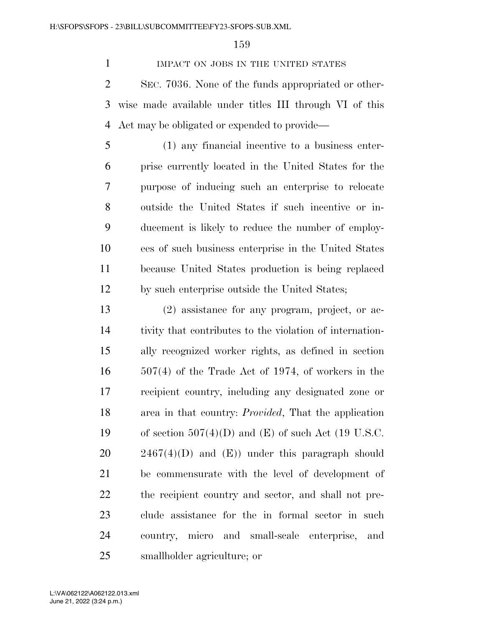**IMPACT ON JOBS IN THE UNITED STATES** 

 SEC. 7036. None of the funds appropriated or other- wise made available under titles III through VI of this Act may be obligated or expended to provide—

 (1) any financial incentive to a business enter- prise currently located in the United States for the purpose of inducing such an enterprise to relocate outside the United States if such incentive or in- ducement is likely to reduce the number of employ- ees of such business enterprise in the United States because United States production is being replaced by such enterprise outside the United States;

 (2) assistance for any program, project, or ac- tivity that contributes to the violation of internation- ally recognized worker rights, as defined in section 507(4) of the Trade Act of 1974, of workers in the recipient country, including any designated zone or area in that country: *Provided*, That the application 19 of section  $507(4)(D)$  and (E) of such Act (19 U.S.C.  $20 \qquad 2467(4)(D)$  and  $(E)$ ) under this paragraph should be commensurate with the level of development of the recipient country and sector, and shall not pre- clude assistance for the in formal sector in such country, micro and small-scale enterprise, and smallholder agriculture; or

June 21, 2022 (3:24 p.m.) L:\VA\062122\A062122.013.xml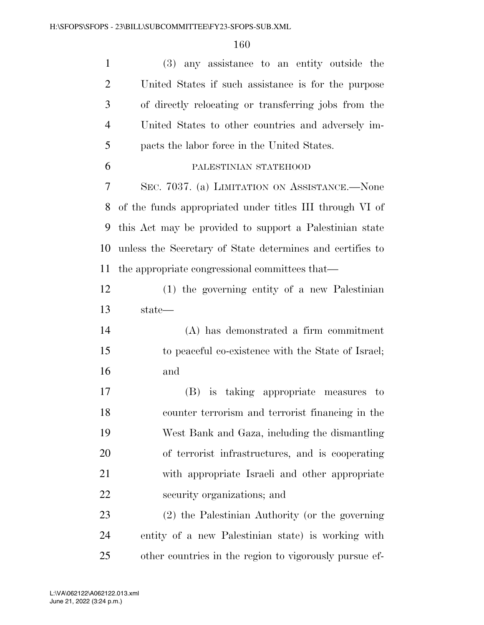| $\mathbf{1}$   | (3) any assistance to an entity outside the               |
|----------------|-----------------------------------------------------------|
| $\overline{2}$ | United States if such assistance is for the purpose       |
| 3              | of directly relocating or transferring jobs from the      |
| $\overline{4}$ | United States to other countries and adversely im-        |
| 5              | pacts the labor force in the United States.               |
| 6              | PALESTINIAN STATEHOOD                                     |
| 7              | SEC. 7037. (a) LIMITATION ON ASSISTANCE.—None             |
| 8              | of the funds appropriated under titles III through VI of  |
| 9              | this Act may be provided to support a Palestinian state   |
| 10             | unless the Secretary of State determines and certifies to |
| 11             | the appropriate congressional committees that—            |
| 12             | (1) the governing entity of a new Palestinian             |
| 13             | state—                                                    |
| 14             | (A) has demonstrated a firm commitment                    |
| 15             | to peaceful co-existence with the State of Israel;        |
| 16             | and                                                       |
| 17             | taking appropriate measures<br>(B)<br>is<br>to            |
| 18             | counter terrorism and terrorist financing in the          |
| 19             | West Bank and Gaza, including the dismantling             |
| 20             | of terrorist infrastructures, and is cooperating          |
| 21             | with appropriate Israeli and other appropriate            |
| 22             | security organizations; and                               |
| 23             | (2) the Palestinian Authority (or the governing           |
| 24             | entity of a new Palestinian state) is working with        |
| 25             | other countries in the region to vigorously pursue ef-    |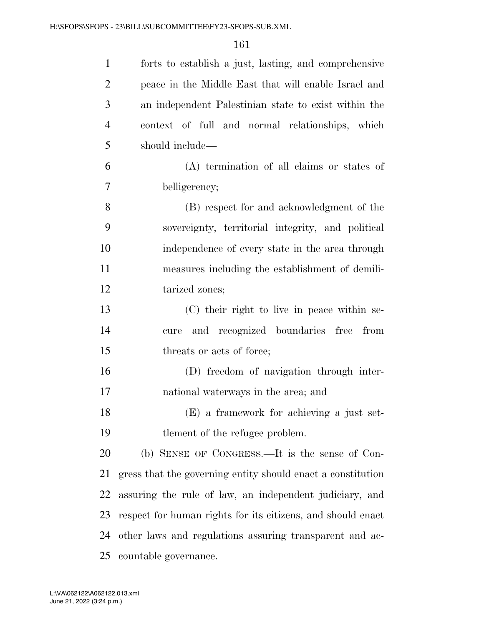| $\mathbf{1}$   | forts to establish a just, lasting, and comprehensive       |
|----------------|-------------------------------------------------------------|
| $\overline{2}$ | peace in the Middle East that will enable Israel and        |
| 3              | an independent Palestinian state to exist within the        |
| $\overline{4}$ | context of full and normal relationships, which             |
| 5              | should include—                                             |
| 6              | (A) termination of all claims or states of                  |
| 7              | belligerency;                                               |
| $8\,$          | (B) respect for and acknowledgment of the                   |
| 9              | sovereignty, territorial integrity, and political           |
| 10             | independence of every state in the area through             |
| 11             | measures including the establishment of demili-             |
| 12             | tarized zones;                                              |
| 13             | (C) their right to live in peace within se-                 |
| 14             | and recognized boundaries free from<br>cure                 |
| 15             | threats or acts of force;                                   |
| 16             | (D) freedom of navigation through inter-                    |
| 17             | national waterways in the area; and                         |
| 18             | (E) a framework for achieving a just set-                   |
| 19             | tlement of the refugee problem.                             |
| 20             | (b) SENSE OF CONGRESS.—It is the sense of Con-              |
| 21             | gress that the governing entity should enact a constitution |
| 22             | assuring the rule of law, an independent judiciary, and     |
| 23             | respect for human rights for its citizens, and should enact |
| 24             | other laws and regulations assuring transparent and ac-     |
| 25             | countable governance.                                       |

June 21, 2022 (3:24 p.m.) L:\VA\062122\A062122.013.xml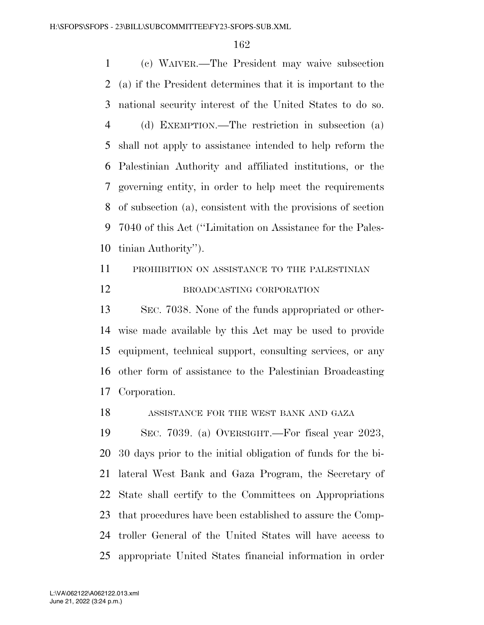(c) WAIVER.—The President may waive subsection (a) if the President determines that it is important to the national security interest of the United States to do so. (d) EXEMPTION.—The restriction in subsection (a) shall not apply to assistance intended to help reform the Palestinian Authority and affiliated institutions, or the governing entity, in order to help meet the requirements of subsection (a), consistent with the provisions of section 7040 of this Act (''Limitation on Assistance for the Pales-tinian Authority'').

## PROHIBITION ON ASSISTANCE TO THE PALESTINIAN 12 BROADCASTING CORPORATION

 SEC. 7038. None of the funds appropriated or other- wise made available by this Act may be used to provide equipment, technical support, consulting services, or any other form of assistance to the Palestinian Broadcasting Corporation.

18 ASSISTANCE FOR THE WEST BANK AND GAZA

 SEC. 7039. (a) OVERSIGHT.—For fiscal year 2023, 30 days prior to the initial obligation of funds for the bi- lateral West Bank and Gaza Program, the Secretary of State shall certify to the Committees on Appropriations that procedures have been established to assure the Comp- troller General of the United States will have access to appropriate United States financial information in order

June 21, 2022 (3:24 p.m.) L:\VA\062122\A062122.013.xml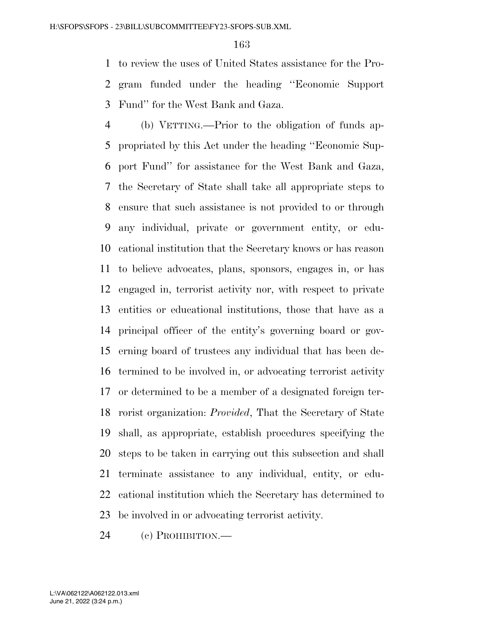to review the uses of United States assistance for the Pro- gram funded under the heading ''Economic Support Fund'' for the West Bank and Gaza.

 (b) VETTING.—Prior to the obligation of funds ap- propriated by this Act under the heading ''Economic Sup- port Fund'' for assistance for the West Bank and Gaza, the Secretary of State shall take all appropriate steps to ensure that such assistance is not provided to or through any individual, private or government entity, or edu- cational institution that the Secretary knows or has reason to believe advocates, plans, sponsors, engages in, or has engaged in, terrorist activity nor, with respect to private entities or educational institutions, those that have as a principal officer of the entity's governing board or gov- erning board of trustees any individual that has been de- termined to be involved in, or advocating terrorist activity or determined to be a member of a designated foreign ter- rorist organization: *Provided*, That the Secretary of State shall, as appropriate, establish procedures specifying the steps to be taken in carrying out this subsection and shall terminate assistance to any individual, entity, or edu- cational institution which the Secretary has determined to be involved in or advocating terrorist activity.

(c) PROHIBITION.—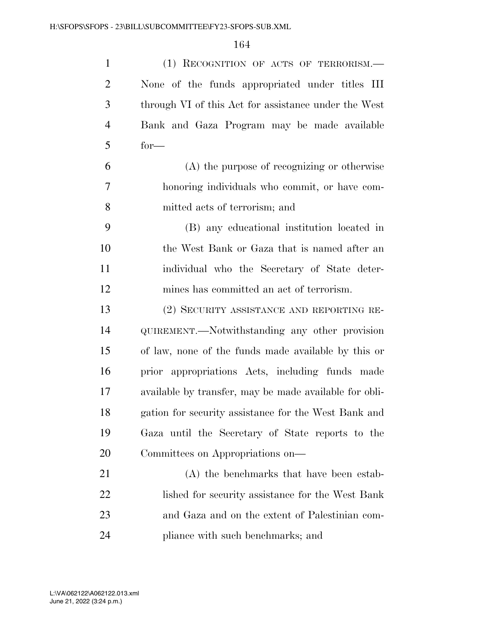| $\mathbf{1}$   | (1) RECOGNITION OF ACTS OF TERRORISM.                  |
|----------------|--------------------------------------------------------|
| $\overline{2}$ | None of the funds appropriated under titles III        |
| 3              | through VI of this Act for assistance under the West   |
| $\overline{4}$ | Bank and Gaza Program may be made available            |
| 5              | $for-$                                                 |
| 6              | (A) the purpose of recognizing or otherwise            |
| 7              | honoring individuals who commit, or have com-          |
| 8              | mitted acts of terrorism; and                          |
| 9              | (B) any educational institution located in             |
| 10             | the West Bank or Gaza that is named after an           |
| 11             | individual who the Secretary of State deter-           |
| 12             | mines has committed an act of terrorism.               |
| 13             | (2) SECURITY ASSISTANCE AND REPORTING RE-              |
| 14             | QUIREMENT.—Notwithstanding any other provision         |
| 15             | of law, none of the funds made available by this or    |
| 16             | prior appropriations Acts, including funds made        |
| 17             | available by transfer, may be made available for obli- |
| 18             | gation for security assistance for the West Bank and   |
| 19             | Gaza until the Secretary of State reports to the       |
| 20             | Committees on Appropriations on—                       |
| 21             | (A) the benchmarks that have been estab-               |
| 22             | lished for security assistance for the West Bank       |
| 23             | and Gaza and on the extent of Palestinian com-         |
| 24             | pliance with such benchmarks; and                      |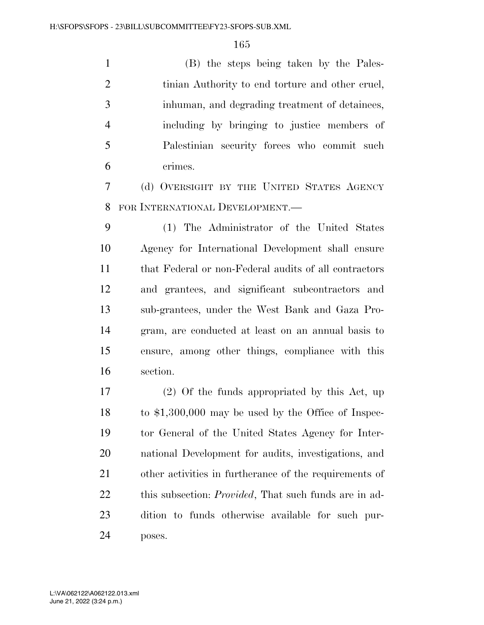(B) the steps being taken by the Pales-2 tinian Authority to end torture and other cruel, inhuman, and degrading treatment of detainees, including by bringing to justice members of Palestinian security forces who commit such crimes.

 (d) OVERSIGHT BY THE UNITED STATES AGENCY FOR INTERNATIONAL DEVELOPMENT.—

 (1) The Administrator of the United States Agency for International Development shall ensure that Federal or non-Federal audits of all contractors and grantees, and significant subcontractors and sub-grantees, under the West Bank and Gaza Pro- gram, are conducted at least on an annual basis to ensure, among other things, compliance with this section.

 (2) Of the funds appropriated by this Act, up to \$1,300,000 may be used by the Office of Inspec- tor General of the United States Agency for Inter- national Development for audits, investigations, and other activities in furtherance of the requirements of this subsection: *Provided*, That such funds are in ad- dition to funds otherwise available for such pur-poses.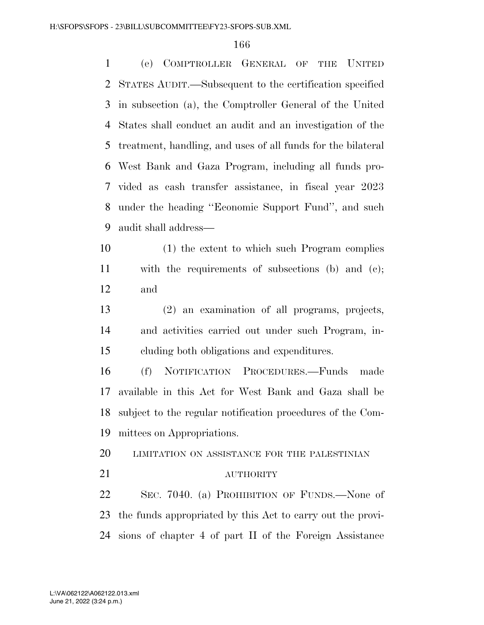(e) COMPTROLLER GENERAL OF THE UNITED STATES AUDIT.—Subsequent to the certification specified in subsection (a), the Comptroller General of the United States shall conduct an audit and an investigation of the treatment, handling, and uses of all funds for the bilateral West Bank and Gaza Program, including all funds pro- vided as cash transfer assistance, in fiscal year 2023 under the heading ''Economic Support Fund'', and such audit shall address—

 (1) the extent to which such Program complies with the requirements of subsections (b) and (c); and

 (2) an examination of all programs, projects, and activities carried out under such Program, in-cluding both obligations and expenditures.

 (f) NOTIFICATION PROCEDURES.—Funds made available in this Act for West Bank and Gaza shall be subject to the regular notification procedures of the Com-mittees on Appropriations.

LIMITATION ON ASSISTANCE FOR THE PALESTINIAN

21 AUTHORITY

 SEC. 7040. (a) PROHIBITION OF FUNDS.—None of the funds appropriated by this Act to carry out the provi-sions of chapter 4 of part II of the Foreign Assistance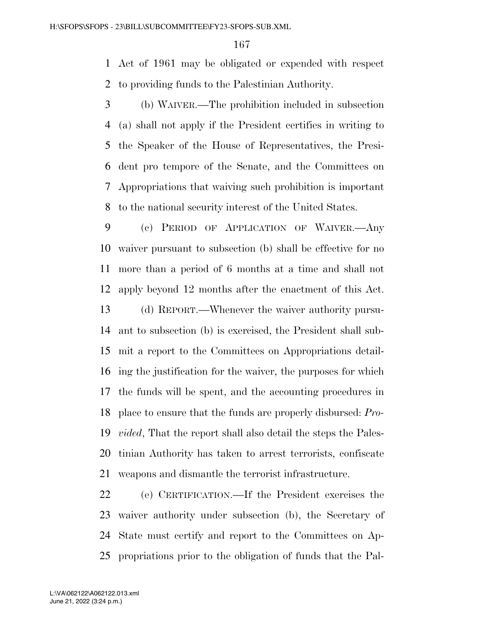Act of 1961 may be obligated or expended with respect to providing funds to the Palestinian Authority.

 (b) WAIVER.—The prohibition included in subsection (a) shall not apply if the President certifies in writing to the Speaker of the House of Representatives, the Presi- dent pro tempore of the Senate, and the Committees on Appropriations that waiving such prohibition is important to the national security interest of the United States.

 (c) PERIOD OF APPLICATION OF WAIVER.—Any waiver pursuant to subsection (b) shall be effective for no more than a period of 6 months at a time and shall not apply beyond 12 months after the enactment of this Act.

 (d) REPORT.—Whenever the waiver authority pursu- ant to subsection (b) is exercised, the President shall sub- mit a report to the Committees on Appropriations detail- ing the justification for the waiver, the purposes for which the funds will be spent, and the accounting procedures in place to ensure that the funds are properly disbursed: *Pro- vided*, That the report shall also detail the steps the Pales- tinian Authority has taken to arrest terrorists, confiscate weapons and dismantle the terrorist infrastructure.

 (e) CERTIFICATION.—If the President exercises the waiver authority under subsection (b), the Secretary of State must certify and report to the Committees on Ap-propriations prior to the obligation of funds that the Pal-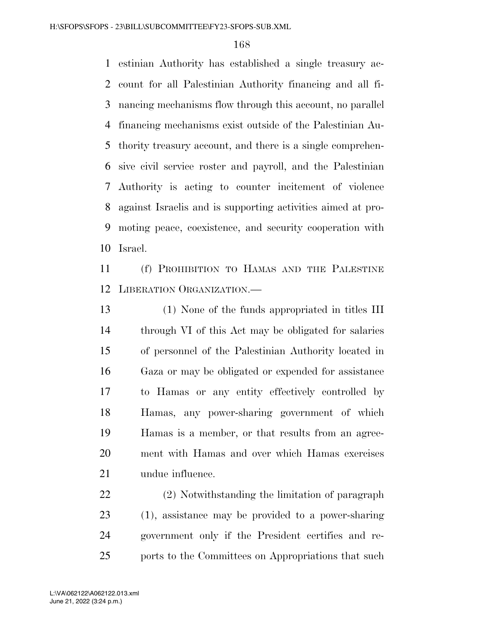estinian Authority has established a single treasury ac- count for all Palestinian Authority financing and all fi- nancing mechanisms flow through this account, no parallel financing mechanisms exist outside of the Palestinian Au- thority treasury account, and there is a single comprehen- sive civil service roster and payroll, and the Palestinian Authority is acting to counter incitement of violence against Israelis and is supporting activities aimed at pro- moting peace, coexistence, and security cooperation with Israel.

 (f) PROHIBITION TO HAMAS AND THE PALESTINE LIBERATION ORGANIZATION.—

 (1) None of the funds appropriated in titles III through VI of this Act may be obligated for salaries of personnel of the Palestinian Authority located in Gaza or may be obligated or expended for assistance to Hamas or any entity effectively controlled by Hamas, any power-sharing government of which Hamas is a member, or that results from an agree- ment with Hamas and over which Hamas exercises undue influence.

 (2) Notwithstanding the limitation of paragraph (1), assistance may be provided to a power-sharing government only if the President certifies and re-25 ports to the Committees on Appropriations that such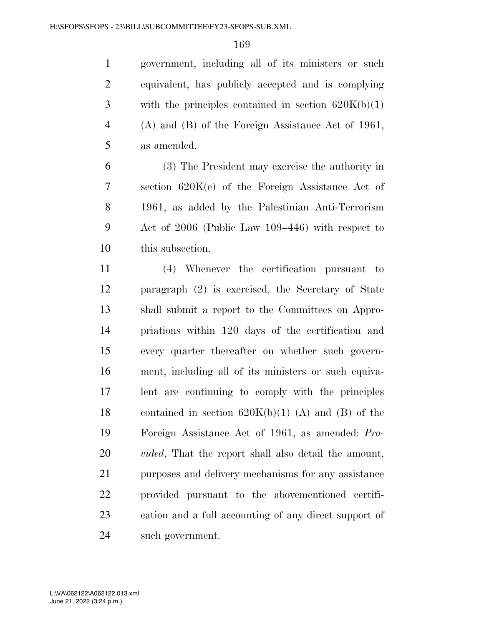government, including all of its ministers or such equivalent, has publicly accepted and is complying with the principles contained in section  $620K(b)(1)$  (A) and (B) of the Foreign Assistance Act of 1961, as amended.

 (3) The President may exercise the authority in section 620K(e) of the Foreign Assistance Act of 1961, as added by the Palestinian Anti-Terrorism Act of 2006 (Public Law 109–446) with respect to this subsection.

 (4) Whenever the certification pursuant to paragraph (2) is exercised, the Secretary of State shall submit a report to the Committees on Appro- priations within 120 days of the certification and every quarter thereafter on whether such govern- ment, including all of its ministers or such equiva- lent are continuing to comply with the principles 18 contained in section  $620K(b)(1)$  (A) and (B) of the Foreign Assistance Act of 1961, as amended: *Pro- vided*, That the report shall also detail the amount, purposes and delivery mechanisms for any assistance provided pursuant to the abovementioned certifi- cation and a full accounting of any direct support of such government.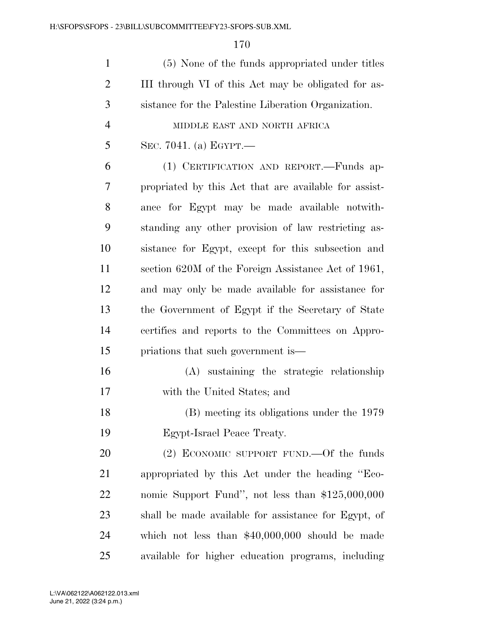| $\mathbf{1}$   | (5) None of the funds appropriated under titles       |
|----------------|-------------------------------------------------------|
| $\overline{2}$ | III through VI of this Act may be obligated for as-   |
| 3              | sistance for the Palestine Liberation Organization.   |
| $\overline{4}$ | MIDDLE EAST AND NORTH AFRICA                          |
| 5              | SEC. 7041. (a) EGYPT.—                                |
| 6              | (1) CERTIFICATION AND REPORT.—Funds ap-               |
| 7              | propriated by this Act that are available for assist- |
| 8              | ance for Egypt may be made available not with-        |
| 9              | standing any other provision of law restricting as-   |
| 10             | sistance for Egypt, except for this subsection and    |
| 11             | section 620M of the Foreign Assistance Act of 1961,   |
| 12             | and may only be made available for assistance for     |
| 13             | the Government of Egypt if the Secretary of State     |
| 14             | certifies and reports to the Committees on Appro-     |
| 15             | priations that such government is—                    |
| 16             | (A) sustaining the strategic relationship             |
| 17             | with the United States; and                           |
| 18             | (B) meeting its obligations under the 1979            |
| 19             | Egypt-Israel Peace Treaty.                            |
| 20             | (2) ECONOMIC SUPPORT FUND.—Of the funds               |
| 21             | appropriated by this Act under the heading "Eco-      |
| 22             | nomic Support Fund", not less than \$125,000,000      |
| 23             | shall be made available for assistance for Egypt, of  |
| 24             | which not less than $$40,000,000$ should be made      |
| 25             | available for higher education programs, including    |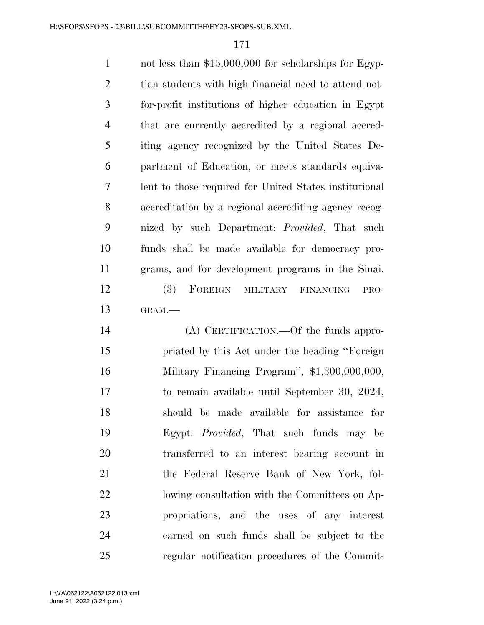| $\mathbf{1}$   | not less than \$15,000,000 for scholarships for Egyp-         |
|----------------|---------------------------------------------------------------|
| $\overline{2}$ | tian students with high financial need to attend not-         |
| 3              | for-profit institutions of higher education in Egypt          |
| $\overline{4}$ | that are currently accredited by a regional accred-           |
| 5              | iting agency recognized by the United States De-              |
| 6              | partment of Education, or meets standards equiva-             |
| 7              | lent to those required for United States institutional        |
| 8              | accreditation by a regional accrediting agency recog-         |
| 9              | nized by such Department: Provided, That such                 |
| 10             | funds shall be made available for democracy pro-              |
| 11             | grams, and for development programs in the Sinai.             |
| 12             | <b>(3)</b><br>FOREIGN<br>MILITARY<br><b>FINANCING</b><br>PRO- |
| 13             | GRAM.-                                                        |
| 14             | (A) CERTIFICATION.—Of the funds appro-                        |
| 15             | priated by this Act under the heading "Foreign"               |
| 16             | Military Financing Program", \$1,300,000,000,                 |
| 17             | to remain available until September 30, 2024,                 |
| 18             | should be made available for assistance for                   |
| 19             | Egypt: <i>Provided</i> , That such funds may be               |
| 20             | transferred to an interest bearing account in                 |
| 21             | the Federal Reserve Bank of New York, fol-                    |
| 22             | lowing consultation with the Committees on Ap-                |
| 23             | propriations, and the uses of any interest                    |
| 24             | earned on such funds shall be subject to the                  |
| 25             | regular notification procedures of the Commit-                |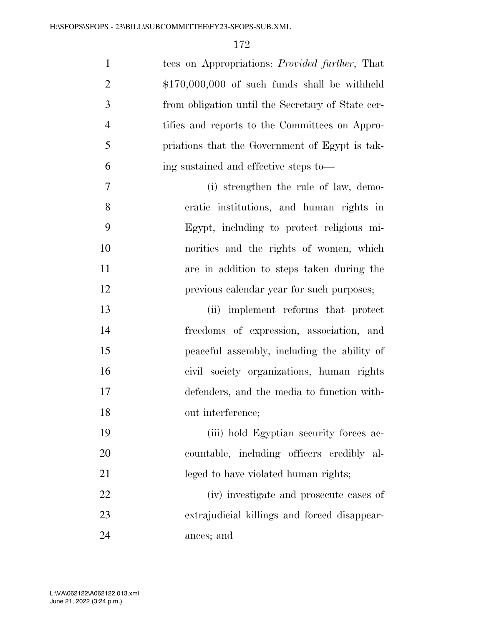| $\mathbf{1}$   | tees on Appropriations: <i>Provided further</i> , That |
|----------------|--------------------------------------------------------|
| $\overline{2}$ | $$170,000,000$ of such funds shall be withheld         |
| 3              | from obligation until the Secretary of State cer-      |
| $\overline{4}$ | tifies and reports to the Committees on Appro-         |
| 5              | priations that the Government of Egypt is tak-         |
| 6              | ing sustained and effective steps to—                  |
| $\tau$         | (i) strengthen the rule of law, demo-                  |
| 8              | cratic institutions, and human rights in               |
| 9              | Egypt, including to protect religious mi-              |
| 10             | norities and the rights of women, which                |
| 11             | are in addition to steps taken during the              |
| 12             | previous calendar year for such purposes;              |
| 13             | (ii) implement reforms that protect                    |
| 14             | freedoms of expression, association, and               |
| 15             | peaceful assembly, including the ability of            |
| 16             | civil society organizations, human rights              |
| 17             | defenders, and the media to function with-             |
| 18             | out interference;                                      |
| 19             | (iii) hold Egyptian security forces ac-                |
| 20             | countable, including officers credibly al-             |
| 21             | leged to have violated human rights;                   |
| 22             | (iv) investigate and prosecute cases of                |
| 23             | extrajudicial killings and forced disappear-           |
| 24             | ances; and                                             |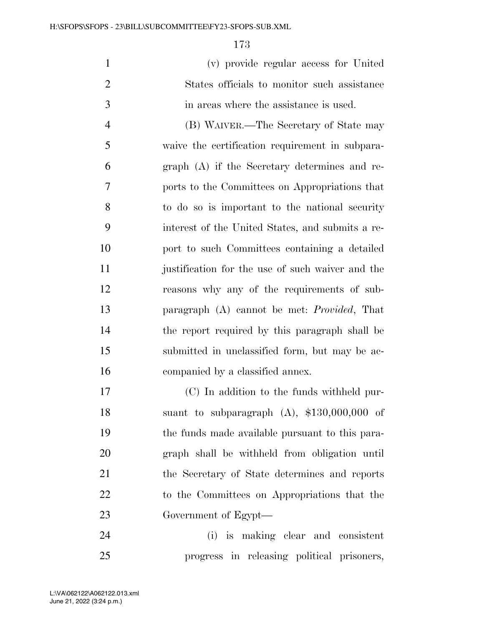|    | (v) provide regular access for United       |
|----|---------------------------------------------|
|    | States officials to monitor such assistance |
| -3 | in areas where the assistance is used.      |
|    | (B) WAIVER.—The Secretary of State may      |

 waive the certification requirement in subpara- graph (A) if the Secretary determines and re- ports to the Committees on Appropriations that to do so is important to the national security interest of the United States, and submits a re- port to such Committees containing a detailed justification for the use of such waiver and the reasons why any of the requirements of sub- paragraph (A) cannot be met: *Provided*, That the report required by this paragraph shall be submitted in unclassified form, but may be ac-companied by a classified annex.

 (C) In addition to the funds withheld pur- suant to subparagraph (A), \$130,000,000 of the funds made available pursuant to this para- graph shall be withheld from obligation until the Secretary of State determines and reports to the Committees on Appropriations that the Government of Egypt—

 (i) is making clear and consistent progress in releasing political prisoners,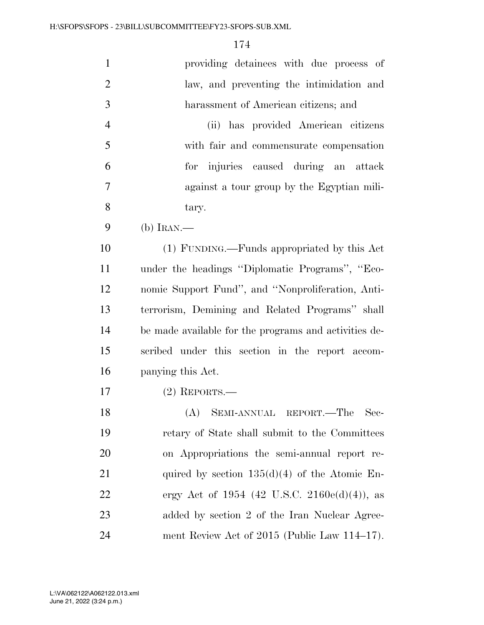| $\mathbf{1}$   | providing detainees with due process of               |
|----------------|-------------------------------------------------------|
| $\overline{2}$ | law, and preventing the intimidation and              |
| 3              | harassment of American citizens; and                  |
| $\overline{4}$ | (ii) has provided American citizens                   |
| 5              | with fair and commensurate compensation               |
| 6              | for injuries caused during an attack                  |
| $\overline{7}$ | against a tour group by the Egyptian mili-            |
| 8              | tary.                                                 |
| 9              | (b) $IRAN$ .                                          |
| 10             | (1) FUNDING.—Funds appropriated by this Act           |
| 11             | under the headings "Diplomatic Programs", "Eco-       |
| 12             | nomic Support Fund", and "Nonproliferation, Anti-     |
| 13             | terrorism, Demining and Related Programs" shall       |
| 14             | be made available for the programs and activities de- |
| 15             | scribed under this section in the report accom-       |
| 16             | panying this Act.                                     |
| 17             | $(2)$ REPORTS.—                                       |
| 18             | (A) SEMI-ANNUAL REPORT.—The Sec-                      |
| 19             | retary of State shall submit to the Committees        |
| 20             | on Appropriations the semi-annual report re-          |
| 21             | quired by section $135(d)(4)$ of the Atomic En-       |
| 22             | ergy Act of 1954 (42 U.S.C. 2160e(d)(4)), as          |
| 23             | added by section 2 of the Iran Nuclear Agree-         |
| 24             | ment Review Act of 2015 (Public Law 114–17).          |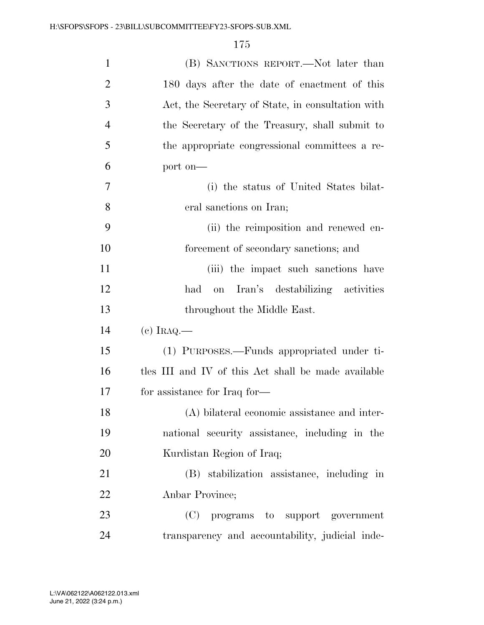| $\mathbf{1}$   | (B) SANCTIONS REPORT.—Not later than                |
|----------------|-----------------------------------------------------|
| $\overline{2}$ | 180 days after the date of enactment of this        |
| 3              | Act, the Secretary of State, in consultation with   |
| $\overline{4}$ | the Secretary of the Treasury, shall submit to      |
| 5              | the appropriate congressional committees a re-      |
| 6              | port on-                                            |
| 7              | (i) the status of United States bilat-              |
| 8              | eral sanctions on Iran;                             |
| 9              | (ii) the reimposition and renewed en-               |
| 10             | forcement of secondary sanctions; and               |
| 11             | (iii) the impact such sanctions have                |
| 12             | on Iran's destabilizing activities<br>had           |
|                |                                                     |
| 13             | throughout the Middle East.                         |
| 14             | $(e)$ IRAQ.—                                        |
| 15             | (1) PURPOSES.—Funds appropriated under ti-          |
| 16             | tles III and IV of this Act shall be made available |
| 17             | for assistance for Iraq for—                        |
| 18             | (A) bilateral economic assistance and inter-        |
| 19             | national security assistance, including in the      |
| 20             | Kurdistan Region of Iraq;                           |
| 21             | (B) stabilization assistance, including in          |
| 22             | Anbar Province;                                     |
| 23             | (C)<br>programs to support government               |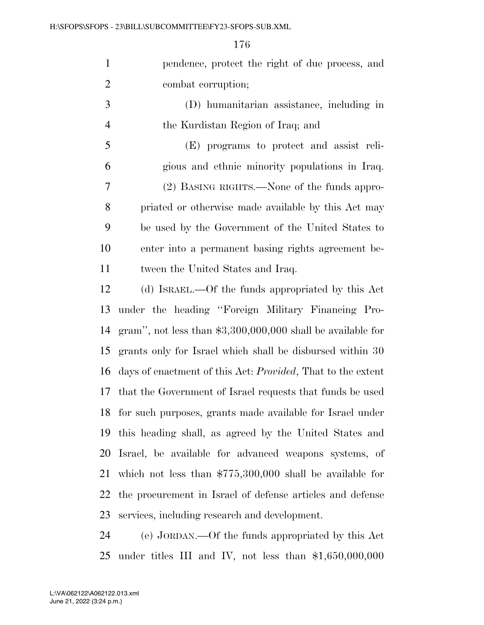| $\mathbf{1}$   | pendence, protect the right of due process, and                     |
|----------------|---------------------------------------------------------------------|
| $\overline{2}$ | combat corruption;                                                  |
| 3              | (D) humanitarian assistance, including in                           |
| $\overline{4}$ | the Kurdistan Region of Iraq; and                                   |
| 5              | (E) programs to protect and assist reli-                            |
| 6              | gious and ethnic minority populations in Iraq.                      |
| 7              | (2) BASING RIGHTS.—None of the funds appro-                         |
| 8              | priated or otherwise made available by this Act may                 |
| 9              | be used by the Government of the United States to                   |
| 10             | enter into a permanent basing rights agreement be-                  |
| 11             | tween the United States and Iraq.                                   |
| 12             | (d) ISRAEL.—Of the funds appropriated by this Act                   |
| 13             | under the heading "Foreign Military Financing Pro-                  |
| 14             | $gram$ , not less than \$3,300,000,000 shall be available for       |
| 15             | grants only for Israel which shall be disbursed within 30           |
| 16             | days of enactment of this Act: <i>Provided</i> , That to the extent |
| 17             | that the Government of Israel requests that funds be used           |
|                | 18 for such purposes, grants made available for Israel under        |
|                | 19 this heading shall, as agreed by the United States and           |
| 20             | Israel, be available for advanced weapons systems, of               |
| 21             | which not less than $$775,300,000$ shall be available for           |
| 22             | the procurement in Israel of defense articles and defense           |
|                | 23 services, including research and development.                    |
|                |                                                                     |

 (e) JORDAN.—Of the funds appropriated by this Act under titles III and IV, not less than \$1,650,000,000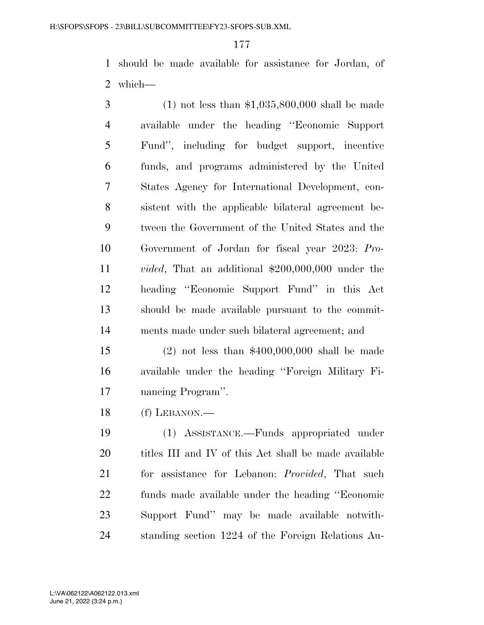should be made available for assistance for Jordan, of which—

 (1) not less than \$1,035,800,000 shall be made available under the heading ''Economic Support Fund'', including for budget support, incentive funds, and programs administered by the United States Agency for International Development, con- sistent with the applicable bilateral agreement be- tween the Government of the United States and the Government of Jordan for fiscal year 2023: *Pro- vided*, That an additional \$200,000,000 under the heading ''Economic Support Fund'' in this Act should be made available pursuant to the commit-ments made under such bilateral agreement; and

 (2) not less than \$400,000,000 shall be made available under the heading ''Foreign Military Fi-nancing Program''.

(f) LEBANON.—

 (1) ASSISTANCE.—Funds appropriated under 20 titles III and IV of this Act shall be made available for assistance for Lebanon: *Provided*, That such funds made available under the heading ''Economic Support Fund'' may be made available notwith-standing section 1224 of the Foreign Relations Au-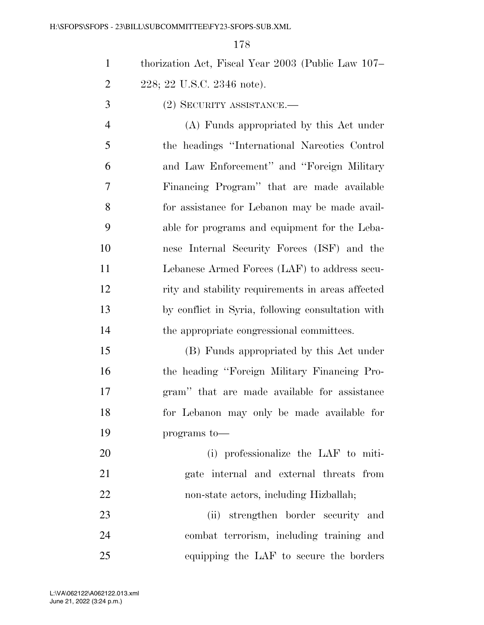| thorization Act, Fiscal Year 2003 (Public Law 107– |
|----------------------------------------------------|
| 228; 22 U.S.C. 2346 note).                         |

(2) SECURITY ASSISTANCE.—

 (A) Funds appropriated by this Act under the headings ''International Narcotics Control and Law Enforcement'' and ''Foreign Military Financing Program'' that are made available for assistance for Lebanon may be made avail- able for programs and equipment for the Leba- nese Internal Security Forces (ISF) and the Lebanese Armed Forces (LAF) to address secu- rity and stability requirements in areas affected by conflict in Syria, following consultation with 14 the appropriate congressional committees.

 (B) Funds appropriated by this Act under the heading ''Foreign Military Financing Pro- gram'' that are made available for assistance for Lebanon may only be made available for programs to—

 (i) professionalize the LAF to miti- gate internal and external threats from non-state actors, including Hizballah;

 (ii) strengthen border security and combat terrorism, including training and equipping the LAF to secure the borders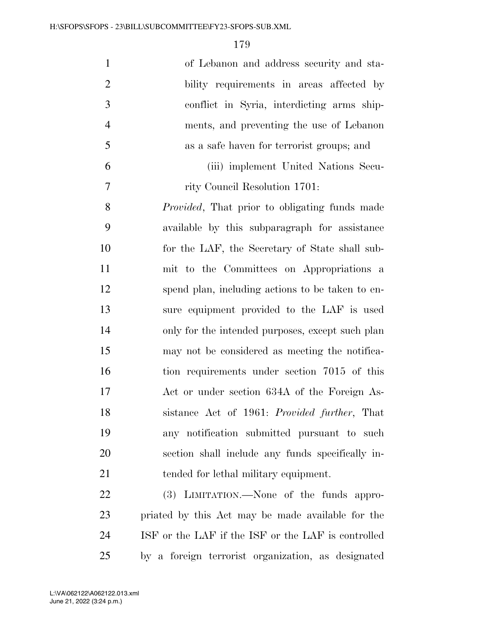| $\mathbf{1}$   | of Lebanon and address security and sta-              |
|----------------|-------------------------------------------------------|
| $\overline{2}$ | bility requirements in areas affected by              |
| 3              | conflict in Syria, interdicting arms ship-            |
| $\overline{4}$ | ments, and preventing the use of Lebanon              |
| 5              | as a safe haven for terrorist groups; and             |
| 6              | (iii) implement United Nations Secu-                  |
| 7              | rity Council Resolution 1701:                         |
| 8              | <i>Provided</i> , That prior to obligating funds made |
| 9              | available by this subparagraph for assistance         |
| 10             | for the LAF, the Secretary of State shall sub-        |
| 11             | mit to the Committees on Appropriations a             |
| 12             | spend plan, including actions to be taken to en-      |
| 13             | sure equipment provided to the LAF is used            |
| 14             | only for the intended purposes, except such plan      |
| 15             | may not be considered as meeting the notifica-        |
| 16             | tion requirements under section 7015 of this          |
| 17             | Act or under section 634A of the Foreign As-          |
| 18             | sistance Act of 1961: Provided further, That          |
| 19             | any notification submitted pursuant to such           |
| 20             | section shall include any funds specifically in-      |
| 21             | tended for lethal military equipment.                 |
| 22             | (3) LIMITATION.—None of the funds appro-              |
| 23             | priated by this Act may be made available for the     |
| 24             | ISF or the LAF if the ISF or the LAF is controlled    |
| 25             | by a foreign terrorist organization, as designated    |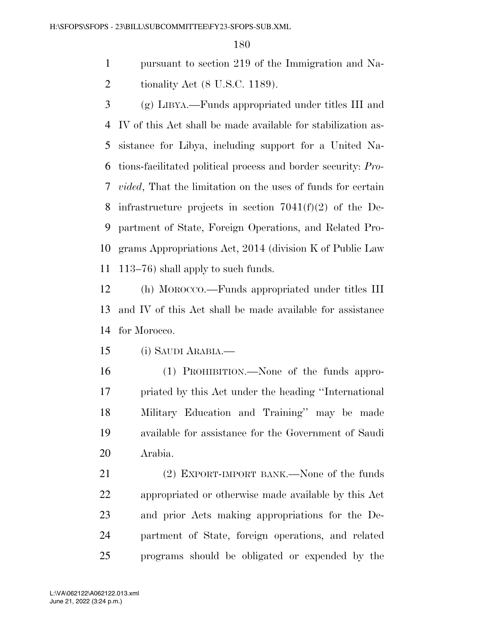pursuant to section 219 of the Immigration and Na-

tionality Act (8 U.S.C. 1189).

 (g) LIBYA.—Funds appropriated under titles III and IV of this Act shall be made available for stabilization as- sistance for Libya, including support for a United Na- tions-facilitated political process and border security: *Pro- vided*, That the limitation on the uses of funds for certain infrastructure projects in section 7041(f)(2) of the De- partment of State, Foreign Operations, and Related Pro- grams Appropriations Act, 2014 (division K of Public Law 113–76) shall apply to such funds.

 (h) MOROCCO.—Funds appropriated under titles III and IV of this Act shall be made available for assistance for Morocco.

(i) SAUDI ARABIA.—

 (1) PROHIBITION.—None of the funds appro- priated by this Act under the heading ''International Military Education and Training'' may be made available for assistance for the Government of Saudi Arabia.

 (2) EXPORT-IMPORT BANK.—None of the funds appropriated or otherwise made available by this Act and prior Acts making appropriations for the De- partment of State, foreign operations, and related programs should be obligated or expended by the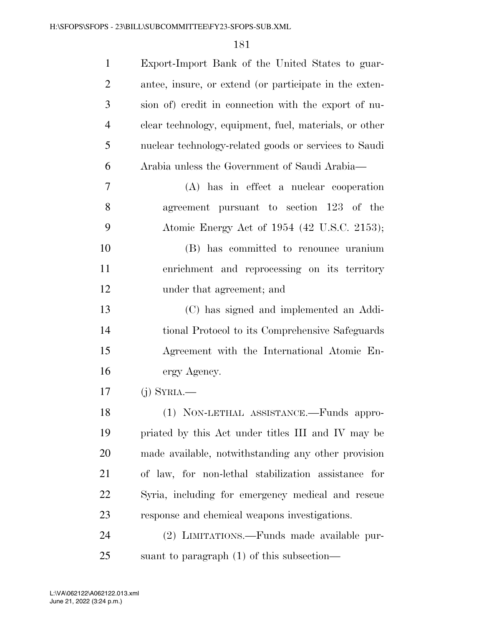| $\mathbf{1}$   | Export-Import Bank of the United States to guar-       |
|----------------|--------------------------------------------------------|
| $\overline{2}$ | antee, insure, or extend (or participate in the exten- |
| 3              | sion of) credit in connection with the export of nu-   |
| $\overline{4}$ | clear technology, equipment, fuel, materials, or other |
| 5              | nuclear technology-related goods or services to Saudi  |
| 6              | Arabia unless the Government of Saudi Arabia—          |
| 7              | (A) has in effect a nuclear cooperation                |
| 8              | agreement pursuant to section 123 of the               |
| 9              | Atomic Energy Act of 1954 (42 U.S.C. 2153);            |
| 10             | (B) has committed to renounce uranium                  |
| 11             | enrichment and reprocessing on its territory           |
| 12             | under that agreement; and                              |
| 13             | (C) has signed and implemented an Addi-                |
| 14             | tional Protocol to its Comprehensive Safeguards        |
| 15             | Agreement with the International Atomic En-            |
| 16             | ergy Agency.                                           |
| 17             | $(i)$ SYRIA.—                                          |
| 18             | (1) NON-LETHAL ASSISTANCE.-Funds appro-                |
| 19             | priated by this Act under titles III and IV may be     |
| 20             | made available, notwithstanding any other provision    |
| 21             | of law, for non-lethal stabilization assistance for    |
| 22             | Syria, including for emergency medical and rescue      |
| 23             | response and chemical weapons investigations.          |
| 24             | (2) LIMITATIONS.—Funds made available pur-             |
| 25             | suant to paragraph (1) of this subsection—             |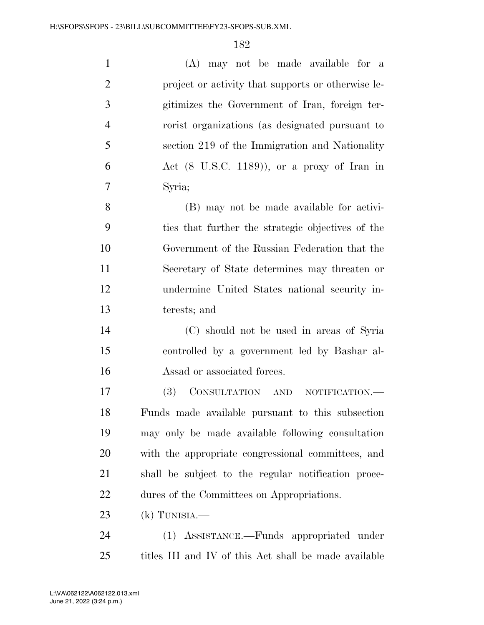(A) may not be made available for a project or activity that supports or otherwise le- gitimizes the Government of Iran, foreign ter- rorist organizations (as designated pursuant to section 219 of the Immigration and Nationality  $6 \t\t\t \text{Act}$  (8 U.S.C. 1189)), or a proxy of Iran in Syria; (B) may not be made available for activi- ties that further the strategic objectives of the Government of the Russian Federation that the Secretary of State determines may threaten or undermine United States national security in- terests; and (C) should not be used in areas of Syria controlled by a government led by Bashar al- Assad or associated forces. (3) CONSULTATION AND NOTIFICATION.— Funds made available pursuant to this subsection may only be made available following consultation with the appropriate congressional committees, and shall be subject to the regular notification proce- dures of the Committees on Appropriations. (k) TUNISIA.—

 (1) ASSISTANCE.—Funds appropriated under titles III and IV of this Act shall be made available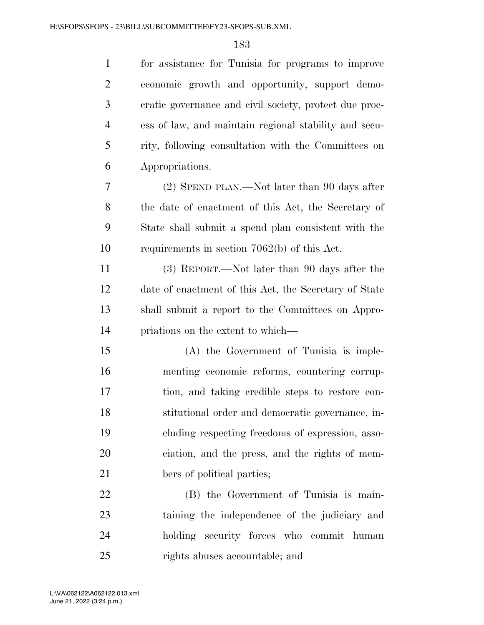| $\mathbf{1}$   | for assistance for Tunisia for programs to improve     |
|----------------|--------------------------------------------------------|
| 2              | economic growth and opportunity, support demo-         |
| 3              | cratic governance and civil society, protect due proc- |
| $\overline{4}$ | ess of law, and maintain regional stability and secu-  |
| 5              | rity, following consultation with the Committees on    |
| 6              | Appropriations.                                        |
| 7              | $(2)$ SPEND PLAN.—Not later than 90 days after         |
| 8              | the date of enactment of this Act, the Secretary of    |
| 9              | State shall submit a spend plan consistent with the    |
| 10             | requirements in section $7062(b)$ of this Act.         |
| 11             | (3) REPORT.—Not later than 90 days after the           |
| 12             | date of enactment of this Act, the Secretary of State  |
| 13             | shall submit a report to the Committees on Appro-      |
| 14             | priations on the extent to which—                      |
| 15             | (A) the Government of Tunisia is imple-                |
| 16             | menting economic reforms, countering corrup-           |
| 17             | tion, and taking credible steps to restore con-        |
| 18             | stitutional order and democratic governance, in-       |
| 19             | cluding respecting freedoms of expression, asso-       |
| 20             | ciation, and the press, and the rights of mem-         |
| 21             | bers of political parties;                             |
| 22             | (B) the Government of Tunisia is main-                 |
| 23             | taining the independence of the judiciary and          |
| 24             | holding security forces who commit human               |
| 25             | rights abuses accountable; and                         |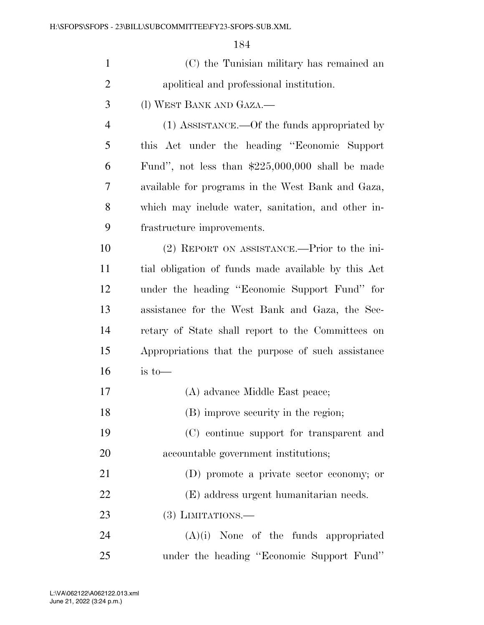| $\mathbf{1}$   | (C) the Tunisian military has remained an           |
|----------------|-----------------------------------------------------|
| $\overline{2}$ | apolitical and professional institution.            |
| 3              | (1) WEST BANK AND GAZA.—                            |
| $\overline{4}$ | $(1)$ ASSISTANCE.—Of the funds appropriated by      |
| 5              | this Act under the heading "Economic Support"       |
| 6              | Fund", not less than $$225,000,000$ shall be made   |
| 7              | available for programs in the West Bank and Gaza,   |
| 8              | which may include water, sanitation, and other in-  |
| 9              | frastructure improvements.                          |
| 10             | (2) REPORT ON ASSISTANCE.—Prior to the ini-         |
| 11             | tial obligation of funds made available by this Act |
| 12             | under the heading "Economic Support Fund" for       |
| 13             | assistance for the West Bank and Gaza, the Sec-     |
| 14             | retary of State shall report to the Committees on   |
| 15             | Appropriations that the purpose of such assistance  |
| 16             | $is$ to —                                           |
| 17             | (A) advance Middle East peace;                      |
| 18             | (B) improve security in the region;                 |
| 19             | (C) continue support for transparent and            |
| 20             | accountable government institutions;                |
| 21             | (D) promote a private sector economy; or            |
| 22             | (E) address urgent humanitarian needs.              |
| 23             | $(3)$ LIMITATIONS.—                                 |
| 24             | $(A)(i)$ None of the funds appropriated             |
| 25             | under the heading "Economic Support Fund"           |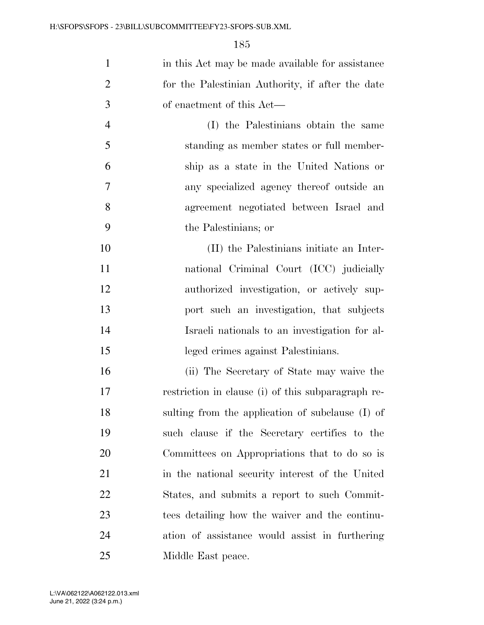| $\mathbf{1}$   | in this Act may be made available for assistance   |
|----------------|----------------------------------------------------|
| $\overline{2}$ | for the Palestinian Authority, if after the date   |
| 3              | of enactment of this Act—                          |
| $\overline{4}$ | (I) the Palestinians obtain the same               |
| 5              | standing as member states or full member-          |
| 6              | ship as a state in the United Nations or           |
| 7              | any specialized agency thereof outside an          |
| 8              | agreement negotiated between Israel and            |
| 9              | the Palestinians; or                               |
| 10             | (II) the Palestinians initiate an Inter-           |
| 11             | national Criminal Court (ICC) judicially           |
| 12             | authorized investigation, or actively sup-         |
| 13             | port such an investigation, that subjects          |
| 14             | Israeli nationals to an investigation for al-      |
| 15             | leged crimes against Palestinians.                 |
| 16             | (ii) The Secretary of State may waive the          |
| 17             | restriction in clause (i) of this subparagraph re- |
| 18             | sulting from the application of subclause (I) of   |
| 19             | such clause if the Secretary certifies to the      |
| 20             | Committees on Appropriations that to do so is      |
| 21             | in the national security interest of the United    |
| 22             | States, and submits a report to such Commit-       |
| 23             | tees detailing how the waiver and the continu-     |
| 24             | ation of assistance would assist in furthering     |
| 25             | Middle East peace.                                 |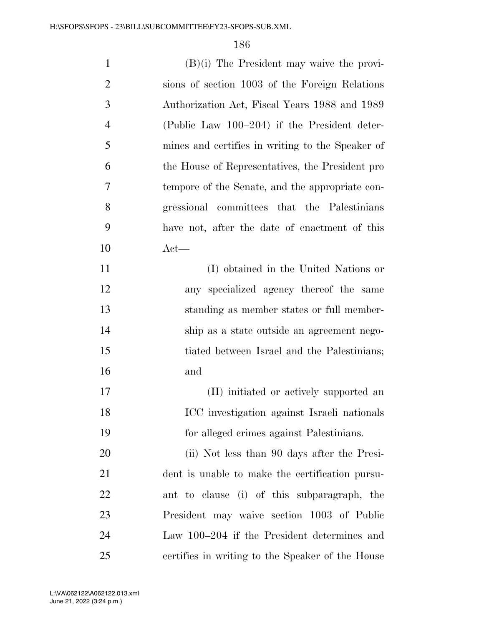| $\mathbf{1}$   | $(B)(i)$ The President may waive the provi-      |
|----------------|--------------------------------------------------|
| $\overline{2}$ | sions of section 1003 of the Foreign Relations   |
| 3              | Authorization Act, Fiscal Years 1988 and 1989    |
| $\overline{4}$ | (Public Law $100-204$ ) if the President deter-  |
| 5              | mines and certifies in writing to the Speaker of |
| 6              | the House of Representatives, the President pro  |
| 7              | tempore of the Senate, and the appropriate con-  |
| 8              | gressional committees that the Palestinians      |
| 9              | have not, after the date of enactment of this    |
| 10             | $Act$ —                                          |
| 11             | (I) obtained in the United Nations or            |
| 12             | any specialized agency thereof the same          |
| 13             | standing as member states or full member-        |
| 14             | ship as a state outside an agreement nego-       |
| 15             | tiated between Israel and the Palestinians;      |
| 16             | and                                              |
| 17             | (II) initiated or actively supported an          |
| 18             | ICC investigation against Israeli nationals      |
| 19             | for alleged crimes against Palestinians.         |
| 20             | (ii) Not less than 90 days after the Presi-      |
| 21             | dent is unable to make the certification pursu-  |
| 22             | ant to clause (i) of this subparagraph, the      |
| 23             | President may waive section 1003 of Public       |
| 24             | Law 100–204 if the President determines and      |
| 25             | certifies in writing to the Speaker of the House |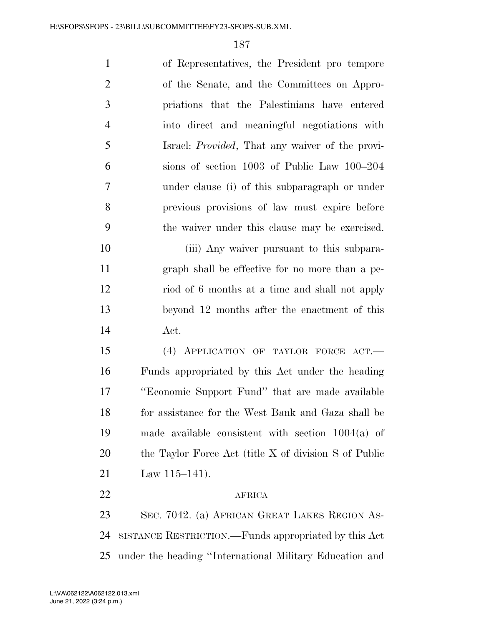| $\mathbf{1}$   | of Representatives, the President pro tempore           |
|----------------|---------------------------------------------------------|
| $\overline{2}$ | of the Senate, and the Committees on Appro-             |
| 3              | priations that the Palestinians have entered            |
| $\overline{4}$ | into direct and meaningful negotiations with            |
| 5              | Israel: <i>Provided</i> , That any waiver of the provi- |
| 6              | sions of section 1003 of Public Law 100–204             |
| 7              | under clause (i) of this subparagraph or under          |
| 8              | previous provisions of law must expire before           |
| 9              | the waiver under this clause may be exercised.          |
| 10             | (iii) Any waiver pursuant to this subpara-              |
| 11             | graph shall be effective for no more than a pe-         |
| 12             | riod of 6 months at a time and shall not apply          |
| 13             | beyond 12 months after the enactment of this            |
| 14             | Act.                                                    |
| 15             | (4) APPLICATION OF TAYLOR FORCE ACT.                    |
| 16             | Funds appropriated by this Act under the heading        |
| 17             | "Economic Support Fund" that are made available         |
| 18             | for assistance for the West Bank and Gaza shall be      |
| 19             | made available consistent with section $1004(a)$ of     |
| 20             | the Taylor Force Act (title X of division S of Public   |

Law 115–141).

## AFRICA

 SEC. 7042. (a) AFRICAN GREAT LAKES REGION AS- SISTANCE RESTRICTION.—Funds appropriated by this Act under the heading ''International Military Education and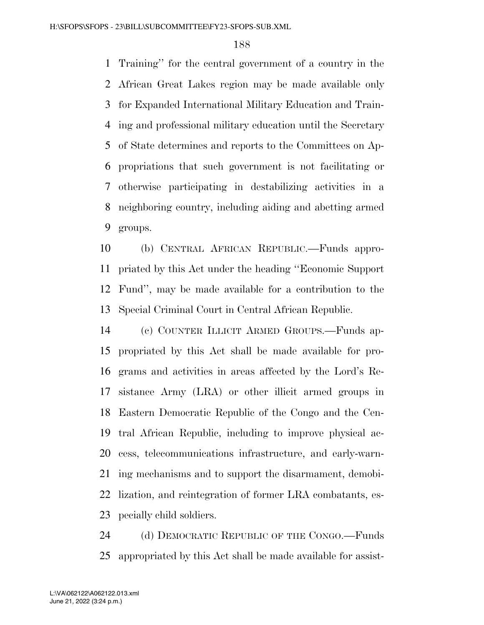Training'' for the central government of a country in the African Great Lakes region may be made available only for Expanded International Military Education and Train- ing and professional military education until the Secretary of State determines and reports to the Committees on Ap- propriations that such government is not facilitating or otherwise participating in destabilizing activities in a neighboring country, including aiding and abetting armed groups.

 (b) CENTRAL AFRICAN REPUBLIC.—Funds appro- priated by this Act under the heading ''Economic Support Fund'', may be made available for a contribution to the Special Criminal Court in Central African Republic.

 (c) COUNTER ILLICIT ARMED GROUPS.—Funds ap- propriated by this Act shall be made available for pro- grams and activities in areas affected by the Lord's Re- sistance Army (LRA) or other illicit armed groups in Eastern Democratic Republic of the Congo and the Cen- tral African Republic, including to improve physical ac- cess, telecommunications infrastructure, and early-warn- ing mechanisms and to support the disarmament, demobi- lization, and reintegration of former LRA combatants, es-pecially child soldiers.

24 (d) DEMOCRATIC REPUBLIC OF THE CONGO.—Funds appropriated by this Act shall be made available for assist-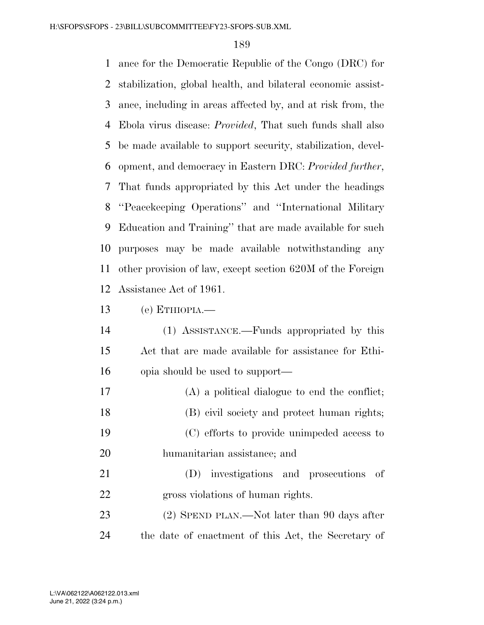ance for the Democratic Republic of the Congo (DRC) for stabilization, global health, and bilateral economic assist- ance, including in areas affected by, and at risk from, the Ebola virus disease: *Provided*, That such funds shall also be made available to support security, stabilization, devel- opment, and democracy in Eastern DRC: *Provided further*, That funds appropriated by this Act under the headings ''Peacekeeping Operations'' and ''International Military Education and Training'' that are made available for such purposes may be made available notwithstanding any other provision of law, except section 620M of the Foreign Assistance Act of 1961.

- (e) ETHIOPIA.—
- (1) ASSISTANCE.—Funds appropriated by this Act that are made available for assistance for Ethi-opia should be used to support—
- (A) a political dialogue to end the conflict; (B) civil society and protect human rights; (C) efforts to provide unimpeded access to humanitarian assistance; and
- (D) investigations and prosecutions of gross violations of human rights.
- 23 (2) SPEND PLAN.—Not later than 90 days after the date of enactment of this Act, the Secretary of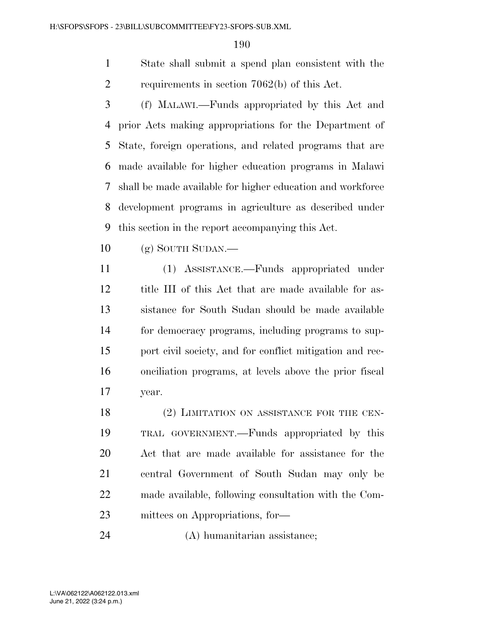State shall submit a spend plan consistent with the requirements in section 7062(b) of this Act.

 (f) MALAWI.—Funds appropriated by this Act and prior Acts making appropriations for the Department of State, foreign operations, and related programs that are made available for higher education programs in Malawi shall be made available for higher education and workforce development programs in agriculture as described under this section in the report accompanying this Act.

10  $(g)$  SOUTH SUDAN.—

 (1) ASSISTANCE.—Funds appropriated under title III of this Act that are made available for as- sistance for South Sudan should be made available for democracy programs, including programs to sup- port civil society, and for conflict mitigation and rec- onciliation programs, at levels above the prior fiscal year.

18 (2) LIMITATION ON ASSISTANCE FOR THE CEN- TRAL GOVERNMENT.—Funds appropriated by this Act that are made available for assistance for the central Government of South Sudan may only be made available, following consultation with the Com-mittees on Appropriations, for—

(A) humanitarian assistance;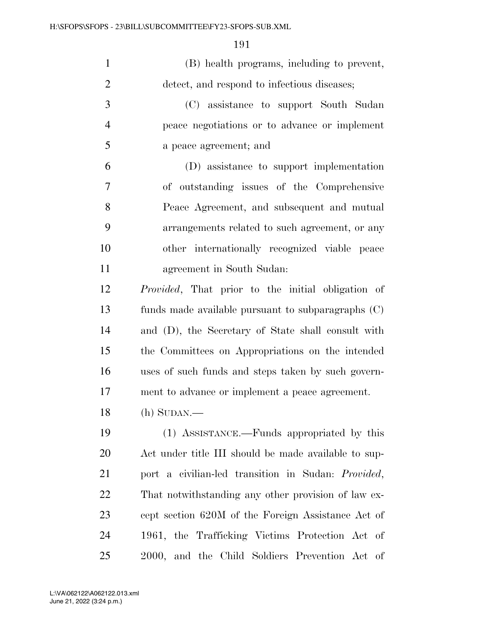| $\mathbf{1}$   | (B) health programs, including to prevent,                |
|----------------|-----------------------------------------------------------|
| $\overline{2}$ | detect, and respond to infectious diseases;               |
| 3              | (C) assistance to support South Sudan                     |
| $\overline{4}$ | peace negotiations or to advance or implement             |
| 5              | a peace agreement; and                                    |
| 6              | (D) assistance to support implementation                  |
| $\tau$         | of outstanding issues of the Comprehensive                |
| 8              | Peace Agreement, and subsequent and mutual                |
| 9              | arrangements related to such agreement, or any            |
| 10             | other internationally recognized viable peace             |
| 11             | agreement in South Sudan:                                 |
| 12             | <i>Provided</i> , That prior to the initial obligation of |
| 13             | funds made available pursuant to subparagraphs $(C)$      |
| 14             | and (D), the Secretary of State shall consult with        |
| 15             | the Committees on Appropriations on the intended          |
| 16             | uses of such funds and steps taken by such govern-        |
| 17             | ment to advance or implement a peace agreement.           |
| 18             | $(h)$ SUDAN. $-$                                          |
| 19             | (1) ASSISTANCE.—Funds appropriated by this                |
| 20             | Act under title III should be made available to sup-      |
| 21             | port a civilian-led transition in Sudan: Provided,        |
| 22             | That notwithstanding any other provision of law ex-       |
| 23             | cept section 620M of the Foreign Assistance Act of        |
| 24             | 1961, the Trafficking Victims Protection Act of           |
| 25             | 2000, and the Child Soldiers Prevention Act of            |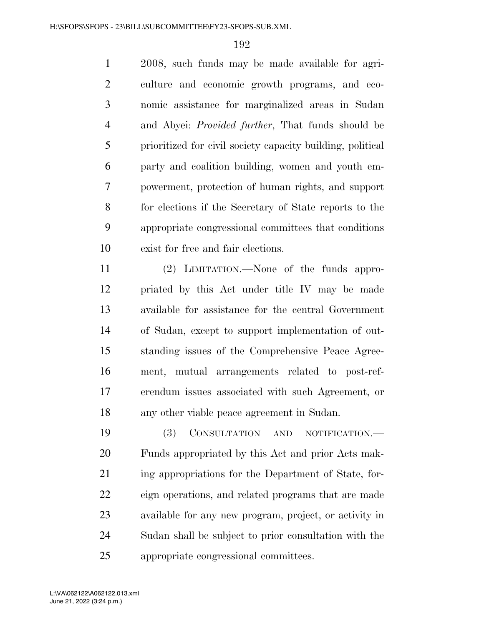2008, such funds may be made available for agri- culture and economic growth programs, and eco- nomic assistance for marginalized areas in Sudan and Abyei: *Provided further*, That funds should be prioritized for civil society capacity building, political party and coalition building, women and youth em- powerment, protection of human rights, and support for elections if the Secretary of State reports to the appropriate congressional committees that conditions exist for free and fair elections.

 (2) LIMITATION.—None of the funds appro- priated by this Act under title IV may be made available for assistance for the central Government of Sudan, except to support implementation of out- standing issues of the Comprehensive Peace Agree- ment, mutual arrangements related to post-ref- erendum issues associated with such Agreement, or any other viable peace agreement in Sudan.

 (3) CONSULTATION AND NOTIFICATION.— Funds appropriated by this Act and prior Acts mak-21 ing appropriations for the Department of State, for- eign operations, and related programs that are made available for any new program, project, or activity in Sudan shall be subject to prior consultation with the appropriate congressional committees.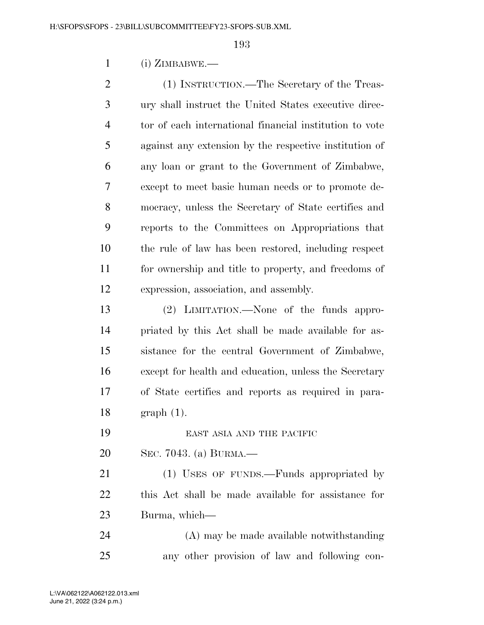(i) ZIMBABWE.—

 (1) INSTRUCTION.—The Secretary of the Treas- ury shall instruct the United States executive direc- tor of each international financial institution to vote against any extension by the respective institution of any loan or grant to the Government of Zimbabwe, except to meet basic human needs or to promote de- mocracy, unless the Secretary of State certifies and reports to the Committees on Appropriations that the rule of law has been restored, including respect for ownership and title to property, and freedoms of expression, association, and assembly.

 (2) LIMITATION.—None of the funds appro- priated by this Act shall be made available for as- sistance for the central Government of Zimbabwe, except for health and education, unless the Secretary of State certifies and reports as required in para-graph (1).

- EAST ASIA AND THE PACIFIC
- SEC. 7043. (a) BURMA.—

21 (1) USES OF FUNDS.—Funds appropriated by this Act shall be made available for assistance for Burma, which—

 (A) may be made available notwithstanding any other provision of law and following con-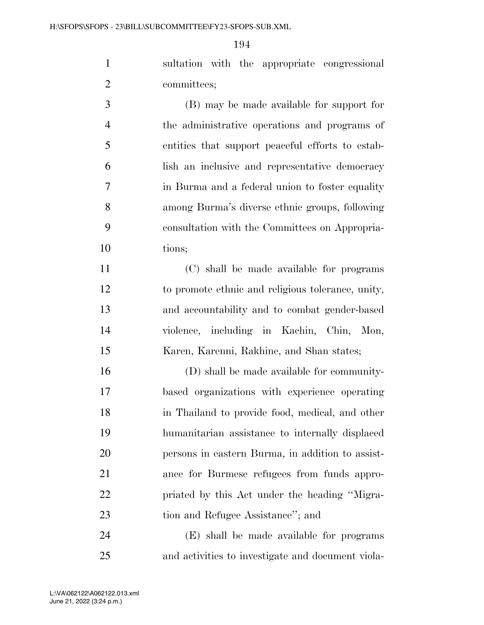sultation with the appropriate congressional committees;

 (B) may be made available for support for the administrative operations and programs of entities that support peaceful efforts to estab- lish an inclusive and representative democracy in Burma and a federal union to foster equality among Burma's diverse ethnic groups, following consultation with the Committees on Appropria-tions;

 (C) shall be made available for programs to promote ethnic and religious tolerance, unity, and accountability and to combat gender-based violence, including in Kachin, Chin, Mon, Karen, Karenni, Rakhine, and Shan states;

 (D) shall be made available for community- based organizations with experience operating in Thailand to provide food, medical, and other humanitarian assistance to internally displaced persons in eastern Burma, in addition to assist- ance for Burmese refugees from funds appro- priated by this Act under the heading ''Migra-23 tion and Refugee Assistance''; and

 (E) shall be made available for programs and activities to investigate and document viola-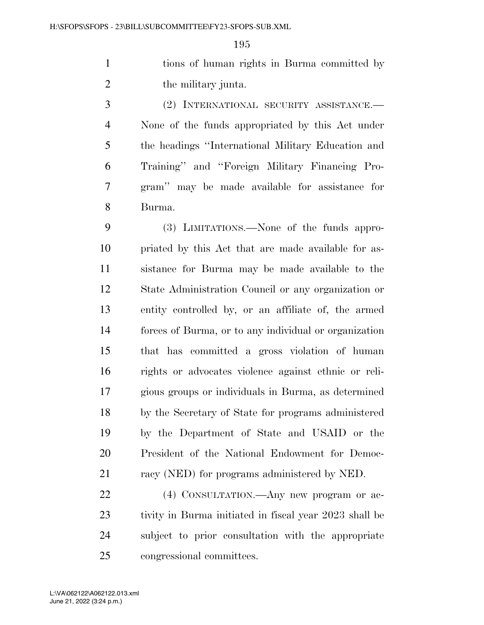tions of human rights in Burma committed by 2 the military junta.

 (2) INTERNATIONAL SECURITY ASSISTANCE.— None of the funds appropriated by this Act under the headings ''International Military Education and Training'' and ''Foreign Military Financing Pro- gram'' may be made available for assistance for Burma.

 (3) LIMITATIONS.—None of the funds appro- priated by this Act that are made available for as- sistance for Burma may be made available to the State Administration Council or any organization or entity controlled by, or an affiliate of, the armed forces of Burma, or to any individual or organization that has committed a gross violation of human rights or advocates violence against ethnic or reli- gious groups or individuals in Burma, as determined by the Secretary of State for programs administered by the Department of State and USAID or the President of the National Endowment for Democ-21 racy (NED) for programs administered by NED.

22 (4) CONSULTATION.—Any new program or ac- tivity in Burma initiated in fiscal year 2023 shall be subject to prior consultation with the appropriate congressional committees.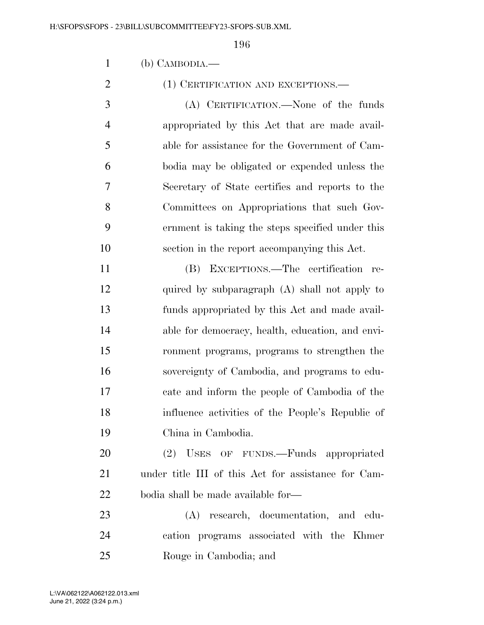(b) CAMBODIA.—

2 (1) CERTIFICATION AND EXCEPTIONS.—

 (A) CERTIFICATION.—None of the funds appropriated by this Act that are made avail- able for assistance for the Government of Cam- bodia may be obligated or expended unless the Secretary of State certifies and reports to the Committees on Appropriations that such Gov- ernment is taking the steps specified under this section in the report accompanying this Act.

 (B) EXCEPTIONS.—The certification re-12 quired by subparagraph (A) shall not apply to funds appropriated by this Act and made avail- able for democracy, health, education, and envi- ronment programs, programs to strengthen the sovereignty of Cambodia, and programs to edu- cate and inform the people of Cambodia of the influence activities of the People's Republic of China in Cambodia.

 (2) USES OF FUNDS.—Funds appropriated under title III of this Act for assistance for Cam-bodia shall be made available for—

 (A) research, documentation, and edu- cation programs associated with the Khmer Rouge in Cambodia; and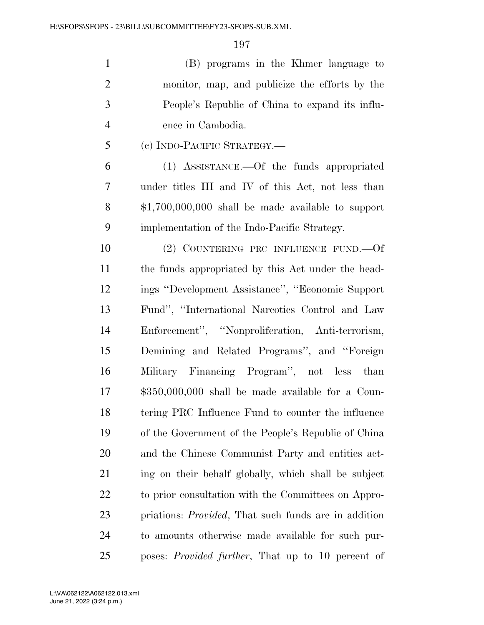|   | (B) programs in the Khmer language to           |
|---|-------------------------------------------------|
|   | monitor, map, and publicize the efforts by the  |
| 3 | People's Republic of China to expand its influ- |
|   | ence in Cambodia.                               |
|   |                                                 |

(c) INDO-PACIFIC STRATEGY.—

 (1) ASSISTANCE.—Of the funds appropriated under titles III and IV of this Act, not less than \$1,700,000,000 shall be made available to support implementation of the Indo-Pacific Strategy.

 (2) COUNTERING PRC INFLUENCE FUND.—Of the funds appropriated by this Act under the head- ings ''Development Assistance'', ''Economic Support Fund'', ''International Narcotics Control and Law Enforcement'', ''Nonproliferation, Anti-terrorism, Demining and Related Programs'', and ''Foreign Military Financing Program'', not less than \$350,000,000 shall be made available for a Coun- tering PRC Influence Fund to counter the influence of the Government of the People's Republic of China and the Chinese Communist Party and entities act- ing on their behalf globally, which shall be subject to prior consultation with the Committees on Appro- priations: *Provided*, That such funds are in addition to amounts otherwise made available for such pur-poses: *Provided further*, That up to 10 percent of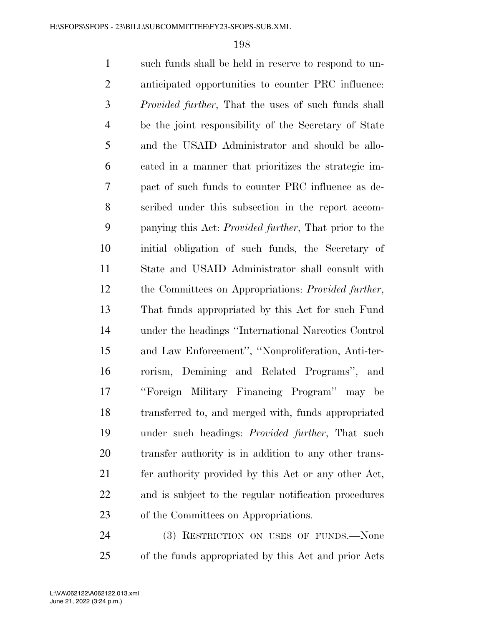such funds shall be held in reserve to respond to un- anticipated opportunities to counter PRC influence: *Provided further*, That the uses of such funds shall be the joint responsibility of the Secretary of State and the USAID Administrator and should be allo- cated in a manner that prioritizes the strategic im- pact of such funds to counter PRC influence as de- scribed under this subsection in the report accom- panying this Act: *Provided further*, That prior to the initial obligation of such funds, the Secretary of State and USAID Administrator shall consult with the Committees on Appropriations: *Provided further*, That funds appropriated by this Act for such Fund under the headings ''International Narcotics Control and Law Enforcement'', ''Nonproliferation, Anti-ter- rorism, Demining and Related Programs'', and ''Foreign Military Financing Program'' may be transferred to, and merged with, funds appropriated under such headings: *Provided further*, That such transfer authority is in addition to any other trans-21 fer authority provided by this Act or any other Act, and is subject to the regular notification procedures of the Committees on Appropriations.

 (3) RESTRICTION ON USES OF FUNDS.—None of the funds appropriated by this Act and prior Acts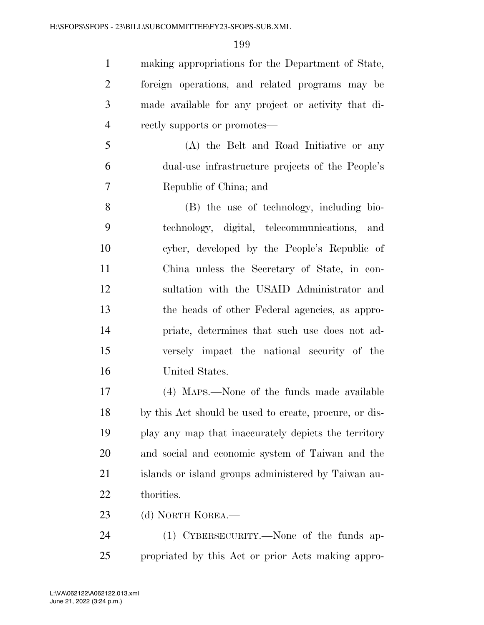making appropriations for the Department of State, foreign operations, and related programs may be made available for any project or activity that di-rectly supports or promotes—

 (A) the Belt and Road Initiative or any dual-use infrastructure projects of the People's Republic of China; and

 (B) the use of technology, including bio- technology, digital, telecommunications, and cyber, developed by the People's Republic of China unless the Secretary of State, in con- sultation with the USAID Administrator and the heads of other Federal agencies, as appro- priate, determines that such use does not ad- versely impact the national security of the United States.

 (4) MAPS.—None of the funds made available by this Act should be used to create, procure, or dis- play any map that inaccurately depicts the territory and social and economic system of Taiwan and the islands or island groups administered by Taiwan au-thorities.

23 (d) NORTH KOREA.—

 (1) CYBERSECURITY.—None of the funds ap-propriated by this Act or prior Acts making appro-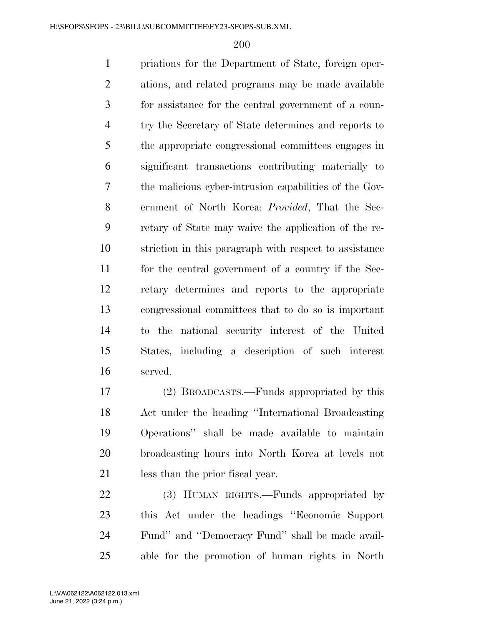priations for the Department of State, foreign oper- ations, and related programs may be made available for assistance for the central government of a coun- try the Secretary of State determines and reports to the appropriate congressional committees engages in significant transactions contributing materially to the malicious cyber-intrusion capabilities of the Gov- ernment of North Korea: *Provided*, That the Sec- retary of State may waive the application of the re- striction in this paragraph with respect to assistance for the central government of a country if the Sec- retary determines and reports to the appropriate congressional committees that to do so is important to the national security interest of the United States, including a description of such interest served.

 (2) BROADCASTS.—Funds appropriated by this Act under the heading ''International Broadcasting Operations'' shall be made available to maintain broadcasting hours into North Korea at levels not less than the prior fiscal year.

 (3) HUMAN RIGHTS.—Funds appropriated by this Act under the headings ''Economic Support Fund'' and ''Democracy Fund'' shall be made avail-able for the promotion of human rights in North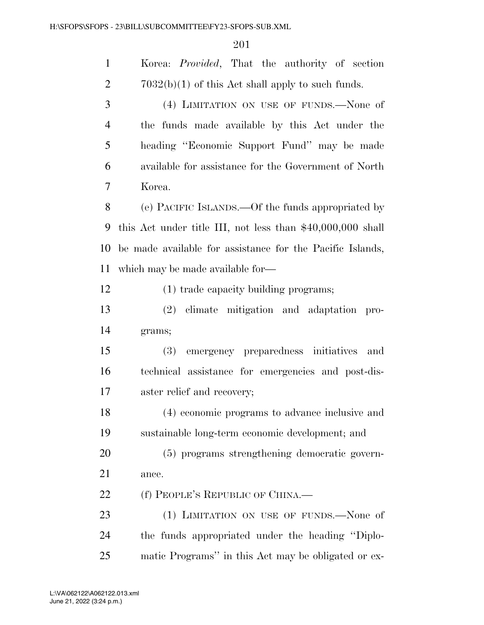| $\mathbf{1}$   | Korea: <i>Provided</i> , That the authority of section      |
|----------------|-------------------------------------------------------------|
| $\overline{2}$ | $7032(b)(1)$ of this Act shall apply to such funds.         |
| 3              | (4) LIMITATION ON USE OF FUNDS.—None of                     |
| $\overline{4}$ | the funds made available by this Act under the              |
| 5              | heading "Economic Support Fund" may be made                 |
| 6              | available for assistance for the Government of North        |
| 7              | Korea.                                                      |
| 8              | (e) PACIFIC ISLANDS.—Of the funds appropriated by           |
| 9              | this Act under title III, not less than $$40,000,000$ shall |
| 10             | be made available for assistance for the Pacific Islands,   |
| 11             | which may be made available for—                            |
| 12             | (1) trade capacity building programs;                       |
| 13             | (2) elimate mitigation and adaptation pro-                  |
| 14             | grams;                                                      |
| 15             | emergency preparedness initiatives<br>(3)<br>and            |
| 16             | technical assistance for emergencies and post-dis-          |
| 17             | aster relief and recovery;                                  |
| 18             | (4) economic programs to advance inclusive and              |
| 19             | sustainable long-term economic development; and             |
| 20             | (5) programs strengthening democratic govern-               |
| 21             | ance.                                                       |
| 22             | (f) PEOPLE'S REPUBLIC OF CHINA.—                            |
| 23             | (1) LIMITATION ON USE OF FUNDS.—None of                     |
| 24             | the funds appropriated under the heading "Diplo-            |
| 25             | matic Programs" in this Act may be obligated or ex-         |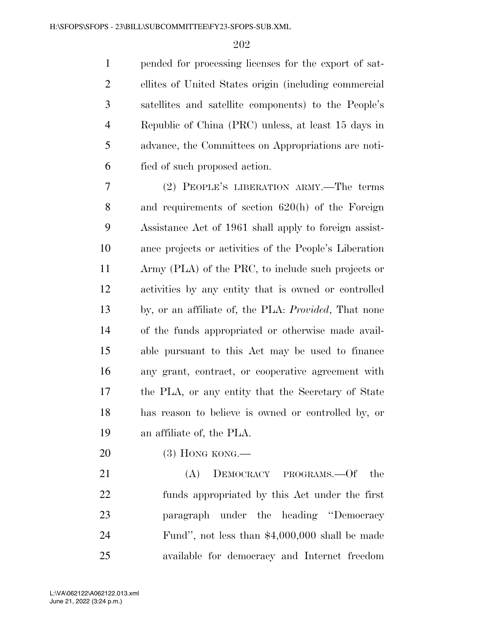pended for processing licenses for the export of sat- ellites of United States origin (including commercial satellites and satellite components) to the People's Republic of China (PRC) unless, at least 15 days in advance, the Committees on Appropriations are noti-fied of such proposed action.

 (2) PEOPLE'S LIBERATION ARMY.—The terms and requirements of section 620(h) of the Foreign Assistance Act of 1961 shall apply to foreign assist- ance projects or activities of the People's Liberation Army (PLA) of the PRC, to include such projects or activities by any entity that is owned or controlled by, or an affiliate of, the PLA: *Provided*, That none of the funds appropriated or otherwise made avail- able pursuant to this Act may be used to finance any grant, contract, or cooperative agreement with the PLA, or any entity that the Secretary of State has reason to believe is owned or controlled by, or an affiliate of, the PLA.

(3) HONG KONG.—

21 (A) DEMOCRACY PROGRAMS.—Of the funds appropriated by this Act under the first paragraph under the heading ''Democracy Fund'', not less than \$4,000,000 shall be made available for democracy and Internet freedom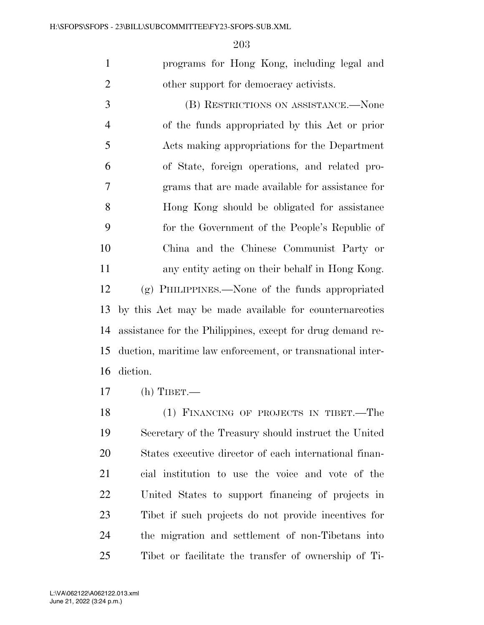programs for Hong Kong, including legal and other support for democracy activists.

 (B) RESTRICTIONS ON ASSISTANCE.—None of the funds appropriated by this Act or prior Acts making appropriations for the Department of State, foreign operations, and related pro- grams that are made available for assistance for Hong Kong should be obligated for assistance for the Government of the People's Republic of China and the Chinese Communist Party or any entity acting on their behalf in Hong Kong. (g) PHILIPPINES.—None of the funds appropriated by this Act may be made available for counternarcotics assistance for the Philippines, except for drug demand re- duction, maritime law enforcement, or transnational inter-diction.

(h) TIBET.—

 (1) FINANCING OF PROJECTS IN TIBET.—The Secretary of the Treasury should instruct the United States executive director of each international finan- cial institution to use the voice and vote of the United States to support financing of projects in Tibet if such projects do not provide incentives for the migration and settlement of non-Tibetans into Tibet or facilitate the transfer of ownership of Ti-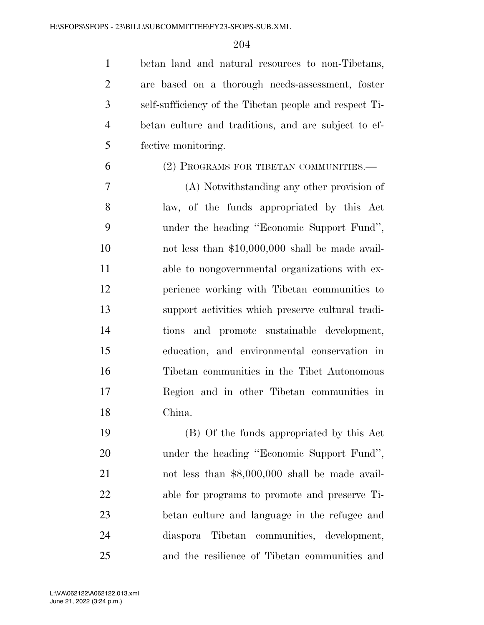betan land and natural resources to non-Tibetans, are based on a thorough needs-assessment, foster self-sufficiency of the Tibetan people and respect Ti- betan culture and traditions, and are subject to ef-fective monitoring.

## (2) PROGRAMS FOR TIBETAN COMMUNITIES.—

 (A) Notwithstanding any other provision of law, of the funds appropriated by this Act under the heading ''Economic Support Fund'', not less than \$10,000,000 shall be made avail- able to nongovernmental organizations with ex- perience working with Tibetan communities to support activities which preserve cultural tradi- tions and promote sustainable development, education, and environmental conservation in Tibetan communities in the Tibet Autonomous Region and in other Tibetan communities in China.

 (B) Of the funds appropriated by this Act under the heading ''Economic Support Fund'', not less than \$8,000,000 shall be made avail- able for programs to promote and preserve Ti- betan culture and language in the refugee and diaspora Tibetan communities, development, and the resilience of Tibetan communities and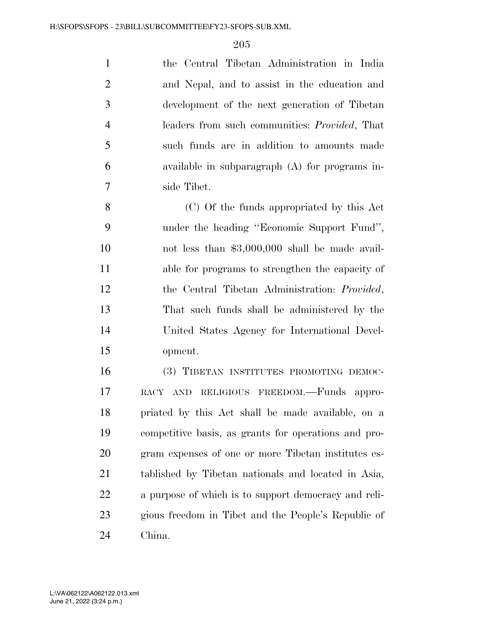the Central Tibetan Administration in India and Nepal, and to assist in the education and development of the next generation of Tibetan leaders from such communities: *Provided*, That such funds are in addition to amounts made available in subparagraph (A) for programs in-side Tibet.

 (C) Of the funds appropriated by this Act under the heading ''Economic Support Fund'', not less than \$3,000,000 shall be made avail- able for programs to strengthen the capacity of the Central Tibetan Administration: *Provided*, That such funds shall be administered by the United States Agency for International Devel-opment.

 (3) TIBETAN INSTITUTES PROMOTING DEMOC- RACY AND RELIGIOUS FREEDOM.—Funds appro- priated by this Act shall be made available, on a competitive basis, as grants for operations and pro- gram expenses of one or more Tibetan institutes es- tablished by Tibetan nationals and located in Asia, a purpose of which is to support democracy and reli- gious freedom in Tibet and the People's Republic of China.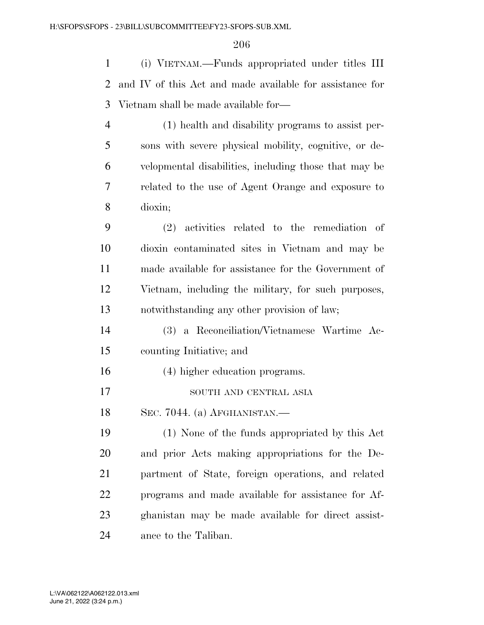(i) VIETNAM.—Funds appropriated under titles III and IV of this Act and made available for assistance for Vietnam shall be made available for— (1) health and disability programs to assist per- sons with severe physical mobility, cognitive, or de-velopmental disabilities, including those that may be

- related to the use of Agent Orange and exposure to dioxin;
- (2) activities related to the remediation of dioxin contaminated sites in Vietnam and may be made available for assistance for the Government of Vietnam, including the military, for such purposes, notwithstanding any other provision of law;
- (3) a Reconciliation/Vietnamese Wartime Ac-counting Initiative; and
- (4) higher education programs.
- 17 SOUTH AND CENTRAL ASIA
- SEC. 7044. (a) AFGHANISTAN.—

 (1) None of the funds appropriated by this Act and prior Acts making appropriations for the De- partment of State, foreign operations, and related programs and made available for assistance for Af- ghanistan may be made available for direct assist-ance to the Taliban.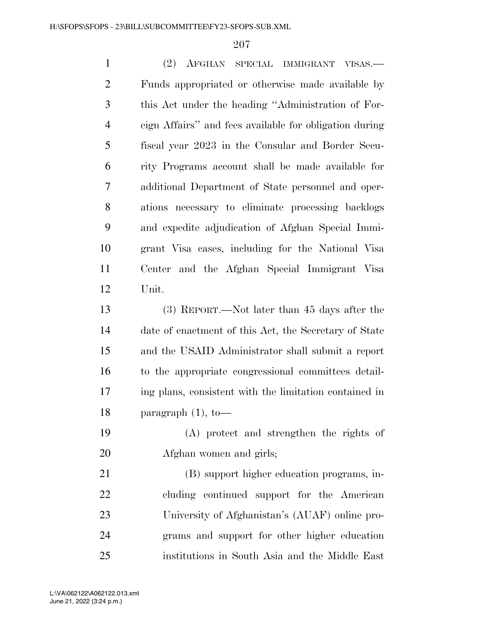(2) AFGHAN SPECIAL IMMIGRANT VISAS.— Funds appropriated or otherwise made available by this Act under the heading ''Administration of For- eign Affairs'' and fees available for obligation during fiscal year 2023 in the Consular and Border Secu- rity Programs account shall be made available for additional Department of State personnel and oper- ations necessary to eliminate processing backlogs and expedite adjudication of Afghan Special Immi- grant Visa cases, including for the National Visa Center and the Afghan Special Immigrant Visa Unit. (3) REPORT.—Not later than 45 days after the date of enactment of this Act, the Secretary of State and the USAID Administrator shall submit a report to the appropriate congressional committees detail- ing plans, consistent with the limitation contained in 18 paragraph  $(1)$ , to (A) protect and strengthen the rights of Afghan women and girls; (B) support higher education programs, in-cluding continued support for the American

 University of Afghanistan's (AUAF) online pro- grams and support for other higher education institutions in South Asia and the Middle East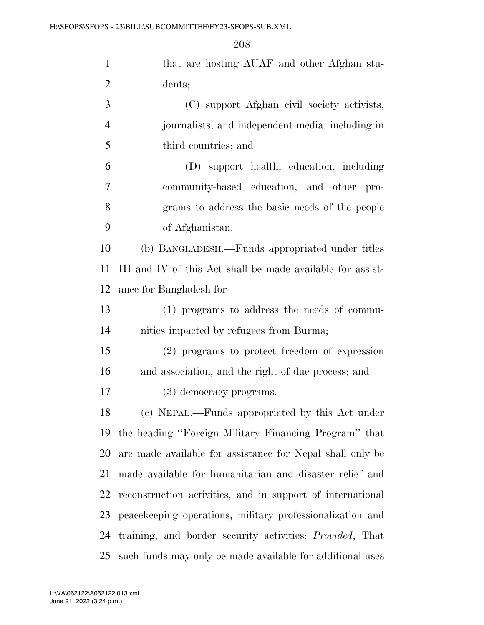| $\mathbf{1}$   | that are hosting AUAF and other Afghan stu-                      |
|----------------|------------------------------------------------------------------|
| $\overline{2}$ | dents;                                                           |
| 3              | (C) support Afghan civil society activists,                      |
| $\overline{4}$ | journalists, and independent media, including in                 |
| 5              | third countries; and                                             |
| 6              | (D) support health, education, including                         |
| $\overline{7}$ | community-based education, and other pro-                        |
| 8              | grams to address the basic needs of the people                   |
| 9              | of Afghanistan.                                                  |
| 10             | (b) BANGLADESH.—Funds appropriated under titles                  |
| 11             | III and IV of this Act shall be made available for assist-       |
| 12             | ance for Bangladesh for—                                         |
| 13             | (1) programs to address the needs of commu-                      |
| 14             | nities impacted by refugees from Burma;                          |
| 15             | (2) programs to protect freedom of expression                    |
| 16             | and association, and the right of due process; and               |
| 17             | (3) democracy programs.                                          |
| 18             | (c) NEPAL.—Funds appropriated by this Act under                  |
| 19             | the heading "Foreign Military Financing Program" that            |
| 20             | are made available for assistance for Nepal shall only be        |
| 21             | made available for humanitarian and disaster relief and          |
| 22             | reconstruction activities, and in support of international       |
| 23             | peace keeping operations, military professionalization and       |
| 24             | training, and border security activities: <i>Provided</i> , That |
| 25             | such funds may only be made available for additional uses        |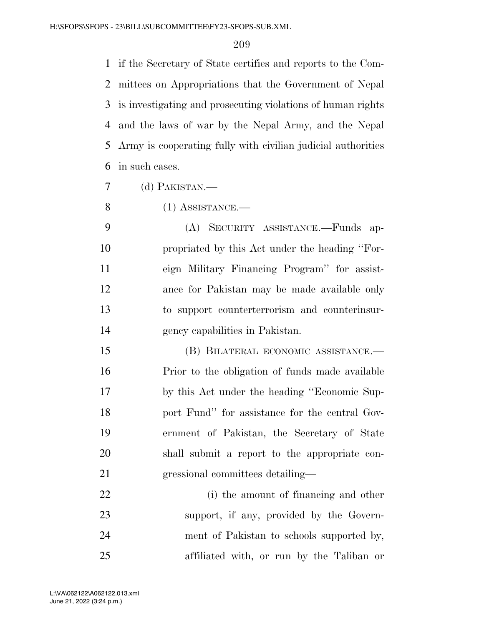if the Secretary of State certifies and reports to the Com- mittees on Appropriations that the Government of Nepal is investigating and prosecuting violations of human rights and the laws of war by the Nepal Army, and the Nepal Army is cooperating fully with civilian judicial authorities in such cases.

- (d) PAKISTAN.—
- (1) ASSISTANCE.—

 (A) SECURITY ASSISTANCE.—Funds ap- propriated by this Act under the heading ''For- eign Military Financing Program'' for assist- ance for Pakistan may be made available only to support counterterrorism and counterinsur-gency capabilities in Pakistan.

 (B) BILATERAL ECONOMIC ASSISTANCE.— Prior to the obligation of funds made available by this Act under the heading ''Economic Sup- port Fund'' for assistance for the central Gov- ernment of Pakistan, the Secretary of State shall submit a report to the appropriate con-gressional committees detailing—

 (i) the amount of financing and other support, if any, provided by the Govern- ment of Pakistan to schools supported by, affiliated with, or run by the Taliban or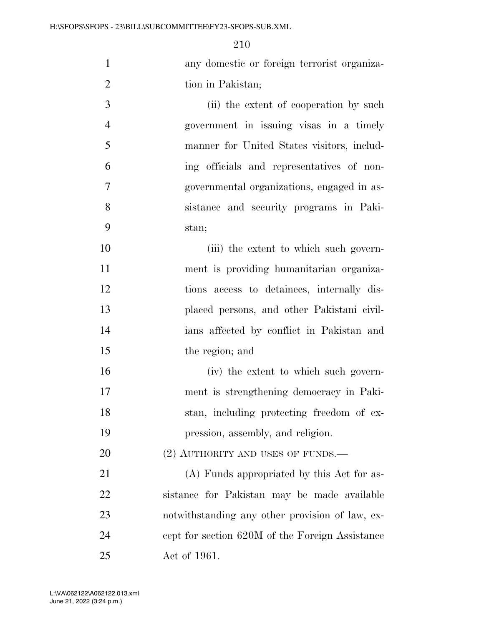| $\mathbf{1}$   | any domestic or foreign terrorist organiza-     |
|----------------|-------------------------------------------------|
| $\overline{2}$ | tion in Pakistan;                               |
| 3              | (ii) the extent of cooperation by such          |
| $\overline{4}$ | government in issuing visas in a timely         |
| 5              | manner for United States visitors, includ-      |
| 6              | ing officials and representatives of non-       |
| $\overline{7}$ | governmental organizations, engaged in as-      |
| 8              | sistance and security programs in Paki-         |
| 9              | stan;                                           |
| 10             | (iii) the extent to which such govern-          |
| 11             | ment is providing humanitarian organiza-        |
| 12             | tions access to detainees, internally dis-      |
| 13             | placed persons, and other Pakistani civil-      |
| 14             | ians affected by conflict in Pakistan and       |
| 15             | the region; and                                 |
| 16             | (iv) the extent to which such govern-           |
| 17             | ment is strengthening democracy in Paki-        |
| 18             | stan, including protecting freedom of ex-       |
| 19             | pression, assembly, and religion.               |
| 20             | $(2)$ AUTHORITY AND USES OF FUNDS.—             |
| 21             | (A) Funds appropriated by this Act for as-      |
| 22             | sistance for Pakistan may be made available     |
| 23             | notwithstanding any other provision of law, ex- |
| 24             | cept for section 620M of the Foreign Assistance |
| 25             | Act of 1961.                                    |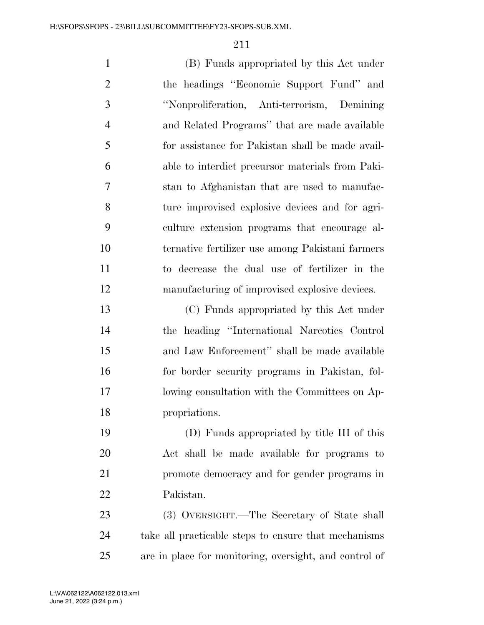(B) Funds appropriated by this Act under the headings ''Economic Support Fund'' and ''Nonproliferation, Anti-terrorism, Demining and Related Programs'' that are made available for assistance for Pakistan shall be made avail- able to interdict precursor materials from Paki- stan to Afghanistan that are used to manufac- ture improvised explosive devices and for agri- culture extension programs that encourage al- ternative fertilizer use among Pakistani farmers to decrease the dual use of fertilizer in the manufacturing of improvised explosive devices. (C) Funds appropriated by this Act under the heading ''International Narcotics Control and Law Enforcement'' shall be made available

 for border security programs in Pakistan, fol- lowing consultation with the Committees on Ap-propriations.

 (D) Funds appropriated by title III of this Act shall be made available for programs to promote democracy and for gender programs in Pakistan.

 (3) OVERSIGHT.—The Secretary of State shall take all practicable steps to ensure that mechanisms are in place for monitoring, oversight, and control of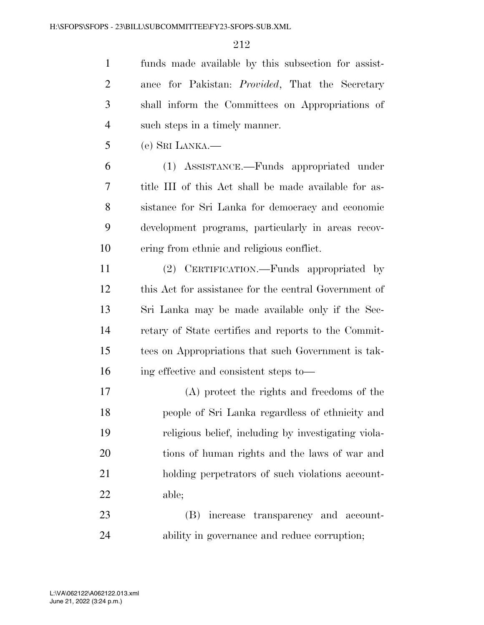funds made available by this subsection for assist- ance for Pakistan: *Provided*, That the Secretary shall inform the Committees on Appropriations of such steps in a timely manner.

(e) SRI LANKA.—

 (1) ASSISTANCE.—Funds appropriated under title III of this Act shall be made available for as- sistance for Sri Lanka for democracy and economic development programs, particularly in areas recov-ering from ethnic and religious conflict.

 (2) CERTIFICATION.—Funds appropriated by this Act for assistance for the central Government of Sri Lanka may be made available only if the Sec- retary of State certifies and reports to the Commit- tees on Appropriations that such Government is tak-ing effective and consistent steps to—

 (A) protect the rights and freedoms of the people of Sri Lanka regardless of ethnicity and religious belief, including by investigating viola- tions of human rights and the laws of war and holding perpetrators of such violations account-able;

 (B) increase transparency and account-ability in governance and reduce corruption;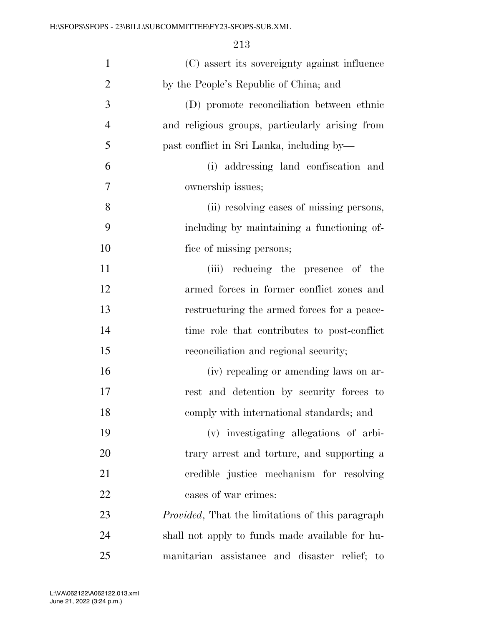| $\mathbf{1}$   | (C) assert its sovereignty against influence             |
|----------------|----------------------------------------------------------|
| $\overline{2}$ | by the People's Republic of China; and                   |
| 3              | (D) promote reconciliation between ethnic                |
| $\overline{4}$ | and religious groups, particularly arising from          |
| 5              | past conflict in Sri Lanka, including by—                |
| 6              | (i) addressing land confiscation and                     |
| 7              | ownership issues;                                        |
| 8              | (ii) resolving cases of missing persons,                 |
| 9              | including by maintaining a functioning of-               |
| 10             | fice of missing persons;                                 |
| 11             | (iii) reducing the presence of the                       |
| 12             | armed forces in former conflict zones and                |
| 13             | restructuring the armed forces for a peace-              |
| 14             | time role that contributes to post-conflict              |
| 15             | reconciliation and regional security;                    |
| 16             | (iv) repealing or amending laws on ar-                   |
| 17             | rest and detention by security forces to                 |
| 18             | comply with international standards; and                 |
| 19             | (v) investigating allegations of arbi-                   |
| 20             | trary arrest and torture, and supporting a               |
| 21             | credible justice mechanism for resolving                 |
| 22             | cases of war crimes:                                     |
| 23             | <i>Provided</i> , That the limitations of this paragraph |
| 24             | shall not apply to funds made available for hu-          |
| $25\,$         | manitarian assistance and disaster relief; to            |

June 21, 2022 (3:24 p.m.) L:\VA\062122\A062122.013.xml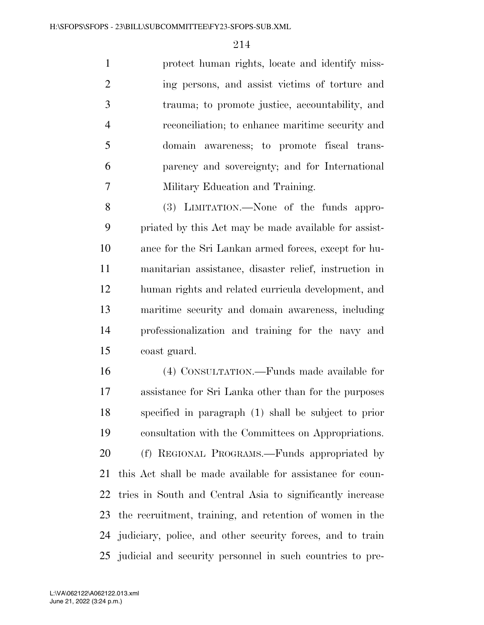protect human rights, locate and identify miss- ing persons, and assist victims of torture and trauma; to promote justice, accountability, and reconciliation; to enhance maritime security and domain awareness; to promote fiscal trans- parency and sovereignty; and for International Military Education and Training.

 (3) LIMITATION.—None of the funds appro- priated by this Act may be made available for assist- ance for the Sri Lankan armed forces, except for hu- manitarian assistance, disaster relief, instruction in human rights and related curricula development, and maritime security and domain awareness, including professionalization and training for the navy and coast guard.

 (4) CONSULTATION.—Funds made available for assistance for Sri Lanka other than for the purposes specified in paragraph (1) shall be subject to prior consultation with the Committees on Appropriations. (f) REGIONAL PROGRAMS.—Funds appropriated by this Act shall be made available for assistance for coun- tries in South and Central Asia to significantly increase the recruitment, training, and retention of women in the judiciary, police, and other security forces, and to train judicial and security personnel in such countries to pre-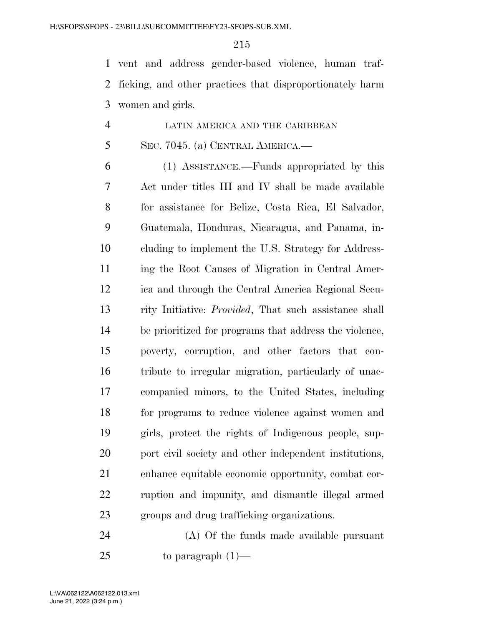vent and address gender-based violence, human traf- ficking, and other practices that disproportionately harm women and girls.

 LATIN AMERICA AND THE CARIBBEAN SEC. 7045. (a) CENTRAL AMERICA.—

 (1) ASSISTANCE.—Funds appropriated by this Act under titles III and IV shall be made available for assistance for Belize, Costa Rica, El Salvador, Guatemala, Honduras, Nicaragua, and Panama, in- cluding to implement the U.S. Strategy for Address-11 ing the Root Causes of Migration in Central Amer- ica and through the Central America Regional Secu- rity Initiative: *Provided*, That such assistance shall be prioritized for programs that address the violence, poverty, corruption, and other factors that con- tribute to irregular migration, particularly of unac- companied minors, to the United States, including for programs to reduce violence against women and girls, protect the rights of Indigenous people, sup- port civil society and other independent institutions, enhance equitable economic opportunity, combat cor- ruption and impunity, and dismantle illegal armed groups and drug trafficking organizations.

 (A) Of the funds made available pursuant to paragraph (1)—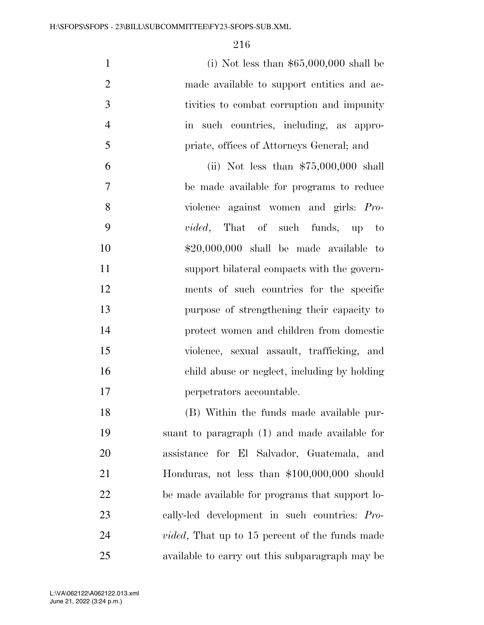| $\mathbf{1}$   | (i) Not less than $$65,000,000$ shall be        |
|----------------|-------------------------------------------------|
| $\overline{2}$ | made available to support entities and ac-      |
| 3              | tivities to combat corruption and impunity      |
| $\overline{4}$ | in such countries, including, as appro-         |
| 5              | priate, offices of Attorneys General; and       |
| 6              | (ii) Not less than $$75,000,000$ shall          |
| 7              | be made available for programs to reduce        |
| 8              | violence against women and girls: Pro-          |
| 9              | <i>vided</i> , That of such funds, up to        |
| 10             | $$20,000,000$ shall be made available to        |
| 11             | support bilateral compacts with the govern-     |
| 12             | ments of such countries for the specific        |
| 13             | purpose of strengthening their capacity to      |
| 14             | protect women and children from domestic        |
| 15             | violence, sexual assault, trafficking, and      |
| 16             | child abuse or neglect, including by holding    |
| 17             | perpetrators accountable.                       |
| 18             | (B) Within the funds made available pur-        |
| 19             | suant to paragraph (1) and made available for   |
| 20             | assistance for El Salvador, Guatemala, and      |
| 21             | Honduras, not less than $$100,000,000$ should   |
| 22             | be made available for programs that support lo- |
|                |                                                 |

 cally-led development in such countries: *Pro- vided*, That up to 15 percent of the funds made available to carry out this subparagraph may be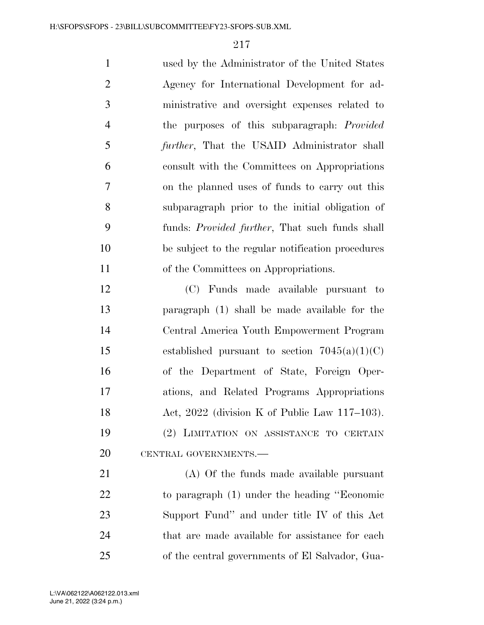| $\mathbf{1}$   | used by the Administrator of the United States     |
|----------------|----------------------------------------------------|
| $\overline{2}$ | Agency for International Development for ad-       |
| 3              | ministrative and oversight expenses related to     |
| $\overline{4}$ | the purposes of this subparagraph: <i>Provided</i> |
| 5              | further, That the USAID Administrator shall        |
| 6              | consult with the Committees on Appropriations      |
| $\overline{7}$ | on the planned uses of funds to carry out this     |
| 8              | subparagraph prior to the initial obligation of    |
| 9              | funds: Provided further, That such funds shall     |
| 10             | be subject to the regular notification procedures  |
| 11             | of the Committees on Appropriations.               |
| 12             | (C) Funds made available pursuant to               |
| 13             | paragraph (1) shall be made available for the      |
| 14             | Central America Youth Empowerment Program          |
| 15             | established pursuant to section $7045(a)(1)(C)$    |
| 16             | of the Department of State, Foreign Oper-          |
| 17             | ations, and Related Programs Appropriations        |
| 18             | Act, $2022$ (division K of Public Law 117–103).    |

 (2) LIMITATION ON ASSISTANCE TO CERTAIN 20 CENTRAL GOVERNMENTS.

 (A) Of the funds made available pursuant to paragraph (1) under the heading ''Economic Support Fund'' and under title IV of this Act that are made available for assistance for each of the central governments of El Salvador, Gua-

June 21, 2022 (3:24 p.m.) L:\VA\062122\A062122.013.xml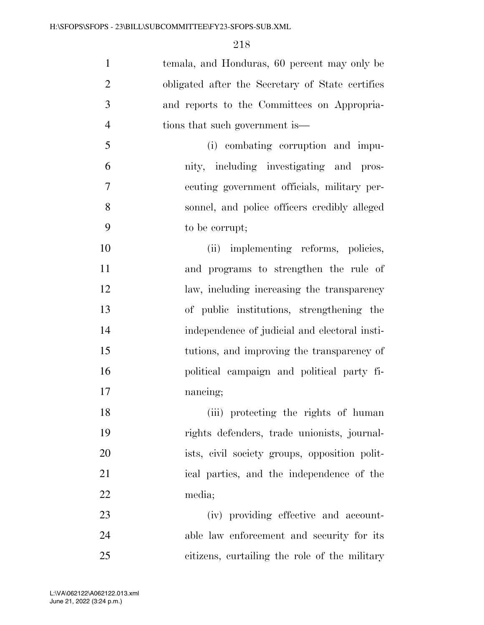| $\mathbf{1}$   | temala, and Honduras, 60 percent may only be     |
|----------------|--------------------------------------------------|
| $\overline{2}$ | obligated after the Secretary of State certifies |
| 3              | and reports to the Committees on Appropria-      |
| $\overline{4}$ | tions that such government is—                   |
| 5              | (i) combating corruption and impu-               |
| 6              | nity, including investigating and pros-          |
| 7              | ecuting government officials, military per-      |
| 8              | sonnel, and police officers credibly alleged     |
| 9              | to be corrupt;                                   |
| 10             | (ii) implementing reforms, policies,             |
| 11             | and programs to strengthen the rule of           |
| 12             | law, including increasing the transparency       |
| 13             | of public institutions, strengthening the        |
| 14             | independence of judicial and electoral insti-    |
| 15             | tutions, and improving the transparency of       |
| 16             | political campaign and political party fi-       |
| 17             | nancing;                                         |
| 18             | (iii) protecting the rights of human             |
| 19             | rights defenders, trade unionists, journal-      |
| 20             | ists, civil society groups, opposition polit-    |
| 21             | ical parties, and the independence of the        |
| 22             | media;                                           |
| 23             | (iv) providing effective and account-            |
| 24             | able law enforcement and security for its        |
| 25             | citizens, curtailing the role of the military    |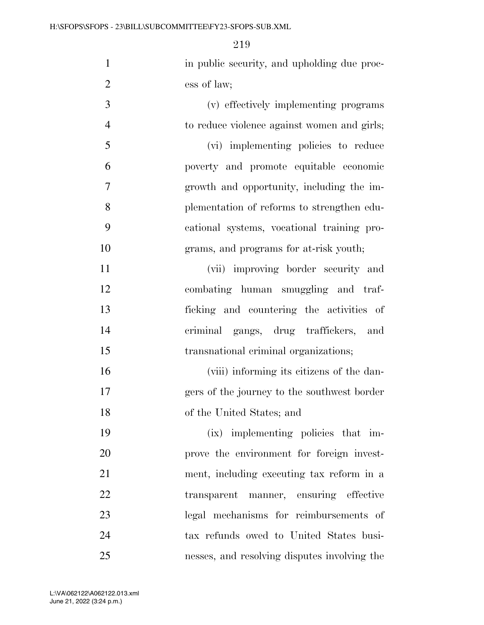- 1 in public security, and upholding due proc-ess of law;
- (v) effectively implementing programs to reduce violence against women and girls; (vi) implementing policies to reduce poverty and promote equitable economic growth and opportunity, including the im- plementation of reforms to strengthen edu- cational systems, vocational training pro-grams, and programs for at-risk youth;

 (vii) improving border security and combating human smuggling and traf- ficking and countering the activities of criminal gangs, drug traffickers, and transnational criminal organizations;

 (viii) informing its citizens of the dan- gers of the journey to the southwest border of the United States; and

 (ix) implementing policies that im- prove the environment for foreign invest- ment, including executing tax reform in a transparent manner, ensuring effective legal mechanisms for reimbursements of tax refunds owed to United States busi-nesses, and resolving disputes involving the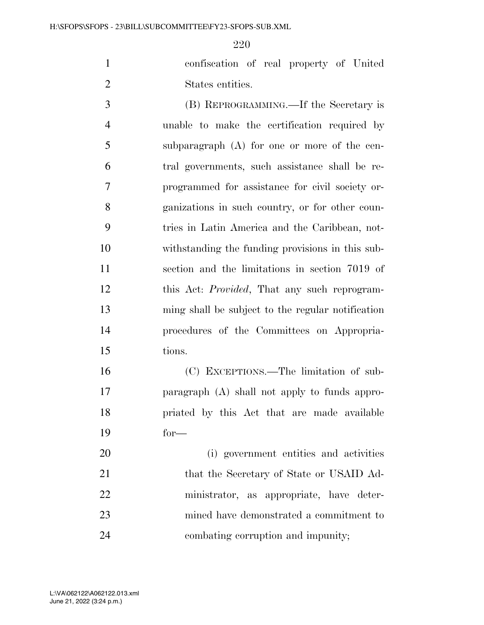confiscation of real property of United States entities.

 (B) REPROGRAMMING.—If the Secretary is unable to make the certification required by subparagraph (A) for one or more of the cen- tral governments, such assistance shall be re- programmed for assistance for civil society or- ganizations in such country, or for other coun- tries in Latin America and the Caribbean, not- withstanding the funding provisions in this sub- section and the limitations in section 7019 of this Act: *Provided*, That any such reprogram- ming shall be subject to the regular notification procedures of the Committees on Appropria-tions.

 (C) EXCEPTIONS.—The limitation of sub- paragraph (A) shall not apply to funds appro- priated by this Act that are made available for—

 (i) government entities and activities 21 that the Secretary of State or USAID Ad- ministrator, as appropriate, have deter- mined have demonstrated a commitment to combating corruption and impunity;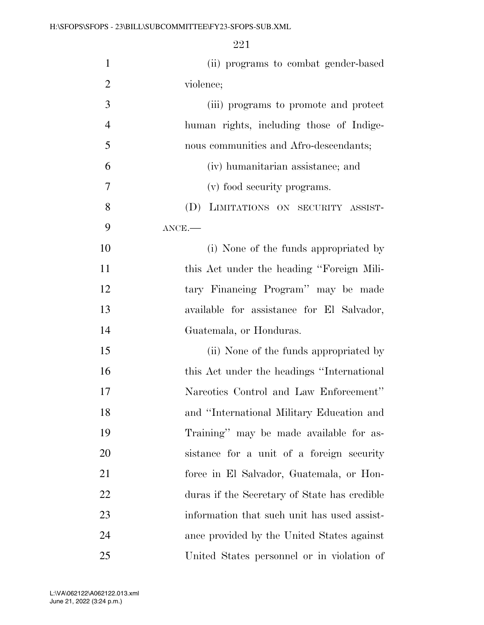| $\mathbf{1}$   | (ii) programs to combat gender-based         |
|----------------|----------------------------------------------|
| $\overline{2}$ | violence;                                    |
| $\mathfrak{Z}$ | (iii) programs to promote and protect        |
| $\overline{4}$ | human rights, including those of Indige-     |
| 5              | nous communities and Afro-descendants;       |
| 6              | (iv) humanitarian assistance; and            |
| $\overline{7}$ | (v) food security programs.                  |
| 8              | (D)<br>LIMITATIONS ON SECURITY ASSIST-       |
| 9              | $ANCE$ .                                     |
| 10             | (i) None of the funds appropriated by        |
| 11             | this Act under the heading "Foreign Mili-    |
| 12             | tary Financing Program" may be made          |
| 13             | available for assistance for El Salvador,    |
| 14             | Guatemala, or Honduras.                      |
| 15             | (ii) None of the funds appropriated by       |
| 16             | this Act under the headings "International"  |
| 17             | Narcotics Control and Law Enforcement"       |
| 18             | and "International Military Education and    |
| 19             | Training" may be made available for as-      |
| 20             | sistance for a unit of a foreign security    |
| 21             | force in El Salvador, Guatemala, or Hon-     |
| 22             | duras if the Secretary of State has credible |
| 23             | information that such unit has used assist-  |
| 24             | ance provided by the United States against   |
| 25             | United States personnel or in violation of   |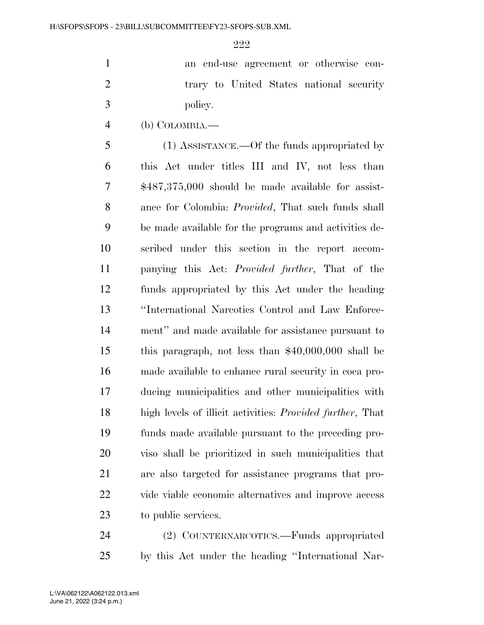an end-use agreement or otherwise con- trary to United States national security policy.

(b) COLOMBIA.—

 (1) ASSISTANCE.—Of the funds appropriated by this Act under titles III and IV, not less than \$487,375,000 should be made available for assist- ance for Colombia: *Provided*, That such funds shall be made available for the programs and activities de- scribed under this section in the report accom- panying this Act: *Provided further*, That of the funds appropriated by this Act under the heading ''International Narcotics Control and Law Enforce- ment'' and made available for assistance pursuant to this paragraph, not less than \$40,000,000 shall be made available to enhance rural security in coca pro- ducing municipalities and other municipalities with high levels of illicit activities: *Provided further*, That funds made available pursuant to the preceding pro- viso shall be prioritized in such municipalities that are also targeted for assistance programs that pro- vide viable economic alternatives and improve access to public services.

 (2) COUNTERNARCOTICS.—Funds appropriated by this Act under the heading ''International Nar-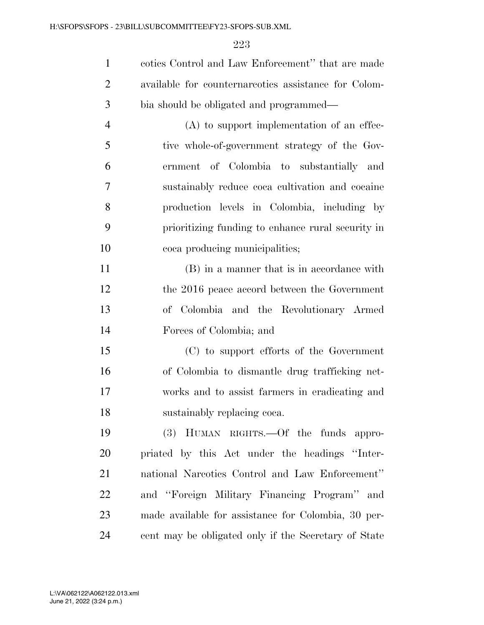cotics Control and Law Enforcement'' that are made available for counternarcotics assistance for Colom-bia should be obligated and programmed—

 (A) to support implementation of an effec-5 tive whole-of-government strategy of the Gov- ernment of Colombia to substantially and sustainably reduce coca cultivation and cocaine production levels in Colombia, including by prioritizing funding to enhance rural security in coca producing municipalities;

 (B) in a manner that is in accordance with the 2016 peace accord between the Government of Colombia and the Revolutionary Armed Forces of Colombia; and

 (C) to support efforts of the Government of Colombia to dismantle drug trafficking net- works and to assist farmers in eradicating and sustainably replacing coca.

 (3) HUMAN RIGHTS.—Of the funds appro- priated by this Act under the headings ''Inter- national Narcotics Control and Law Enforcement'' and ''Foreign Military Financing Program'' and made available for assistance for Colombia, 30 per-cent may be obligated only if the Secretary of State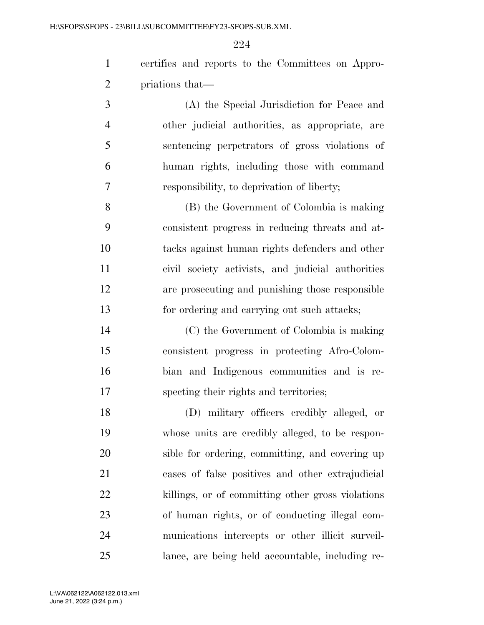certifies and reports to the Committees on Appro-priations that—

 (A) the Special Jurisdiction for Peace and other judicial authorities, as appropriate, are sentencing perpetrators of gross violations of human rights, including those with command responsibility, to deprivation of liberty;

 (B) the Government of Colombia is making consistent progress in reducing threats and at- tacks against human rights defenders and other civil society activists, and judicial authorities are prosecuting and punishing those responsible for ordering and carrying out such attacks;

 (C) the Government of Colombia is making consistent progress in protecting Afro-Colom- bian and Indigenous communities and is re-specting their rights and territories;

 (D) military officers credibly alleged, or whose units are credibly alleged, to be respon- sible for ordering, committing, and covering up cases of false positives and other extrajudicial killings, or of committing other gross violations of human rights, or of conducting illegal com- munications intercepts or other illicit surveil-lance, are being held accountable, including re-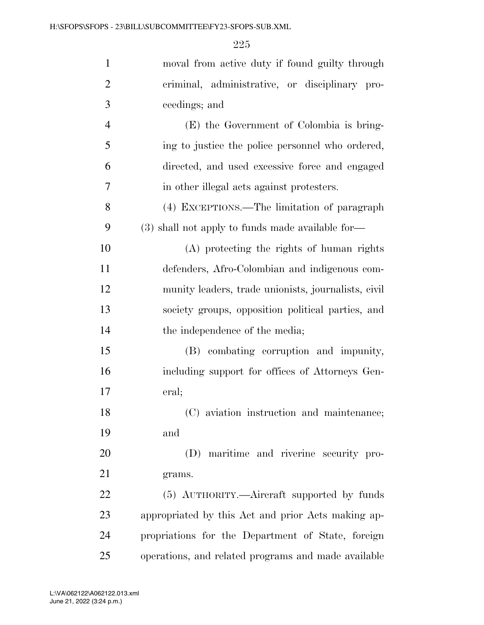| $\mathbf{1}$   | moval from active duty if found guilty through      |
|----------------|-----------------------------------------------------|
| $\overline{2}$ | criminal, administrative, or disciplinary pro-      |
| 3              | ceedings; and                                       |
| $\overline{4}$ | (E) the Government of Colombia is bring-            |
| 5              | ing to justice the police personnel who ordered,    |
| 6              | directed, and used excessive force and engaged      |
| 7              | in other illegal acts against protesters.           |
| 8              | (4) EXCEPTIONS.—The limitation of paragraph         |
| 9              | (3) shall not apply to funds made available for—    |
| 10             | (A) protecting the rights of human rights           |
| 11             | defenders, Afro-Colombian and indigenous com-       |
| 12             | munity leaders, trade unionists, journalists, civil |
| 13             | society groups, opposition political parties, and   |
| 14             | the independence of the media;                      |
| 15             | (B) combating corruption and impunity,              |
| 16             | including support for offices of Attorneys Gen-     |
| 17             | eral;                                               |
| 18             | (C) aviation instruction and maintenance;           |
| 19             | and                                                 |
| 20             | (D) maritime and riverine security pro-             |
| 21             | grams.                                              |
| <u>22</u>      | (5) AUTHORITY.—Aircraft supported by funds          |
| 23             | appropriated by this Act and prior Acts making ap-  |
| 24             | propriations for the Department of State, foreign   |
| 25             | operations, and related programs and made available |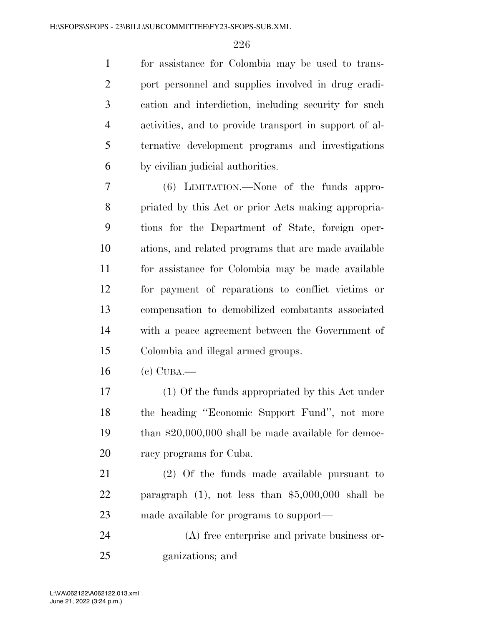for assistance for Colombia may be used to trans- port personnel and supplies involved in drug eradi- cation and interdiction, including security for such activities, and to provide transport in support of al- ternative development programs and investigations by civilian judicial authorities.

 (6) LIMITATION.—None of the funds appro- priated by this Act or prior Acts making appropria- tions for the Department of State, foreign oper- ations, and related programs that are made available for assistance for Colombia may be made available for payment of reparations to conflict victims or compensation to demobilized combatants associated with a peace agreement between the Government of Colombia and illegal armed groups.

(c) CUBA.—

 (1) Of the funds appropriated by this Act under the heading ''Economic Support Fund'', not more than \$20,000,000 shall be made available for democ-racy programs for Cuba.

 (2) Of the funds made available pursuant to paragraph (1), not less than \$5,000,000 shall be made available for programs to support—

 (A) free enterprise and private business or-ganizations; and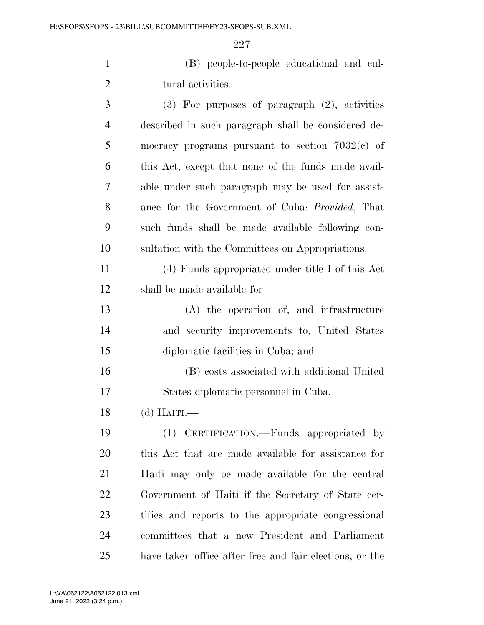(B) people-to-people educational and cul-2 tural activities.

 (3) For purposes of paragraph (2), activities described in such paragraph shall be considered de- mocracy programs pursuant to section 7032(c) of this Act, except that none of the funds made avail- able under such paragraph may be used for assist- ance for the Government of Cuba: *Provided*, That such funds shall be made available following con- sultation with the Committees on Appropriations. (4) Funds appropriated under title I of this Act shall be made available for— (A) the operation of, and infrastructure and security improvements to, United States diplomatic facilities in Cuba; and (B) costs associated with additional United States diplomatic personnel in Cuba. (d) HAITI.— (1) CERTIFICATION.—Funds appropriated by this Act that are made available for assistance for

 Haiti may only be made available for the central Government of Haiti if the Secretary of State cer- tifies and reports to the appropriate congressional committees that a new President and Parliament have taken office after free and fair elections, or the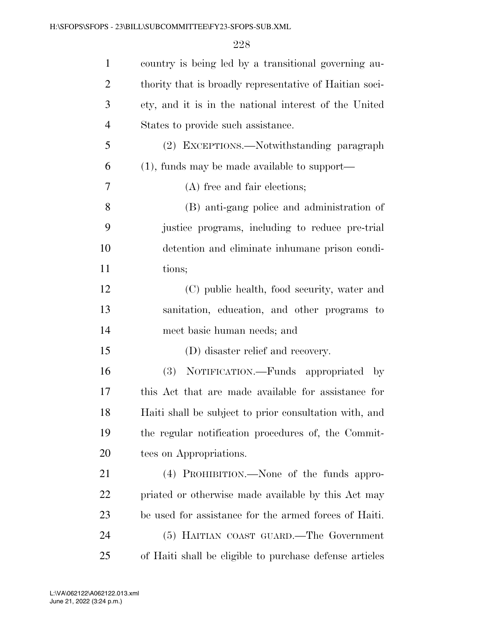| $\mathbf{1}$   | country is being led by a transitional governing au-    |
|----------------|---------------------------------------------------------|
| $\overline{2}$ | thority that is broadly representative of Haitian soci- |
| 3              | ety, and it is in the national interest of the United   |
| $\overline{4}$ | States to provide such assistance.                      |
| 5              | (2) EXCEPTIONS.—Notwithstanding paragraph               |
| 6              | $(1)$ , funds may be made available to support—         |
| 7              | $(A)$ free and fair elections;                          |
| 8              | (B) anti-gang police and administration of              |
| 9              | justice programs, including to reduce pre-trial         |
| 10             | detention and eliminate inhumane prison condi-          |
| 11             | tions;                                                  |
| 12             | (C) public health, food security, water and             |
| 13             | sanitation, education, and other programs to            |
| 14             | meet basic human needs; and                             |
| 15             | (D) disaster relief and recovery.                       |
| 16             | NOTIFICATION.—Funds appropriated<br><b>(3)</b><br>by    |
| 17             | this Act that are made available for assistance for     |
| 18             | Haiti shall be subject to prior consultation with, and  |
| 19             | the regular notification procedures of, the Commit-     |
| 20             | tees on Appropriations.                                 |
| 21             | (4) PROHIBITION.—None of the funds appro-               |
| 22             | priated or otherwise made available by this Act may     |
| 23             | be used for assistance for the armed forces of Haiti.   |
| 24             | (5) HAITIAN COAST GUARD.—The Government                 |
| 25             | of Haiti shall be eligible to purchase defense articles |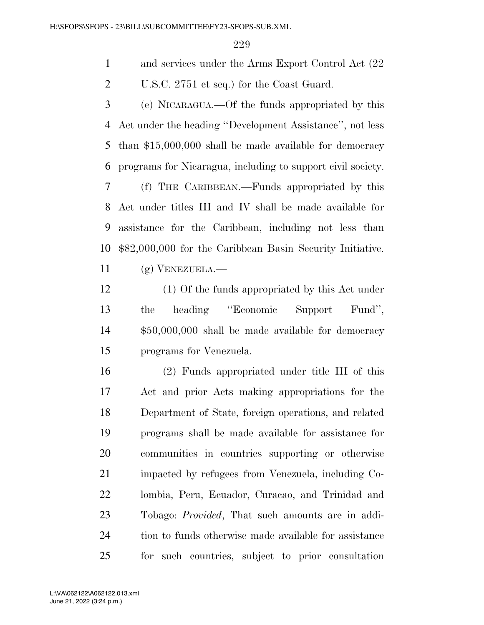and services under the Arms Export Control Act (22

2 U.S.C. 2751 et seq.) for the Coast Guard.

 (e) NICARAGUA.—Of the funds appropriated by this Act under the heading ''Development Assistance'', not less than \$15,000,000 shall be made available for democracy programs for Nicaragua, including to support civil society.

 (f) THE CARIBBEAN.—Funds appropriated by this Act under titles III and IV shall be made available for assistance for the Caribbean, including not less than \$82,000,000 for the Caribbean Basin Security Initiative.

(g) VENEZUELA.—

 (1) Of the funds appropriated by this Act under the heading ''Economic Support Fund'', \$50,000,000 shall be made available for democracy programs for Venezuela.

 (2) Funds appropriated under title III of this Act and prior Acts making appropriations for the Department of State, foreign operations, and related programs shall be made available for assistance for communities in countries supporting or otherwise impacted by refugees from Venezuela, including Co- lombia, Peru, Ecuador, Curacao, and Trinidad and Tobago: *Provided*, That such amounts are in addi-24 tion to funds otherwise made available for assistance for such countries, subject to prior consultation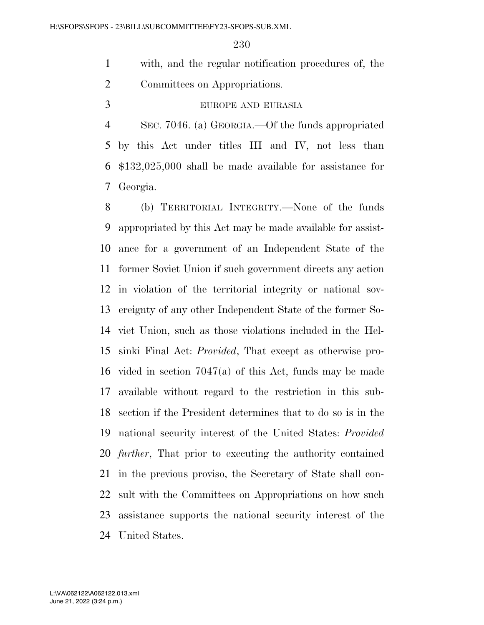with, and the regular notification procedures of, the Committees on Appropriations.

## EUROPE AND EURASIA

 SEC. 7046. (a) GEORGIA.—Of the funds appropriated by this Act under titles III and IV, not less than \$132,025,000 shall be made available for assistance for Georgia.

 (b) TERRITORIAL INTEGRITY.—None of the funds appropriated by this Act may be made available for assist- ance for a government of an Independent State of the former Soviet Union if such government directs any action in violation of the territorial integrity or national sov- ereignty of any other Independent State of the former So- viet Union, such as those violations included in the Hel- sinki Final Act: *Provided*, That except as otherwise pro- vided in section 7047(a) of this Act, funds may be made available without regard to the restriction in this sub- section if the President determines that to do so is in the national security interest of the United States: *Provided further*, That prior to executing the authority contained in the previous proviso, the Secretary of State shall con- sult with the Committees on Appropriations on how such assistance supports the national security interest of the United States.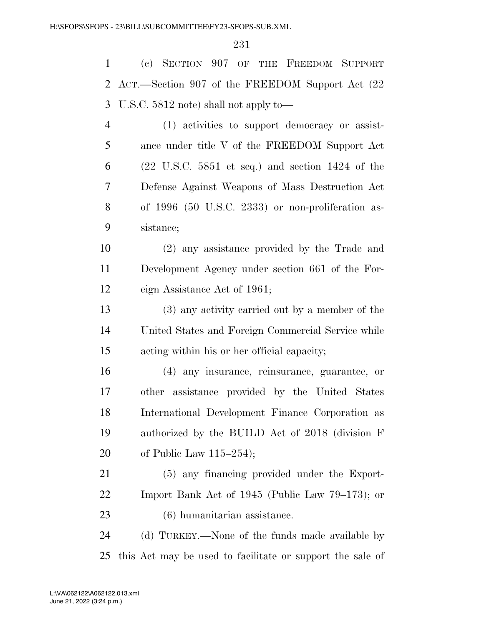(c) SECTION 907 OF THE FREEDOM SUPPORT ACT.—Section 907 of the FREEDOM Support Act (22 U.S.C. 5812 note) shall not apply to—

|    | (1) activities to support democracy or assist-                      |
|----|---------------------------------------------------------------------|
| 5  | ance under title V of the FREEDOM Support Act                       |
| 6  | $(22 \text{ U.S.C. } 5851 \text{ et seq.})$ and section 1424 of the |
| 7  | Defense Against Weapons of Mass Destruction Act                     |
| 8  | of $1996$ (50 U.S.C. 2333) or non-proliferation as-                 |
| -9 | sistance;                                                           |

 (2) any assistance provided by the Trade and Development Agency under section 661 of the For-eign Assistance Act of 1961;

 (3) any activity carried out by a member of the United States and Foreign Commercial Service while acting within his or her official capacity;

 (4) any insurance, reinsurance, guarantee, or other assistance provided by the United States International Development Finance Corporation as authorized by the BUILD Act of 2018 (division F of Public Law 115–254);

 (5) any financing provided under the Export- Import Bank Act of 1945 (Public Law 79–173); or (6) humanitarian assistance.

 (d) TURKEY.—None of the funds made available by this Act may be used to facilitate or support the sale of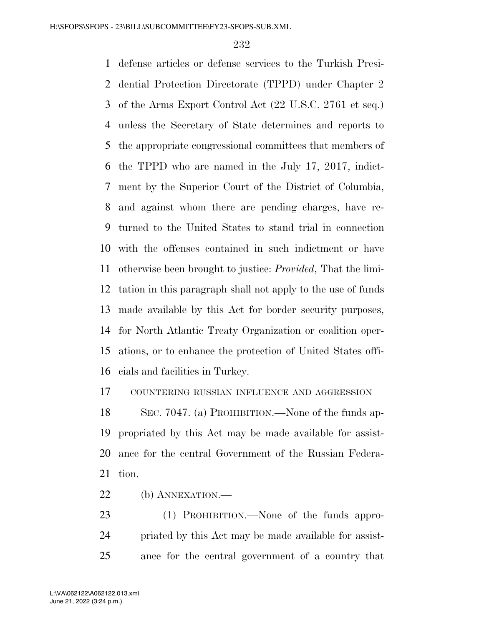defense articles or defense services to the Turkish Presi- dential Protection Directorate (TPPD) under Chapter 2 of the Arms Export Control Act (22 U.S.C. 2761 et seq.) unless the Secretary of State determines and reports to the appropriate congressional committees that members of the TPPD who are named in the July 17, 2017, indict- ment by the Superior Court of the District of Columbia, and against whom there are pending charges, have re- turned to the United States to stand trial in connection with the offenses contained in such indictment or have otherwise been brought to justice: *Provided*, That the limi- tation in this paragraph shall not apply to the use of funds made available by this Act for border security purposes, for North Atlantic Treaty Organization or coalition oper- ations, or to enhance the protection of United States offi-cials and facilities in Turkey.

COUNTERING RUSSIAN INFLUENCE AND AGGRESSION

 SEC. 7047. (a) PROHIBITION.—None of the funds ap- propriated by this Act may be made available for assist- ance for the central Government of the Russian Federa-tion.

(b) ANNEXATION.—

 (1) PROHIBITION.—None of the funds appro- priated by this Act may be made available for assist-ance for the central government of a country that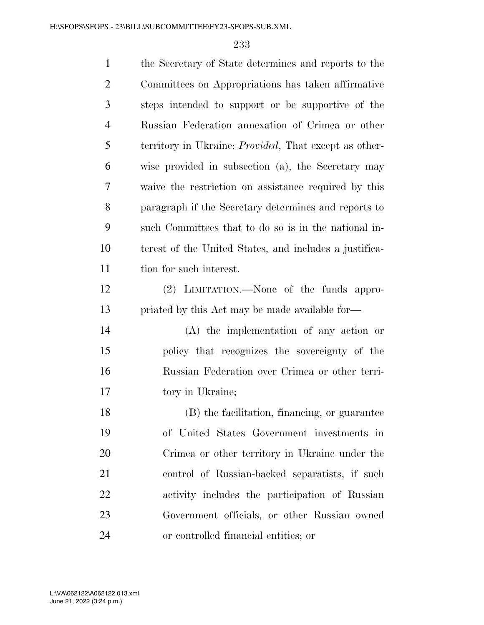| $\mathbf{1}$   | the Secretary of State determines and reports to the          |
|----------------|---------------------------------------------------------------|
| $\overline{2}$ | Committees on Appropriations has taken affirmative            |
| 3              | steps intended to support or be supportive of the             |
| $\overline{4}$ | Russian Federation annexation of Crimea or other              |
| 5              | territory in Ukraine: <i>Provided</i> , That except as other- |
| 6              | wise provided in subsection (a), the Secretary may            |
| 7              | waive the restriction on assistance required by this          |
| 8              | paragraph if the Secretary determines and reports to          |
| 9              | such Committees that to do so is in the national in-          |
| 10             | terest of the United States, and includes a justifica-        |
| 11             | tion for such interest.                                       |
| 12             | (2) LIMITATION.—None of the funds appro-                      |
| 13             | priated by this Act may be made available for—                |
| 14             | $(A)$ the implementation of any action or                     |
| 15             | policy that recognizes the sovereignty of the                 |
| 16             | Russian Federation over Crimea or other terri-                |
| 17             | tory in Ukraine;                                              |
| 18             | (B) the facilitation, financing, or guarantee                 |
| 19             | of United States Government investments in                    |
| 20             | Crimea or other territory in Ukraine under the                |
| 21             | control of Russian-backed separatists, if such                |
| 22             | activity includes the participation of Russian                |
| 23             | Government officials, or other Russian owned                  |
| 24             | or controlled financial entities; or                          |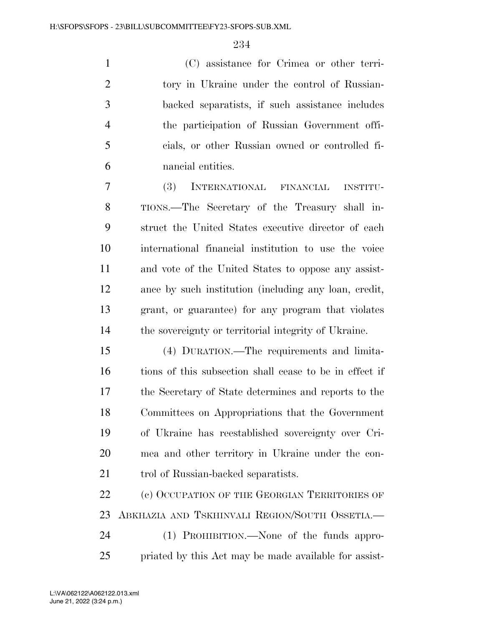(C) assistance for Crimea or other terri- tory in Ukraine under the control of Russian- backed separatists, if such assistance includes the participation of Russian Government offi- cials, or other Russian owned or controlled fi-nancial entities.

 (3) INTERNATIONAL FINANCIAL INSTITU- TIONS.—The Secretary of the Treasury shall in- struct the United States executive director of each international financial institution to use the voice and vote of the United States to oppose any assist- ance by such institution (including any loan, credit, grant, or guarantee) for any program that violates the sovereignty or territorial integrity of Ukraine.

 (4) DURATION.—The requirements and limita- tions of this subsection shall cease to be in effect if the Secretary of State determines and reports to the Committees on Appropriations that the Government of Ukraine has reestablished sovereignty over Cri- mea and other territory in Ukraine under the con-21 trol of Russian-backed separatists.

22 (c) OCCUPATION OF THE GEORGIAN TERRITORIES OF ABKHAZIA AND TSKHINVALI REGION/SOUTH OSSETIA.— (1) PROHIBITION.—None of the funds appro-

priated by this Act may be made available for assist-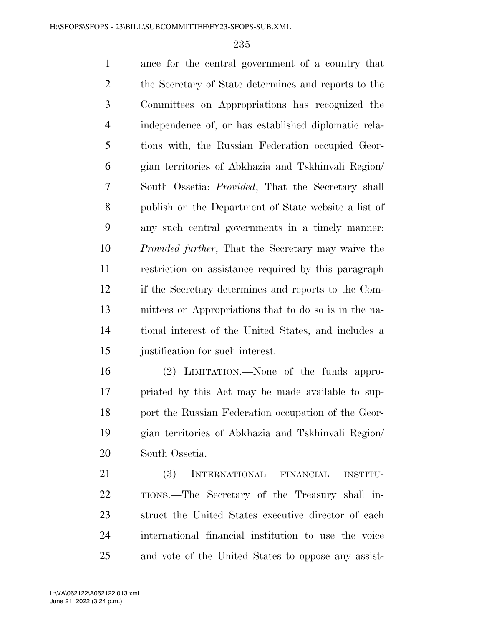ance for the central government of a country that the Secretary of State determines and reports to the Committees on Appropriations has recognized the independence of, or has established diplomatic rela- tions with, the Russian Federation occupied Geor- gian territories of Abkhazia and Tskhinvali Region/ South Ossetia: *Provided*, That the Secretary shall publish on the Department of State website a list of any such central governments in a timely manner: *Provided further*, That the Secretary may waive the restriction on assistance required by this paragraph if the Secretary determines and reports to the Com- mittees on Appropriations that to do so is in the na- tional interest of the United States, and includes a justification for such interest.

 (2) LIMITATION.—None of the funds appro- priated by this Act may be made available to sup- port the Russian Federation occupation of the Geor- gian territories of Abkhazia and Tskhinvali Region/ South Ossetia.

 (3) INTERNATIONAL FINANCIAL INSTITU- TIONS.—The Secretary of the Treasury shall in- struct the United States executive director of each international financial institution to use the voice and vote of the United States to oppose any assist-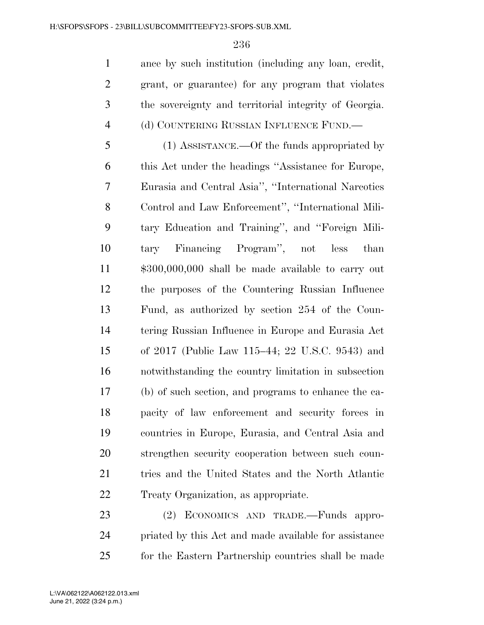ance by such institution (including any loan, credit, grant, or guarantee) for any program that violates the sovereignty and territorial integrity of Georgia. (d) COUNTERING RUSSIAN INFLUENCE FUND.—

 (1) ASSISTANCE.—Of the funds appropriated by this Act under the headings ''Assistance for Europe, Eurasia and Central Asia'', ''International Narcotics Control and Law Enforcement'', ''International Mili- tary Education and Training'', and ''Foreign Mili- tary Financing Program'', not less than \$300,000,000 shall be made available to carry out the purposes of the Countering Russian Influence Fund, as authorized by section 254 of the Coun- tering Russian Influence in Europe and Eurasia Act of 2017 (Public Law 115–44; 22 U.S.C. 9543) and notwithstanding the country limitation in subsection (b) of such section, and programs to enhance the ca- pacity of law enforcement and security forces in countries in Europe, Eurasia, and Central Asia and strengthen security cooperation between such coun- tries and the United States and the North Atlantic Treaty Organization, as appropriate.

 (2) ECONOMICS AND TRADE.—Funds appro- priated by this Act and made available for assistance for the Eastern Partnership countries shall be made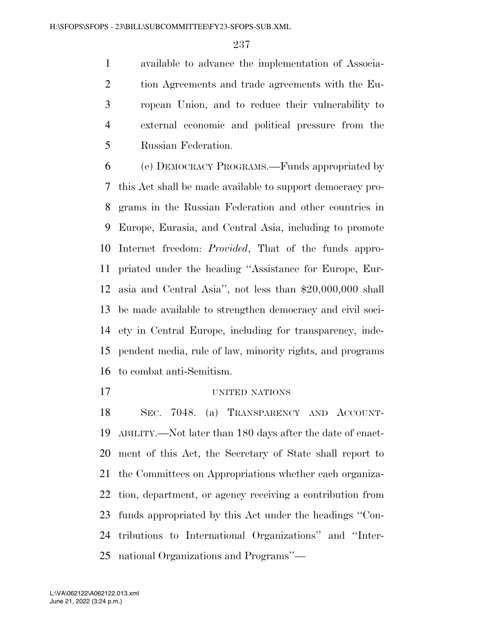available to advance the implementation of Associa- tion Agreements and trade agreements with the Eu- ropean Union, and to reduce their vulnerability to external economic and political pressure from the Russian Federation.

 (e) DEMOCRACY PROGRAMS.—Funds appropriated by this Act shall be made available to support democracy pro- grams in the Russian Federation and other countries in Europe, Eurasia, and Central Asia, including to promote Internet freedom: *Provided*, That of the funds appro- priated under the heading ''Assistance for Europe, Eur- asia and Central Asia'', not less than \$20,000,000 shall be made available to strengthen democracy and civil soci- ety in Central Europe, including for transparency, inde- pendent media, rule of law, minority rights, and programs to combat anti-Semitism.

## UNITED NATIONS

 SEC. 7048. (a) TRANSPARENCY AND ACCOUNT- ABILITY.—Not later than 180 days after the date of enact- ment of this Act, the Secretary of State shall report to the Committees on Appropriations whether each organiza- tion, department, or agency receiving a contribution from funds appropriated by this Act under the headings ''Con- tributions to International Organizations'' and ''Inter-national Organizations and Programs''—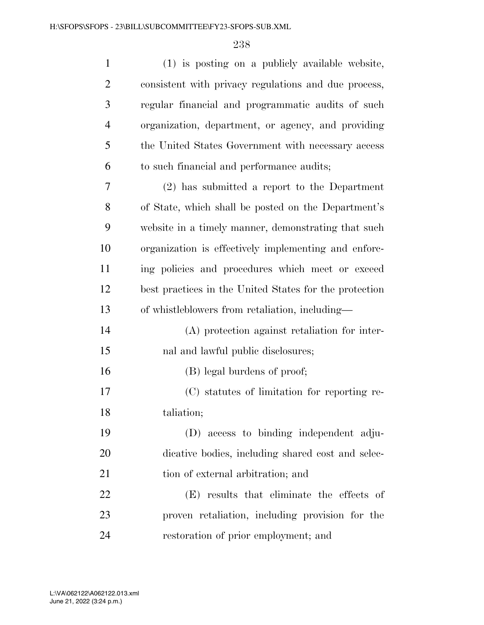| $\mathbf{1}$   | (1) is posting on a publicly available website,        |
|----------------|--------------------------------------------------------|
| $\overline{2}$ | consistent with privacy regulations and due process,   |
| 3              | regular financial and programmatic audits of such      |
| $\overline{4}$ | organization, department, or agency, and providing     |
| 5              | the United States Government with necessary access     |
| 6              | to such financial and performance audits;              |
| 7              | (2) has submitted a report to the Department           |
| 8              | of State, which shall be posted on the Department's    |
| 9              | website in a timely manner, demonstrating that such    |
| 10             | organization is effectively implementing and enforc-   |
| 11             | ing policies and procedures which meet or exceed       |
| 12             | best practices in the United States for the protection |
| 13             | of whistleblowers from retaliation, including—         |
| 14             | (A) protection against retaliation for inter-          |
| 15             | nal and lawful public disclosures;                     |
| 16             | (B) legal burdens of proof;                            |
| 17             | (C) statutes of limitation for reporting re-           |
| 18             | taliation;                                             |
| 19             | (D) access to binding independent adju-                |
| 20             | dicative bodies, including shared cost and selec-      |
| 21             | tion of external arbitration; and                      |
| 22             | (E) results that eliminate the effects of              |
| 23             | proven retaliation, including provision for the        |
| 24             | restoration of prior employment; and                   |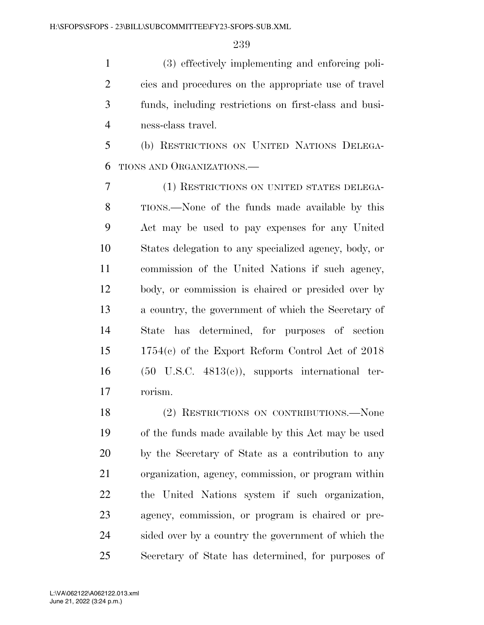(3) effectively implementing and enforcing poli- cies and procedures on the appropriate use of travel funds, including restrictions on first-class and busi-ness-class travel.

 (b) RESTRICTIONS ON UNITED NATIONS DELEGA-TIONS AND ORGANIZATIONS.—

 (1) RESTRICTIONS ON UNITED STATES DELEGA- TIONS.—None of the funds made available by this Act may be used to pay expenses for any United States delegation to any specialized agency, body, or commission of the United Nations if such agency, body, or commission is chaired or presided over by a country, the government of which the Secretary of State has determined, for purposes of section 1754(c) of the Export Reform Control Act of 2018 (50 U.S.C. 4813(c)), supports international ter-rorism.

 (2) RESTRICTIONS ON CONTRIBUTIONS.—None of the funds made available by this Act may be used by the Secretary of State as a contribution to any organization, agency, commission, or program within the United Nations system if such organization, agency, commission, or program is chaired or pre- sided over by a country the government of which the Secretary of State has determined, for purposes of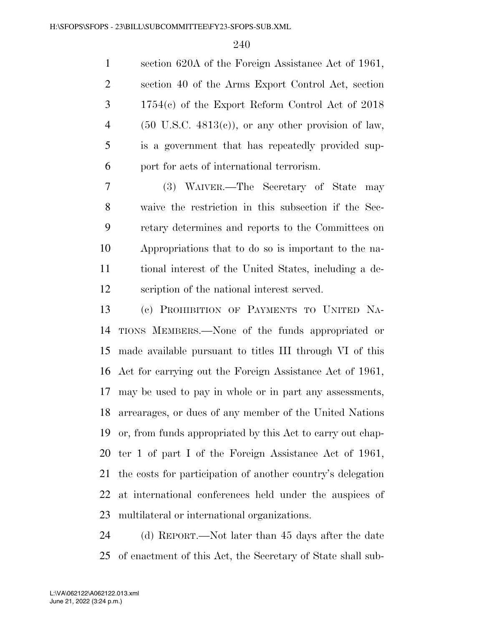section 620A of the Foreign Assistance Act of 1961, section 40 of the Arms Export Control Act, section 1754(c) of the Export Reform Control Act of 2018 4 (50 U.S.C.  $4813(c)$ ), or any other provision of law, is a government that has repeatedly provided sup-port for acts of international terrorism.

 (3) WAIVER.—The Secretary of State may waive the restriction in this subsection if the Sec- retary determines and reports to the Committees on Appropriations that to do so is important to the na- tional interest of the United States, including a de-scription of the national interest served.

 (c) PROHIBITION OF PAYMENTS TO UNITED NA- TIONS MEMBERS.—None of the funds appropriated or made available pursuant to titles III through VI of this Act for carrying out the Foreign Assistance Act of 1961, may be used to pay in whole or in part any assessments, arrearages, or dues of any member of the United Nations or, from funds appropriated by this Act to carry out chap- ter 1 of part I of the Foreign Assistance Act of 1961, the costs for participation of another country's delegation at international conferences held under the auspices of multilateral or international organizations.

 (d) REPORT.—Not later than 45 days after the date of enactment of this Act, the Secretary of State shall sub-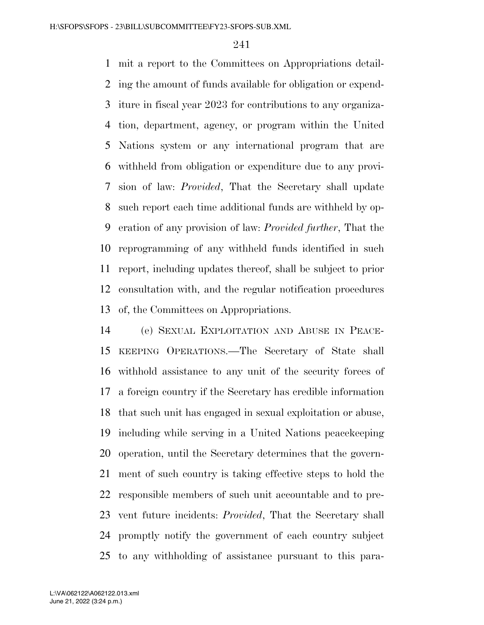mit a report to the Committees on Appropriations detail- ing the amount of funds available for obligation or expend- iture in fiscal year 2023 for contributions to any organiza- tion, department, agency, or program within the United Nations system or any international program that are withheld from obligation or expenditure due to any provi- sion of law: *Provided*, That the Secretary shall update such report each time additional funds are withheld by op- eration of any provision of law: *Provided further*, That the reprogramming of any withheld funds identified in such report, including updates thereof, shall be subject to prior consultation with, and the regular notification procedures of, the Committees on Appropriations.

 (e) SEXUAL EXPLOITATION AND ABUSE IN PEACE- KEEPING OPERATIONS.—The Secretary of State shall withhold assistance to any unit of the security forces of a foreign country if the Secretary has credible information that such unit has engaged in sexual exploitation or abuse, including while serving in a United Nations peacekeeping operation, until the Secretary determines that the govern- ment of such country is taking effective steps to hold the responsible members of such unit accountable and to pre- vent future incidents: *Provided*, That the Secretary shall promptly notify the government of each country subject to any withholding of assistance pursuant to this para-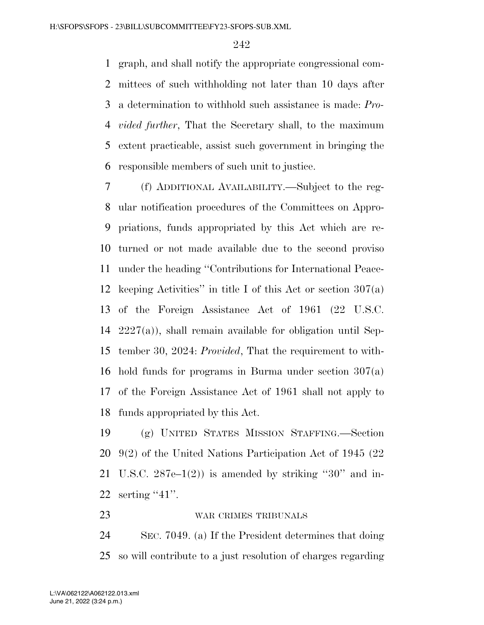graph, and shall notify the appropriate congressional com- mittees of such withholding not later than 10 days after a determination to withhold such assistance is made: *Pro- vided further*, That the Secretary shall, to the maximum extent practicable, assist such government in bringing the responsible members of such unit to justice.

 (f) ADDITIONAL AVAILABILITY.—Subject to the reg- ular notification procedures of the Committees on Appro- priations, funds appropriated by this Act which are re- turned or not made available due to the second proviso under the heading ''Contributions for International Peace- keeping Activities'' in title I of this Act or section 307(a) of the Foreign Assistance Act of 1961 (22 U.S.C. 2227(a)), shall remain available for obligation until Sep- tember 30, 2024: *Provided*, That the requirement to with- hold funds for programs in Burma under section 307(a) of the Foreign Assistance Act of 1961 shall not apply to funds appropriated by this Act.

 (g) UNITED STATES MISSION STAFFING.—Section 9(2) of the United Nations Participation Act of 1945 (22 21 U.S.C.  $287e-1(2)$  is amended by striking "30" and in-22 serting "41".

## WAR CRIMES TRIBUNALS

 SEC. 7049. (a) If the President determines that doing so will contribute to a just resolution of charges regarding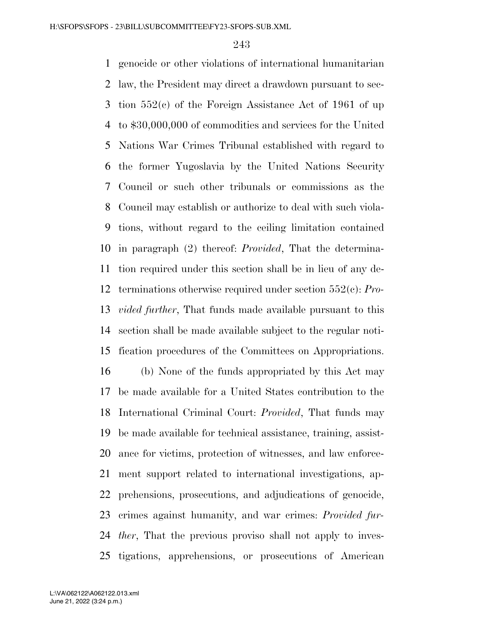genocide or other violations of international humanitarian law, the President may direct a drawdown pursuant to sec- tion 552(c) of the Foreign Assistance Act of 1961 of up to \$30,000,000 of commodities and services for the United Nations War Crimes Tribunal established with regard to the former Yugoslavia by the United Nations Security Council or such other tribunals or commissions as the Council may establish or authorize to deal with such viola- tions, without regard to the ceiling limitation contained in paragraph (2) thereof: *Provided*, That the determina- tion required under this section shall be in lieu of any de- terminations otherwise required under section 552(c): *Pro- vided further*, That funds made available pursuant to this section shall be made available subject to the regular noti- fication procedures of the Committees on Appropriations. (b) None of the funds appropriated by this Act may be made available for a United States contribution to the International Criminal Court: *Provided*, That funds may be made available for technical assistance, training, assist- ance for victims, protection of witnesses, and law enforce- ment support related to international investigations, ap- prehensions, prosecutions, and adjudications of genocide, crimes against humanity, and war crimes: *Provided fur- ther*, That the previous proviso shall not apply to inves-tigations, apprehensions, or prosecutions of American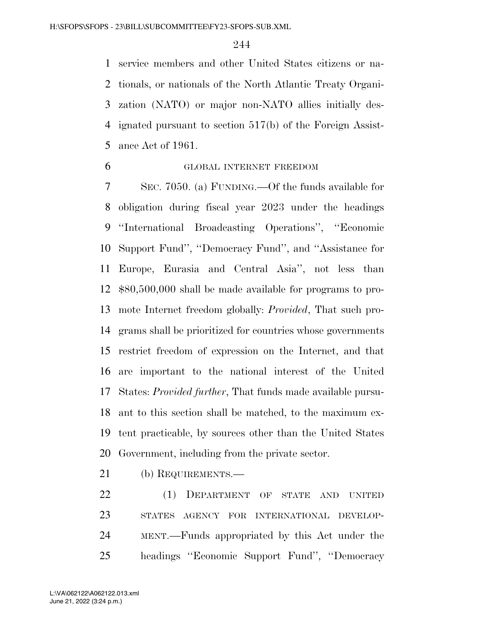service members and other United States citizens or na- tionals, or nationals of the North Atlantic Treaty Organi- zation (NATO) or major non-NATO allies initially des- ignated pursuant to section 517(b) of the Foreign Assist-ance Act of 1961.

GLOBAL INTERNET FREEDOM

 SEC. 7050. (a) FUNDING.—Of the funds available for obligation during fiscal year 2023 under the headings ''International Broadcasting Operations'', ''Economic Support Fund'', ''Democracy Fund'', and ''Assistance for Europe, Eurasia and Central Asia'', not less than \$80,500,000 shall be made available for programs to pro- mote Internet freedom globally: *Provided*, That such pro- grams shall be prioritized for countries whose governments restrict freedom of expression on the Internet, and that are important to the national interest of the United States: *Provided further*, That funds made available pursu- ant to this section shall be matched, to the maximum ex- tent practicable, by sources other than the United States Government, including from the private sector.

(b) REQUIREMENTS.—

22 (1) DEPARTMENT OF STATE AND UNITED STATES AGENCY FOR INTERNATIONAL DEVELOP- MENT.—Funds appropriated by this Act under the headings ''Economic Support Fund'', ''Democracy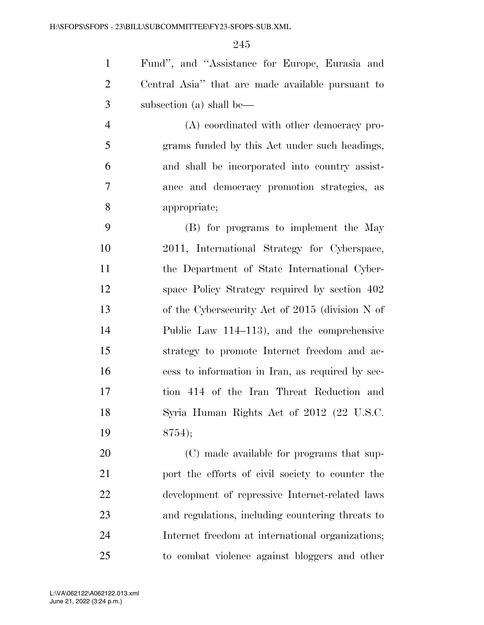Fund'', and ''Assistance for Europe, Eurasia and Central Asia'' that are made available pursuant to subsection (a) shall be—

 (A) coordinated with other democracy pro- grams funded by this Act under such headings, and shall be incorporated into country assist- ance and democracy promotion strategies, as appropriate;

 (B) for programs to implement the May 2011, International Strategy for Cyberspace, the Department of State International Cyber- space Policy Strategy required by section 402 of the Cybersecurity Act of 2015 (division N of Public Law 114–113), and the comprehensive strategy to promote Internet freedom and ac- cess to information in Iran, as required by sec- tion 414 of the Iran Threat Reduction and Syria Human Rights Act of 2012 (22 U.S.C. 8754);

20 (C) made available for programs that sup- port the efforts of civil society to counter the development of repressive Internet-related laws and regulations, including countering threats to Internet freedom at international organizations; to combat violence against bloggers and other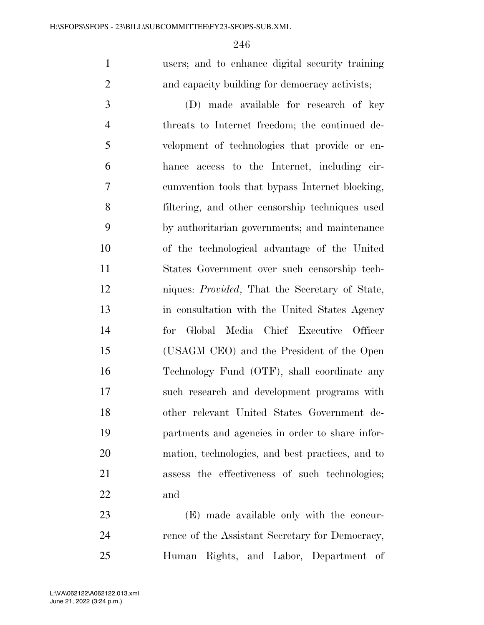users; and to enhance digital security training and capacity building for democracy activists;

 (D) made available for research of key threats to Internet freedom; the continued de- velopment of technologies that provide or en- hance access to the Internet, including cir- cumvention tools that bypass Internet blocking, filtering, and other censorship techniques used by authoritarian governments; and maintenance of the technological advantage of the United States Government over such censorship tech- niques: *Provided*, That the Secretary of State, in consultation with the United States Agency for Global Media Chief Executive Officer (USAGM CEO) and the President of the Open Technology Fund (OTF), shall coordinate any such research and development programs with other relevant United States Government de- partments and agencies in order to share infor- mation, technologies, and best practices, and to assess the effectiveness of such technologies; and

 (E) made available only with the concur- rence of the Assistant Secretary for Democracy, Human Rights, and Labor, Department of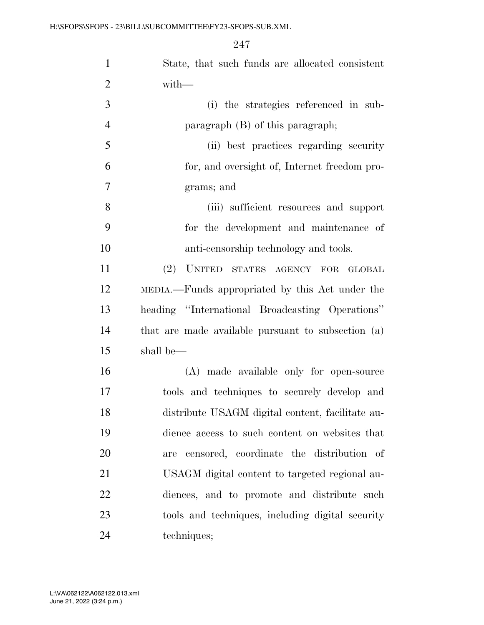| $\mathbf{1}$   | State, that such funds are allocated consistent    |
|----------------|----------------------------------------------------|
| $\overline{2}$ | with-                                              |
| 3              | (i) the strategies referenced in sub-              |
| $\overline{4}$ | paragraph $(B)$ of this paragraph;                 |
| 5              | (ii) best practices regarding security             |
| 6              | for, and oversight of, Internet freedom pro-       |
| $\tau$         | grams; and                                         |
| 8              | (iii) sufficient resources and support             |
| 9              | for the development and maintenance of             |
| 10             | anti-censorship technology and tools.              |
| 11             | (2) UNITED STATES AGENCY FOR<br>GLOBAL             |
| 12             | MEDIA.—Funds appropriated by this Act under the    |
| 13             | heading "International Broadcasting Operations"    |
| 14             | that are made available pursuant to subsection (a) |
| 15             | shall be—                                          |
| 16             | (A) made available only for open-source            |
| 17             | tools and techniques to securely develop and       |
| 18             | distribute USAGM digital content, facilitate au-   |
| 19             | dience access to such content on websites that     |
| 20             | censored, coordinate the distribution of<br>are    |
| 21             | USAGM digital content to targeted regional au-     |
| 22             | diences, and to promote and distribute such        |
| 23             | tools and techniques, including digital security   |
| 24             | techniques;                                        |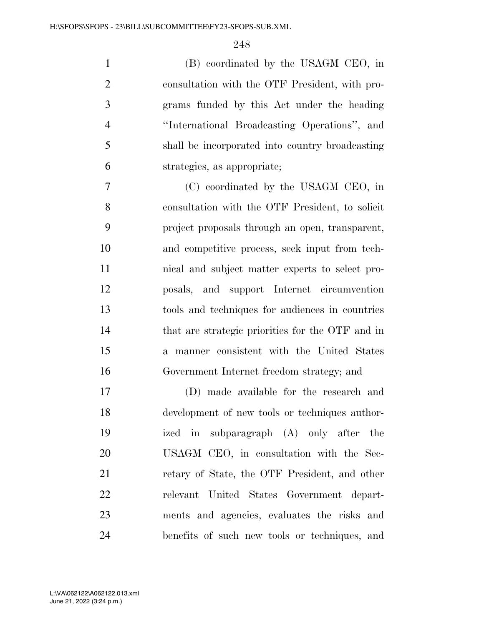(B) coordinated by the USAGM CEO, in consultation with the OTF President, with pro- grams funded by this Act under the heading ''International Broadcasting Operations'', and shall be incorporated into country broadcasting strategies, as appropriate;

 (C) coordinated by the USAGM CEO, in consultation with the OTF President, to solicit project proposals through an open, transparent, and competitive process, seek input from tech- nical and subject matter experts to select pro- posals, and support Internet circumvention tools and techniques for audiences in countries that are strategic priorities for the OTF and in a manner consistent with the United States Government Internet freedom strategy; and

 (D) made available for the research and development of new tools or techniques author- ized in subparagraph (A) only after the USAGM CEO, in consultation with the Sec- retary of State, the OTF President, and other relevant United States Government depart- ments and agencies, evaluates the risks and benefits of such new tools or techniques, and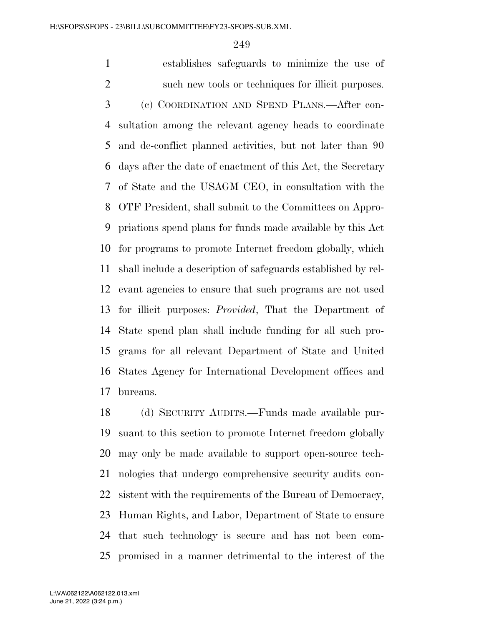establishes safeguards to minimize the use of such new tools or techniques for illicit purposes. (c) COORDINATION AND SPEND PLANS.—After con- sultation among the relevant agency heads to coordinate and de-conflict planned activities, but not later than 90 days after the date of enactment of this Act, the Secretary of State and the USAGM CEO, in consultation with the OTF President, shall submit to the Committees on Appro- priations spend plans for funds made available by this Act for programs to promote Internet freedom globally, which shall include a description of safeguards established by rel- evant agencies to ensure that such programs are not used for illicit purposes: *Provided*, That the Department of State spend plan shall include funding for all such pro- grams for all relevant Department of State and United States Agency for International Development offices and bureaus.

 (d) SECURITY AUDITS.—Funds made available pur- suant to this section to promote Internet freedom globally may only be made available to support open-source tech- nologies that undergo comprehensive security audits con- sistent with the requirements of the Bureau of Democracy, Human Rights, and Labor, Department of State to ensure that such technology is secure and has not been com-promised in a manner detrimental to the interest of the

June 21, 2022 (3:24 p.m.) L:\VA\062122\A062122.013.xml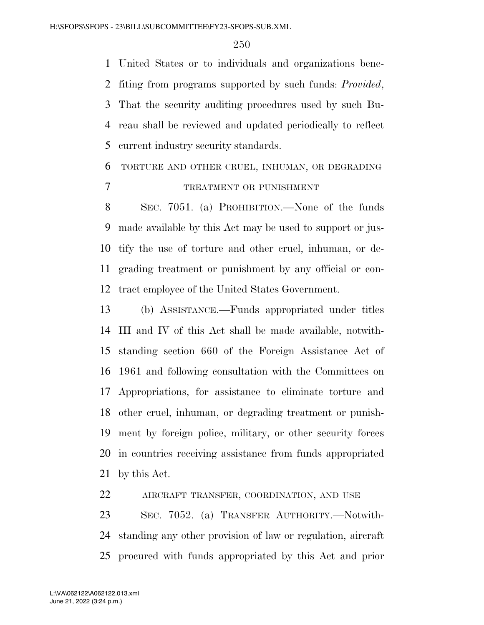United States or to individuals and organizations bene- fiting from programs supported by such funds: *Provided*, That the security auditing procedures used by such Bu- reau shall be reviewed and updated periodically to reflect current industry security standards.

## TORTURE AND OTHER CRUEL, INHUMAN, OR DEGRADING TREATMENT OR PUNISHMENT

 SEC. 7051. (a) PROHIBITION.—None of the funds made available by this Act may be used to support or jus- tify the use of torture and other cruel, inhuman, or de- grading treatment or punishment by any official or con-tract employee of the United States Government.

 (b) ASSISTANCE.—Funds appropriated under titles III and IV of this Act shall be made available, notwith- standing section 660 of the Foreign Assistance Act of 1961 and following consultation with the Committees on Appropriations, for assistance to eliminate torture and other cruel, inhuman, or degrading treatment or punish- ment by foreign police, military, or other security forces in countries receiving assistance from funds appropriated by this Act.

AIRCRAFT TRANSFER, COORDINATION, AND USE

 SEC. 7052. (a) TRANSFER AUTHORITY.—Notwith- standing any other provision of law or regulation, aircraft procured with funds appropriated by this Act and prior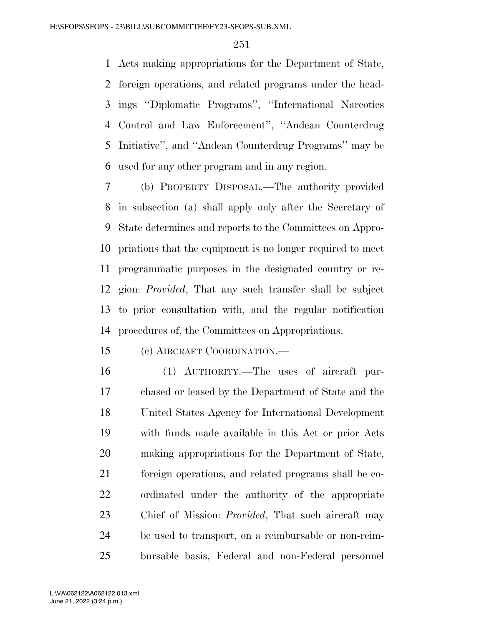Acts making appropriations for the Department of State, foreign operations, and related programs under the head- ings ''Diplomatic Programs'', ''International Narcotics Control and Law Enforcement'', ''Andean Counterdrug Initiative'', and ''Andean Counterdrug Programs'' may be used for any other program and in any region.

 (b) PROPERTY DISPOSAL.—The authority provided in subsection (a) shall apply only after the Secretary of State determines and reports to the Committees on Appro- priations that the equipment is no longer required to meet programmatic purposes in the designated country or re- gion: *Provided*, That any such transfer shall be subject to prior consultation with, and the regular notification procedures of, the Committees on Appropriations.

(c) AIRCRAFT COORDINATION.—

 (1) AUTHORITY.—The uses of aircraft pur- chased or leased by the Department of State and the United States Agency for International Development with funds made available in this Act or prior Acts making appropriations for the Department of State, foreign operations, and related programs shall be co- ordinated under the authority of the appropriate Chief of Mission: *Provided*, That such aircraft may be used to transport, on a reimbursable or non-reim-bursable basis, Federal and non-Federal personnel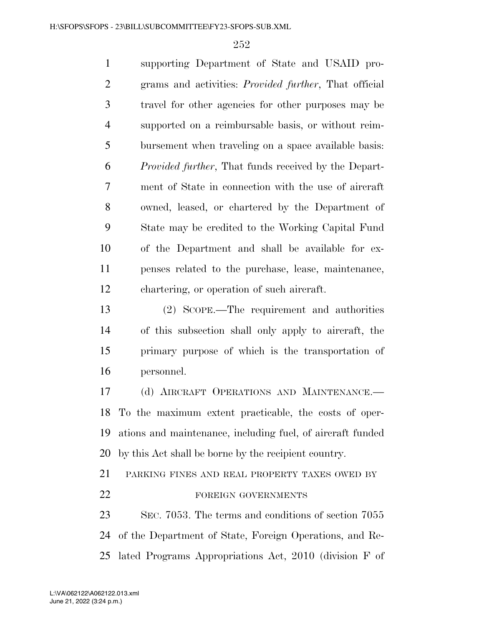supporting Department of State and USAID pro- grams and activities: *Provided further*, That official travel for other agencies for other purposes may be supported on a reimbursable basis, or without reim- bursement when traveling on a space available basis: *Provided further*, That funds received by the Depart- ment of State in connection with the use of aircraft owned, leased, or chartered by the Department of State may be credited to the Working Capital Fund of the Department and shall be available for ex- penses related to the purchase, lease, maintenance, chartering, or operation of such aircraft.

 (2) SCOPE.—The requirement and authorities of this subsection shall only apply to aircraft, the primary purpose of which is the transportation of personnel.

 (d) AIRCRAFT OPERATIONS AND MAINTENANCE.— To the maximum extent practicable, the costs of oper- ations and maintenance, including fuel, of aircraft funded by this Act shall be borne by the recipient country.

PARKING FINES AND REAL PROPERTY TAXES OWED BY

22 FOREIGN GOVERNMENTS

 SEC. 7053. The terms and conditions of section 7055 of the Department of State, Foreign Operations, and Re-lated Programs Appropriations Act, 2010 (division F of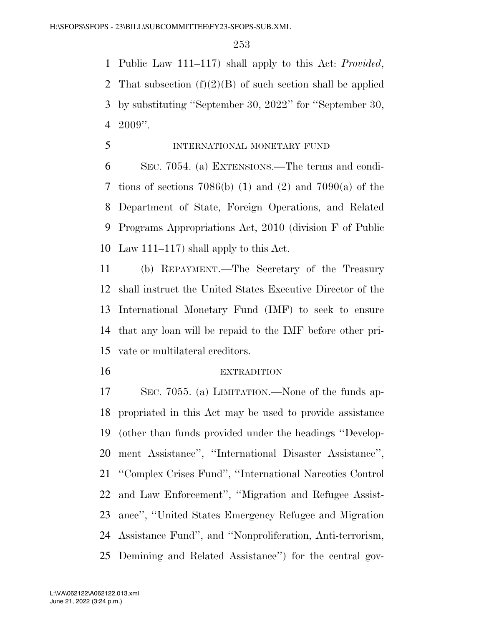Public Law 111–117) shall apply to this Act: *Provided*, 2 That subsection  $(f)(2)(B)$  of such section shall be applied by substituting ''September 30, 2022'' for ''September 30, 2009''.

INTERNATIONAL MONETARY FUND

 SEC. 7054. (a) EXTENSIONS.—The terms and condi- tions of sections 7086(b) (1) and (2) and 7090(a) of the Department of State, Foreign Operations, and Related Programs Appropriations Act, 2010 (division F of Public Law 111–117) shall apply to this Act.

 (b) REPAYMENT.—The Secretary of the Treasury shall instruct the United States Executive Director of the International Monetary Fund (IMF) to seek to ensure that any loan will be repaid to the IMF before other pri-vate or multilateral creditors.

#### EXTRADITION

 SEC. 7055. (a) LIMITATION.—None of the funds ap- propriated in this Act may be used to provide assistance (other than funds provided under the headings ''Develop- ment Assistance'', ''International Disaster Assistance'', ''Complex Crises Fund'', ''International Narcotics Control and Law Enforcement'', ''Migration and Refugee Assist- ance'', ''United States Emergency Refugee and Migration Assistance Fund'', and ''Nonproliferation, Anti-terrorism, Demining and Related Assistance'') for the central gov-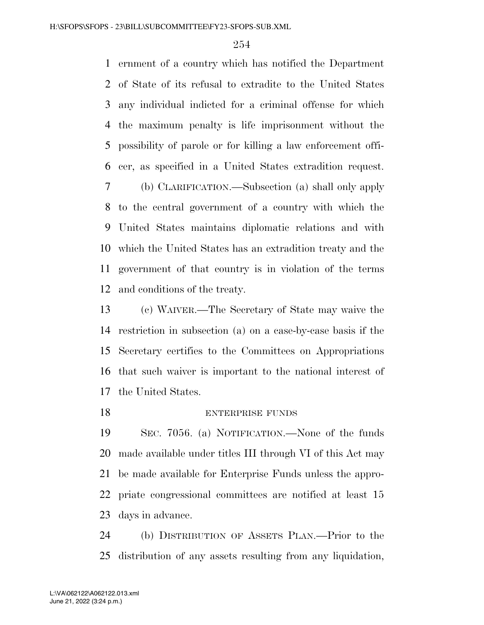ernment of a country which has notified the Department of State of its refusal to extradite to the United States any individual indicted for a criminal offense for which the maximum penalty is life imprisonment without the possibility of parole or for killing a law enforcement offi- cer, as specified in a United States extradition request. (b) CLARIFICATION.—Subsection (a) shall only apply to the central government of a country with which the United States maintains diplomatic relations and with which the United States has an extradition treaty and the government of that country is in violation of the terms and conditions of the treaty.

 (c) WAIVER.—The Secretary of State may waive the restriction in subsection (a) on a case-by-case basis if the Secretary certifies to the Committees on Appropriations that such waiver is important to the national interest of the United States.

#### 18 ENTERPRISE FUNDS

 SEC. 7056. (a) NOTIFICATION.—None of the funds made available under titles III through VI of this Act may be made available for Enterprise Funds unless the appro- priate congressional committees are notified at least 15 days in advance.

 (b) DISTRIBUTION OF ASSETS PLAN.—Prior to the distribution of any assets resulting from any liquidation,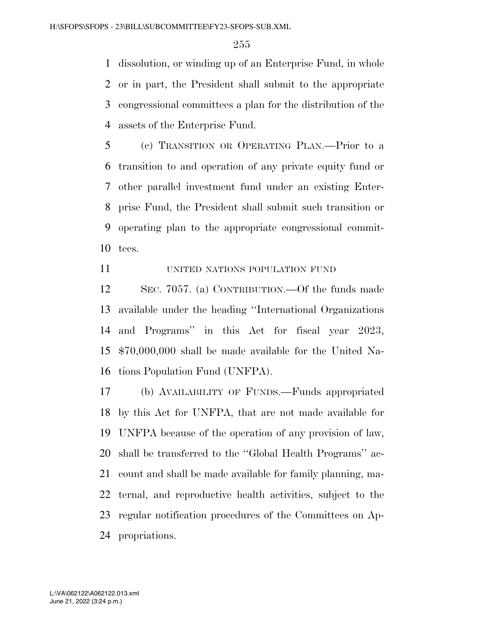dissolution, or winding up of an Enterprise Fund, in whole or in part, the President shall submit to the appropriate congressional committees a plan for the distribution of the assets of the Enterprise Fund.

 (c) TRANSITION OR OPERATING PLAN.—Prior to a transition to and operation of any private equity fund or other parallel investment fund under an existing Enter- prise Fund, the President shall submit such transition or operating plan to the appropriate congressional commit-tees.

UNITED NATIONS POPULATION FUND

 SEC. 7057. (a) CONTRIBUTION.—Of the funds made available under the heading ''International Organizations and Programs'' in this Act for fiscal year 2023, \$70,000,000 shall be made available for the United Na-tions Population Fund (UNFPA).

 (b) AVAILABILITY OF FUNDS.—Funds appropriated by this Act for UNFPA, that are not made available for UNFPA because of the operation of any provision of law, shall be transferred to the ''Global Health Programs'' ac- count and shall be made available for family planning, ma- ternal, and reproductive health activities, subject to the regular notification procedures of the Committees on Ap-propriations.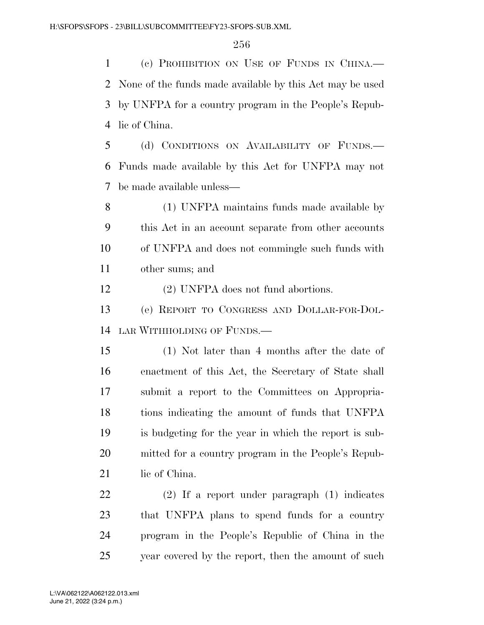(c) PROHIBITION ON USE OF FUNDS IN CHINA.— None of the funds made available by this Act may be used by UNFPA for a country program in the People's Repub-lic of China.

 (d) CONDITIONS ON AVAILABILITY OF FUNDS.— Funds made available by this Act for UNFPA may not be made available unless—

 (1) UNFPA maintains funds made available by this Act in an account separate from other accounts of UNFPA and does not commingle such funds with other sums; and

(2) UNFPA does not fund abortions.

 (e) REPORT TO CONGRESS AND DOLLAR-FOR-DOL-LAR WITHHOLDING OF FUNDS.—

 (1) Not later than 4 months after the date of enactment of this Act, the Secretary of State shall submit a report to the Committees on Appropria- tions indicating the amount of funds that UNFPA is budgeting for the year in which the report is sub- mitted for a country program in the People's Repub-21 lie of China.

 (2) If a report under paragraph (1) indicates that UNFPA plans to spend funds for a country program in the People's Republic of China in the 25 vear covered by the report, then the amount of such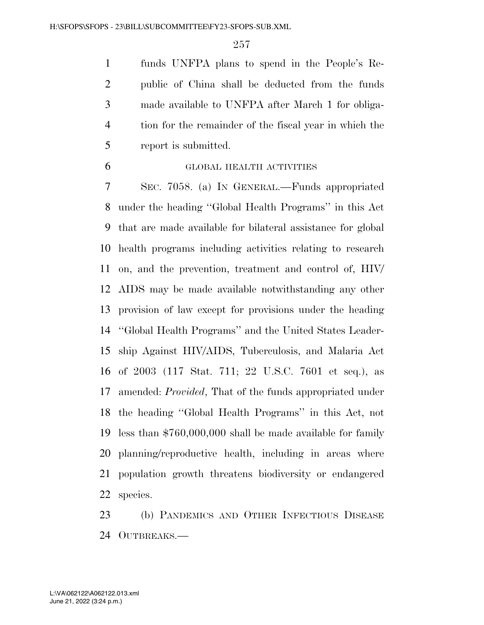funds UNFPA plans to spend in the People's Re- public of China shall be deducted from the funds made available to UNFPA after March 1 for obliga- tion for the remainder of the fiscal year in which the report is submitted.

# GLOBAL HEALTH ACTIVITIES

 SEC. 7058. (a) IN GENERAL.—Funds appropriated under the heading ''Global Health Programs'' in this Act that are made available for bilateral assistance for global health programs including activities relating to research on, and the prevention, treatment and control of, HIV/ AIDS may be made available notwithstanding any other provision of law except for provisions under the heading ''Global Health Programs'' and the United States Leader- ship Against HIV/AIDS, Tuberculosis, and Malaria Act of 2003 (117 Stat. 711; 22 U.S.C. 7601 et seq.), as amended: *Provided*, That of the funds appropriated under the heading ''Global Health Programs'' in this Act, not less than \$760,000,000 shall be made available for family planning/reproductive health, including in areas where population growth threatens biodiversity or endangered species.

 (b) PANDEMICS AND OTHER INFECTIOUS DISEASE OUTBREAKS.—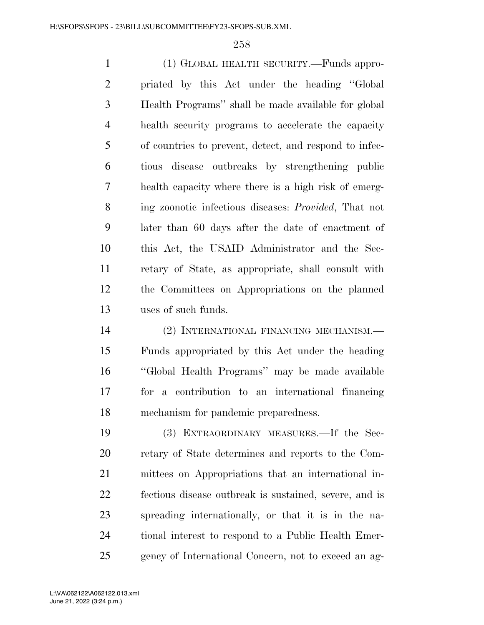(1) GLOBAL HEALTH SECURITY.—Funds appro- priated by this Act under the heading ''Global Health Programs'' shall be made available for global health security programs to accelerate the capacity of countries to prevent, detect, and respond to infec- tious disease outbreaks by strengthening public health capacity where there is a high risk of emerg- ing zoonotic infectious diseases: *Provided*, That not later than 60 days after the date of enactment of this Act, the USAID Administrator and the Sec- retary of State, as appropriate, shall consult with the Committees on Appropriations on the planned uses of such funds.

 (2) INTERNATIONAL FINANCING MECHANISM.— Funds appropriated by this Act under the heading ''Global Health Programs'' may be made available for a contribution to an international financing mechanism for pandemic preparedness.

 (3) EXTRAORDINARY MEASURES.—If the Sec- retary of State determines and reports to the Com- mittees on Appropriations that an international in- fectious disease outbreak is sustained, severe, and is spreading internationally, or that it is in the na- tional interest to respond to a Public Health Emer-gency of International Concern, not to exceed an ag-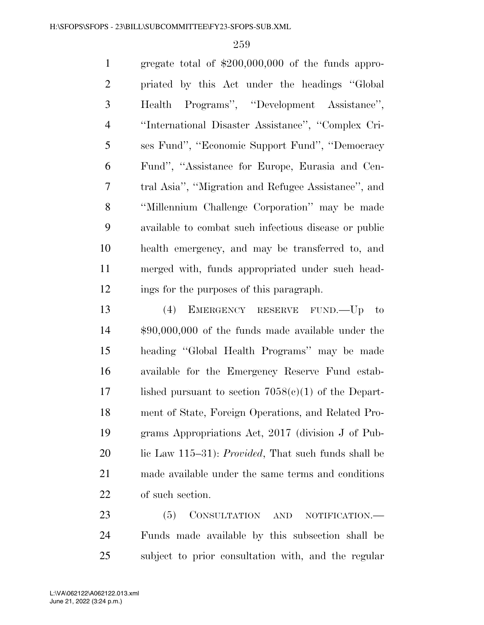gregate total of \$200,000,000 of the funds appro- priated by this Act under the headings ''Global Health Programs'', ''Development Assistance'', ''International Disaster Assistance'', ''Complex Cri- ses Fund'', ''Economic Support Fund'', ''Democracy Fund'', ''Assistance for Europe, Eurasia and Cen- tral Asia'', ''Migration and Refugee Assistance'', and ''Millennium Challenge Corporation'' may be made available to combat such infectious disease or public health emergency, and may be transferred to, and merged with, funds appropriated under such head-ings for the purposes of this paragraph.

 (4) EMERGENCY RESERVE FUND.—Up to \$90,000,000 of the funds made available under the heading ''Global Health Programs'' may be made available for the Emergency Reserve Fund estab-17 lished pursuant to section  $7058(c)(1)$  of the Depart- ment of State, Foreign Operations, and Related Pro- grams Appropriations Act, 2017 (division J of Pub- lic Law 115–31): *Provided*, That such funds shall be made available under the same terms and conditions of such section.

 (5) CONSULTATION AND NOTIFICATION.— Funds made available by this subsection shall be subject to prior consultation with, and the regular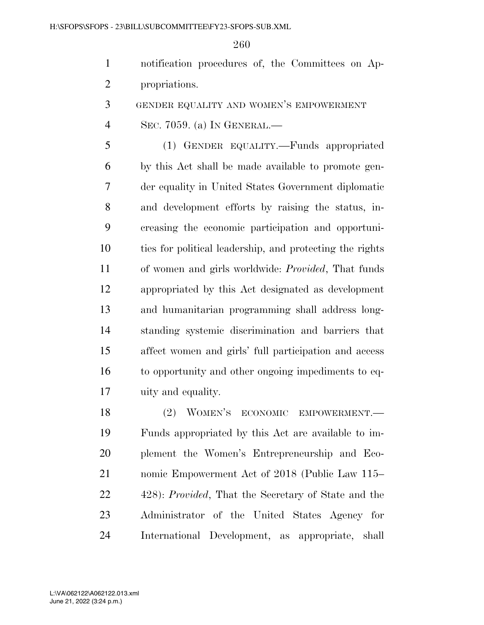- notification procedures of, the Committees on Ap-propriations.
- GENDER EQUALITY AND WOMEN'S EMPOWERMENT
- SEC. 7059. (a) IN GENERAL.—

 (1) GENDER EQUALITY.—Funds appropriated by this Act shall be made available to promote gen- der equality in United States Government diplomatic and development efforts by raising the status, in- creasing the economic participation and opportuni- ties for political leadership, and protecting the rights of women and girls worldwide: *Provided*, That funds appropriated by this Act designated as development and humanitarian programming shall address long- standing systemic discrimination and barriers that affect women and girls' full participation and access to opportunity and other ongoing impediments to eq-uity and equality.

 (2) WOMEN'S ECONOMIC EMPOWERMENT.— Funds appropriated by this Act are available to im- plement the Women's Entrepreneurship and Eco- nomic Empowerment Act of 2018 (Public Law 115– 428): *Provided*, That the Secretary of State and the Administrator of the United States Agency for International Development, as appropriate, shall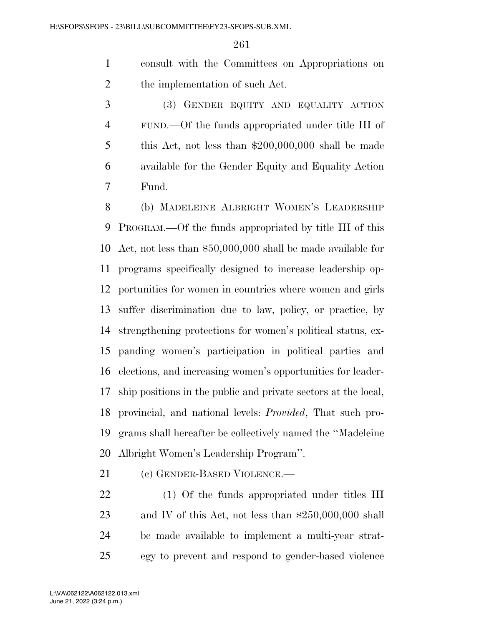consult with the Committees on Appropriations on the implementation of such Act.

 (3) GENDER EQUITY AND EQUALITY ACTION FUND.—Of the funds appropriated under title III of this Act, not less than \$200,000,000 shall be made available for the Gender Equity and Equality Action Fund.

 (b) MADELEINE ALBRIGHT WOMEN'S LEADERSHIP PROGRAM.—Of the funds appropriated by title III of this Act, not less than \$50,000,000 shall be made available for programs specifically designed to increase leadership op- portunities for women in countries where women and girls suffer discrimination due to law, policy, or practice, by strengthening protections for women's political status, ex- panding women's participation in political parties and elections, and increasing women's opportunities for leader- ship positions in the public and private sectors at the local, provincial, and national levels: *Provided*, That such pro- grams shall hereafter be collectively named the ''Madeleine Albright Women's Leadership Program''.

(c) GENDER-BASED VIOLENCE.—

 (1) Of the funds appropriated under titles III 23 and IV of this Act, not less than \$250,000,000 shall be made available to implement a multi-year strat-egy to prevent and respond to gender-based violence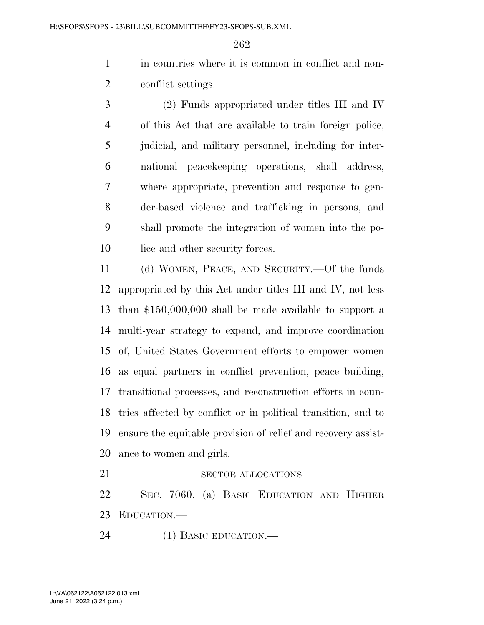in countries where it is common in conflict and non-conflict settings.

 (2) Funds appropriated under titles III and IV of this Act that are available to train foreign police, judicial, and military personnel, including for inter- national peacekeeping operations, shall address, where appropriate, prevention and response to gen- der-based violence and trafficking in persons, and shall promote the integration of women into the po-10 lice and other security forces.

 (d) WOMEN, PEACE, AND SECURITY.—Of the funds appropriated by this Act under titles III and IV, not less than \$150,000,000 shall be made available to support a multi-year strategy to expand, and improve coordination of, United States Government efforts to empower women as equal partners in conflict prevention, peace building, transitional processes, and reconstruction efforts in coun- tries affected by conflict or in political transition, and to ensure the equitable provision of relief and recovery assist-ance to women and girls.

21 SECTOR ALLOCATIONS

 SEC. 7060. (a) BASIC EDUCATION AND HIGHER EDUCATION.—

(1) BASIC EDUCATION.—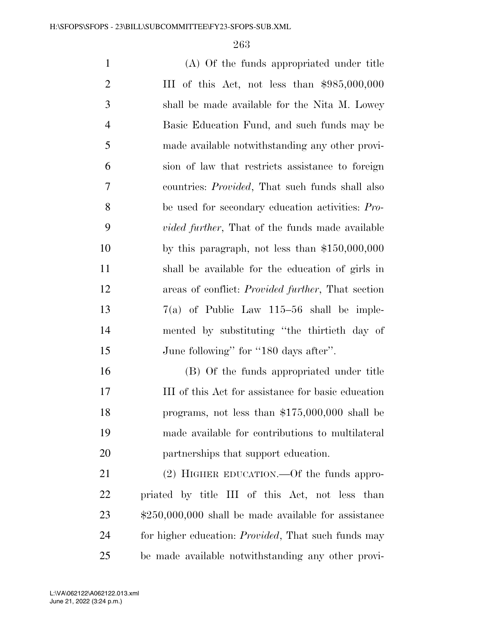(A) Of the funds appropriated under title III of this Act, not less than \$985,000,000 shall be made available for the Nita M. Lowey Basic Education Fund, and such funds may be made available notwithstanding any other provi- sion of law that restricts assistance to foreign countries: *Provided*, That such funds shall also be used for secondary education activities: *Pro- vided further*, That of the funds made available by this paragraph, not less than \$150,000,000 shall be available for the education of girls in areas of conflict: *Provided further*, That section 7(a) of Public Law 115–56 shall be imple- mented by substituting ''the thirtieth day of 15 June following" for "180 days after". (B) Of the funds appropriated under title III of this Act for assistance for basic education programs, not less than \$175,000,000 shall be made available for contributions to multilateral partnerships that support education. 21 (2) HIGHER EDUCATION.—Of the funds appro-

 priated by title III of this Act, not less than \$250,000,000 shall be made available for assistance for higher education: *Provided*, That such funds may be made available notwithstanding any other provi-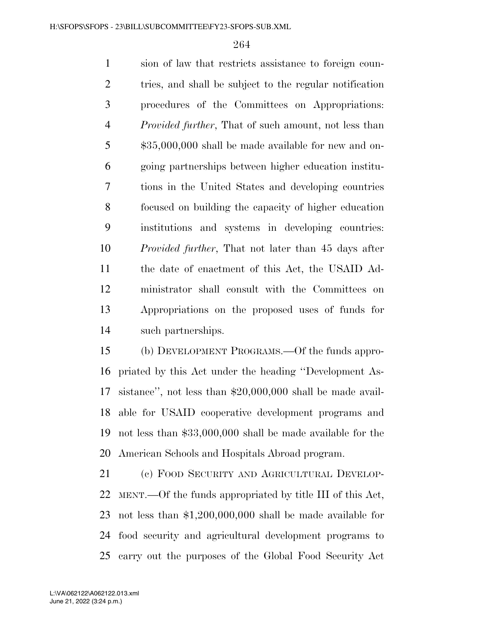sion of law that restricts assistance to foreign coun- tries, and shall be subject to the regular notification procedures of the Committees on Appropriations: *Provided further*, That of such amount, not less than \$35,000,000 shall be made available for new and on- going partnerships between higher education institu- tions in the United States and developing countries focused on building the capacity of higher education institutions and systems in developing countries: *Provided further*, That not later than 45 days after the date of enactment of this Act, the USAID Ad- ministrator shall consult with the Committees on Appropriations on the proposed uses of funds for such partnerships.

 (b) DEVELOPMENT PROGRAMS.—Of the funds appro- priated by this Act under the heading ''Development As- sistance'', not less than \$20,000,000 shall be made avail- able for USAID cooperative development programs and not less than \$33,000,000 shall be made available for the American Schools and Hospitals Abroad program.

 (c) FOOD SECURITY AND AGRICULTURAL DEVELOP- MENT.—Of the funds appropriated by title III of this Act, not less than \$1,200,000,000 shall be made available for food security and agricultural development programs to carry out the purposes of the Global Food Security Act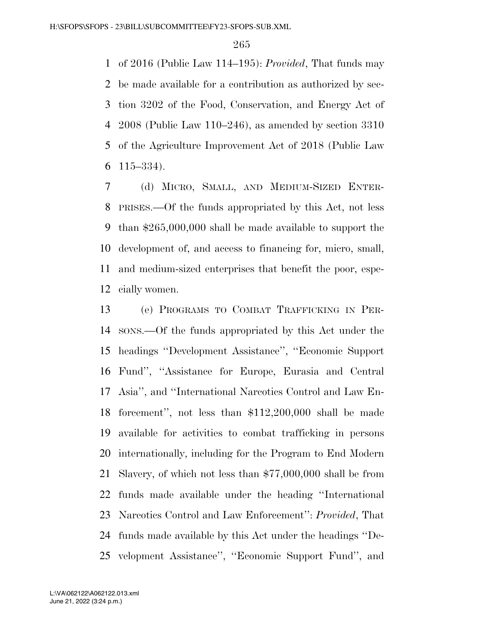of 2016 (Public Law 114–195): *Provided*, That funds may be made available for a contribution as authorized by sec- tion 3202 of the Food, Conservation, and Energy Act of 2008 (Public Law 110–246), as amended by section 3310 of the Agriculture Improvement Act of 2018 (Public Law 115–334).

 (d) MICRO, SMALL, AND MEDIUM-SIZED ENTER- PRISES.—Of the funds appropriated by this Act, not less than \$265,000,000 shall be made available to support the development of, and access to financing for, micro, small, and medium-sized enterprises that benefit the poor, espe-cially women.

 (e) PROGRAMS TO COMBAT TRAFFICKING IN PER- SONS.—Of the funds appropriated by this Act under the headings ''Development Assistance'', ''Economic Support Fund'', ''Assistance for Europe, Eurasia and Central Asia'', and ''International Narcotics Control and Law En- forcement'', not less than \$112,200,000 shall be made available for activities to combat trafficking in persons internationally, including for the Program to End Modern Slavery, of which not less than \$77,000,000 shall be from funds made available under the heading ''International Narcotics Control and Law Enforcement'': *Provided*, That funds made available by this Act under the headings ''De-velopment Assistance'', ''Economic Support Fund'', and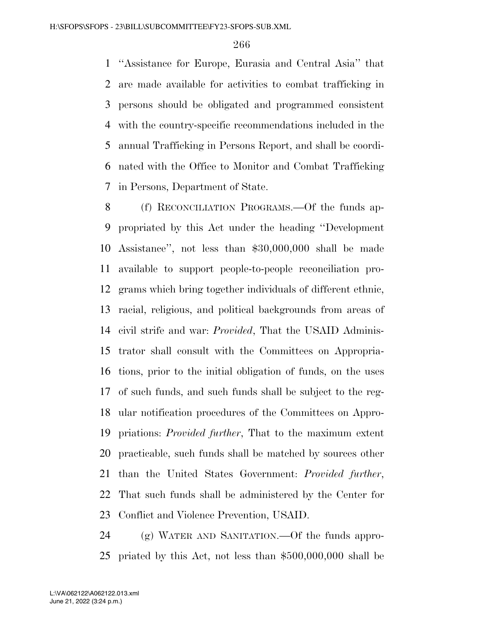''Assistance for Europe, Eurasia and Central Asia'' that are made available for activities to combat trafficking in persons should be obligated and programmed consistent with the country-specific recommendations included in the annual Trafficking in Persons Report, and shall be coordi- nated with the Office to Monitor and Combat Trafficking in Persons, Department of State.

 (f) RECONCILIATION PROGRAMS.—Of the funds ap- propriated by this Act under the heading ''Development Assistance'', not less than \$30,000,000 shall be made available to support people-to-people reconciliation pro- grams which bring together individuals of different ethnic, racial, religious, and political backgrounds from areas of civil strife and war: *Provided*, That the USAID Adminis- trator shall consult with the Committees on Appropria- tions, prior to the initial obligation of funds, on the uses of such funds, and such funds shall be subject to the reg- ular notification procedures of the Committees on Appro- priations: *Provided further*, That to the maximum extent practicable, such funds shall be matched by sources other than the United States Government: *Provided further*, That such funds shall be administered by the Center for Conflict and Violence Prevention, USAID.

 (g) WATER AND SANITATION.—Of the funds appro-priated by this Act, not less than \$500,000,000 shall be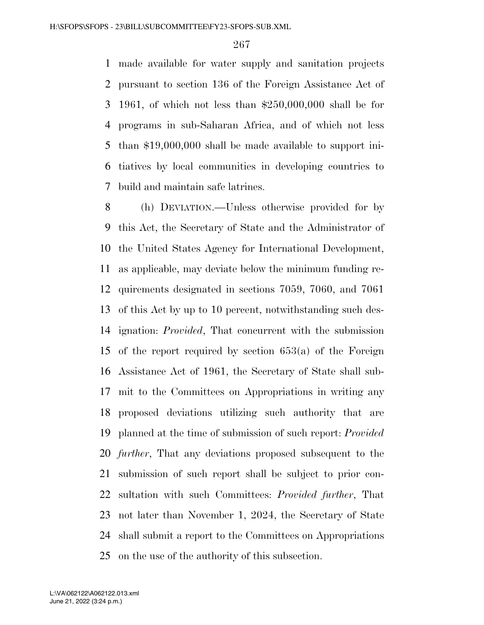made available for water supply and sanitation projects pursuant to section 136 of the Foreign Assistance Act of 1961, of which not less than \$250,000,000 shall be for programs in sub-Saharan Africa, and of which not less than \$19,000,000 shall be made available to support ini- tiatives by local communities in developing countries to build and maintain safe latrines.

 (h) DEVIATION.—Unless otherwise provided for by this Act, the Secretary of State and the Administrator of the United States Agency for International Development, as applicable, may deviate below the minimum funding re- quirements designated in sections 7059, 7060, and 7061 of this Act by up to 10 percent, notwithstanding such des- ignation: *Provided*, That concurrent with the submission of the report required by section 653(a) of the Foreign Assistance Act of 1961, the Secretary of State shall sub- mit to the Committees on Appropriations in writing any proposed deviations utilizing such authority that are planned at the time of submission of such report: *Provided further*, That any deviations proposed subsequent to the submission of such report shall be subject to prior con- sultation with such Committees: *Provided further*, That not later than November 1, 2024, the Secretary of State shall submit a report to the Committees on Appropriations on the use of the authority of this subsection.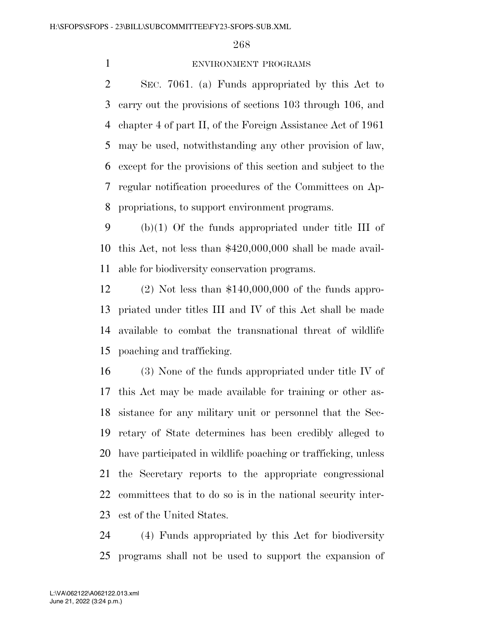## ENVIRONMENT PROGRAMS

 SEC. 7061. (a) Funds appropriated by this Act to carry out the provisions of sections 103 through 106, and chapter 4 of part II, of the Foreign Assistance Act of 1961 may be used, notwithstanding any other provision of law, except for the provisions of this section and subject to the regular notification procedures of the Committees on Ap-propriations, to support environment programs.

 (b)(1) Of the funds appropriated under title III of this Act, not less than \$420,000,000 shall be made avail-able for biodiversity conservation programs.

 (2) Not less than \$140,000,000 of the funds appro- priated under titles III and IV of this Act shall be made available to combat the transnational threat of wildlife poaching and trafficking.

 (3) None of the funds appropriated under title IV of this Act may be made available for training or other as- sistance for any military unit or personnel that the Sec- retary of State determines has been credibly alleged to have participated in wildlife poaching or trafficking, unless the Secretary reports to the appropriate congressional committees that to do so is in the national security inter-est of the United States.

 (4) Funds appropriated by this Act for biodiversity programs shall not be used to support the expansion of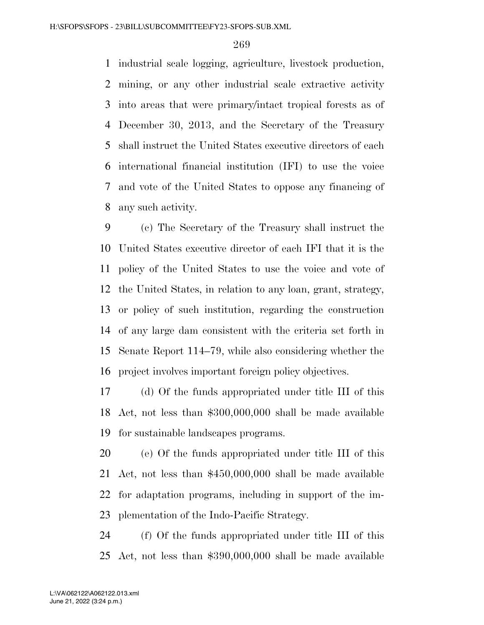industrial scale logging, agriculture, livestock production, mining, or any other industrial scale extractive activity into areas that were primary/intact tropical forests as of December 30, 2013, and the Secretary of the Treasury shall instruct the United States executive directors of each international financial institution (IFI) to use the voice and vote of the United States to oppose any financing of any such activity.

 (c) The Secretary of the Treasury shall instruct the United States executive director of each IFI that it is the policy of the United States to use the voice and vote of the United States, in relation to any loan, grant, strategy, or policy of such institution, regarding the construction of any large dam consistent with the criteria set forth in Senate Report 114–79, while also considering whether the project involves important foreign policy objectives.

 (d) Of the funds appropriated under title III of this Act, not less than \$300,000,000 shall be made available for sustainable landscapes programs.

 (e) Of the funds appropriated under title III of this Act, not less than \$450,000,000 shall be made available for adaptation programs, including in support of the im-plementation of the Indo-Pacific Strategy.

 (f) Of the funds appropriated under title III of this Act, not less than \$390,000,000 shall be made available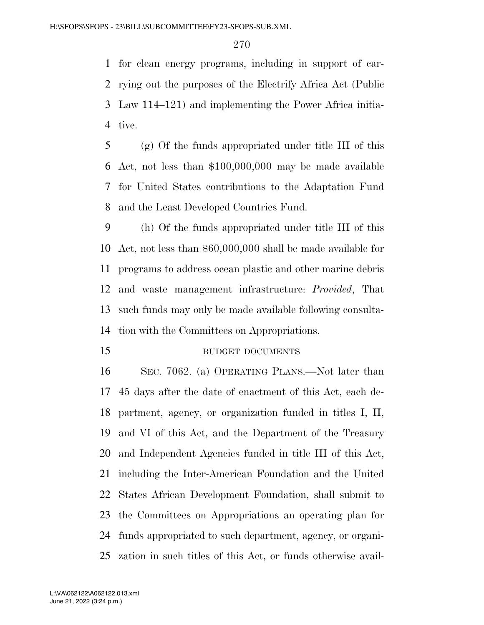for clean energy programs, including in support of car- rying out the purposes of the Electrify Africa Act (Public Law 114–121) and implementing the Power Africa initia-tive.

 (g) Of the funds appropriated under title III of this Act, not less than \$100,000,000 may be made available for United States contributions to the Adaptation Fund and the Least Developed Countries Fund.

 (h) Of the funds appropriated under title III of this Act, not less than \$60,000,000 shall be made available for programs to address ocean plastic and other marine debris and waste management infrastructure: *Provided*, That such funds may only be made available following consulta-tion with the Committees on Appropriations.

#### 15 BUDGET DOCUMENTS

 SEC. 7062. (a) OPERATING PLANS.—Not later than 45 days after the date of enactment of this Act, each de- partment, agency, or organization funded in titles I, II, and VI of this Act, and the Department of the Treasury and Independent Agencies funded in title III of this Act, including the Inter-American Foundation and the United States African Development Foundation, shall submit to the Committees on Appropriations an operating plan for funds appropriated to such department, agency, or organi-zation in such titles of this Act, or funds otherwise avail-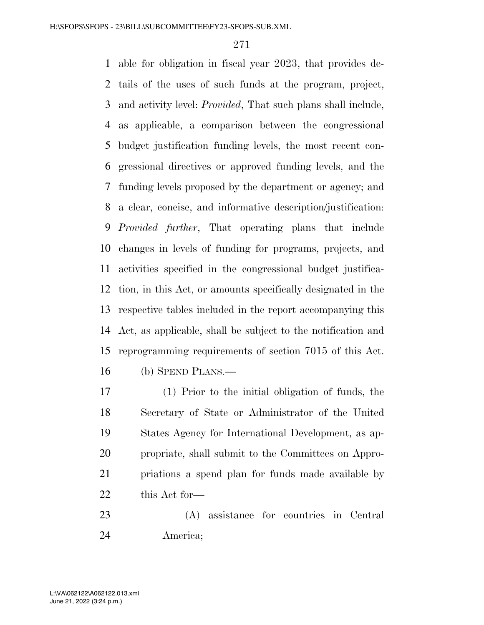able for obligation in fiscal year 2023, that provides de- tails of the uses of such funds at the program, project, and activity level: *Provided*, That such plans shall include, as applicable, a comparison between the congressional budget justification funding levels, the most recent con- gressional directives or approved funding levels, and the funding levels proposed by the department or agency; and a clear, concise, and informative description/justification: *Provided further*, That operating plans that include changes in levels of funding for programs, projects, and activities specified in the congressional budget justifica- tion, in this Act, or amounts specifically designated in the respective tables included in the report accompanying this Act, as applicable, shall be subject to the notification and reprogramming requirements of section 7015 of this Act. (b) SPEND PLANS.—

 (1) Prior to the initial obligation of funds, the Secretary of State or Administrator of the United States Agency for International Development, as ap- propriate, shall submit to the Committees on Appro- priations a spend plan for funds made available by this Act for—

 (A) assistance for countries in Central America;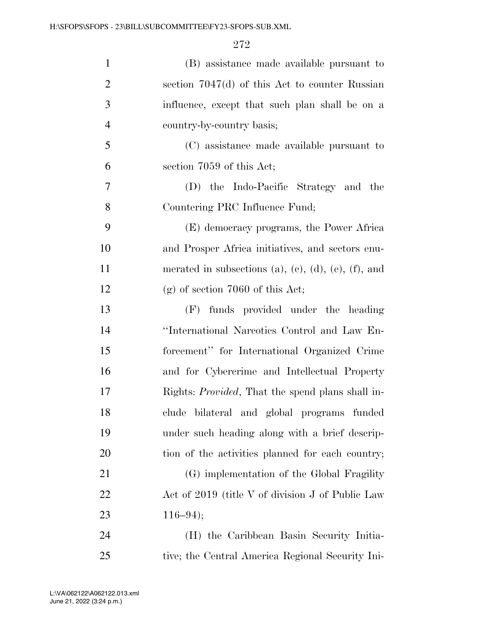| $\mathbf{1}$   | (B) assistance made available pursuant to                          |
|----------------|--------------------------------------------------------------------|
| $\mathbf{2}$   | section $7047(d)$ of this Act to counter Russian                   |
| 3              | influence, except that such plan shall be on a                     |
| $\overline{4}$ | country-by-country basis;                                          |
| 5              | (C) assistance made available pursuant to                          |
| 6              | section 7059 of this Act;                                          |
| 7              | (D) the Indo-Pacific Strategy and the                              |
| 8              | Countering PRC Influence Fund;                                     |
| 9              | (E) democracy programs, the Power Africa                           |
| 10             | and Prosper Africa initiatives, and sectors enu-                   |
| 11             | merated in subsections $(a)$ , $(c)$ , $(d)$ , $(e)$ , $(f)$ , and |
| 12             | $(g)$ of section 7060 of this Act;                                 |
| 13             | (F) funds provided under the heading                               |
| 14             | "International Narcotics Control and Law En-                       |
| 15             | forcement" for International Organized Crime                       |
| 16             | and for Cybercrime and Intellectual Property                       |
| 17             | Rights: <i>Provided</i> , That the spend plans shall in-           |
| 18             | clude bilateral and global programs funded                         |
| 19             | under such heading along with a brief descrip-                     |
| 20             | tion of the activities planned for each country;                   |
| 21             | (G) implementation of the Global Fragility                         |
| 22             | Act of 2019 (title V of division J of Public Law                   |
| 23             | $116 - 94$ ;                                                       |
| 24             | (H) the Caribbean Basin Security Initia-                           |
| 25             | tive; the Central America Regional Security Ini-                   |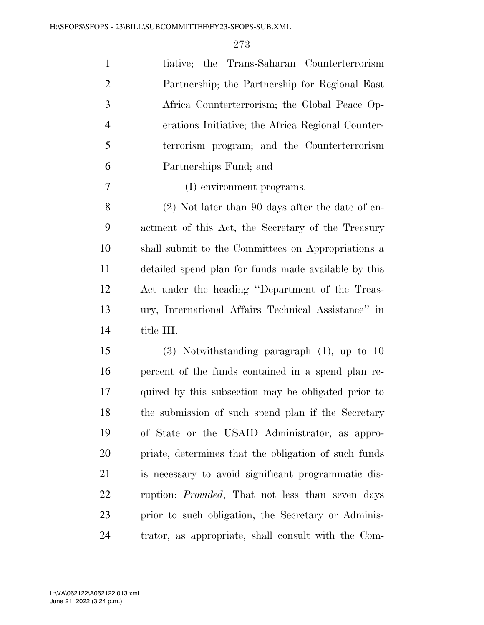| $\mathbf{1}$   | tiative; the Trans-Saharan Counterterrorism              |
|----------------|----------------------------------------------------------|
| $\overline{2}$ | Partnership; the Partnership for Regional East           |
| 3              | Africa Counterterrorism; the Global Peace Op-            |
| $\overline{4}$ | erations Initiative; the Africa Regional Counter-        |
| 5              | terrorism program; and the Counterterrorism              |
| 6              | Partnerships Fund; and                                   |
| $\tau$         | (I) environment programs.                                |
| 8              | $(2)$ Not later than 90 days after the date of en-       |
| 9              | actment of this Act, the Secretary of the Treasury       |
| 10             | shall submit to the Committees on Appropriations a       |
| 11             | detailed spend plan for funds made available by this     |
| 12             | Act under the heading "Department of the Treas-          |
| 13             | ury, International Affairs Technical Assistance" in      |
| 14             | title III.                                               |
| 15             | $(3)$ Notwithstanding paragraph $(1)$ , up to 10         |
| 16             | percent of the funds contained in a spend plan re-       |
| 17             | quired by this subsection may be obligated prior to      |
| 18             | the submission of such spend plan if the Secretary       |
| 19             | of State or the USAID Administrator, as appro-           |
| 20             | priate, determines that the obligation of such funds     |
| 21             | is necessary to avoid significant programmatic dis-      |
| 22             | ruption: <i>Provided</i> , That not less than seven days |
| 23             | prior to such obligation, the Secretary or Adminis-      |
| 24             | trator, as appropriate, shall consult with the Com-      |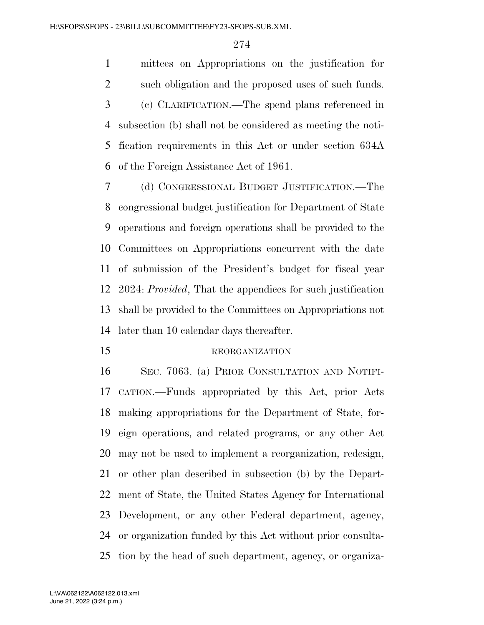mittees on Appropriations on the justification for such obligation and the proposed uses of such funds. (c) CLARIFICATION.—The spend plans referenced in subsection (b) shall not be considered as meeting the noti- fication requirements in this Act or under section 634A of the Foreign Assistance Act of 1961.

 (d) CONGRESSIONAL BUDGET JUSTIFICATION.—The congressional budget justification for Department of State operations and foreign operations shall be provided to the Committees on Appropriations concurrent with the date of submission of the President's budget for fiscal year 2024: *Provided*, That the appendices for such justification shall be provided to the Committees on Appropriations not later than 10 calendar days thereafter.

## 15 REORGANIZATION

 SEC. 7063. (a) PRIOR CONSULTATION AND NOTIFI- CATION.—Funds appropriated by this Act, prior Acts making appropriations for the Department of State, for- eign operations, and related programs, or any other Act may not be used to implement a reorganization, redesign, or other plan described in subsection (b) by the Depart- ment of State, the United States Agency for International Development, or any other Federal department, agency, or organization funded by this Act without prior consulta-tion by the head of such department, agency, or organiza-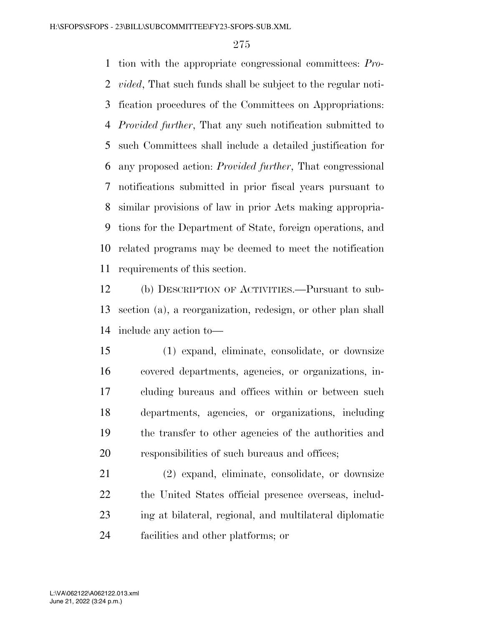tion with the appropriate congressional committees: *Pro- vided*, That such funds shall be subject to the regular noti- fication procedures of the Committees on Appropriations: *Provided further*, That any such notification submitted to such Committees shall include a detailed justification for any proposed action: *Provided further*, That congressional notifications submitted in prior fiscal years pursuant to similar provisions of law in prior Acts making appropria- tions for the Department of State, foreign operations, and related programs may be deemed to meet the notification requirements of this section.

 (b) DESCRIPTION OF ACTIVITIES.—Pursuant to sub- section (a), a reorganization, redesign, or other plan shall include any action to—

 (1) expand, eliminate, consolidate, or downsize covered departments, agencies, or organizations, in- cluding bureaus and offices within or between such departments, agencies, or organizations, including the transfer to other agencies of the authorities and responsibilities of such bureaus and offices;

 (2) expand, eliminate, consolidate, or downsize the United States official presence overseas, includ- ing at bilateral, regional, and multilateral diplomatic facilities and other platforms; or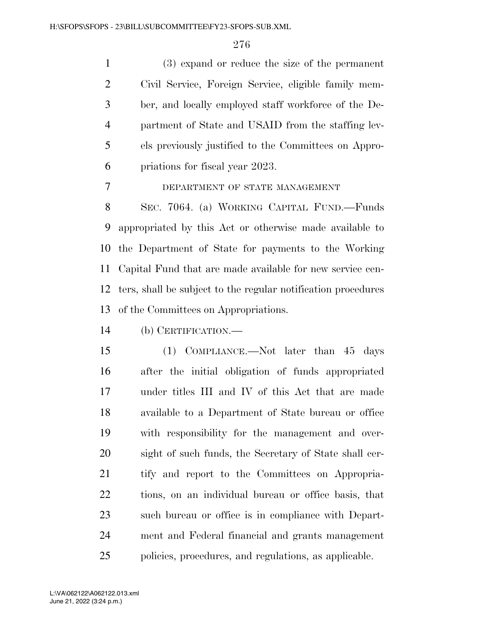(3) expand or reduce the size of the permanent Civil Service, Foreign Service, eligible family mem- ber, and locally employed staff workforce of the De- partment of State and USAID from the staffing lev- els previously justified to the Committees on Appro-priations for fiscal year 2023.

## DEPARTMENT OF STATE MANAGEMENT

 SEC. 7064. (a) WORKING CAPITAL FUND.—Funds appropriated by this Act or otherwise made available to the Department of State for payments to the Working Capital Fund that are made available for new service cen- ters, shall be subject to the regular notification procedures of the Committees on Appropriations.

(b) CERTIFICATION.—

 (1) COMPLIANCE.—Not later than 45 days after the initial obligation of funds appropriated under titles III and IV of this Act that are made available to a Department of State bureau or office with responsibility for the management and over- sight of such funds, the Secretary of State shall cer- tify and report to the Committees on Appropria- tions, on an individual bureau or office basis, that such bureau or office is in compliance with Depart- ment and Federal financial and grants management policies, procedures, and regulations, as applicable.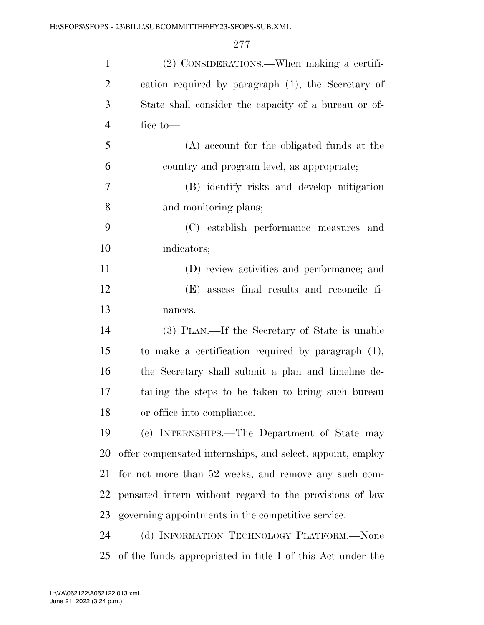| $\mathbf{1}$   | (2) CONSIDERATIONS.—When making a certifi-                 |
|----------------|------------------------------------------------------------|
| $\overline{2}$ | cation required by paragraph (1), the Secretary of         |
| 3              | State shall consider the capacity of a bureau or of-       |
| $\overline{4}$ | fice to-                                                   |
| 5              | (A) account for the obligated funds at the                 |
| 6              | country and program level, as appropriate;                 |
| 7              | (B) identify risks and develop mitigation                  |
| 8              | and monitoring plans;                                      |
| 9              | (C) establish performance measures and                     |
| 10             | indicators;                                                |
| 11             | (D) review activities and performance; and                 |
| 12             | (E) assess final results and reconcile fi-                 |
| 13             | nances.                                                    |
| 14             | (3) PLAN.—If the Secretary of State is unable              |
| 15             | to make a certification required by paragraph $(1)$ ,      |
| 16             | the Secretary shall submit a plan and timeline de-         |
| 17             | tailing the steps to be taken to bring such bureau         |
| 18             | or office into compliance.                                 |
| 19             | (c) INTERNSHIPS.—The Department of State may               |
| 20             | offer compensated internships, and select, appoint, employ |
| 21             | for not more than 52 weeks, and remove any such com-       |
| 22             | pensated intern without regard to the provisions of law    |
| 23             | governing appointments in the competitive service.         |
| 24             | (d) INFORMATION TECHNOLOGY PLATFORM.-None                  |
| 25             | of the funds appropriated in title I of this Act under the |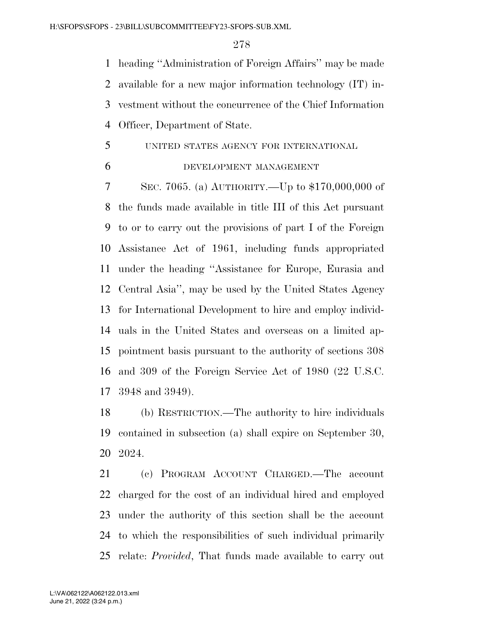heading ''Administration of Foreign Affairs'' may be made available for a new major information technology (IT) in- vestment without the concurrence of the Chief Information Officer, Department of State.

- UNITED STATES AGENCY FOR INTERNATIONAL
	-

# DEVELOPMENT MANAGEMENT

 SEC. 7065. (a) AUTHORITY.—Up to \$170,000,000 of the funds made available in title III of this Act pursuant to or to carry out the provisions of part I of the Foreign Assistance Act of 1961, including funds appropriated under the heading ''Assistance for Europe, Eurasia and Central Asia'', may be used by the United States Agency for International Development to hire and employ individ- uals in the United States and overseas on a limited ap- pointment basis pursuant to the authority of sections 308 and 309 of the Foreign Service Act of 1980 (22 U.S.C. 3948 and 3949).

 (b) RESTRICTION.—The authority to hire individuals contained in subsection (a) shall expire on September 30, 2024.

 (c) PROGRAM ACCOUNT CHARGED.—The account charged for the cost of an individual hired and employed under the authority of this section shall be the account to which the responsibilities of such individual primarily relate: *Provided*, That funds made available to carry out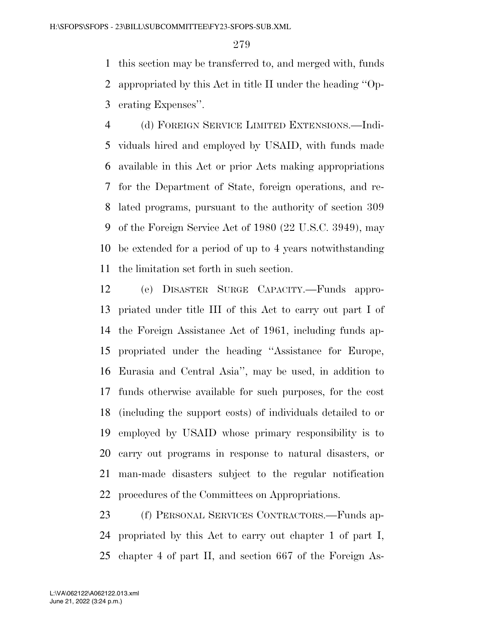this section may be transferred to, and merged with, funds appropriated by this Act in title II under the heading ''Op-erating Expenses''.

 (d) FOREIGN SERVICE LIMITED EXTENSIONS.—Indi- viduals hired and employed by USAID, with funds made available in this Act or prior Acts making appropriations for the Department of State, foreign operations, and re- lated programs, pursuant to the authority of section 309 of the Foreign Service Act of 1980 (22 U.S.C. 3949), may be extended for a period of up to 4 years notwithstanding the limitation set forth in such section.

 (e) DISASTER SURGE CAPACITY.—Funds appro- priated under title III of this Act to carry out part I of the Foreign Assistance Act of 1961, including funds ap- propriated under the heading ''Assistance for Europe, Eurasia and Central Asia'', may be used, in addition to funds otherwise available for such purposes, for the cost (including the support costs) of individuals detailed to or employed by USAID whose primary responsibility is to carry out programs in response to natural disasters, or man-made disasters subject to the regular notification procedures of the Committees on Appropriations.

 (f) PERSONAL SERVICES CONTRACTORS.—Funds ap- propriated by this Act to carry out chapter 1 of part I, chapter 4 of part II, and section 667 of the Foreign As-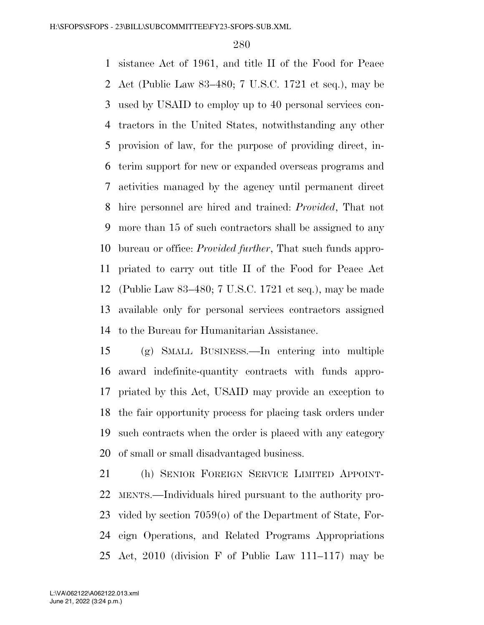sistance Act of 1961, and title II of the Food for Peace Act (Public Law 83–480; 7 U.S.C. 1721 et seq.), may be used by USAID to employ up to 40 personal services con- tractors in the United States, notwithstanding any other provision of law, for the purpose of providing direct, in- terim support for new or expanded overseas programs and activities managed by the agency until permanent direct hire personnel are hired and trained: *Provided*, That not more than 15 of such contractors shall be assigned to any bureau or office: *Provided further*, That such funds appro- priated to carry out title II of the Food for Peace Act (Public Law 83–480; 7 U.S.C. 1721 et seq.), may be made available only for personal services contractors assigned to the Bureau for Humanitarian Assistance.

 (g) SMALL BUSINESS.—In entering into multiple award indefinite-quantity contracts with funds appro- priated by this Act, USAID may provide an exception to the fair opportunity process for placing task orders under such contracts when the order is placed with any category of small or small disadvantaged business.

 (h) SENIOR FOREIGN SERVICE LIMITED APPOINT- MENTS.—Individuals hired pursuant to the authority pro- vided by section 7059(o) of the Department of State, For- eign Operations, and Related Programs Appropriations Act, 2010 (division F of Public Law 111–117) may be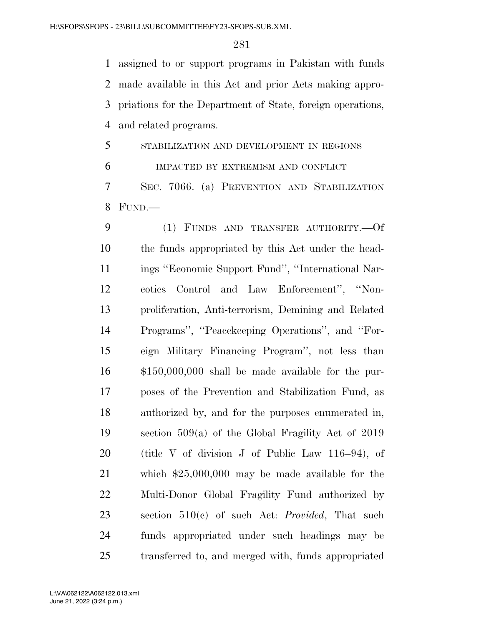assigned to or support programs in Pakistan with funds made available in this Act and prior Acts making appro- priations for the Department of State, foreign operations, and related programs.

STABILIZATION AND DEVELOPMENT IN REGIONS

IMPACTED BY EXTREMISM AND CONFLICT

 SEC. 7066. (a) PREVENTION AND STABILIZATION FUND.—

 (1) FUNDS AND TRANSFER AUTHORITY.—Of the funds appropriated by this Act under the head- ings ''Economic Support Fund'', ''International Nar- cotics Control and Law Enforcement'', ''Non- proliferation, Anti-terrorism, Demining and Related Programs'', ''Peacekeeping Operations'', and ''For- eign Military Financing Program'', not less than \$150,000,000 shall be made available for the pur- poses of the Prevention and Stabilization Fund, as authorized by, and for the purposes enumerated in, section 509(a) of the Global Fragility Act of 2019 (title V of division J of Public Law 116–94), of which \$25,000,000 may be made available for the Multi-Donor Global Fragility Fund authorized by section 510(c) of such Act: *Provided*, That such funds appropriated under such headings may be transferred to, and merged with, funds appropriated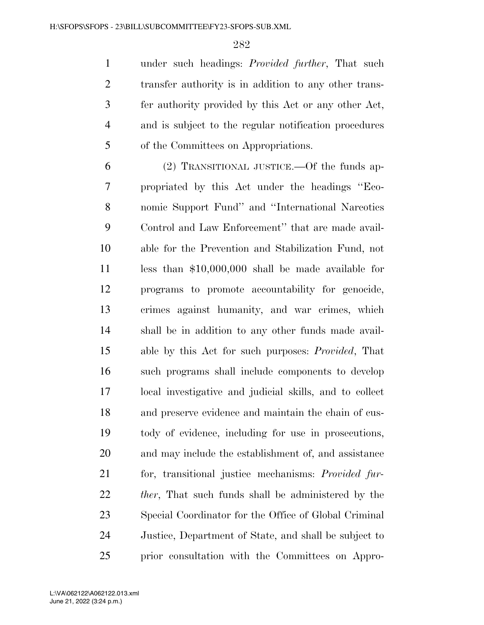under such headings: *Provided further*, That such transfer authority is in addition to any other trans- fer authority provided by this Act or any other Act, and is subject to the regular notification procedures of the Committees on Appropriations.

 (2) TRANSITIONAL JUSTICE.—Of the funds ap- propriated by this Act under the headings ''Eco- nomic Support Fund'' and ''International Narcotics Control and Law Enforcement'' that are made avail- able for the Prevention and Stabilization Fund, not less than \$10,000,000 shall be made available for programs to promote accountability for genocide, crimes against humanity, and war crimes, which shall be in addition to any other funds made avail- able by this Act for such purposes: *Provided*, That such programs shall include components to develop local investigative and judicial skills, and to collect and preserve evidence and maintain the chain of cus- tody of evidence, including for use in prosecutions, and may include the establishment of, and assistance for, transitional justice mechanisms: *Provided fur- ther*, That such funds shall be administered by the Special Coordinator for the Office of Global Criminal Justice, Department of State, and shall be subject to prior consultation with the Committees on Appro-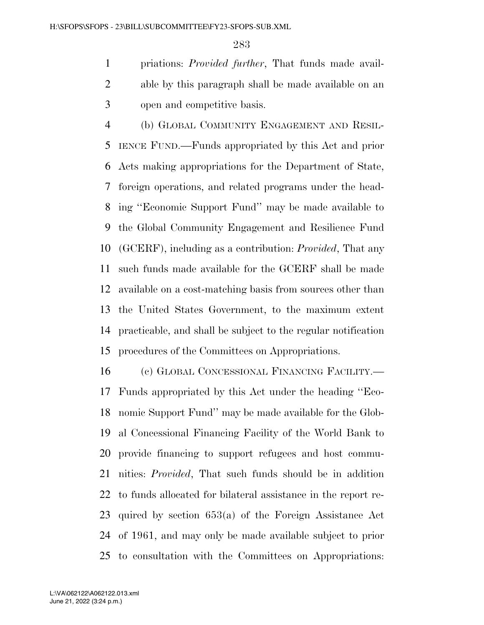priations: *Provided further*, That funds made avail- able by this paragraph shall be made available on an open and competitive basis.

 (b) GLOBAL COMMUNITY ENGAGEMENT AND RESIL- IENCE FUND.—Funds appropriated by this Act and prior Acts making appropriations for the Department of State, foreign operations, and related programs under the head- ing ''Economic Support Fund'' may be made available to the Global Community Engagement and Resilience Fund (GCERF), including as a contribution: *Provided*, That any such funds made available for the GCERF shall be made available on a cost-matching basis from sources other than the United States Government, to the maximum extent practicable, and shall be subject to the regular notification procedures of the Committees on Appropriations.

 (c) GLOBAL CONCESSIONAL FINANCING FACILITY.— Funds appropriated by this Act under the heading ''Eco- nomic Support Fund'' may be made available for the Glob- al Concessional Financing Facility of the World Bank to provide financing to support refugees and host commu- nities: *Provided*, That such funds should be in addition to funds allocated for bilateral assistance in the report re- quired by section 653(a) of the Foreign Assistance Act of 1961, and may only be made available subject to prior to consultation with the Committees on Appropriations: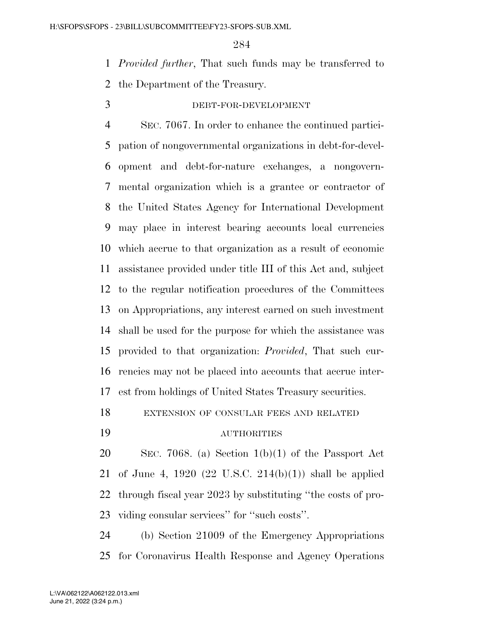*Provided further*, That such funds may be transferred to the Department of the Treasury.

# DEBT-FOR-DEVELOPMENT

 SEC. 7067. In order to enhance the continued partici- pation of nongovernmental organizations in debt-for-devel- opment and debt-for-nature exchanges, a nongovern- mental organization which is a grantee or contractor of the United States Agency for International Development may place in interest bearing accounts local currencies which accrue to that organization as a result of economic assistance provided under title III of this Act and, subject to the regular notification procedures of the Committees on Appropriations, any interest earned on such investment shall be used for the purpose for which the assistance was provided to that organization: *Provided*, That such cur- rencies may not be placed into accounts that accrue inter-est from holdings of United States Treasury securities.

EXTENSION OF CONSULAR FEES AND RELATED

AUTHORITIES

 SEC. 7068. (a) Section 1(b)(1) of the Passport Act of June 4, 1920 (22 U.S.C. 214(b)(1)) shall be applied through fiscal year 2023 by substituting ''the costs of pro-viding consular services'' for ''such costs''.

 (b) Section 21009 of the Emergency Appropriations for Coronavirus Health Response and Agency Operations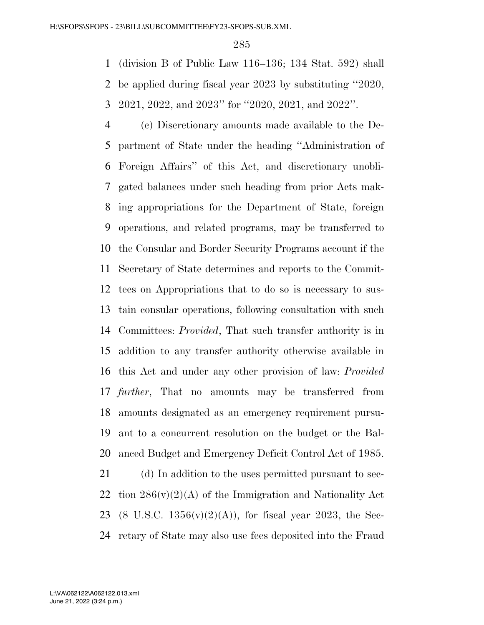(division B of Public Law 116–136; 134 Stat. 592) shall be applied during fiscal year 2023 by substituting ''2020, 2021, 2022, and 2023'' for ''2020, 2021, and 2022''.

 (c) Discretionary amounts made available to the De- partment of State under the heading ''Administration of Foreign Affairs'' of this Act, and discretionary unobli- gated balances under such heading from prior Acts mak- ing appropriations for the Department of State, foreign operations, and related programs, may be transferred to the Consular and Border Security Programs account if the Secretary of State determines and reports to the Commit- tees on Appropriations that to do so is necessary to sus- tain consular operations, following consultation with such Committees: *Provided*, That such transfer authority is in addition to any transfer authority otherwise available in this Act and under any other provision of law: *Provided further*, That no amounts may be transferred from amounts designated as an emergency requirement pursu- ant to a concurrent resolution on the budget or the Bal-anced Budget and Emergency Deficit Control Act of 1985.

21 (d) In addition to the uses permitted pursuant to sec-22 tion  $286(v)(2)(A)$  of the Immigration and Nationality Act 23 (8 U.S.C.  $1356(v)(2)(A)$ ), for fiscal year 2023, the Sec-retary of State may also use fees deposited into the Fraud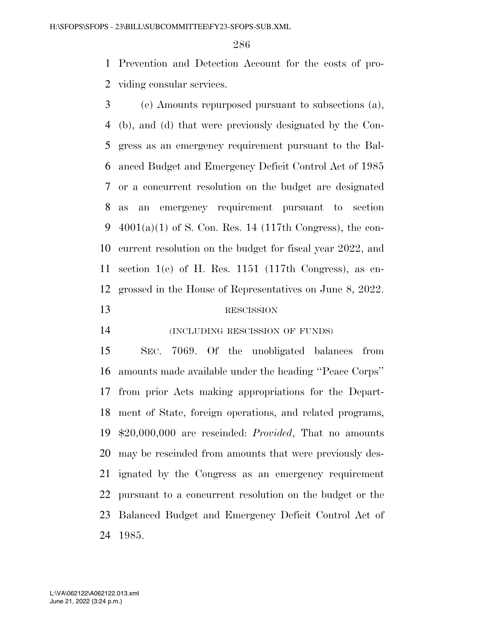Prevention and Detection Account for the costs of pro-viding consular services.

- (e) Amounts repurposed pursuant to subsections (a), (b), and (d) that were previously designated by the Con- gress as an emergency requirement pursuant to the Bal- anced Budget and Emergency Deficit Control Act of 1985 or a concurrent resolution on the budget are designated as an emergency requirement pursuant to section 9  $4001(a)(1)$  of S. Con. Res. 14 (117th Congress), the con- current resolution on the budget for fiscal year 2022, and section 1(e) of H. Res. 1151 (117th Congress), as en- grossed in the House of Representatives on June 8, 2022. RESCISSION
- 

#### (INCLUDING RESCISSION OF FUNDS)

 SEC. 7069. Of the unobligated balances from amounts made available under the heading ''Peace Corps'' from prior Acts making appropriations for the Depart- ment of State, foreign operations, and related programs, \$20,000,000 are rescinded: *Provided*, That no amounts may be rescinded from amounts that were previously des- ignated by the Congress as an emergency requirement pursuant to a concurrent resolution on the budget or the Balanced Budget and Emergency Deficit Control Act of 1985.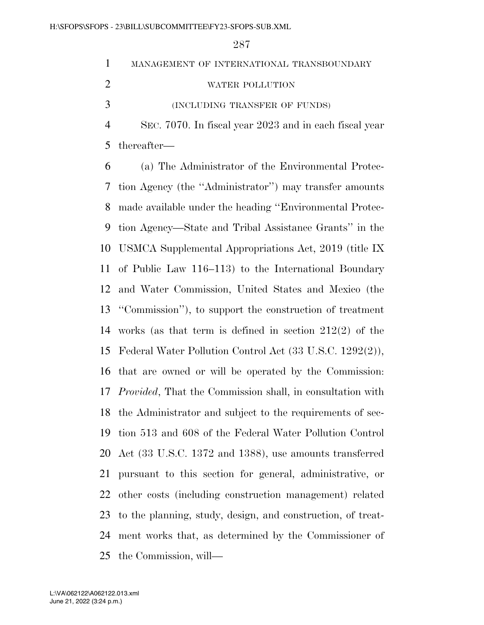| $\mathbf{1}$   | MANAGEMENT OF INTERNATIONAL TRANSBOUNDARY                         |
|----------------|-------------------------------------------------------------------|
| $\overline{2}$ | WATER POLLUTION                                                   |
| 3              | (INCLUDING TRANSFER OF FUNDS)                                     |
| $\overline{4}$ | SEC. 7070. In fiscal year 2023 and in each fiscal year            |
| 5              | thereafter—                                                       |
| 6              | (a) The Administrator of the Environmental Protec-                |
| 7              | tion Agency (the "Administrator") may transfer amounts            |
| 8              | made available under the heading "Environmental Protec-           |
| 9              | tion Agency—State and Tribal Assistance Grants" in the            |
| 10             | USMCA Supplemental Appropriations Act, 2019 (title IX             |
| 11             | of Public Law 116–113) to the International Boundary              |
| 12             | and Water Commission, United States and Mexico (the               |
| 13             | "Commission"), to support the construction of treatment           |
| 14             | works (as that term is defined in section $212(2)$ of the         |
| 15             | Federal Water Pollution Control Act (33 U.S.C. 1292(2)),          |
| 16             | that are owned or will be operated by the Commission:             |
| 17             | <i>Provided</i> , That the Commission shall, in consultation with |
|                | 18 the Administrator and subject to the requirements of sec-      |
| 19             | tion 513 and 608 of the Federal Water Pollution Control           |
| 20             | Act (33 U.S.C. 1372 and 1388), use amounts transferred            |
| 21             | pursuant to this section for general, administrative, or          |
| 22             | other costs (including construction management) related           |
| 23             | to the planning, study, design, and construction, of treat-       |
| 24             | ment works that, as determined by the Commissioner of             |
| 25             | the Commission, will-                                             |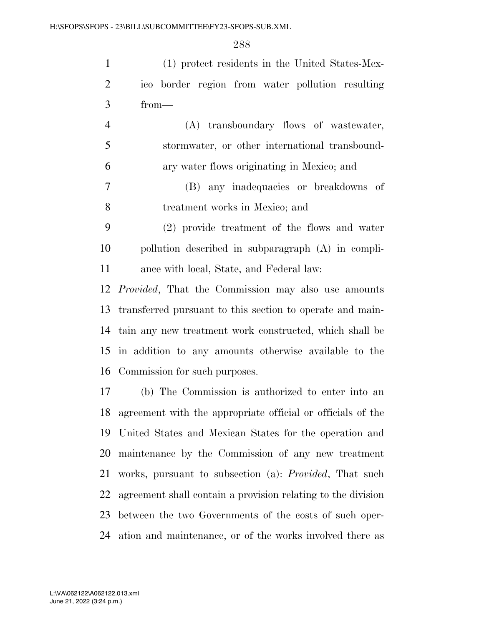(1) protect residents in the United States-Mex- ico border region from water pollution resulting from—

- (A) transboundary flows of wastewater, stormwater, or other international transbound-ary water flows originating in Mexico; and
- (B) any inadequacies or breakdowns of treatment works in Mexico; and

 (2) provide treatment of the flows and water pollution described in subparagraph (A) in compli-ance with local, State, and Federal law:

 *Provided*, That the Commission may also use amounts transferred pursuant to this section to operate and main- tain any new treatment work constructed, which shall be in addition to any amounts otherwise available to the Commission for such purposes.

 (b) The Commission is authorized to enter into an agreement with the appropriate official or officials of the United States and Mexican States for the operation and maintenance by the Commission of any new treatment works, pursuant to subsection (a): *Provided*, That such agreement shall contain a provision relating to the division between the two Governments of the costs of such oper-ation and maintenance, or of the works involved there as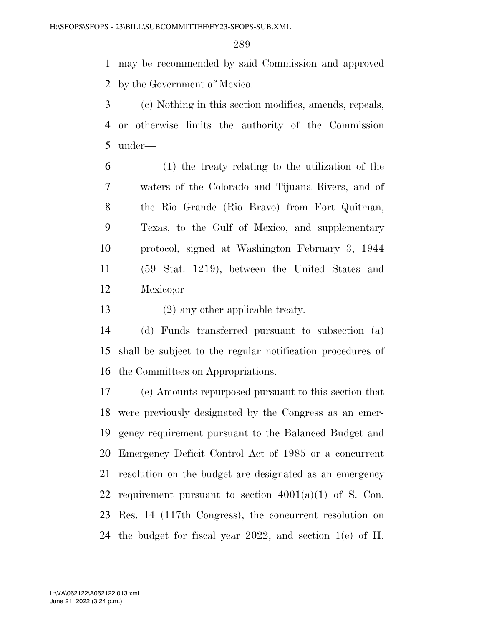may be recommended by said Commission and approved by the Government of Mexico.

- (c) Nothing in this section modifies, amends, repeals, or otherwise limits the authority of the Commission under—
- (1) the treaty relating to the utilization of the waters of the Colorado and Tijuana Rivers, and of the Rio Grande (Rio Bravo) from Fort Quitman, Texas, to the Gulf of Mexico, and supplementary protocol, signed at Washington February 3, 1944 (59 Stat. 1219), between the United States and Mexico;or
- 13 (2) any other applicable treaty.
- (d) Funds transferred pursuant to subsection (a) shall be subject to the regular notification procedures of the Committees on Appropriations.
- (e) Amounts repurposed pursuant to this section that were previously designated by the Congress as an emer- gency requirement pursuant to the Balanced Budget and Emergency Deficit Control Act of 1985 or a concurrent resolution on the budget are designated as an emergency 22 requirement pursuant to section  $4001(a)(1)$  of S. Con. Res. 14 (117th Congress), the concurrent resolution on the budget for fiscal year 2022, and section 1(e) of H.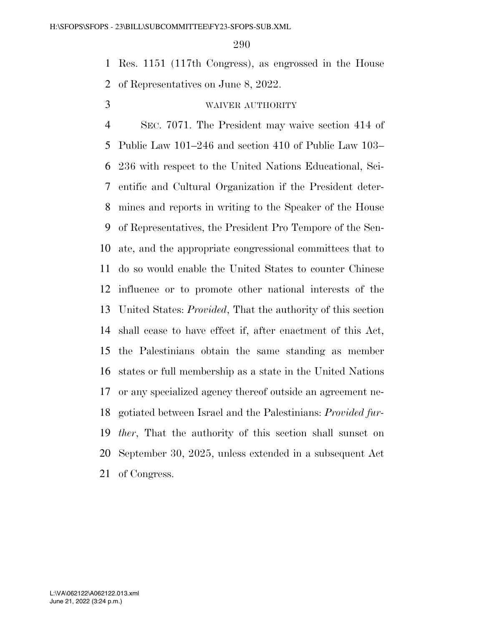Res. 1151 (117th Congress), as engrossed in the House of Representatives on June 8, 2022.

### WAIVER AUTHORITY

 SEC. 7071. The President may waive section 414 of Public Law 101–246 and section 410 of Public Law 103– 236 with respect to the United Nations Educational, Sci- entific and Cultural Organization if the President deter- mines and reports in writing to the Speaker of the House of Representatives, the President Pro Tempore of the Sen- ate, and the appropriate congressional committees that to do so would enable the United States to counter Chinese influence or to promote other national interests of the United States: *Provided*, That the authority of this section shall cease to have effect if, after enactment of this Act, the Palestinians obtain the same standing as member states or full membership as a state in the United Nations or any specialized agency thereof outside an agreement ne- gotiated between Israel and the Palestinians: *Provided fur- ther*, That the authority of this section shall sunset on September 30, 2025, unless extended in a subsequent Act of Congress.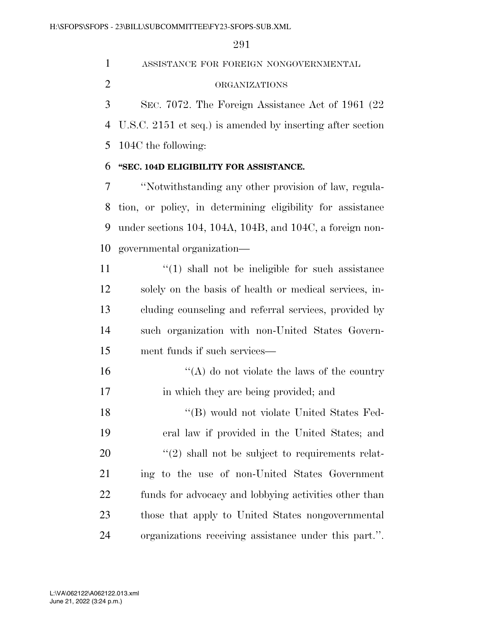ASSISTANCE FOR FOREIGN NONGOVERNMENTAL

ORGANIZATIONS

 SEC. 7072. The Foreign Assistance Act of 1961 (22 U.S.C. 2151 et seq.) is amended by inserting after section 104C the following:

#### **''SEC. 104D ELIGIBILITY FOR ASSISTANCE.**

 ''Notwithstanding any other provision of law, regula- tion, or policy, in determining eligibility for assistance under sections 104, 104A, 104B, and 104C, a foreign non-governmental organization—

- 11 ''(1) shall not be ineligible for such assistance solely on the basis of health or medical services, in- cluding counseling and referral services, provided by such organization with non-United States Govern-ment funds if such services—
- ''(A) do not violate the laws of the country in which they are being provided; and

18 ''(B) would not violate United States Fed- eral law if provided in the United States; and  $\qquad$   $\qquad$   $\qquad$   $\qquad$   $\qquad$   $\qquad$   $\qquad$   $\qquad$   $\qquad$   $\qquad$   $\qquad$   $\qquad$   $\qquad$   $\qquad$   $\qquad$   $\qquad$   $\qquad$   $\qquad$   $\qquad$   $\qquad$   $\qquad$   $\qquad$   $\qquad$   $\qquad$   $\qquad$   $\qquad$   $\qquad$   $\qquad$   $\qquad$   $\qquad$   $\qquad$   $\qquad$   $\qquad$   $\qquad$   $\qquad$   $\qquad$  ing to the use of non-United States Government funds for advocacy and lobbying activities other than those that apply to United States nongovernmental organizations receiving assistance under this part.''.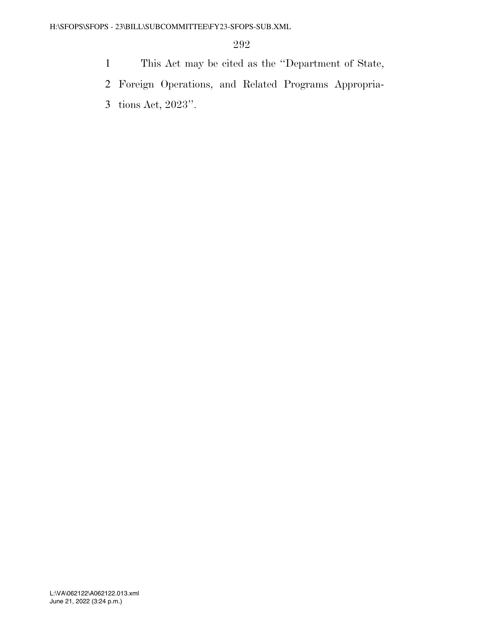- 1 This Act may be cited as the ''Department of State,
- 2 Foreign Operations, and Related Programs Appropria-
- 3 tions Act, 2023''.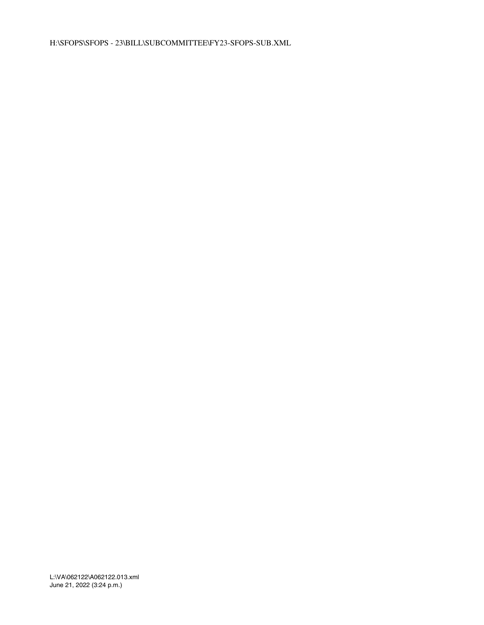#### H:\SFOPS\SFOPS - 23\BILL\SUBCOMMITTEE\FY23-SFOPS-SUB.XML